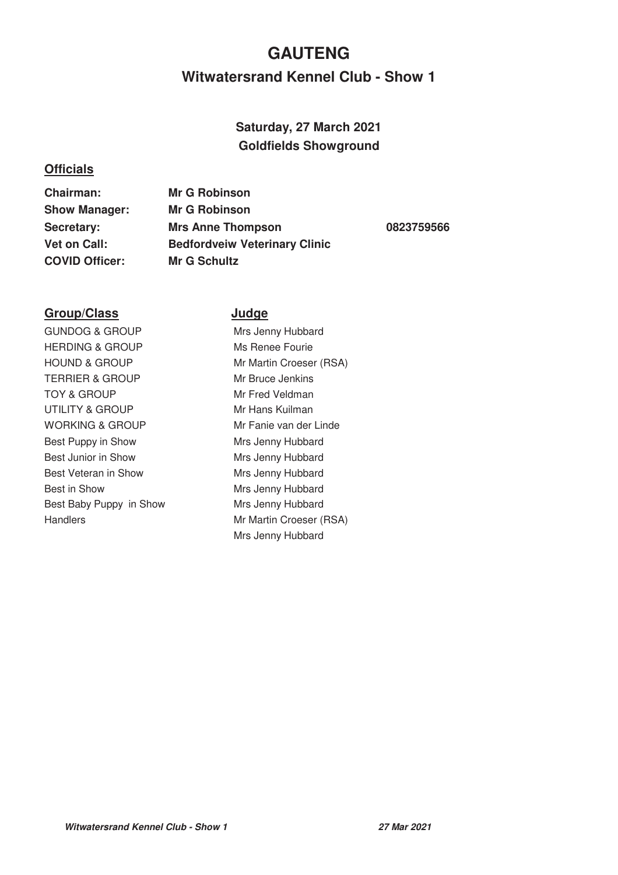# **Witwatersrand Kennel Club - Show 1 GAUTENG**

## **Saturday, 27 March 2021 Goldfields Showground**

### **Officials**

**Chairman: Mr G Robinson Show Manager: Mr G Robinson COVID Officer: Mr G Schultz**

**Secretary: Mrs Anne Thompson 0823759566 Vet on Call: Bedfordveiw Veterinary Clinic**

### **Group/Class Judge**

GUNDOG & GROUP Mrs Jenny Hubbard HERDING & GROUP Ms Renee Fourie HOUND & GROUP Mr Martin Croeser (RSA) TERRIER & GROUP Mr Bruce Jenkins TOY & GROUP Mr Fred Veldman UTILITY & GROUP Mr Hans Kuilman WORKING & GROUP Mr Fanie van der Linde Best Puppy in Show Mrs Jenny Hubbard Best Junior in Show Mrs Jenny Hubbard Best Veteran in Show Mrs Jenny Hubbard Best in Show Mrs Jenny Hubbard Best Baby Puppy in Show Mrs Jenny Hubbard Handlers Mr Martin Croeser (RSA)

Mrs Jenny Hubbard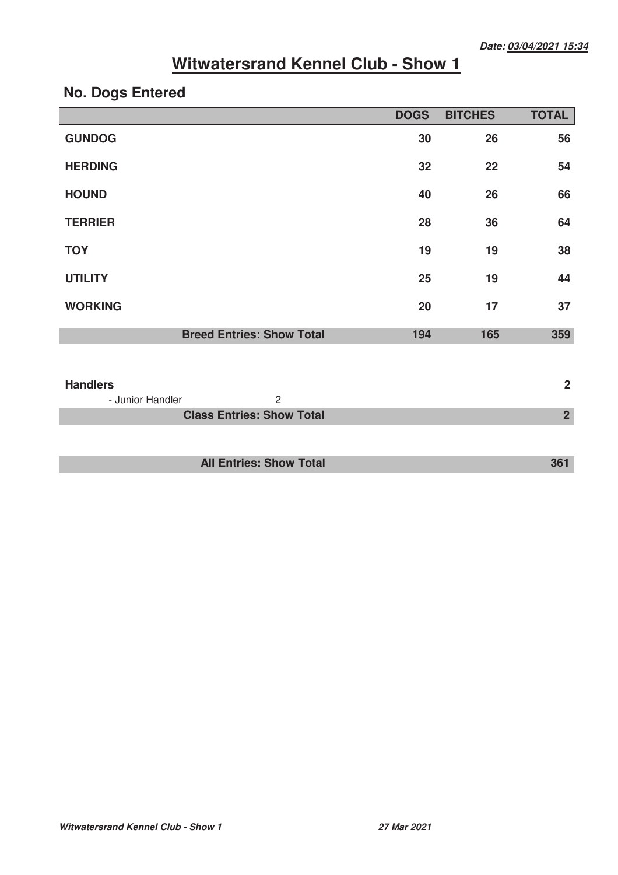# **No. Dogs Entered**

|                                                       | <b>DOGS</b> | <b>BITCHES</b> | <b>TOTAL</b>   |
|-------------------------------------------------------|-------------|----------------|----------------|
| <b>GUNDOG</b>                                         | 30          | 26             | 56             |
| <b>HERDING</b>                                        | 32          | 22             | 54             |
| <b>HOUND</b>                                          | 40          | 26             | 66             |
| <b>TERRIER</b>                                        | 28          | 36             | 64             |
| <b>TOY</b>                                            | 19          | 19             | 38             |
| <b>UTILITY</b>                                        | 25          | 19             | 44             |
| <b>WORKING</b>                                        | 20          | 17             | 37             |
| <b>Breed Entries: Show Total</b>                      | 194         | 165            | 359            |
|                                                       |             |                |                |
| <b>Handlers</b><br>$\overline{2}$<br>- Junior Handler |             |                | $\overline{2}$ |
| <b>Class Entries: Show Total</b>                      |             |                | $\overline{2}$ |
|                                                       |             |                |                |
| <b>All Entries: Show Total</b>                        |             |                | 361            |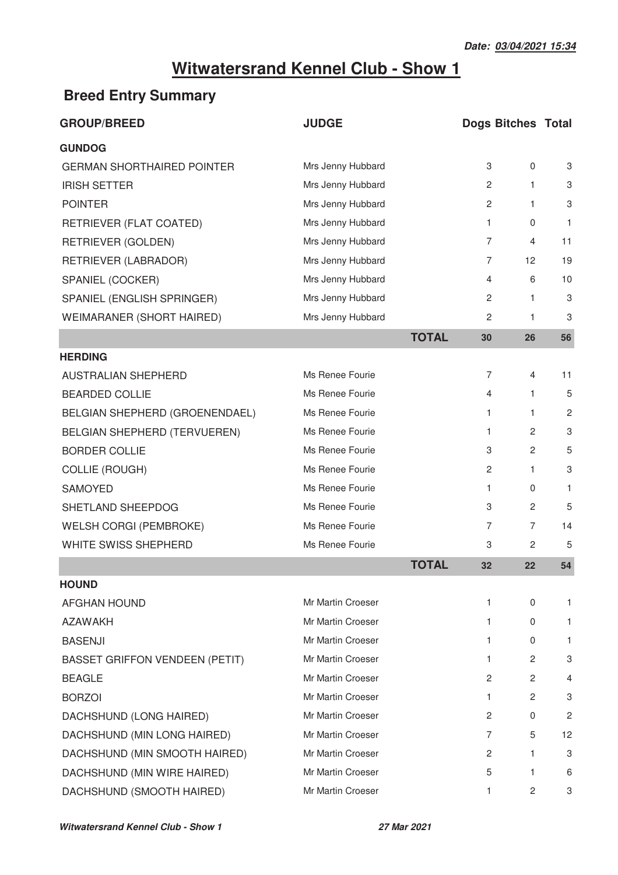# **Breed Entry Summary**

| <b>GROUP/BREED</b>                    | <b>JUDGE</b>      |              | <b>Dogs Bitches Total</b> |                       |              |
|---------------------------------------|-------------------|--------------|---------------------------|-----------------------|--------------|
| <b>GUNDOG</b>                         |                   |              |                           |                       |              |
| <b>GERMAN SHORTHAIRED POINTER</b>     | Mrs Jenny Hubbard |              | 3                         | $\mathbf 0$           | 3            |
| <b>IRISH SETTER</b>                   | Mrs Jenny Hubbard |              | $\overline{2}$            | $\mathbf{1}$          | 3            |
| <b>POINTER</b>                        | Mrs Jenny Hubbard |              | $\overline{c}$            | 1                     | 3            |
| RETRIEVER (FLAT COATED)               | Mrs Jenny Hubbard |              | 1                         | 0                     | $\mathbf{1}$ |
| RETRIEVER (GOLDEN)                    | Mrs Jenny Hubbard |              | 7                         | 4                     | 11           |
| RETRIEVER (LABRADOR)                  | Mrs Jenny Hubbard |              | 7                         | 12                    | 19           |
| SPANIEL (COCKER)                      | Mrs Jenny Hubbard |              | 4                         | 6                     | 10           |
| SPANIEL (ENGLISH SPRINGER)            | Mrs Jenny Hubbard |              | 2                         | $\mathbf{1}$          | 3            |
| WEIMARANER (SHORT HAIRED)             | Mrs Jenny Hubbard |              | 2                         | 1                     | 3            |
|                                       |                   | <b>TOTAL</b> | 30                        | 26                    | 56           |
| <b>HERDING</b>                        |                   |              |                           |                       |              |
| AUSTRALIAN SHEPHERD                   | Ms Renee Fourie   |              | 7                         | 4                     | 11           |
| <b>BEARDED COLLIE</b>                 | Ms Renee Fourie   |              | 4                         | $\mathbf{1}$          | 5            |
| BELGIAN SHEPHERD (GROENENDAEL)        | Ms Renee Fourie   |              | 1                         | $\mathbf{1}$          | 2            |
| BELGIAN SHEPHERD (TERVUEREN)          | Ms Renee Fourie   |              | 1                         | $\mathbf{2}^{\prime}$ | 3            |
| <b>BORDER COLLIE</b>                  | Ms Renee Fourie   |              | 3                         | $\overline{2}$        | 5            |
| <b>COLLIE (ROUGH)</b>                 | Ms Renee Fourie   |              | $\overline{2}$            | 1.                    | 3            |
| SAMOYED                               | Ms Renee Fourie   |              | 1                         | 0                     | 1            |
| SHETLAND SHEEPDOG                     | Ms Renee Fourie   |              | 3                         | 2                     | 5            |
| <b>WELSH CORGI (PEMBROKE)</b>         | Ms Renee Fourie   |              | 7                         | 7                     | 14           |
| WHITE SWISS SHEPHERD                  | Ms Renee Fourie   |              | 3                         | 2                     | 5            |
|                                       |                   | <b>TOTAL</b> | 32                        | 22                    | 54           |
| <b>HOUND</b>                          |                   |              |                           |                       |              |
| <b>AFGHAN HOUND</b>                   | Mr Martin Croeser |              | 1                         | 0                     | 1.           |
| <b>AZAWAKH</b>                        | Mr Martin Croeser |              | 1                         | 0                     | 1.           |
| <b>BASENJI</b>                        | Mr Martin Croeser |              | 1.                        | 0                     | 1.           |
| <b>BASSET GRIFFON VENDEEN (PETIT)</b> | Mr Martin Croeser |              | 1                         | 2                     | 3            |
| <b>BEAGLE</b>                         | Mr Martin Croeser |              | 2                         | 2                     | 4            |
| <b>BORZOI</b>                         | Mr Martin Croeser |              | 1                         | 2                     | 3            |
| DACHSHUND (LONG HAIRED)               | Mr Martin Croeser |              | 2                         | 0                     | 2            |
| DACHSHUND (MIN LONG HAIRED)           | Mr Martin Croeser |              | 7                         | 5                     | 12           |
| DACHSHUND (MIN SMOOTH HAIRED)         | Mr Martin Croeser |              | 2                         | 1                     | 3            |
| DACHSHUND (MIN WIRE HAIRED)           | Mr Martin Croeser |              | 5                         | 1                     | 6            |
| DACHSHUND (SMOOTH HAIRED)             | Mr Martin Croeser |              | 1                         | 2                     | 3            |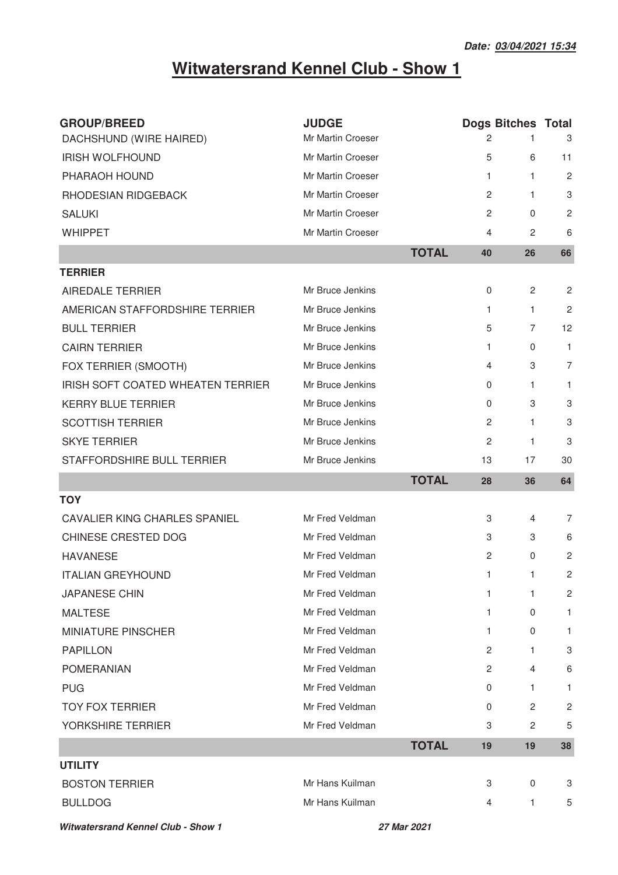| <b>GROUP/BREED</b>                   | <b>JUDGE</b>      |              | <b>Dogs Bitches Total</b> |                |                |
|--------------------------------------|-------------------|--------------|---------------------------|----------------|----------------|
| DACHSHUND (WIRE HAIRED)              | Mr Martin Croeser |              | 2                         |                | 3              |
| <b>IRISH WOLFHOUND</b>               | Mr Martin Croeser |              | 5                         | 6              | 11             |
| PHARAOH HOUND                        | Mr Martin Croeser |              | 1                         | 1              | $\overline{2}$ |
| RHODESIAN RIDGEBACK                  | Mr Martin Croeser |              | 2                         | $\mathbf{1}$   | 3              |
| <b>SALUKI</b>                        | Mr Martin Croeser |              | 2                         | $\Omega$       | $\overline{c}$ |
| <b>WHIPPET</b>                       | Mr Martin Croeser |              | 4                         | 2              | 6              |
|                                      |                   | <b>TOTAL</b> | 40                        | 26             | 66             |
| <b>TERRIER</b>                       |                   |              |                           |                |                |
| AIREDALE TERRIER                     | Mr Bruce Jenkins  |              | $\pmb{0}$                 | $\overline{2}$ | $\overline{c}$ |
| AMERICAN STAFFORDSHIRE TERRIER       | Mr Bruce Jenkins  |              | 1                         | 1              | $\overline{c}$ |
| <b>BULL TERRIER</b>                  | Mr Bruce Jenkins  |              | 5                         | 7              | 12             |
| <b>CAIRN TERRIER</b>                 | Mr Bruce Jenkins  |              | 1                         | 0              | 1              |
| FOX TERRIER (SMOOTH)                 | Mr Bruce Jenkins  |              | $\overline{4}$            | 3              | $\overline{7}$ |
| IRISH SOFT COATED WHEATEN TERRIER    | Mr Bruce Jenkins  |              | 0                         | 1              | 1              |
| <b>KERRY BLUE TERRIER</b>            | Mr Bruce Jenkins  |              | $\mathbf 0$               | 3              | 3              |
| <b>SCOTTISH TERRIER</b>              | Mr Bruce Jenkins  |              | 2                         | $\mathbf{1}$   | 3              |
| <b>SKYE TERRIER</b>                  | Mr Bruce Jenkins  |              | 2                         | 1              | 3              |
| STAFFORDSHIRE BULL TERRIER           | Mr Bruce Jenkins  |              | 13                        | 17             | 30             |
|                                      |                   | <b>TOTAL</b> | 28                        | 36             | 64             |
| <b>TOY</b>                           |                   |              |                           |                |                |
| <b>CAVALIER KING CHARLES SPANIEL</b> | Mr Fred Veldman   |              | 3                         | 4              | 7              |
| CHINESE CRESTED DOG                  | Mr Fred Veldman   |              | 3                         | 3              | 6              |
| <b>HAVANESE</b>                      | Mr Fred Veldman   |              | $\overline{c}$            | 0              | $\overline{2}$ |
| <b>ITALIAN GREYHOUND</b>             | Mr Fred Veldman   |              | 1                         | 1              | 2              |
| <b>JAPANESE CHIN</b>                 | Mr Fred Veldman   |              | 1                         | 1              | 2              |
| <b>MALTESE</b>                       | Mr Fred Veldman   |              | 1                         | 0              | 1              |
| <b>MINIATURE PINSCHER</b>            | Mr Fred Veldman   |              | 1                         | 0              | $\mathbf{1}$   |
| <b>PAPILLON</b>                      | Mr Fred Veldman   |              | 2                         | 1              | 3              |
| <b>POMERANIAN</b>                    | Mr Fred Veldman   |              | $\overline{2}$            | 4              | 6              |
| <b>PUG</b>                           | Mr Fred Veldman   |              | 0                         | 1              | 1              |
| <b>TOY FOX TERRIER</b>               | Mr Fred Veldman   |              | 0                         | 2              | $\sqrt{2}$     |
| YORKSHIRE TERRIER                    | Mr Fred Veldman   |              | 3                         | $\overline{c}$ | 5              |
|                                      |                   | <b>TOTAL</b> | 19                        | 19             | 38             |
|                                      |                   |              |                           |                |                |
| <b>UTILITY</b>                       |                   |              |                           |                |                |
| <b>BOSTON TERRIER</b>                | Mr Hans Kuilman   |              | 3                         | 0              | 3              |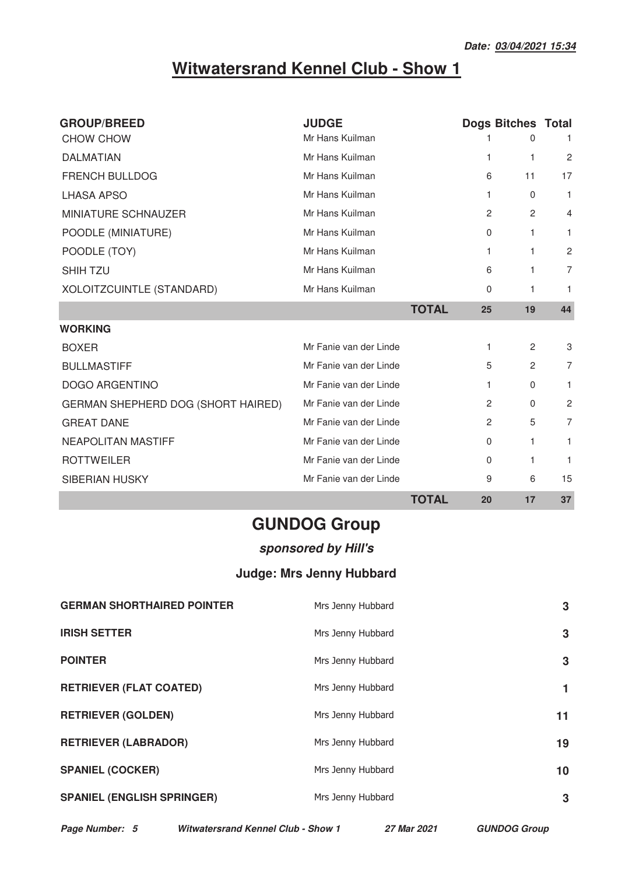| <b>GROUP/BREED</b>                 | <b>JUDGE</b>                    |              |                | <b>Dogs Bitches Total</b> |                |
|------------------------------------|---------------------------------|--------------|----------------|---------------------------|----------------|
| CHOW CHOW                          | Mr Hans Kuilman                 |              |                | $\Omega$                  | 1.             |
| <b>DALMATIAN</b>                   | Mr Hans Kuilman                 |              | 1              | 1                         | $\overline{2}$ |
| FRENCH BULLDOG                     | Mr Hans Kuilman                 |              | 6              | 11                        | 17             |
| <b>LHASA APSO</b>                  | Mr Hans Kuilman                 |              | 1              | 0                         | $\mathbf{1}$   |
| MINIATURE SCHNAUZER                | Mr Hans Kuilman                 |              | $\overline{2}$ | 2                         | 4              |
| POODLE (MINIATURE)                 | Mr Hans Kuilman                 |              | 0              | 1                         | 1.             |
| POODLE (TOY)                       | Mr Hans Kuilman                 |              | 1              | 1                         | $\overline{2}$ |
| <b>SHIH TZU</b>                    | Mr Hans Kuilman                 |              | 6              | 1                         | 7              |
| XOLOITZCUINTLE (STANDARD)          | Mr Hans Kuilman                 |              | 0              | 1                         | 1.             |
|                                    |                                 | <b>TOTAL</b> | 25             | 19                        | 44             |
| <b>WORKING</b>                     |                                 |              |                |                           |                |
| <b>BOXER</b>                       | Mr Fanie van der Linde          |              | 1.             | $\mathbf{2}$              | 3              |
| <b>BULLMASTIFF</b>                 | Mr Fanie van der Linde          |              | 5              | 2                         | 7              |
| <b>DOGO ARGENTINO</b>              | Mr Fanie van der Linde          |              | 1.             | 0                         | 1.             |
| GERMAN SHEPHERD DOG (SHORT HAIRED) | Mr Fanie van der Linde          |              | $\overline{2}$ | 0                         | $\overline{2}$ |
| <b>GREAT DANE</b>                  | Mr Fanie van der Linde          |              | 2              | 5                         | 7              |
| <b>NEAPOLITAN MASTIFF</b>          | Mr Fanie van der Linde          |              | 0              | 1                         | 1.             |
| <b>ROTTWEILER</b>                  | Mr Fanie van der Linde          |              | 0              | 1                         | 1              |
| <b>SIBERIAN HUSKY</b>              | Mr Fanie van der Linde          |              | 9              | 6                         | 15             |
|                                    |                                 | <b>TOTAL</b> | 20             | 17                        | 37             |
|                                    | <b>GUNDOG Group</b>             |              |                |                           |                |
|                                    | sponsored by Hill's             |              |                |                           |                |
|                                    | <b>Judge: Mrs Jenny Hubbard</b> |              |                |                           |                |
| <b>GERMAN SHORTHAIRED POINTER</b>  | Mrs Jenny Hubbard               |              |                |                           | 3              |
| <b>IRISH SETTER</b>                | Mrs Jenny Hubbard               |              |                |                           | 3              |
| <b>POINTER</b>                     | Mrs Jenny Hubbard               |              |                |                           | 3              |
| <b>RETRIEVER (FLAT COATED)</b>     | Mrs Jenny Hubbard               |              |                |                           | 1              |
| <b>RETRIEVER (GOLDEN)</b>          | Mrs Jenny Hubbard               |              |                |                           | 11             |
| <b>RETRIEVER (LABRADOR)</b>        | Mrs Jenny Hubbard               |              |                |                           | 19             |
| <b>SPANIEL (COCKER)</b>            | Mrs Jenny Hubbard               |              |                |                           | 10             |

**SPANIEL (ENGLISH SPRINGER)** 

**Page Number: 5 Witwatersrand Kennel Club - Show 1 27 Mar 2021 GUNDOG Group**

s Jenny Hubbar

**3**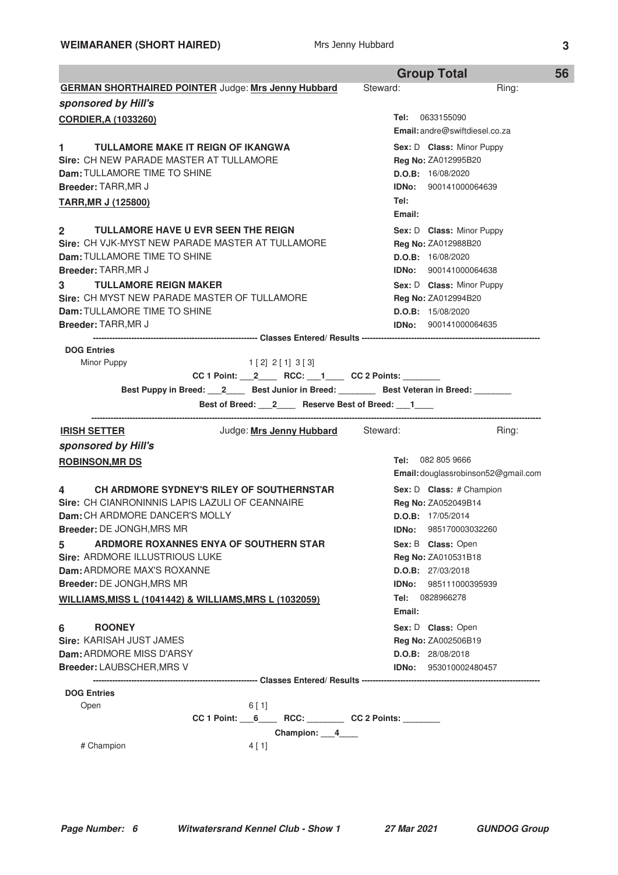|                                                                                             | <b>Group Total</b><br>56            |
|---------------------------------------------------------------------------------------------|-------------------------------------|
| <b>GERMAN SHORTHAIRED POINTER Judge: Mrs Jenny Hubbard</b>                                  | Steward:<br>Ring:                   |
| sponsored by Hill's                                                                         |                                     |
| <b>CORDIER, A (1033260)</b>                                                                 | <b>Tel:</b> 0633155090              |
|                                                                                             | Email: andre@swiftdiesel.co.za      |
| TULLAMORE MAKE IT REIGN OF IKANGWA<br>$1 \quad$                                             | Sex: D Class: Minor Puppy           |
| Sire: CH NEW PARADE MASTER AT TULLAMORE                                                     | <b>Reg No: ZA012995B20</b>          |
| Dam: TULLAMORE TIME TO SHINE                                                                | D.O.B: 16/08/2020                   |
| <b>Breeder: TARR, MR J</b>                                                                  | <b>IDNo:</b> 900141000064639        |
| <b>TARR, MR J (125800)</b>                                                                  | Tel:                                |
|                                                                                             | Email:                              |
| <b>TULLAMORE HAVE U EVR SEEN THE REIGN</b><br>$\mathbf{2}$                                  | Sex: D Class: Minor Puppy           |
| Sire: CH VJK-MYST NEW PARADE MASTER AT TULLAMORE                                            | <b>Reg No: ZA012988B20</b>          |
| Dam: TULLAMORE TIME TO SHINE                                                                | D.O.B: 16/08/2020                   |
| <b>Breeder: TARR, MR J</b>                                                                  | <b>IDNo:</b> 900141000064638        |
| 3<br><b>TULLAMORE REIGN MAKER</b>                                                           | Sex: D Class: Minor Puppy           |
| Sire: CH MYST NEW PARADE MASTER OF TULLAMORE                                                | <b>Reg No: ZA012994B20</b>          |
| <b>Dam: TULLAMORE TIME TO SHINE</b><br>Breeder: TARR, MR J                                  | D.O.B: 15/08/2020                   |
|                                                                                             | <b>IDNo:</b> 900141000064635        |
| <b>DOG Entries</b>                                                                          |                                     |
| Minor Puppy<br>$1 \, 2 \, 2 \, 1 \, 3 \, 3$                                                 |                                     |
| CC 1 Point: $2$ RCC: $1$ CC 2 Points:                                                       |                                     |
| Best Puppy in Breed: 12 _____ Best Junior in Breed: ________ Best Veteran in Breed: _______ |                                     |
| Best of Breed: 2______ Reserve Best of Breed: ___1____                                      |                                     |
| Judge: Mrs Jenny Hubbard Steward:<br><b>IRISH SETTER</b>                                    | Ring:                               |
| sponsored by Hill's                                                                         |                                     |
| <b>ROBINSON, MR DS</b>                                                                      | <b>Tel: 082 805 9666</b>            |
|                                                                                             | Email: douglassrobinson52@gmail.com |
| CH ARDMORE SYDNEY'S RILEY OF SOUTHERNSTAR<br>4                                              | Sex: D Class: # Champion            |
| Sire: CH CIANRONINNIS LAPIS LAZULI OF CEANNAIRE                                             | <b>Reg No: ZA052049B14</b>          |
| <b>Dam: CH ARDMORE DANCER'S MOLLY</b>                                                       | D.O.B: 17/05/2014                   |
| <b>Breeder: DE JONGH, MRS MR</b>                                                            | <b>IDNo: 985170003032260</b>        |
| ARDMORE ROXANNES ENYA OF SOUTHERN STAR<br>5.                                                | Sex: B Class: Open                  |
| Sire: ARDMORE ILLUSTRIOUS LUKE                                                              | Reg No: ZA010531B18                 |
| Dam: ARDMORE MAX'S ROXANNE                                                                  | D.O.B: 27/03/2018                   |
| Breeder: DE JONGH, MRS MR                                                                   | <b>IDNo: 985111000395939</b>        |
| WILLIAMS, MISS L (1041442) & WILLIAMS, MRS L (1032059)                                      | Tel: 0828966278                     |
|                                                                                             | Email:                              |
| 6<br><b>ROONEY</b>                                                                          | Sex: D Class: Open                  |
| Sire: KARISAH JUST JAMES                                                                    | Reg No: ZA002506B19                 |
| Dam: ARDMORE MISS D'ARSY                                                                    |                                     |
|                                                                                             | D.O.B: 28/08/2018                   |
| <b>Breeder: LAUBSCHER, MRS V</b>                                                            | <b>IDNo:</b> 953010002480457        |
| <b>DOG Entries</b>                                                                          |                                     |
| Open<br>6[1]                                                                                |                                     |
| $CC 1 Point: 6$ RCC: CC 2 Points:                                                           |                                     |
| Champion: 4                                                                                 |                                     |
| # Champion<br>4[1]                                                                          |                                     |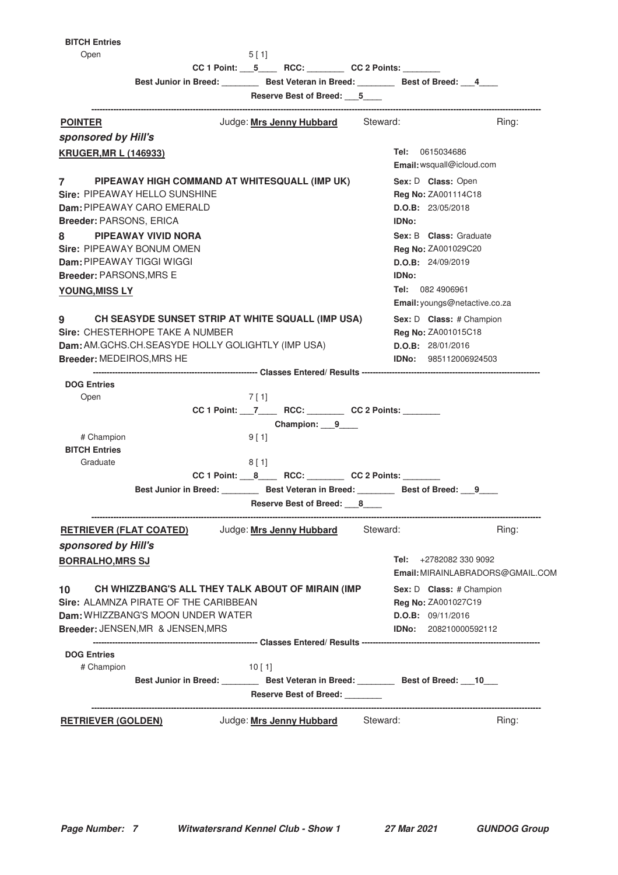**BI** 

| <b>ITCH Entries</b> |  |
|---------------------|--|
| 0 <sub>non</sub>    |  |

| Open                             |                                       | 5 [ 1]                                                             |                                                                                          |                                  |
|----------------------------------|---------------------------------------|--------------------------------------------------------------------|------------------------------------------------------------------------------------------|----------------------------------|
|                                  |                                       |                                                                    | $CC 1 Point: 5$ RCC: CC 2 Points:                                                        |                                  |
|                                  |                                       |                                                                    | Best Junior in Breed: ________ Best Veteran in Breed: _______ Best of Breed: ___4        |                                  |
|                                  |                                       | Reserve Best of Breed: 5<br>-------------------------------------- |                                                                                          |                                  |
| <b>POINTER</b>                   |                                       | Judge: Mrs Jenny Hubbard Steward:                                  |                                                                                          | Ring:                            |
| sponsored by Hill's              |                                       |                                                                    |                                                                                          |                                  |
| <b>KRUGER, MR L (146933)</b>     |                                       |                                                                    | <b>Tel:</b> 0615034686                                                                   |                                  |
|                                  |                                       |                                                                    | Email: wsquall@icloud.com                                                                |                                  |
| 7                                |                                       | PIPEAWAY HIGH COMMAND AT WHITESQUALL (IMP UK)                      | Sex: D Class: Open                                                                       |                                  |
|                                  | Sire: PIPEAWAY HELLO SUNSHINE         |                                                                    | Reg No: ZA001114C18                                                                      |                                  |
|                                  | Dam: PIPEAWAY CARO EMERALD            |                                                                    | D.O.B: 23/05/2018                                                                        |                                  |
| <b>Breeder: PARSONS, ERICA</b>   |                                       |                                                                    | <b>IDNo:</b>                                                                             |                                  |
| 8                                | <b>PIPEAWAY VIVID NORA</b>            |                                                                    | Sex: B Class: Graduate                                                                   |                                  |
| Sire: PIPEAWAY BONUM OMEN        |                                       |                                                                    | <b>Reg No: ZA001029C20</b>                                                               |                                  |
| <b>Dam:</b> PIPEAWAY TIGGI WIGGI |                                       |                                                                    | D.O.B: 24/09/2019                                                                        |                                  |
| Breeder: PARSONS, MRS E          |                                       |                                                                    | <b>IDNo:</b>                                                                             |                                  |
| <b>YOUNG, MISS LY</b>            |                                       |                                                                    | Tel: 082 4906961                                                                         |                                  |
|                                  |                                       |                                                                    |                                                                                          | Email: youngs@netactive.co.za    |
| 9                                |                                       | CH SEASYDE SUNSET STRIP AT WHITE SQUALL (IMP USA)                  | Sex: D Class: # Champion                                                                 |                                  |
|                                  | Sire: CHESTERHOPE TAKE A NUMBER       |                                                                    | Reg No: ZA001015C18                                                                      |                                  |
|                                  |                                       | Dam: AM.GCHS.CH.SEASYDE HOLLY GOLIGHTLY (IMP USA)                  | D.O.B: 28/01/2016                                                                        |                                  |
| <b>Breeder: MEDEIROS, MRS HE</b> |                                       |                                                                    | <b>IDNo:</b> 985112006924503                                                             |                                  |
|                                  |                                       |                                                                    |                                                                                          |                                  |
| <b>DOG Entries</b><br>Open       |                                       | 7 [ 1]                                                             |                                                                                          |                                  |
|                                  |                                       |                                                                    | $CC 1 Point: 7$ RCC: CC 2 Points:                                                        |                                  |
|                                  |                                       | Champion: 9                                                        |                                                                                          |                                  |
| # Champion                       |                                       | 9[1]                                                               |                                                                                          |                                  |
| <b>BITCH Entries</b>             |                                       |                                                                    |                                                                                          |                                  |
| Graduate                         |                                       | $8$ [1]                                                            |                                                                                          |                                  |
|                                  |                                       |                                                                    | $CC 1 Point: 8$ RCC: CC 2 Points:                                                        |                                  |
|                                  |                                       |                                                                    | Best Junior in Breed: Best Veteran in Breed: Best of Breed: 9                            |                                  |
|                                  |                                       | Reserve Best of Breed: 8                                           |                                                                                          |                                  |
|                                  | <b>RETRIEVER (FLAT COATED)</b>        | Judge: Mrs Jenny Hubbard                                           | Steward:                                                                                 | Ring:                            |
| sponsored by Hill's              |                                       |                                                                    |                                                                                          |                                  |
| <b>BORRALHO, MRS SJ</b>          |                                       |                                                                    | Tel: $+27820823309092$                                                                   |                                  |
|                                  |                                       |                                                                    |                                                                                          | Email: MIRAINLABRADORS@GMAIL.COM |
| 10                               |                                       | CH WHIZZBANG'S ALL THEY TALK ABOUT OF MIRAIN (IMP                  | Sex: D Class: # Champion                                                                 |                                  |
|                                  | Sire: ALAMNZA PIRATE OF THE CARIBBEAN |                                                                    | Reg No: ZA001027C19                                                                      |                                  |
|                                  | Dam: WHIZZBANG'S MOON UNDER WATER     |                                                                    | D.O.B: 09/11/2016                                                                        |                                  |
|                                  | Breeder: JENSEN, MR & JENSEN, MRS     |                                                                    | <b>IDNo:</b> 208210000592112                                                             |                                  |
|                                  |                                       |                                                                    |                                                                                          |                                  |
| <b>DOG Entries</b><br># Champion |                                       | 10[1]                                                              |                                                                                          |                                  |
|                                  |                                       |                                                                    | Best Junior in Breed: __________ Best Veteran in Breed: ________ Best of Breed: ___10___ |                                  |
|                                  |                                       | Reserve Best of Breed:                                             |                                                                                          |                                  |
|                                  |                                       |                                                                    |                                                                                          |                                  |
|                                  | <u>RETRIEVER (GOLDEN)</u>             | Judge: <u>Mrs Jenny Hubbard</u>                                    | Steward:                                                                                 | Ring:                            |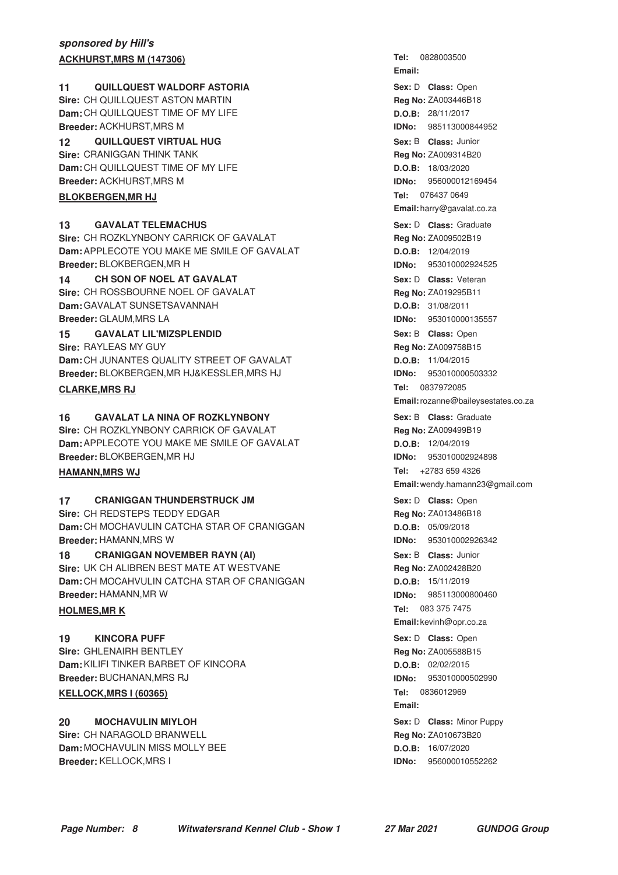### **sponsored by Hill's ACKHURST, MRS M (147306)**

#### **QUILLQUEST WALDORF ASTORIA 11** Open

**Sire:** CH QUILLQUEST ASTON MARTIN **Dam:** CH QUILLQUEST TIME OF MY LIFE **Breeder:** ACKHURST,MRS M

**QUILLQUEST VIRTUAL HUG 12** Junior **Sire:** CRANIGGAN THINK TANK **Dam:** CH QUILLQUEST TIME OF MY LIFE **Breeder:** ACKHURST,MRS M

#### **BLOKBERGEN, MR HJ**

#### **13** GAVALAT TELEMACHUS **13** GAVALAT TELEMACHUS

**Sire:** CH ROZKLYNBONY CARRICK OF GAVALAT **Dam:** APPLECOTE YOU MAKE ME SMILE OF GAVALAT **Breeder:** BLOKBERGEN,MR H

#### **CH SON OF NOEL AT GAVALAT 14** Veteran

**Sire: CH ROSSBOURNE NOEL OF GAVALAT Dam:** GAVALAT SUNSETSAVANNAH **Breeder:** GLAUM,MRS LA

#### **15 GAVALAT LIL'MIZSPLENDID 15** Open **11** Open **11** Open **11** Open **11** Open **11** Open **11** Open **11** Open **11** Open **11** Open **11** Open **11** Open **11** Open **11** Open **11** Open **11** Open **11** Open **11** Open **11** Open **11**

**Sire:** RAYLEAS MY GUY **Dam:** CH JUNANTES QUALITY STREET OF GAVALAT **Breeder:** BLOKBERGEN,MR HJ&KESSLER,MRS HJ

#### **CLARKE, MRS RJ**

#### **16 GAVALAT LA NINA OF ROZKLYNBONY Consumed Sex: B Class: Graduate**

**Sire:** CH ROZKLYNBONY CARRICK OF GAVALAT **Dam:** APPLECOTE YOU MAKE ME SMILE OF GAVALAT **Breeder:** BLOKBERGEN,MR HJ

#### **HAMANN, MRS WJ**

#### **17 CRANIGGAN THUNDERSTRUCK JM 17** Open Bex: D Class: Open

**Sire:** CH REDSTEPS TEDDY EDGAR **Dam:** CH MOCHAVULIN CATCHA STAR OF CRANIGGAN **Breeder:** HAMANN,MRS W

**18 CRANIGGAN NOVEMBER RAYN (AI) 18 CLASS: Junior CRANIGGAN NOVEMBER RAYN (AI) Sire:** UK CH ALIBREN BEST MATE AT WESTVANE **Dam:** CH MOCAHVULIN CATCHA STAR OF CRANIGGAN **Breeder:** HAMANN,MR W

#### **HOLMES, MRK**

**KINCORA PUFF Sire:** GHLENAIRH BENTLEY **Dam:** KILIFI TINKER BARBET OF KINCORA **Breeder:** BUCHANAN,MRS RJ **19 CONSIDERTY CONSIDERS CLASS:** Open

#### **KELLOCK, MRS 1 (60365)**

**MOCHAVULIN MIYLOH Sire:** CH NARAGOLD BRANWELL **Dam:** MOCHAVULIN MISS MOLLY BEE **Breeder:** KELLOCK,MRS I **Sex:** D **Class:** Minor Puppy **Class:** Minor Puppy **Class:** Minor Puppy

**Email:** Sex: D **Class:** Open **Reg No:** ZA003446B18 **D.O.B:** 28/11/2017 **IDNo:** 985113000844952 **Sex:** B **Class: Reg No:** ZA009314B20 **D.O.B:** 18/03/2020 **IDNo:** 956000012169454 Tel: 076437 0649 **Email:** harry@gavalat.co.za **Sex:** D **Class: Reg No:** ZA009502B19 **D.O.B:** 12/04/2019 **IDNo:** 953010002924525 **Sex:** D **Class: Reg No:** ZA019295B11 **D.O.B:** 31/08/2011 **IDNo:** 953010000135557 Sex: B **Class:** Open **Reg No:** ZA009758B15 **D.O.B:** 11/04/2015 **IDNo:** 953010000503332 **Tel: Email:**rozanne@baileysestates.co.za **Sex:** B **Class: Reg No:** ZA009499B19 **D.O.B:** 12/04/2019 **IDNo:** 953010002924898 Tel: +2783 659 4326 **Email:** wendy.hamann23@gmail.com Sex: D **Class:** Open **Reg No:** ZA013486B18 **D.O.B:** 05/09/2018

Tel: 0828003500

**IDNo:** 953010002926342 **Sex:** B **Class: Reg No:** ZA002428B20 **D.O.B:** 15/11/2019 **IDNo:** 985113000800460 Tel: 083 375 7475 **Email:** kevinh@opr.co.za **Reg No:** ZA005588B15 **D.O.B:** 02/02/2015 **IDNo:** 953010000502990 Tel: 0836012969

**Email: Reg No:** ZA010673B20 **D.O.B:** 16/07/2020 **IDNo:** 956000010552262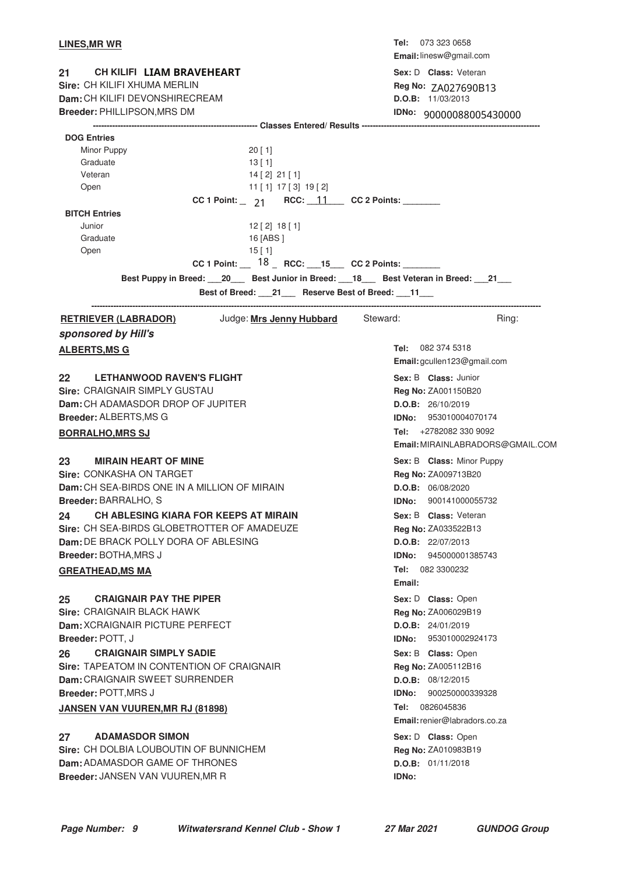| <b>LINES, MR WR</b>                                                                                                                                                                                  |                                                                                                                                                                                                                                                                              | Tel: 073 323 0658                          | Email: linesw@gmail.com          |
|------------------------------------------------------------------------------------------------------------------------------------------------------------------------------------------------------|------------------------------------------------------------------------------------------------------------------------------------------------------------------------------------------------------------------------------------------------------------------------------|--------------------------------------------|----------------------------------|
| CH KILIFI LIAM BRAVEHEART<br>21 <sup>°</sup><br>Sire: CH KILIFI XHUMA MERLIN<br>Dam: CH KILIFI DEVONSHIRECREAM                                                                                       |                                                                                                                                                                                                                                                                              | Sex: D Class: Veteran<br>D.O.B: 11/03/2013 | Reg No: ZA027690B13              |
| Breeder: PHILLIPSON, MRS DM                                                                                                                                                                          |                                                                                                                                                                                                                                                                              |                                            | IDNo: 90000088005430000          |
| <b>DOG Entries</b><br>Minor Puppy<br>Graduate<br>Veteran<br>Open<br><b>BITCH Entries</b><br>Junior<br>Graduate<br>Open<br>Best Puppy in Breed: 20 Best Junior in Breed: 18 Best Veteran in Breed: 21 | 20[1]<br>13 [1]<br>$14$ [ 2] 21 [ 1]<br>11 [ 1] 17 [ 3] 19 [ 2]<br>CC 1 Point: $\qquad 21$ RCC: $\frac{11}{2}$ CC 2 Points:<br>$12$ [ 2] $18$ [ 1]<br>16 [ABS ]<br>15[1]<br>CC 1 Point: $18$ RCC: 15 CC 2 Points:<br>Best of Breed: ___21___ Reserve Best of Breed: ___11___ |                                            |                                  |
| <u>RETRIEVER (LABRADOR)</u>                                                                                                                                                                          | Judge: Mrs Jenny Hubbard Steward:                                                                                                                                                                                                                                            |                                            | Ring:                            |
| sponsored by Hill's                                                                                                                                                                                  |                                                                                                                                                                                                                                                                              |                                            |                                  |
| <b>ALBERTS, MS G</b>                                                                                                                                                                                 |                                                                                                                                                                                                                                                                              | Tel: 082 374 5318                          |                                  |
|                                                                                                                                                                                                      |                                                                                                                                                                                                                                                                              |                                            | Email: gcullen123@gmail.com      |
| 22 LETHANWOOD RAVEN'S FLIGHT                                                                                                                                                                         |                                                                                                                                                                                                                                                                              | Sex: B Class: Junior                       |                                  |
| <b>Sire: CRAIGNAIR SIMPLY GUSTAU</b>                                                                                                                                                                 |                                                                                                                                                                                                                                                                              | Reg No: ZA001150B20                        |                                  |
| Dam: CH ADAMASDOR DROP OF JUPITER                                                                                                                                                                    |                                                                                                                                                                                                                                                                              | D.O.B: 26/10/2019                          |                                  |
| Breeder: ALBERTS, MS G                                                                                                                                                                               |                                                                                                                                                                                                                                                                              |                                            | <b>IDNo:</b> 953010004070174     |
| <b>BORRALHO, MRS SJ</b>                                                                                                                                                                              |                                                                                                                                                                                                                                                                              |                                            | Tel: $+27820823309092$           |
|                                                                                                                                                                                                      |                                                                                                                                                                                                                                                                              |                                            | Email: MIRAINLABRADORS@GMAIL.COM |
| 23<br><b>MIRAIN HEART OF MINE</b>                                                                                                                                                                    |                                                                                                                                                                                                                                                                              |                                            | Sex: B Class: Minor Puppy        |
| Sire: CONKASHA ON TARGET                                                                                                                                                                             |                                                                                                                                                                                                                                                                              | Reg No: ZA009713B20                        |                                  |
| Dam: CH SEA-BIRDS ONE IN A MILLION OF MIRAIN                                                                                                                                                         |                                                                                                                                                                                                                                                                              | D.O.B: 06/08/2020                          |                                  |
| Breeder: BARRALHO, S                                                                                                                                                                                 |                                                                                                                                                                                                                                                                              |                                            | IDNo: 900141000055732            |
| CH ABLESING KIARA FOR KEEPS AT MIRAIN<br>24                                                                                                                                                          |                                                                                                                                                                                                                                                                              | Sex: B Class: Veteran                      |                                  |
| Sire: CH SEA-BIRDS GLOBETROTTER OF AMADEUZE                                                                                                                                                          |                                                                                                                                                                                                                                                                              | Reg No: ZA033522B13                        |                                  |
| Dam: DE BRACK POLLY DORA OF ABLESING                                                                                                                                                                 |                                                                                                                                                                                                                                                                              | D.O.B: 22/07/2013                          |                                  |
| <b>Breeder: BOTHA, MRS J</b>                                                                                                                                                                         |                                                                                                                                                                                                                                                                              |                                            | <b>IDNo:</b> 945000001385743     |
| <b>GREATHEAD, MS MA</b>                                                                                                                                                                              |                                                                                                                                                                                                                                                                              | Tel: 082 3300232                           |                                  |
|                                                                                                                                                                                                      |                                                                                                                                                                                                                                                                              | Email:                                     |                                  |
| 25<br><b>CRAIGNAIR PAY THE PIPER</b>                                                                                                                                                                 |                                                                                                                                                                                                                                                                              | Sex: D Class: Open                         |                                  |
| Sire: CRAIGNAIR BLACK HAWK<br>Dam: XCRAIGNAIR PICTURE PERFECT                                                                                                                                        |                                                                                                                                                                                                                                                                              | Reg No: ZA006029B19<br>D.O.B: 24/01/2019   |                                  |
| Breeder: POTT, J                                                                                                                                                                                     |                                                                                                                                                                                                                                                                              | <b>IDNo:</b>                               | 953010002924173                  |
| <b>CRAIGNAIR SIMPLY SADIE</b><br>26                                                                                                                                                                  |                                                                                                                                                                                                                                                                              | Sex: B Class: Open                         |                                  |
| Sire: TAPEATOM IN CONTENTION OF CRAIGNAIR                                                                                                                                                            |                                                                                                                                                                                                                                                                              | Reg No: ZA005112B16                        |                                  |
| Dam: CRAIGNAIR SWEET SURRENDER                                                                                                                                                                       |                                                                                                                                                                                                                                                                              | D.O.B: 08/12/2015                          |                                  |
| Breeder: POTT, MRS J                                                                                                                                                                                 |                                                                                                                                                                                                                                                                              | IDNo:                                      | 900250000339328                  |
| <b>JANSEN VAN VUUREN, MR RJ (81898)</b>                                                                                                                                                              |                                                                                                                                                                                                                                                                              | <b>Tel: 0826045836</b>                     |                                  |
|                                                                                                                                                                                                      |                                                                                                                                                                                                                                                                              |                                            | Email: renier@labradors.co.za    |
| 27<br><b>ADAMASDOR SIMON</b>                                                                                                                                                                         |                                                                                                                                                                                                                                                                              | Sex: D Class: Open                         |                                  |
| Sire: CH DOLBIA LOUBOUTIN OF BUNNICHEM                                                                                                                                                               |                                                                                                                                                                                                                                                                              | Reg No: ZA010983B19                        |                                  |
| Dam: ADAMASDOR GAME OF THRONES                                                                                                                                                                       |                                                                                                                                                                                                                                                                              | D.O.B: 01/11/2018                          |                                  |
| Breeder: JANSEN VAN VUUREN, MR R                                                                                                                                                                     |                                                                                                                                                                                                                                                                              | <b>IDNo:</b>                               |                                  |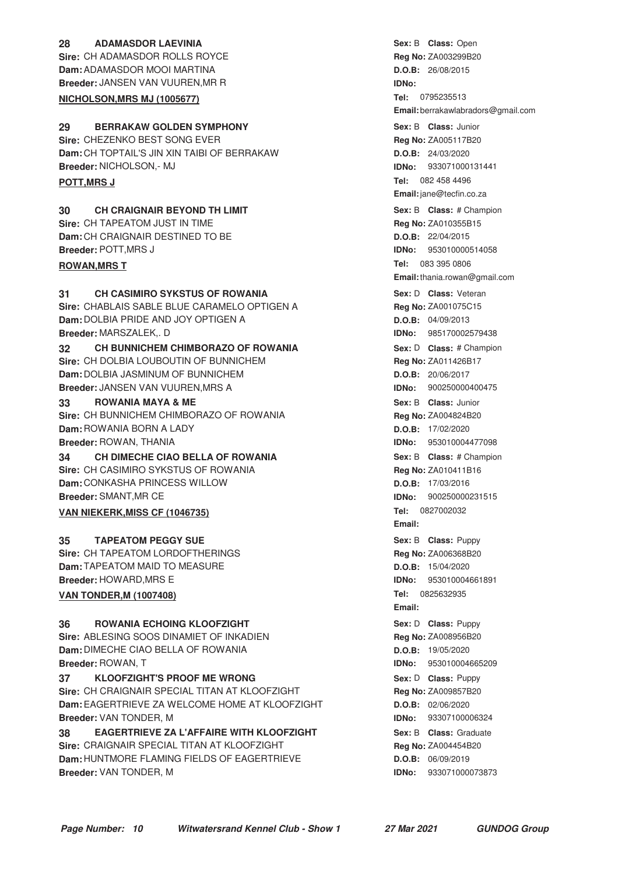#### **28 ADAMASDOR LAEVINIA CONSERVERGE ASSESS ADAMASS Open Sire:** CH ADAMASDOR ROLLS ROYCE **Dam:** ADAMASDOR MOOI MARTINA **Breeder:** JANSEN VAN VUUREN,MR R

#### **NICHOLSON, MRS MJ (1005677)**

#### **29 BERRAKAW GOLDEN SYMPHONY CONSERVING SEXEL SEXELS SOME SEX: B Class:** Junior **Sire:** CHEZENKO BEST SONG EVER

**Dam:** CH TOPTAIL'S JIN XIN TAIBI OF BERRAKAW **Breeder:** NICHOLSON,- MJ

#### **30 CH CRAIGNAIR BEYOND TH LIMIT And Sext B Class:** # Champion **Sire:** CH TAPEATOM JUST IN TIME

**Dam:** CH CRAIGNAIR DESTINED TO BE **Breeder:** POTT,MRS J

#### **ROWAN, MRS T**

### **31 CH CASIMIRO SYKSTUS OF ROWANIA Sex: D Class: Veteran**

**Sire:** CHABLAIS SABLE BLUE CARAMELO OPTIGEN A **Dam:** DOLBIA PRIDE AND JOY OPTIGEN A **Breeder:** MARSZALEK,. D

### **32 CH BUNNICHEM CHIMBORAZO OF ROWANIA Sex: D Class: # Champion Sire:** CH DOLBIA LOUBOUTIN OF BUNNICHEM **Dam:** DOLBIA JASMINUM OF BUNNICHEM **Breeder:** JANSEN VAN VUUREN,MRS A

#### **33 ROWANIA MAYA & ME 1988 Class: Junior** Sex: B Class: Junior

**Sire:** CH BUNNICHEM CHIMBORAZO OF ROWANIA **Dam:** ROWANIA BORN A LADY **Breeder:** ROWAN, THANIA

### **34 CH DIMECHE CIAO BELLA OF ROWANIA 1988 1988 Sex: B Class: # Champion**

**Sire:** CH CASIMIRO SYKSTUS OF ROWANIA **Dam:** CONKASHA PRINCESS WILLOW **Breeder:** SMANT,MR CE

### **VAN NIEKERK, MISS CF (1046735)**

#### **TAPEATOM PEGGY SUE Alternative Sexter Sexter Sexter Sexter Sexter Sexter Sexter Sexter Sexter Sexter Sexter Sexter Sexter Sexter Sexter Sexter Sexter Sexter Sexter Sexter Sexter Sexter Sexter Sexter Sexter Sexter Sexter**

**Sire: CH TAPEATOM LORDOFTHERINGS Dam:** TAPEATOM MAID TO MEASURE **Breeder:** HOWARD,MRS E

#### **VAN TONDER, M (1007408)**

#### **36 ROWANIA ECHOING KLOOFZIGHT 1988 PUPPY Sex:** D Class: Puppy

**Sire:** ABLESING SOOS DINAMIET OF INKADIEN **Dam:** DIMECHE CIAO BELLA OF ROWANIA **Breeder:** ROWAN, T

#### **37 • CLOOFZIGHT'S PROOF ME WRONG 1988 1998 Sex: D** Class: Puppy **Sire:** CH CRAIGNAIR SPECIAL TITAN AT KLOOFZIGHT

**Dam:** EAGERTRIEVE ZA WELCOME HOME AT KLOOFZIGHT **Breeder:** VAN TONDER, M

#### **38 • EAGERTRIEVE ZA L'AFFAIRE WITH KLOOFZIGHT Sex: B Class: Graduate Sire:** CRAIGNAIR SPECIAL TITAN AT KLOOFZIGHT **Dam:** HUNTMORE FLAMING FIELDS OF EAGERTRIEVE **Breeder:** VAN TONDER, M

**Sex:** B **Class: Reg No:** ZA003299B20 **D.O.B:** 26/08/2015 **IDNo: Tel: Email:** berrakawlabradors@gmail.com **Sex:** B **Class: Reg No:** ZA005117B20 **D.O.B:** 24/03/2020 **IDNo:** 933071000131441 **Tel: POTT,MRS J** 082 458 4496 **Email:**jane@tecfin.co.za **Sex:** B **Class: Reg No:** ZA010355B15 **D.O.B:** 22/04/2015 **IDNo:** 953010000514058 Tel: 083 395 0806 **Email:**thania.rowan@gmail.com **Sex:** D **Class: Reg No:** ZA001075C15 **D.O.B:** 04/09/2013 **IDNo:** 985170002579438 **Sex:** D **Class:** # Champion **Reg No:** ZA011426B17 **D.O.B:** 20/06/2017 **IDNo:** 900250000400475 **Sex:** B **Class: Reg No:** ZA004824B20 **D.O.B:** 17/02/2020 **IDNo:** 953010004477098 **Sex:** B **Class: Reg No:** ZA010411B16 **D.O.B:** 17/03/2016 **IDNo:** 900250000231515 **Tel: 0827002032 Email:** Sex: B **Class:** Puppy **Reg No:** ZA006368B20 **D.O.B:** 15/04/2020 **IDNo:** 953010004661891 Tel: 0825632935 **Email: Sex:** D **Class: Reg No:** ZA008956B20 **D.O.B:** 19/05/2020 **IDNo:** 953010004665209 **Sex:** D **Class: Reg No:** ZA009857B20 **D.O.B:** 02/06/2020 **IDNo:** 93307100006324 **Sex:** B **Class: Reg No:** ZA004454B20 **D.O.B:** 06/09/2019 **IDNo:** 933071000073873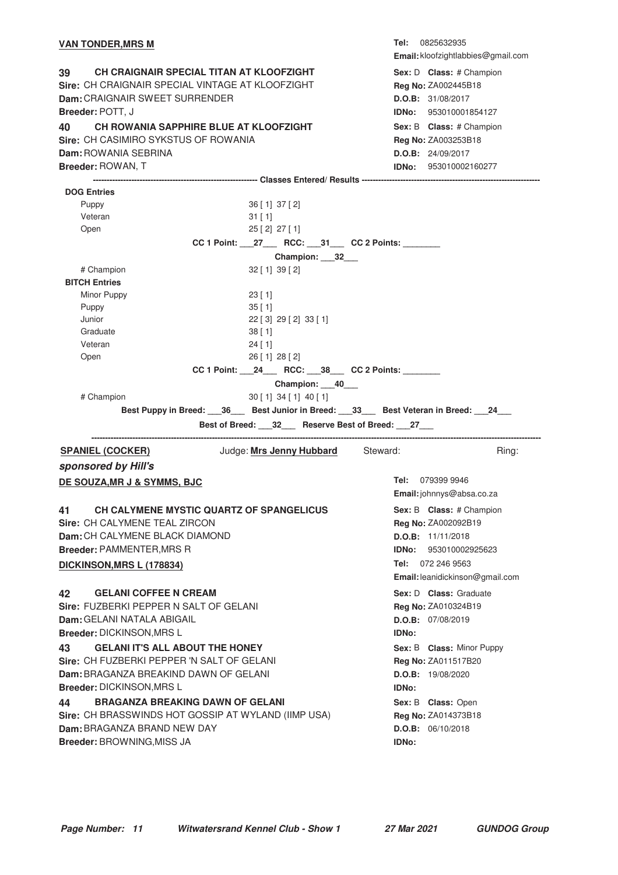#### **VAN TONDER, MRS M**

**39 CH CRAIGNAIR SPECIAL TITAN AT KLOOFZIGHT Sex: D Class: # Champion Sire:** CH CRAIGNAIR SPECIAL VINTAGE AT KLOOFZIGHT **Dam:** CRAIGNAIR SWEET SURRENDER **Breeder:** POTT, J **40 CH ROWANIA SAPPHIRE BLUE AT KLOOFZIGHT FILM SEX: B Class: # Champion Sire:** CH CASIMIRO SYKSTUS OF ROWANIA **Dam:** ROWANIA SEBRINA **Breeder:** ROWAN, T

**Tel: Email:** kloofzightlabbies@gmail.com Sex: D **Class:** # Champion **Reg No:** ZA002445B18 **D.O.B:** 31/08/2017 **IDNo:** 953010001854127 **Sex:** B **Class: Reg No:** ZA003253B18 **D.O.B:** 24/09/2017 **IDNo:** 953010002160277

**------------------------------------------------------------ Classes Entered/ Results ----------------------------------------------------------------- DOG Entries** Puppy 36 [ 1] 37 [ 2] Veteran 31 [ 1] Open 25 [ 2] 27 [ 1] CC 1 Point: \_\_\_\_27\_\_\_\_ RCC: \_\_\_\_ 31\_\_\_\_ CC 2 Points: **Champion: \_\_\_32\_\_\_** # Champion 32 [ 1] 39 [ 2] **BITCH Entries** Minor Puppy 23 [ 1] Puppy 35 [ 1] Junior 22 [ 3] 29 [ 2] 33 [ 1] Graduate 38 [ 1] Veteran 24 [ 1] Open 26 [ 1] 28 [ 2] **CC 1 Point: \_\_\_24\_\_\_ RCC: \_\_\_38\_\_\_ CC 2 Points: \_\_\_\_\_\_\_\_ Champion: \_\_\_40\_\_\_** # Champion 30 [ 1] 34 [ 1] 40 [ 1] **Best Puppy in Breed: \_\_\_36\_\_\_ Best Junior in Breed: \_\_\_33\_\_\_ Best Veteran in Breed: \_\_\_24\_\_\_ Best of Breed: \_\_\_32\_\_\_ Reserve Best of Breed: \_\_\_27\_\_\_ -------------------------------------------------------------------------------------------------------------------------------------------------------------------- SPANIEL (COCKER)** Judge: Mrs Jenny Hubbard Steward: Ring: **sponsored by Hill's Tel: Email:**johnnys@absa.co.za **DE SOUZA, MR J & SYMMS, BJC 41 CH CALYMENE MYSTIC QUARTZ OF SPANGELICUS** Sex: B Class: # Champion **Sire:** CH CALYMENE TEAL ZIRCON **Dam:** CH CALYMENE BLACK DIAMOND **Breeder:** PAMMENTER,MRS R **Sex:** B **Class: Reg No:** ZA002092B19 **D.O.B:** 11/11/2018 **IDNo:** 953010002925623 Tel: 072 246 9563 **Email:**leanidickinson@gmail.com **DICKINSON, MRS L (178834) 42 GELANI COFFEE N CREAM 12 CONSERVING SEXEL SEXEL D** Class: Graduate **Sire:** FUZBERKI PEPPER N SALT OF GELANI **Dam:** GELANI NATALA ABIGAIL **Breeder:** DICKINSON,MRS L **Sex:** D **Class: Reg No:** ZA010324B19 **D.O.B:** 07/08/2019 **IDNo: 43 GELANI IT'S ALL ABOUT THE HONEY And Account ACT ASSES A Class:** Minor Puppy **Sire:** CH FUZBERKI PEPPER 'N SALT OF GELANI **Dam:** BRAGANZA BREAKIND DAWN OF GELANI **Breeder:** DICKINSON,MRS L Sex: B **Class:** Minor Puppy **Reg No:** ZA011517B20 **D.O.B:** 19/08/2020 **IDNo: 44 BRAGANZA BREAKING DAWN OF GELANI CHANGE ASSALES ARE SEX: B Class:** Open **Sire:** CH BRASSWINDS HOT GOSSIP AT WYLAND (IIMP USA) **Dam:** BRAGANZA BRAND NEW DAY **Breeder:** BROWNING,MISS JA **Sex:** B **Class: Reg No:** ZA014373B18 **D.O.B:** 06/10/2018 **IDNo:**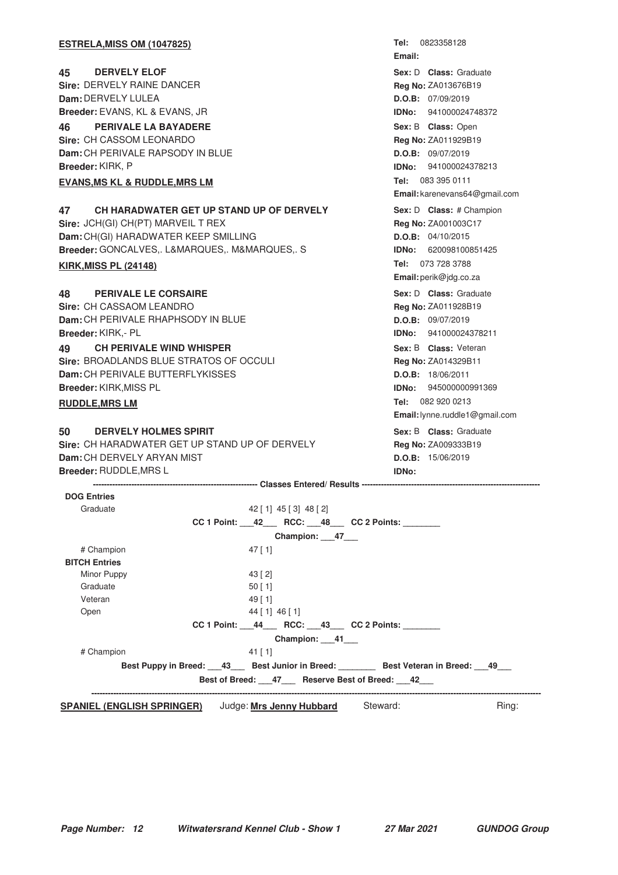| Tel: 0823358128<br><b>ESTRELA, MISS OM (1047825)</b>                           |  |
|--------------------------------------------------------------------------------|--|
| Email:                                                                         |  |
| <b>DERVELY ELOF</b><br>Sex: D Class: Graduate<br>45                            |  |
| <b>Sire: DERVELY RAINE DANCER</b><br>Reg No: ZA013676B19                       |  |
| Dam: DERVELY LULEA<br>D.O.B: 07/09/2019                                        |  |
| Breeder: EVANS, KL & EVANS, JR<br>IDNo:<br>941000024748372                     |  |
| PERIVALE LA BAYADERE<br>46<br>Sex: B Class: Open                               |  |
| Sire: CH CASSOM LEONARDO<br>Reg No: ZA011929B19                                |  |
| Dam: CH PERIVALE RAPSODY IN BLUE<br>D.O.B: 09/07/2019                          |  |
| Breeder: KIRK, P<br><b>IDNo:</b> 941000024378213                               |  |
| Tel: 083 395 0111<br><b>EVANS, MS KL &amp; RUDDLE, MRS LM</b>                  |  |
| Email: karenevans64@gmail.com                                                  |  |
| CH HARADWATER GET UP STAND UP OF DERVELY<br>47<br>Sex: D Class: # Champion     |  |
| Sire: JCH(GI) CH(PT) MARVEIL T REX<br>Reg No: ZA001003C17                      |  |
| Dam: CH(GI) HARADWATER KEEP SMILLING<br>D.O.B: 04/10/2015                      |  |
| Breeder: GONCALVES,. L&MARQUES,. M&MARQUES,. S<br><b>IDNo: 620098100851425</b> |  |
| Tel: 073 728 3788<br><b>KIRK, MISS PL (24148)</b>                              |  |
| Email: perik@jdg.co.za                                                         |  |
| <b>PERIVALE LE CORSAIRE</b><br>Sex: D Class: Graduate<br>48                    |  |
| Sire: CH CASSAOM LEANDRO<br>Reg No: ZA011928B19                                |  |
| Dam: CH PERIVALE RHAPHSODY IN BLUE<br>D.O.B: 09/07/2019                        |  |
| Breeder: KIRK,- PL<br><b>IDNo:</b> 941000024378211                             |  |
| <b>CH PERIVALE WIND WHISPER</b><br>Sex: B Class: Veteran<br>49                 |  |
| Sire: BROADLANDS BLUE STRATOS OF OCCULI<br>Reg No: ZA014329B11                 |  |
| <b>Dam:</b> CH PERIVALE BUTTERFLYKISSES<br>D.O.B: 18/06/2011                   |  |
| Breeder: KIRK, MISS PL<br><b>IDNo: 945000000991369</b>                         |  |
| Tel: 082 920 0213<br><b>RUDDLE, MRS LM</b>                                     |  |
| Email: lynne.ruddle1@gmail.com                                                 |  |
| 50<br><b>DERVELY HOLMES SPIRIT</b><br>Sex: B Class: Graduate                   |  |
| Sire: CH HARADWATER GET UP STAND UP OF DERVELY<br>Reg No: ZA009333B19          |  |
| Dam: CH DERVELY ARYAN MIST<br>D.O.B: 15/06/2019                                |  |
| Breeder: RUDDLE, MRS L<br>IDNo:                                                |  |
|                                                                                |  |
|                                                                                |  |
| <b>DOG Entries</b><br>Graduate<br>$42$ [ 1] $45$ [ 3] $48$ [ 2]                |  |

|                                   |           |                          | CC 1 Point: 42 RCC: 48 CC 2 Points:                                     |       |
|-----------------------------------|-----------|--------------------------|-------------------------------------------------------------------------|-------|
|                                   |           | Champion: 47             |                                                                         |       |
| # Champion                        | $47$ [ 1] |                          |                                                                         |       |
| <b>BITCH Entries</b>              |           |                          |                                                                         |       |
| Minor Puppy                       | 43 [2]    |                          |                                                                         |       |
| Graduate                          | $50$ [ 1] |                          |                                                                         |       |
| Veteran                           | $49$ [ 1] |                          |                                                                         |       |
| Open                              |           | 44 [ 1] 46 [ 1]          |                                                                         |       |
|                                   |           |                          | $CC 1$ Point: $44$ RCC: $43$ CC 2 Points:                               |       |
|                                   |           | Champion: 41___          |                                                                         |       |
| # Champion                        | $41$ [ 1] |                          |                                                                         |       |
|                                   |           |                          | Best Puppy in Breed: 43 Best Junior in Breed: Best Veteran in Breed: 49 |       |
|                                   |           |                          | Best of Breed: 47 Reserve Best of Breed: 42                             |       |
|                                   |           |                          |                                                                         |       |
| <b>SPANIEL (ENGLISH SPRINGER)</b> |           | Judge: Mrs Jenny Hubbard | Steward:                                                                | Ring: |
|                                   |           |                          |                                                                         |       |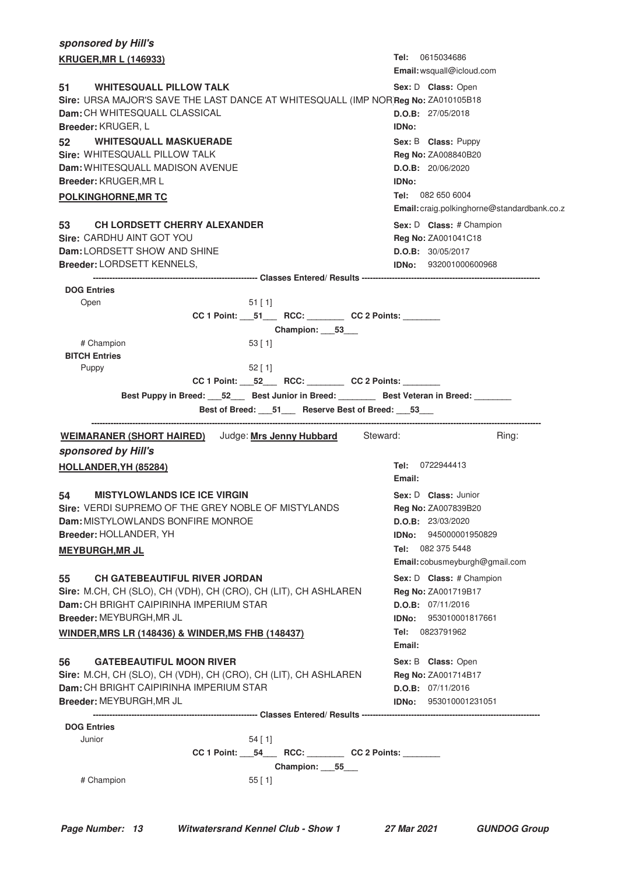| sponsored by Hill's                                                                                           |                                                   |
|---------------------------------------------------------------------------------------------------------------|---------------------------------------------------|
| <b>KRUGER, MR L (146933)</b>                                                                                  | Tel: 0615034686                                   |
|                                                                                                               | Email: wsquall@icloud.com                         |
| <b>WHITESQUALL PILLOW TALK</b><br>51                                                                          | Sex: D Class: Open                                |
| Sire: URSA MAJOR'S SAVE THE LAST DANCE AT WHITESQUALL (IMP NOR Reg No: ZA010105B18                            |                                                   |
| Dam: CH WHITESQUALL CLASSICAL                                                                                 | D.O.B: 27/05/2018                                 |
| Breeder: KRUGER, L                                                                                            | <b>IDNo:</b>                                      |
| <b>WHITESQUALL MASKUERADE</b><br>52<br>Sire: WHITESQUALL PILLOW TALK                                          | Sex: B Class: Puppy                               |
| Dam: WHITESQUALL MADISON AVENUE                                                                               | Reg No: ZA008840B20<br>D.O.B: 20/06/2020          |
| <b>Breeder: KRUGER, MRL</b>                                                                                   | <b>IDNo:</b>                                      |
| <b>POLKINGHORNE, MR TC</b>                                                                                    | Tel: 082 650 6004                                 |
|                                                                                                               | Email: craig.polkinghorne@standardbank.co.z       |
| 53<br><b>CH LORDSETT CHERRY ALEXANDER</b>                                                                     | Sex: D Class: # Champion                          |
| Sire: CARDHU AINT GOT YOU                                                                                     | <b>Reg No: ZA001041C18</b>                        |
| Dam: LORDSETT SHOW AND SHINE                                                                                  | D.O.B: 30/05/2017                                 |
| Breeder: LORDSETT KENNELS,                                                                                    | <b>IDNo:</b> 932001000600968                      |
|                                                                                                               |                                                   |
| <b>DOG Entries</b>                                                                                            |                                                   |
| Open<br>$51$ [ 1]                                                                                             |                                                   |
| Champion: 53                                                                                                  |                                                   |
| # Champion<br>53 [1]                                                                                          |                                                   |
| <b>BITCH Entries</b>                                                                                          |                                                   |
| Puppy<br>$52$ [ 1]                                                                                            |                                                   |
|                                                                                                               |                                                   |
| Best Puppy in Breed: _____52 _____ Best Junior in Breed: ____________ Best Veteran in Breed: ________         |                                                   |
| Best of Breed: 51 Reserve Best of Breed: 53                                                                   |                                                   |
|                                                                                                               |                                                   |
|                                                                                                               |                                                   |
| <b>WEIMARANER (SHORT HAIRED)</b> Judge: Mrs Jenny Hubbard Steward:                                            | Ring:                                             |
| sponsored by Hill's                                                                                           |                                                   |
| HOLLANDER, YH (85284)                                                                                         | Tel: 0722944413                                   |
|                                                                                                               | Email:                                            |
| <b>MISTYLOWLANDS ICE ICE VIRGIN</b><br>54                                                                     | Sex: D Class: Junior                              |
| Sire: VERDI SUPREMO OF THE GREY NOBLE OF MISTYLANDS                                                           | <b>Reg No: ZA007839B20</b>                        |
| Dam: MISTYLOWLANDS BONFIRE MONROE                                                                             | D.O.B: 23/03/2020<br><b>IDNo:</b> 945000001950829 |
| Breeder: HOLLANDER, YH                                                                                        | Tel: 082 375 5448                                 |
| <b>MEYBURGH, MR JL</b>                                                                                        | Email: cobusmeyburgh@gmail.com                    |
|                                                                                                               |                                                   |
| <b>CH GATEBEAUTIFUL RIVER JORDAN</b><br>55<br>Sire: M.CH, CH (SLO), CH (VDH), CH (CRO), CH (LIT), CH ASHLAREN | Sex: D Class: # Champion                          |
| Dam: CH BRIGHT CAIPIRINHA IMPERIUM STAR                                                                       | Reg No: ZA001719B17<br>D.O.B: 07/11/2016          |
| Breeder: MEYBURGH, MR JL                                                                                      | IDNo: 953010001817661                             |
| <b>WINDER, MRS LR (148436) &amp; WINDER, MS FHB (148437)</b>                                                  | Tel: 0823791962                                   |
|                                                                                                               | Email:                                            |
| <b>GATEBEAUTIFUL MOON RIVER</b><br>56                                                                         | Sex: B Class: Open                                |
| Sire: M.CH, CH (SLO), CH (VDH), CH (CRO), CH (LIT), CH ASHLAREN                                               | Reg No: ZA001714B17                               |
| Dam: CH BRIGHT CAIPIRINHA IMPERIUM STAR                                                                       | D.O.B: 07/11/2016                                 |
| Breeder: MEYBURGH, MR JL                                                                                      | <b>IDNo:</b> 953010001231051                      |
|                                                                                                               |                                                   |
| <b>DOG Entries</b>                                                                                            |                                                   |
| Junior<br>$54$ [ 1]                                                                                           |                                                   |
| CC 1 Point: __54___ RCC: _______ CC 2 Points: ______<br>Champion: 55                                          |                                                   |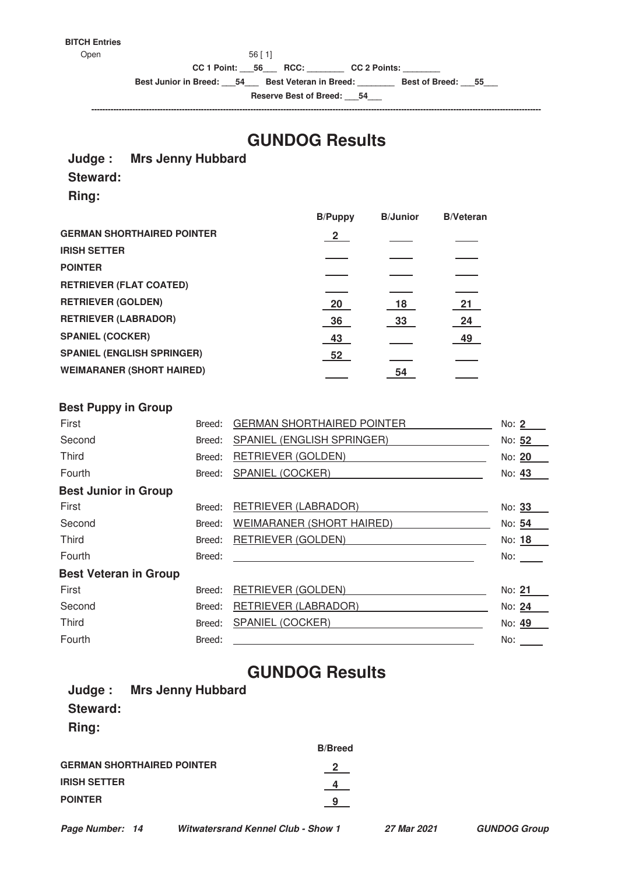#### **BITCH Entries**

Open 56 [ 1]

**CC 1 Point: \_\_\_56\_\_\_ RCC: \_\_\_\_\_\_\_\_ CC 2 Points: \_\_\_\_\_\_\_\_**

**Best Junior in Breed: \_\_\_54\_\_\_ Best Veteran in Breed: \_\_\_\_\_\_\_\_ Best of Breed: \_\_\_55\_\_\_**

**Reserve Best of Breed: \_\_\_54\_\_\_ --------------------------------------------------------------------------------------------------------------------------------------------------------------------**

# **GUNDOG Results**

#### **Judge : Mrs Jenny Hubbard**

### **Steward:**

**Ring:**

|                                   | <b>B/Puppy</b> | <b>B/Junior</b> | <b>B/Veteran</b> |
|-----------------------------------|----------------|-----------------|------------------|
| <b>GERMAN SHORTHAIRED POINTER</b> | $\overline{2}$ |                 |                  |
| <b>IRISH SETTER</b>               |                |                 |                  |
| <b>POINTER</b>                    |                |                 |                  |
| <b>RETRIEVER (FLAT COATED)</b>    |                |                 |                  |
| <b>RETRIEVER (GOLDEN)</b>         | 20             | 18              | 21               |
| <b>RETRIEVER (LABRADOR)</b>       | 36             | 33              | 24               |
| <b>SPANIEL (COCKER)</b>           | 43             |                 | 49               |
| <b>SPANIEL (ENGLISH SPRINGER)</b> | 52             |                 |                  |
| <b>WEIMARANER (SHORT HAIRED)</b>  |                | 54              |                  |
|                                   |                |                 |                  |

#### **Best Puppy in Group**

| First                        | Breed: | <b>GERMAN SHORTHAIRED POINTER</b> | No: 2  |
|------------------------------|--------|-----------------------------------|--------|
| Second                       | Breed: | SPANIEL (ENGLISH SPRINGER)        | No: 52 |
| <b>Third</b>                 | Breed: | RETRIEVER (GOLDEN)                | No: 20 |
| Fourth                       | Breed: | SPANIEL (COCKER)                  | No: 43 |
| <b>Best Junior in Group</b>  |        |                                   |        |
| First                        | Breed: | RETRIEVER (LABRADOR)              | No: 33 |
| Second                       | Breed: | WEIMARANER (SHORT HAIRED)         | No: 54 |
| <b>Third</b>                 | Breed: | RETRIEVER (GOLDEN)                | No: 18 |
| Fourth                       | Breed: |                                   | No:    |
| <b>Best Veteran in Group</b> |        |                                   |        |
| First                        | Breed: | RETRIEVER (GOLDEN)                | No: 21 |
| Second                       | Breed: | RETRIEVER (LABRADOR)              | No: 24 |
| <b>Third</b>                 | Breed: | SPANIEL (COCKER)                  | No: 49 |
| Fourth                       | Breed: |                                   | No:    |
|                              |        |                                   |        |

# **GUNDOG Results**

| Judge: Mrs Jenny Hubbard   |                |
|----------------------------|----------------|
| Steward:                   |                |
| Ring:                      |                |
|                            | <b>B/Breed</b> |
| GERMAN SHORTHAIRED POINTER | $\mathbf{2}$   |
| <b>IRISH SETTER</b>        |                |
| <b>POINTER</b>             |                |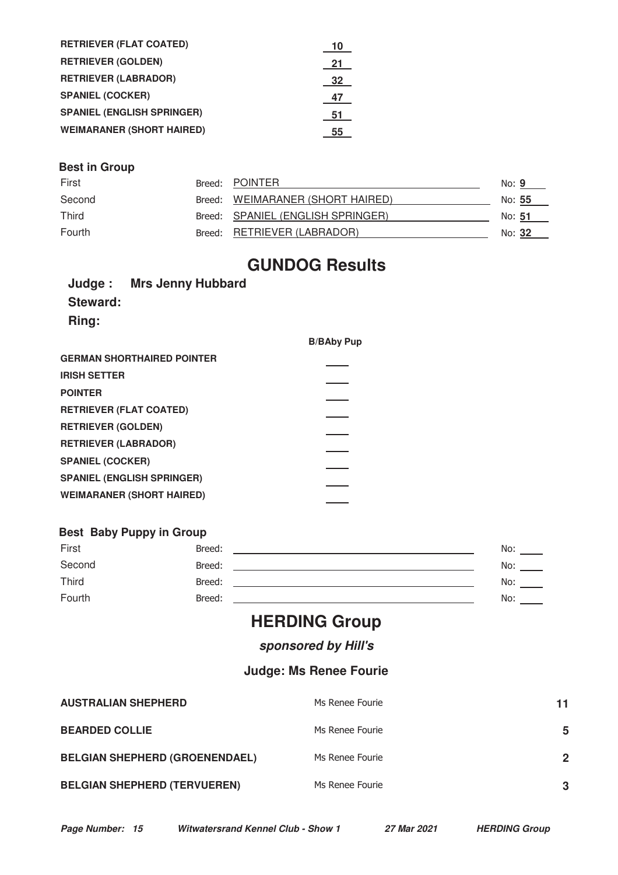| <b>RETRIEVER (FLAT COATED)</b>    | 10 |
|-----------------------------------|----|
| <b>RETRIEVER (GOLDEN)</b>         | 21 |
| <b>RETRIEVER (LABRADOR)</b>       | 32 |
| <b>SPANIEL (COCKER)</b>           | 47 |
| <b>SPANIEL (ENGLISH SPRINGER)</b> | 51 |
| <b>WEIMARANER (SHORT HAIRED)</b>  | 55 |

### **Best in Group**

| First        | Breed: POINTER                    | No: 9         |  |
|--------------|-----------------------------------|---------------|--|
| Second       | Breed: WEIMARANER (SHORT HAIRED)  | No: 55        |  |
| <b>Third</b> | Breed: SPANIEL (ENGLISH SPRINGER) | No: <b>51</b> |  |
| Fourth       | Breed: RETRIEVER (LABRADOR)       | No: <b>32</b> |  |

# **GUNDOG Results**

|              | Judge: Mrs Jenny Hubbard |
|--------------|--------------------------|
| Steward:     |                          |
| <b>Ring:</b> |                          |

|                                   | <b>B/BAby Pup</b> |
|-----------------------------------|-------------------|
| <b>GERMAN SHORTHAIRED POINTER</b> |                   |
| <b>IRISH SETTER</b>               |                   |
| <b>POINTER</b>                    |                   |
| <b>RETRIEVER (FLAT COATED)</b>    |                   |
| <b>RETRIEVER (GOLDEN)</b>         |                   |
| <b>RETRIEVER (LABRADOR)</b>       |                   |
| <b>SPANIEL (COCKER)</b>           |                   |
| <b>SPANIEL (ENGLISH SPRINGER)</b> |                   |
| <b>WEIMARANER (SHORT HAIRED)</b>  |                   |
|                                   |                   |

### **Best Baby Puppy in Group**

| First  | Breed: | No: |
|--------|--------|-----|
| Second | Breed: | No: |
| Third  | Breed: | No: |
| Fourth | Breed: | No: |

# **HERDING Group**

## **sponsored by Hill's**

## **Judge: Ms Renee Fourie**

| <b>AUSTRALIAN SHEPHERD</b>            | Ms Renee Fourie | 11             |
|---------------------------------------|-----------------|----------------|
| <b>BEARDED COLLIE</b>                 | Ms Renee Fourie | 5              |
| <b>BELGIAN SHEPHERD (GROENENDAEL)</b> | Ms Renee Fourie | $\overline{2}$ |
| <b>BELGIAN SHEPHERD (TERVUEREN)</b>   | Ms Renee Fourie | 3              |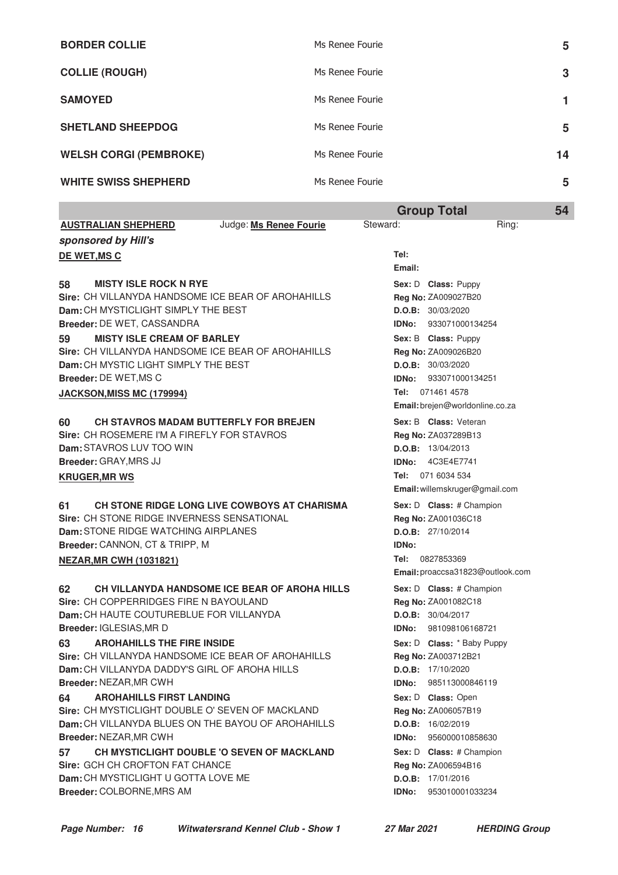|                               | <b>Group Total</b> | 54 |
|-------------------------------|--------------------|----|
| <b>WHITE SWISS SHEPHERD</b>   | Ms Renee Fourie    | 5  |
| <b>WELSH CORGI (PEMBROKE)</b> | Ms Renee Fourie    | 14 |
| <b>SHETLAND SHEEPDOG</b>      | Ms Renee Fourie    | 5  |
| <b>SAMOYED</b>                | Ms Renee Fourie    |    |
| <b>COLLIE (ROUGH)</b>         | Ms Renee Fourie    | 3  |
| <b>BORDER COLLIE</b>          | Ms Renee Fourie    | 5  |

|                                                                                                      | arvap rotar                                     |  |
|------------------------------------------------------------------------------------------------------|-------------------------------------------------|--|
| <b>AUSTRALIAN SHEPHERD</b><br>Judge: Ms Renee Fourie                                                 | Steward:<br>Ring:                               |  |
| sponsored by Hill's                                                                                  |                                                 |  |
| DE WET, MS C                                                                                         | Tel:                                            |  |
|                                                                                                      | Email:                                          |  |
| <b>MISTY ISLE ROCK N RYE</b><br>58                                                                   | Sex: D Class: Puppy                             |  |
| Sire: CH VILLANYDA HANDSOME ICE BEAR OF AROHAHILLS                                                   | Reg No: ZA009027B20                             |  |
| Dam: CH MYSTICLIGHT SIMPLY THE BEST                                                                  | D.O.B: 30/03/2020                               |  |
| Breeder: DE WET, CASSANDRA                                                                           | IDNo: 933071000134254                           |  |
| <b>MISTY ISLE CREAM OF BARLEY</b><br>59                                                              | Sex: B Class: Puppy                             |  |
| Sire: CH VILLANYDA HANDSOME ICE BEAR OF AROHAHILLS                                                   | Reg No: ZA009026B20                             |  |
| Dam: CH MYSTIC LIGHT SIMPLY THE BEST                                                                 | D.O.B: 30/03/2020                               |  |
| <b>Breeder: DE WET, MS C</b>                                                                         | 933071000134251<br>IDNo:                        |  |
| <b>JACKSON, MISS MC (179994)</b>                                                                     | Tel: 071461 4578                                |  |
|                                                                                                      | Email: brejen@worldonline.co.za                 |  |
| CH STAVROS MADAM BUTTERFLY FOR BREJEN<br>60                                                          | Sex: B Class: Veteran                           |  |
| Sire: CH ROSEMERE I'M A FIREFLY FOR STAVROS                                                          | Reg No: ZA037289B13                             |  |
| Dam: STAVROS LUV TOO WIN                                                                             | D.O.B: 13/04/2013                               |  |
| Breeder: GRAY, MRS JJ                                                                                | <b>IDNo: 4C3E4E7741</b>                         |  |
| <b>KRUGER, MR WS</b>                                                                                 | Tel: 071 6034 534                               |  |
|                                                                                                      | Email: willemskruger@gmail.com                  |  |
| CH STONE RIDGE LONG LIVE COWBOYS AT CHARISMA<br>61                                                   | Sex: D Class: # Champion                        |  |
| Sire: CH STONE RIDGE INVERNESS SENSATIONAL                                                           | Reg No: ZA001036C18                             |  |
| Dam: STONE RIDGE WATCHING AIRPLANES                                                                  | D.O.B: 27/10/2014                               |  |
| Breeder: CANNON, CT & TRIPP, M                                                                       | <b>IDNo:</b><br>Tel: 0827853369                 |  |
| <b>NEZAR, MR CWH (1031821)</b>                                                                       | Email: proaccsa31823@outlook.com                |  |
|                                                                                                      |                                                 |  |
| <b>CH VILLANYDA HANDSOME ICE BEAR OF AROHA HILLS</b><br>62<br>Sire: CH COPPERRIDGES FIRE N BAYOULAND | Sex: D Class: # Champion<br>Reg No: ZA001082C18 |  |
| Dam: CH HAUTE COUTUREBLUE FOR VILLANYDA                                                              | D.O.B: 30/04/2017                               |  |
| Breeder: IGLESIAS, MR D                                                                              | IDNo:<br>981098106168721                        |  |
| <b>AROHAHILLS THE FIRE INSIDE</b><br>63                                                              | Sex: D Class: * Baby Puppy                      |  |
| Sire: CH VILLANYDA HANDSOME ICE BEAR OF AROHAHILLS                                                   | Reg No: ZA003712B21                             |  |
| Dam: CH VILLANYDA DADDY'S GIRL OF AROHA HILLS                                                        | D.O.B: 17/10/2020                               |  |
| <b>Breeder: NEZAR, MR CWH</b>                                                                        | 985113000846119<br>IDNo:                        |  |
| <b>AROHAHILLS FIRST LANDING</b><br>64                                                                | Sex: D Class: Open                              |  |
| Sire: CH MYSTICLIGHT DOUBLE O' SEVEN OF MACKLAND                                                     | Reg No: ZA006057B19                             |  |
| Dam: CH VILLANYDA BLUES ON THE BAYOU OF AROHAHILLS                                                   | D.O.B: 16/02/2019                               |  |
| Breeder: NEZAR, MR CWH                                                                               | <b>IDNo:</b><br>956000010858630                 |  |
| CH MYSTICLIGHT DOUBLE 'O SEVEN OF MACKLAND<br>57                                                     | Sex: D Class: # Champion                        |  |
| Sire: GCH CH CROFTON FAT CHANCE                                                                      | Reg No: ZA006594B16                             |  |
| Dam: CH MYSTICLIGHT U GOTTA LOVE ME                                                                  | D.O.B: 17/01/2016                               |  |
| Breeder: COLBORNE, MRS AM                                                                            | 953010001033234<br>IDNo:                        |  |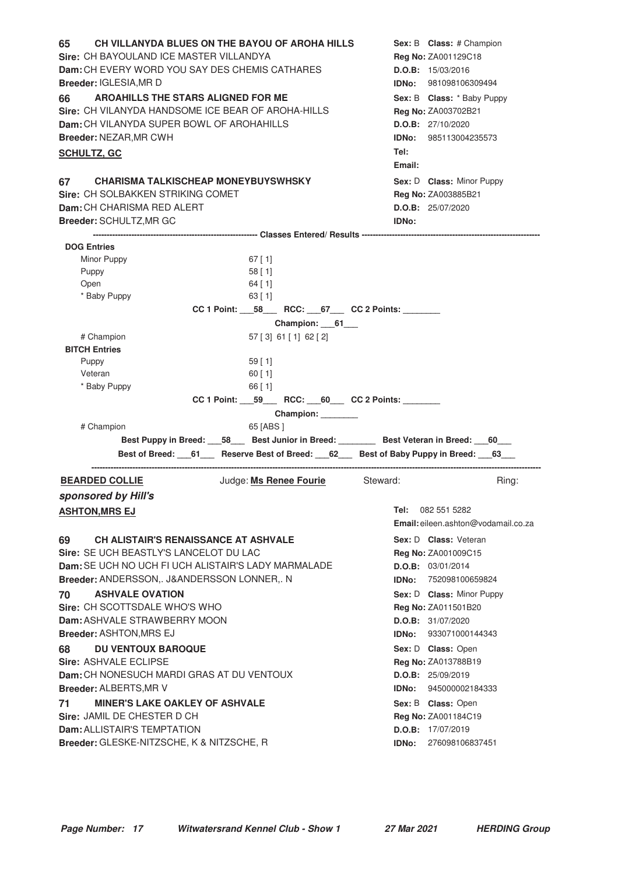**65** CH VILLANYDA BLUES ON THE BAYOU OF AROHA HILLS Sex: B Class: # Champion **Sire: CH BAYOULAND ICE MASTER VILLANDYA Dam:** CH EVERY WORD YOU SAY DES CHEMIS CATHARES **Breeder:** IGLESIA,MR D **Sex:** B **Class: Reg No:** ZA001129C18 **D.O.B:** 15/03/2016 **IDNo:** 981098106309494 **66** AROAHILLS THE STARS ALIGNED FOR ME **And Solution Sex: B** Class: \* Baby Puppy **Sire:** CH VILANYDA HANDSOME ICE BEAR OF AROHA-HILLS **Dam:** CH VILANYDA SUPER BOWL OF AROHAHILLS **Breeder:** NEZAR,MR CWH Sex: B **Class:** \* Baby Puppy **Reg No:** ZA003702B21 **D.O.B:** 27/10/2020 **IDNo:** 985113004235573 **Tel: Email: SCHULTZ, GC 67** CHARISMA TALKISCHEAP MONEYBUYSWHSKY MALL MARE Sex: D Class: Minor Puppy **Sire:** CH SOLBAKKEN STRIKING COMET **Dam:** CH CHARISMA RED ALERT **Breeder:** SCHULTZ,MR GC Sex: D **Class:** Minor Puppy **Reg No:** ZA003885B21 **D.O.B:** 25/07/2020 **IDNo: ------------------------------------------------------------ Classes Entered/ Results ----------------------------------------------------------------- DOG Entries** Minor Puppy 67 [ 1] Puppy 58 [ 1] Open 64 [ 1] \* Baby Puppy 63 [ 1] **CC 1 Point: \_\_\_58\_\_\_ RCC: \_\_\_67\_\_\_ CC 2 Points: \_\_\_\_\_\_\_\_ Champion: \_\_\_61\_\_\_** # Champion 57 [ 3] 61 [ 1] 62 [ 2] **BITCH Entries** Puppy 59 [ 1] Veteran 60 [ 1] \* Baby Puppy 66 [ 1] **CC 1 Point: \_\_\_59\_\_\_ RCC: \_\_\_60\_\_\_ CC 2 Points: \_\_\_\_\_\_\_\_ Champion: \_\_\_\_\_\_\_\_** # Champion 65 [ABS ] Best Puppy in Breed: **58** Best Junior in Breed: **Best Veteran in Breed:** 60 Best of Breed: \_\_\_61\_\_\_\_ Reserve Best of Breed: \_\_\_62\_\_\_ Best of Baby Puppy in Breed: \_\_\_63\_\_\_ **--------------------------------------------------------------------------------------------------------------------------------------------------------------------**

#### **BEARDED COLLIE SEARDED COLLIE** Judge: **Ms Renee Fourie** Steward: Ring: **sponsored by Hill's ASHTON, MRS EJ**

#### **69** CH ALISTAIR'S RENAISSANCE AT ASHVALE **And Sexel Sex: D** Class: Veteran

**Sire:** SE UCH BEASTLY'S LANCELOT DU LAC **Dam:** SE UCH NO UCH FI UCH ALISTAIR'S LADY MARMALADE **Breeder:** ANDERSSON,. J&ANDERSSON LONNER,. N

#### **ASHVALE OVATION TO** ASHVALE OVATION **ASHVALE OVATION**

**Sire:** CH SCOTTSDALE WHO'S WHO **Dam:** ASHVALE STRAWBERRY MOON **Breeder:** ASHTON,MRS EJ

#### **68 DU VENTOUX BAROQUE CONSERVING SEXEL SEXEL SOME SEX: D Class: Open**

**Sire:** ASHVALE ECLIPSE **Dam:** CH NONESUCH MARDI GRAS AT DU VENTOUX **Breeder:** ALBERTS,MR V

#### **T1 MINER'S LAKE OAKLEY OF ASHVALE** *MILLE MINER'S LAKE OAKLEY OF ASHVALE* **Sire:** JAMIL DE CHESTER D CH

**Dam:** ALLISTAIR'S TEMPTATION **Breeder:** GLESKE-NITZSCHE, K & NITZSCHE, R **Email:** eileen.ashton@vodamail.co.za **Sex:** D **Class:**

Tel: 082 551 5282

**Reg No:** ZA001009C15 **D.O.B:** 03/01/2014 **IDNo:** 752098100659824 **Reg No:** ZA011501B20 **D.O.B:** 31/07/2020 **IDNo:** 933071000144343 Sex: D **Class:** Open **Reg No:** ZA013788B19 **D.O.B:** 25/09/2019 **IDNo:** 945000002184333 **Sex:** B **Class: Reg No:** ZA001184C19 **D.O.B:** 17/07/2019 **IDNo:** 276098106837451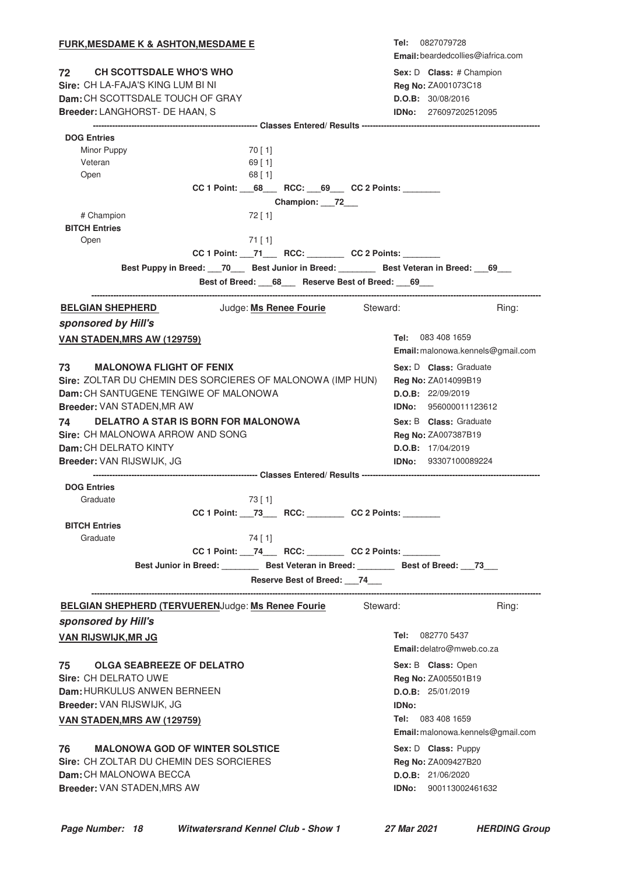| <u>FURK,MESDAME K &amp; ASHTON,MESDAME E</u>                                                   | 0827079728<br>Tel:                                |
|------------------------------------------------------------------------------------------------|---------------------------------------------------|
|                                                                                                | Email: beardedcollies@iafrica.com                 |
| 72<br><b>CH SCOTTSDALE WHO'S WHO</b>                                                           | Sex: D Class: # Champion                          |
| Sire: CH LA-FAJA'S KING LUM BI NI<br>Dam: CH SCOTTSDALE TOUCH OF GRAY                          | Reg No: ZA001073C18                               |
| Breeder: LANGHORST- DE HAAN, S                                                                 | D.O.B: 30/08/2016<br><b>IDNo: 276097202512095</b> |
|                                                                                                |                                                   |
| <b>DOG Entries</b>                                                                             |                                                   |
| Minor Puppy<br>70 [ 1]                                                                         |                                                   |
| Veteran<br>$69$ [ 1]                                                                           |                                                   |
| Open<br>$68$ [ 1]                                                                              |                                                   |
| CC 1 Point: 68 RCC: 69 CC 2 Points:                                                            |                                                   |
| Champion: 72___                                                                                |                                                   |
| # Champion<br>$72$ [ 1]<br><b>BITCH Entries</b>                                                |                                                   |
| Open<br>$71$ [ 1]                                                                              |                                                   |
| CC 1 Point: __71___ RCC: _______ CC 2 Points: ______                                           |                                                   |
| Best Puppy in Breed: ___70____ Best Junior in Breed: _________ Best Veteran in Breed: ___69___ |                                                   |
| Best of Breed: 68_ Reserve Best of Breed: 69_                                                  |                                                   |
|                                                                                                |                                                   |
| Judge: Ms Renee Fourie Steward:<br><b>BELGIAN SHEPHERD</b>                                     | Ring:                                             |
| sponsored by Hill's                                                                            |                                                   |
| VAN STADEN, MRS AW (129759)                                                                    | 083 408 1659<br>Tel:                              |
|                                                                                                | Email: malonowa.kennels@gmail.com                 |
| 73<br><b>MALONOWA FLIGHT OF FENIX</b>                                                          | Sex: D Class: Graduate                            |
| Sire: ZOLTAR DU CHEMIN DES SORCIERES OF MALONOWA (IMP HUN)                                     | Reg No: ZA014099B19                               |
| Dam: CH SANTUGENE TENGIWE OF MALONOWA                                                          | D.O.B: 22/09/2019                                 |
| Breeder: VAN STADEN, MR AW                                                                     | <b>IDNo: 956000011123612</b>                      |
| DELATRO A STAR IS BORN FOR MALONOWA<br>74 —                                                    | Sex: B Class: Graduate                            |
| Sire: CH MALONOWA ARROW AND SONG                                                               | <b>Reg No: ZA007387B19</b>                        |
| <b>Dam:</b> CH DELRATO KINTY                                                                   | D.O.B: 17/04/2019                                 |
| Breeder: VAN RIJSWIJK, JG                                                                      | <b>IDNo:</b> 93307100089224                       |
|                                                                                                |                                                   |
| <b>DOG Entries</b>                                                                             |                                                   |
| Graduate<br>73 [ 1]<br>CC 1 Point: 73 RCC: CC 2 Points:                                        |                                                   |
| <b>BITCH Entries</b>                                                                           |                                                   |
| Graduate<br>74 [ 1]                                                                            |                                                   |
| CC 1 Point: 74 RCC: CC 2 Points:                                                               |                                                   |
| Best Junior in Breed: Best Veteran in Breed: Best of Breed: 73                                 |                                                   |
| Reserve Best of Breed: ___74___                                                                |                                                   |
|                                                                                                |                                                   |
| <b>BELGIAN SHEPHERD (TERVUERENJudge: Ms Renee Fourie</b><br>Steward:                           | Ring:                                             |
| sponsored by Hill's                                                                            |                                                   |
| <b>VAN RIJSWIJK, MR JG</b>                                                                     | Tel: 082770 5437                                  |
|                                                                                                | Email: delatro@mweb.co.za                         |
| 75<br><b>OLGA SEABREEZE OF DELATRO</b>                                                         | Sex: B Class: Open                                |
| Sire: CH DELRATO UWE                                                                           | <b>Reg No: ZA005501B19</b>                        |
| Dam: HURKULUS ANWEN BERNEEN                                                                    | D.O.B: 25/01/2019                                 |
| Breeder: VAN RIJSWIJK, JG                                                                      | <b>IDNo:</b>                                      |
| <b>VAN STADEN, MRS AW (129759)</b>                                                             | 083 408 1659<br>Tel:                              |
|                                                                                                | Email: malonowa.kennels@gmail.com                 |
| 76<br><b>MALONOWA GOD OF WINTER SOLSTICE</b>                                                   | Sex: D Class: Puppy                               |
| Sire: CH ZOLTAR DU CHEMIN DES SORCIERES                                                        | Reg No: ZA009427B20                               |
| Dam: CH MALONOWA BECCA                                                                         | D.O.B: 21/06/2020                                 |
| Breeder: VAN STADEN, MRS AW                                                                    | <b>IDNo:</b> 900113002461632                      |
|                                                                                                |                                                   |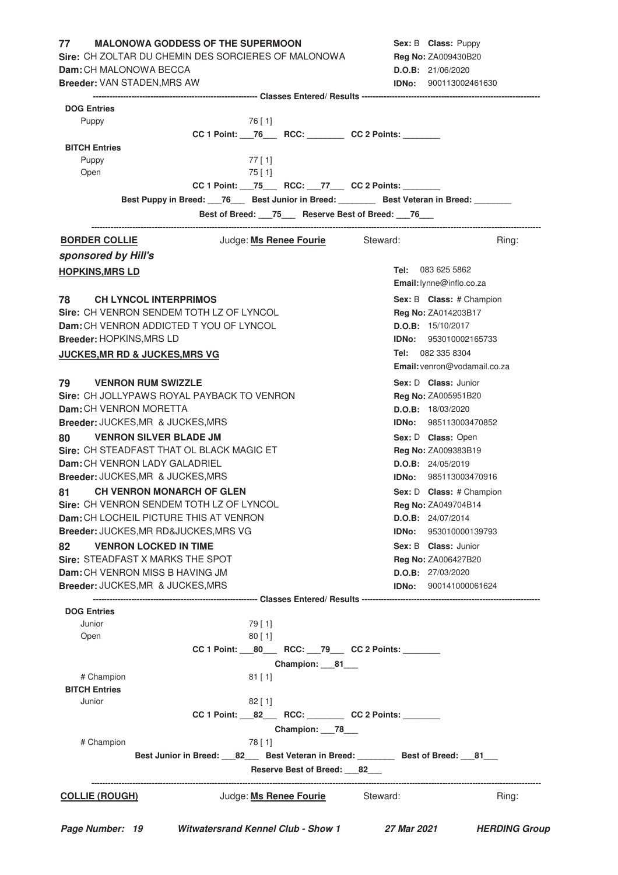| Sire: CH ZOLTAR DU CHEMIN DES SORCIERES OF MALONOWA<br>Dam: CH MALONOWA BECCA<br><b>Breeder: VAN STADEN, MRS AW</b><br><b>DOG Entries</b><br>76 [ 1]<br>Puppy<br>CC 1 Point: 76 RCC: CC 2 Points:<br><b>BITCH Entries</b><br>Puppy<br>$77$ [ 1]<br>Open<br>$75$ [ 1]<br>CC 1 Point: 75 RCC: 77 CC 2 Points:<br>Best Puppy in Breed: 76 Best Junior in Breed: Best Veteran in Breed: ______<br>Best of Breed: 75_ Reserve Best of Breed: 76_<br>Judge: <b>Ms Renee Fourie</b> Steward:<br><b>BORDER COLLIE</b><br>sponsored by Hill's<br><b>HOPKINS, MRS LD</b><br>78 —<br><b>CH LYNCOL INTERPRIMOS</b><br>Sire: CH VENRON SENDEM TOTH LZ OF LYNCOL<br>Dam: CH VENRON ADDICTED T YOU OF LYNCOL<br><b>Breeder: HOPKINS, MRS LD</b><br><b>JUCKES, MR RD &amp; JUCKES, MRS VG</b><br>79 —<br><b>VENRON RUM SWIZZLE</b><br>Sire: CH JOLLYPAWS ROYAL PAYBACK TO VENRON<br>Dam: CH VENRON MORETTA<br>Breeder: JUCKES, MR & JUCKES, MRS<br><b>VENRON SILVER BLADE JM</b><br>80<br>Sire: CH STEADFAST THAT OL BLACK MAGIC ET<br>Dam: CH VENRON LADY GALADRIEL<br>Breeder: JUCKES, MR & JUCKES, MRS<br><b>CH VENRON MONARCH OF GLEN</b><br>81 — | Reg No: ZA009430B20<br>D.O.B: 21/06/2020<br><b>IDNo:</b> 900113002461630 |       |
|---------------------------------------------------------------------------------------------------------------------------------------------------------------------------------------------------------------------------------------------------------------------------------------------------------------------------------------------------------------------------------------------------------------------------------------------------------------------------------------------------------------------------------------------------------------------------------------------------------------------------------------------------------------------------------------------------------------------------------------------------------------------------------------------------------------------------------------------------------------------------------------------------------------------------------------------------------------------------------------------------------------------------------------------------------------------------------------------------------------------------------------|--------------------------------------------------------------------------|-------|
|                                                                                                                                                                                                                                                                                                                                                                                                                                                                                                                                                                                                                                                                                                                                                                                                                                                                                                                                                                                                                                                                                                                                       |                                                                          |       |
|                                                                                                                                                                                                                                                                                                                                                                                                                                                                                                                                                                                                                                                                                                                                                                                                                                                                                                                                                                                                                                                                                                                                       |                                                                          |       |
|                                                                                                                                                                                                                                                                                                                                                                                                                                                                                                                                                                                                                                                                                                                                                                                                                                                                                                                                                                                                                                                                                                                                       |                                                                          |       |
|                                                                                                                                                                                                                                                                                                                                                                                                                                                                                                                                                                                                                                                                                                                                                                                                                                                                                                                                                                                                                                                                                                                                       |                                                                          |       |
|                                                                                                                                                                                                                                                                                                                                                                                                                                                                                                                                                                                                                                                                                                                                                                                                                                                                                                                                                                                                                                                                                                                                       |                                                                          |       |
|                                                                                                                                                                                                                                                                                                                                                                                                                                                                                                                                                                                                                                                                                                                                                                                                                                                                                                                                                                                                                                                                                                                                       |                                                                          |       |
|                                                                                                                                                                                                                                                                                                                                                                                                                                                                                                                                                                                                                                                                                                                                                                                                                                                                                                                                                                                                                                                                                                                                       |                                                                          |       |
|                                                                                                                                                                                                                                                                                                                                                                                                                                                                                                                                                                                                                                                                                                                                                                                                                                                                                                                                                                                                                                                                                                                                       |                                                                          |       |
|                                                                                                                                                                                                                                                                                                                                                                                                                                                                                                                                                                                                                                                                                                                                                                                                                                                                                                                                                                                                                                                                                                                                       |                                                                          |       |
|                                                                                                                                                                                                                                                                                                                                                                                                                                                                                                                                                                                                                                                                                                                                                                                                                                                                                                                                                                                                                                                                                                                                       |                                                                          |       |
|                                                                                                                                                                                                                                                                                                                                                                                                                                                                                                                                                                                                                                                                                                                                                                                                                                                                                                                                                                                                                                                                                                                                       |                                                                          |       |
|                                                                                                                                                                                                                                                                                                                                                                                                                                                                                                                                                                                                                                                                                                                                                                                                                                                                                                                                                                                                                                                                                                                                       |                                                                          |       |
|                                                                                                                                                                                                                                                                                                                                                                                                                                                                                                                                                                                                                                                                                                                                                                                                                                                                                                                                                                                                                                                                                                                                       |                                                                          |       |
|                                                                                                                                                                                                                                                                                                                                                                                                                                                                                                                                                                                                                                                                                                                                                                                                                                                                                                                                                                                                                                                                                                                                       |                                                                          | Ring: |
|                                                                                                                                                                                                                                                                                                                                                                                                                                                                                                                                                                                                                                                                                                                                                                                                                                                                                                                                                                                                                                                                                                                                       |                                                                          |       |
|                                                                                                                                                                                                                                                                                                                                                                                                                                                                                                                                                                                                                                                                                                                                                                                                                                                                                                                                                                                                                                                                                                                                       | <b>Tel:</b> 083 625 5862                                                 |       |
|                                                                                                                                                                                                                                                                                                                                                                                                                                                                                                                                                                                                                                                                                                                                                                                                                                                                                                                                                                                                                                                                                                                                       | Email: lynne@inflo.co.za                                                 |       |
|                                                                                                                                                                                                                                                                                                                                                                                                                                                                                                                                                                                                                                                                                                                                                                                                                                                                                                                                                                                                                                                                                                                                       | Sex: B Class: # Champion                                                 |       |
|                                                                                                                                                                                                                                                                                                                                                                                                                                                                                                                                                                                                                                                                                                                                                                                                                                                                                                                                                                                                                                                                                                                                       | Reg No: ZA014203B17                                                      |       |
|                                                                                                                                                                                                                                                                                                                                                                                                                                                                                                                                                                                                                                                                                                                                                                                                                                                                                                                                                                                                                                                                                                                                       | D.O.B: 15/10/2017                                                        |       |
|                                                                                                                                                                                                                                                                                                                                                                                                                                                                                                                                                                                                                                                                                                                                                                                                                                                                                                                                                                                                                                                                                                                                       | IDNo: 953010002165733                                                    |       |
|                                                                                                                                                                                                                                                                                                                                                                                                                                                                                                                                                                                                                                                                                                                                                                                                                                                                                                                                                                                                                                                                                                                                       | Tel: 082 335 8304                                                        |       |
|                                                                                                                                                                                                                                                                                                                                                                                                                                                                                                                                                                                                                                                                                                                                                                                                                                                                                                                                                                                                                                                                                                                                       | Email: venron@vodamail.co.za                                             |       |
|                                                                                                                                                                                                                                                                                                                                                                                                                                                                                                                                                                                                                                                                                                                                                                                                                                                                                                                                                                                                                                                                                                                                       | Sex: D Class: Junior                                                     |       |
|                                                                                                                                                                                                                                                                                                                                                                                                                                                                                                                                                                                                                                                                                                                                                                                                                                                                                                                                                                                                                                                                                                                                       | Reg No: ZA005951B20                                                      |       |
|                                                                                                                                                                                                                                                                                                                                                                                                                                                                                                                                                                                                                                                                                                                                                                                                                                                                                                                                                                                                                                                                                                                                       | D.O.B: 18/03/2020                                                        |       |
|                                                                                                                                                                                                                                                                                                                                                                                                                                                                                                                                                                                                                                                                                                                                                                                                                                                                                                                                                                                                                                                                                                                                       | <b>IDNo:</b> 985113003470852                                             |       |
|                                                                                                                                                                                                                                                                                                                                                                                                                                                                                                                                                                                                                                                                                                                                                                                                                                                                                                                                                                                                                                                                                                                                       |                                                                          |       |
|                                                                                                                                                                                                                                                                                                                                                                                                                                                                                                                                                                                                                                                                                                                                                                                                                                                                                                                                                                                                                                                                                                                                       | Sex: D Class: Open                                                       |       |
|                                                                                                                                                                                                                                                                                                                                                                                                                                                                                                                                                                                                                                                                                                                                                                                                                                                                                                                                                                                                                                                                                                                                       | Reg No: ZA009383B19                                                      |       |
|                                                                                                                                                                                                                                                                                                                                                                                                                                                                                                                                                                                                                                                                                                                                                                                                                                                                                                                                                                                                                                                                                                                                       | D.O.B: 24/05/2019                                                        |       |
|                                                                                                                                                                                                                                                                                                                                                                                                                                                                                                                                                                                                                                                                                                                                                                                                                                                                                                                                                                                                                                                                                                                                       | <b>IDNo: 985113003470916</b>                                             |       |
|                                                                                                                                                                                                                                                                                                                                                                                                                                                                                                                                                                                                                                                                                                                                                                                                                                                                                                                                                                                                                                                                                                                                       | Sex: D Class: # Champion                                                 |       |
| Sire: CH VENRON SENDEM TOTH LZ OF LYNCOL                                                                                                                                                                                                                                                                                                                                                                                                                                                                                                                                                                                                                                                                                                                                                                                                                                                                                                                                                                                                                                                                                              | <b>Reg No: ZA049704B14</b>                                               |       |
| Dam: CH LOCHEIL PICTURE THIS AT VENRON                                                                                                                                                                                                                                                                                                                                                                                                                                                                                                                                                                                                                                                                                                                                                                                                                                                                                                                                                                                                                                                                                                | D.O.B: 24/07/2014                                                        |       |
| Breeder: JUCKES, MR RD&JUCKES, MRS VG                                                                                                                                                                                                                                                                                                                                                                                                                                                                                                                                                                                                                                                                                                                                                                                                                                                                                                                                                                                                                                                                                                 | <b>IDNo:</b> 953010000139793                                             |       |
| <b>VENRON LOCKED IN TIME</b><br>82                                                                                                                                                                                                                                                                                                                                                                                                                                                                                                                                                                                                                                                                                                                                                                                                                                                                                                                                                                                                                                                                                                    | <b>Sex: B Class: Junior</b>                                              |       |
| Sire: STEADFAST X MARKS THE SPOT                                                                                                                                                                                                                                                                                                                                                                                                                                                                                                                                                                                                                                                                                                                                                                                                                                                                                                                                                                                                                                                                                                      | Reg No: ZA006427B20                                                      |       |
| Dam: CH VENRON MISS B HAVING JM                                                                                                                                                                                                                                                                                                                                                                                                                                                                                                                                                                                                                                                                                                                                                                                                                                                                                                                                                                                                                                                                                                       | D.O.B: 27/03/2020                                                        |       |
| Breeder: JUCKES, MR & JUCKES, MRS                                                                                                                                                                                                                                                                                                                                                                                                                                                                                                                                                                                                                                                                                                                                                                                                                                                                                                                                                                                                                                                                                                     | <b>IDNo:</b> 900141000061624                                             |       |
|                                                                                                                                                                                                                                                                                                                                                                                                                                                                                                                                                                                                                                                                                                                                                                                                                                                                                                                                                                                                                                                                                                                                       |                                                                          |       |
| <b>DOG Entries</b><br>79 [ 1]<br>Junior                                                                                                                                                                                                                                                                                                                                                                                                                                                                                                                                                                                                                                                                                                                                                                                                                                                                                                                                                                                                                                                                                               |                                                                          |       |
| 80[1]<br>Open                                                                                                                                                                                                                                                                                                                                                                                                                                                                                                                                                                                                                                                                                                                                                                                                                                                                                                                                                                                                                                                                                                                         |                                                                          |       |
| CC 1 Point: ____ 80______ RCC: ___ 79____ CC 2 Points: _________                                                                                                                                                                                                                                                                                                                                                                                                                                                                                                                                                                                                                                                                                                                                                                                                                                                                                                                                                                                                                                                                      |                                                                          |       |
| Champion: ___81___                                                                                                                                                                                                                                                                                                                                                                                                                                                                                                                                                                                                                                                                                                                                                                                                                                                                                                                                                                                                                                                                                                                    |                                                                          |       |
| # Champion<br>$81$ [1]                                                                                                                                                                                                                                                                                                                                                                                                                                                                                                                                                                                                                                                                                                                                                                                                                                                                                                                                                                                                                                                                                                                |                                                                          |       |
| <b>BITCH Entries</b>                                                                                                                                                                                                                                                                                                                                                                                                                                                                                                                                                                                                                                                                                                                                                                                                                                                                                                                                                                                                                                                                                                                  |                                                                          |       |
| Junior<br>$82$ [ 1]                                                                                                                                                                                                                                                                                                                                                                                                                                                                                                                                                                                                                                                                                                                                                                                                                                                                                                                                                                                                                                                                                                                   |                                                                          |       |
| CC 1 Point: 82___ RCC: _______ CC 2 Points: ______                                                                                                                                                                                                                                                                                                                                                                                                                                                                                                                                                                                                                                                                                                                                                                                                                                                                                                                                                                                                                                                                                    |                                                                          |       |
| Champion: 78                                                                                                                                                                                                                                                                                                                                                                                                                                                                                                                                                                                                                                                                                                                                                                                                                                                                                                                                                                                                                                                                                                                          |                                                                          |       |
| # Champion                                                                                                                                                                                                                                                                                                                                                                                                                                                                                                                                                                                                                                                                                                                                                                                                                                                                                                                                                                                                                                                                                                                            |                                                                          |       |
| 78 [ 1]<br>Best Junior in Breed: ___ 82___ Best Veteran in Breed: ________ Best of Breed: ___ 81___                                                                                                                                                                                                                                                                                                                                                                                                                                                                                                                                                                                                                                                                                                                                                                                                                                                                                                                                                                                                                                   |                                                                          |       |
| Reserve Best of Breed: 82_                                                                                                                                                                                                                                                                                                                                                                                                                                                                                                                                                                                                                                                                                                                                                                                                                                                                                                                                                                                                                                                                                                            |                                                                          |       |
|                                                                                                                                                                                                                                                                                                                                                                                                                                                                                                                                                                                                                                                                                                                                                                                                                                                                                                                                                                                                                                                                                                                                       |                                                                          |       |
| Judge: <b>Ms Renee Fourie</b> Steward:<br><b>COLLIE (ROUGH)</b>                                                                                                                                                                                                                                                                                                                                                                                                                                                                                                                                                                                                                                                                                                                                                                                                                                                                                                                                                                                                                                                                       |                                                                          |       |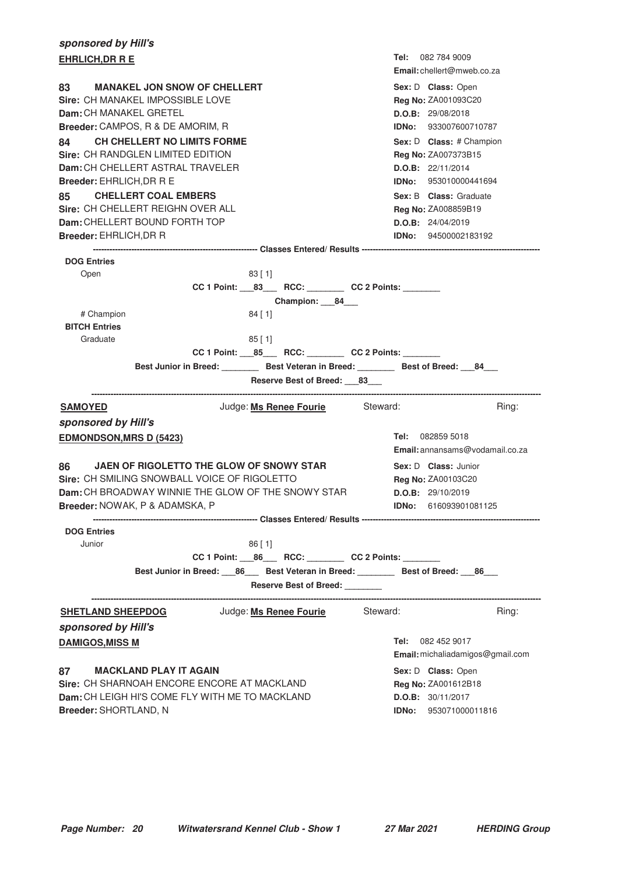| sponsored by Hill's                                                                                     |                                                                                               |
|---------------------------------------------------------------------------------------------------------|-----------------------------------------------------------------------------------------------|
| <b>EHRLICH, DR R E</b>                                                                                  | <b>Tel:</b> 082 784 9009<br><b>Email:</b> chellert@mweb.co.za                                 |
| 83<br><b>MANAKEL JON SNOW OF CHELLERT</b><br>Sire: CH MANAKEL IMPOSSIBLE LOVE<br>Dam: CH MANAKEL GRETEL | Sex: D Class: Open<br>Reg No: ZA001093C20<br>D.O.B: 29/08/2018                                |
| Breeder: CAMPOS, R & DE AMORIM, R                                                                       | <b>IDNo:</b> 933007600710787                                                                  |
| CH CHELLERT NO LIMITS FORME<br>84                                                                       | Sex: D Class: # Champion                                                                      |
| Sire: CH RANDGLEN LIMITED EDITION                                                                       | Reg No: ZA007373B15                                                                           |
| Dam: CH CHELLERT ASTRAL TRAVELER                                                                        | D.O.B: 22/11/2014                                                                             |
| Breeder: EHRLICH, DR R E                                                                                | <b>IDNo:</b> 953010000441694                                                                  |
| <b>CHELLERT COAL EMBERS</b><br>85 —<br>Sire: CH CHELLERT REIGHN OVER ALL                                | <b>Sex: B Class: Graduate</b><br>Reg No: ZA008859B19                                          |
| Dam: CHELLERT BOUND FORTH TOP                                                                           | D.O.B: 24/04/2019                                                                             |
| <b>Breeder: EHRLICH, DR R</b>                                                                           | <b>IDNo:</b> 94500002183192                                                                   |
| <b>DOG Entries</b>                                                                                      |                                                                                               |
| 83 [1]<br>Open                                                                                          |                                                                                               |
|                                                                                                         | CC 1 Point: 83 RCC: CC 2 Points:                                                              |
|                                                                                                         | Champion: 84                                                                                  |
| # Champion<br>$84$ [ 1]                                                                                 |                                                                                               |
| <b>BITCH Entries</b><br>Graduate<br>$85$ [ 1]                                                           |                                                                                               |
|                                                                                                         | CC 1 Point: _____ 85____ RCC: _________ CC 2 Points: _______                                  |
|                                                                                                         | Best Junior in Breed: __________ Best Veteran in Breed: _________ Best of Breed: ___84___     |
|                                                                                                         | Reserve Best of Breed: 83                                                                     |
| <b>SAMOYED</b>                                                                                          | Judge: Ms Renee Fourie Steward:<br>Ring:                                                      |
| sponsored by Hill's                                                                                     |                                                                                               |
| <b>EDMONDSON, MRS D (5423)</b>                                                                          | Tel: 082859 5018<br>Email: annansams@vodamail.co.za                                           |
| 86<br>JAEN OF RIGOLETTO THE GLOW OF SNOWY STAR<br>Sire: CH SMILING SNOWBALL VOICE OF RIGOLETTO          | Sex: D Class: Junior<br>Reg No: ZA00103C20                                                    |
| <b>Dam:</b> CH BROADWAY WINNIE THE GLOW OF THE SNOWY STAR                                               | D.O.B: 29/10/2019                                                                             |
| <b>Breeder:</b> NOWAK, P & ADAMSKA, P                                                                   | IDNo:<br>616093901081125                                                                      |
|                                                                                                         |                                                                                               |
| <b>DOG Entries</b><br>Junior<br>$86$ [ 1]                                                               |                                                                                               |
|                                                                                                         | CC 1 Point: 86 RCC: CC 2 Points:                                                              |
|                                                                                                         | Best Junior in Breed: ___ 86 ____ Best Veteran in Breed: __________ Best of Breed: ___ 86 ___ |
|                                                                                                         | Reserve Best of Breed: _______                                                                |
| Judge: Ms Renee Fourie<br><b>SHETLAND SHEEPDOG</b>                                                      | Steward:<br>Ring:                                                                             |
| sponsored by Hill's                                                                                     |                                                                                               |
| <b>DAMIGOS, MISS M</b>                                                                                  | 082 452 9017<br>Tel:<br>Email: michaliadamigos@gmail.com                                      |
| <b>MACKLAND PLAY IT AGAIN</b><br>87                                                                     | Sex: D Class: Open                                                                            |
| Sire: CH SHARNOAH ENCORE ENCORE AT MACKLAND                                                             | <b>Reg No: ZA001612B18</b>                                                                    |
| <b>Dam:</b> CH LEIGH HI'S COME FLY WITH ME TO MACKLAND                                                  | D.O.B: 30/11/2017                                                                             |
| Breeder: SHORTLAND, N                                                                                   | IDNo: 953071000011816                                                                         |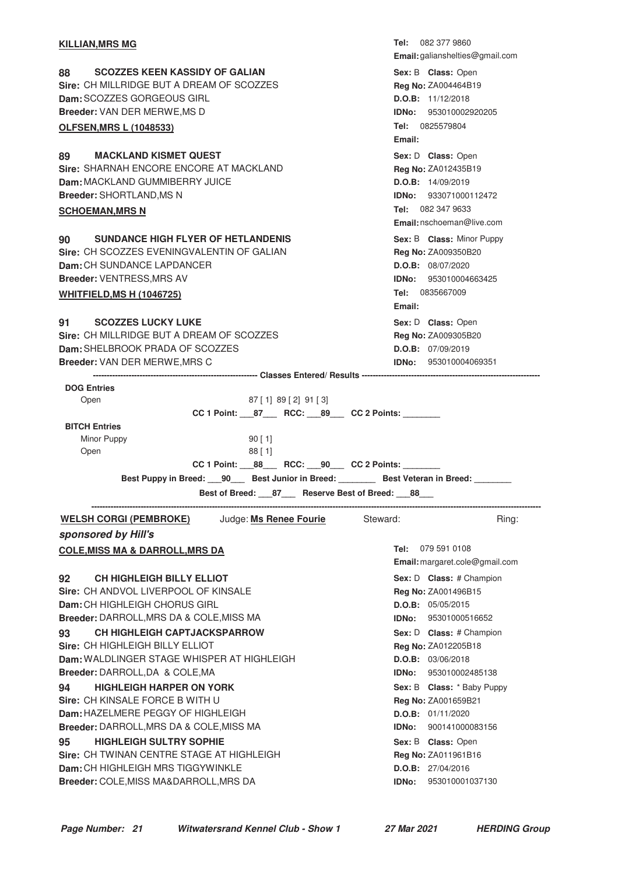| <b>KILLIAN, MRS MG</b>                                                      | <b>Tel:</b> 082 377 9860                 |
|-----------------------------------------------------------------------------|------------------------------------------|
|                                                                             | Email: galianshelties@gmail.com          |
| <b>SCOZZES KEEN KASSIDY OF GALIAN</b><br>88                                 | Sex: B Class: Open                       |
| Sire: CH MILLRIDGE BUT A DREAM OF SCOZZES                                   | Reg No: ZA004464B19                      |
| <b>Dam:</b> SCOZZES GORGEOUS GIRL                                           | D.O.B: 11/12/2018                        |
| Breeder: VAN DER MERWE, MS D                                                | IDNo: 953010002920205                    |
| <b>OLFSEN, MRS L (1048533)</b>                                              | Tel: 0825579804                          |
|                                                                             | Email:                                   |
| <b>MACKLAND KISMET QUEST</b><br>89                                          | Sex: D Class: Open                       |
| Sire: SHARNAH ENCORE ENCORE AT MACKLAND                                     | Reg No: ZA012435B19                      |
| Dam: MACKLAND GUMMIBERRY JUICE                                              | D.O.B: 14/09/2019                        |
| <b>Breeder: SHORTLAND, MS N</b>                                             | IDNo: 933071000112472                    |
| <b>SCHOEMAN, MRS N</b>                                                      | Tel: 082 347 9633                        |
|                                                                             | Email: nschoeman@live.com                |
| <b>SUNDANCE HIGH FLYER OF HETLANDENIS</b><br>90 —                           | Sex: B Class: Minor Puppy                |
| Sire: CH SCOZZES EVENINGVALENTIN OF GALIAN                                  | Reg No: ZA009350B20                      |
| Dam: CH SUNDANCE LAPDANCER                                                  | D.O.B: 08/07/2020                        |
| Breeder: VENTRESS, MRS AV                                                   | <b>IDNo: 953010004663425</b>             |
| <b>WHITFIELD, MS H (1046725)</b>                                            | Tel: 0835667009                          |
|                                                                             | Email:                                   |
| 91 SCOZZES LUCKY LUKE                                                       |                                          |
| Sire: CH MILLRIDGE BUT A DREAM OF SCOZZES                                   | Sex: D Class: Open                       |
| Dam: SHELBROOK PRADA OF SCOZZES                                             | Reg No: ZA009305B20<br>D.O.B: 07/09/2019 |
| Breeder: VAN DER MERWE, MRS C                                               | <b>IDNo:</b> 953010004069351             |
|                                                                             |                                          |
| <b>DOG Entries</b>                                                          |                                          |
| Open<br>87 [ 1] 89 [ 2] 91 [ 3]                                             |                                          |
|                                                                             |                                          |
| <b>BITCH Entries</b>                                                        |                                          |
| Minor Puppy<br>90 [1]                                                       |                                          |
| Open<br>$88$ [ 1]                                                           |                                          |
| CC 1 Point: _____ 88______ RCC: ____ 90____ CC 2 Points: ________           |                                          |
| Best Puppy in Breed: 190 Best Junior in Breed: Best Veteran in Breed: 1986. |                                          |
| Best of Breed: 87 Reserve Best of Breed: 88                                 |                                          |
| Judge: Ms Renee Fourie<br><b>WELSH CORGI (PEMBROKE)</b>                     | Steward:<br>Ring:                        |
| sponsored by Hill's                                                         |                                          |
| <b>COLE, MISS MA &amp; DARROLL, MRS DA</b>                                  | 079 591 0108<br>Tel:                     |
|                                                                             | Email: margaret.cole@gmail.com           |
| <b>CH HIGHLEIGH BILLY ELLIOT</b><br>92                                      | Sex: D Class: # Champion                 |
| Sire: CH ANDVOL LIVERPOOL OF KINSALE                                        | <b>Red No: 74001496B15</b>               |

**Sire:** CH ANDVOL LIVERPOOL OF KINSALE **Dam:** CH HIGHLEIGH CHORUS GIRL **Breeder:** DARROLL,MRS DA & COLE,MISS MA **93** CH HIGHLEIGH CAPTJACKSPARROW **EXAMP SEXEL SEXEL CREASE** Sex: D Class: # Champion **Sire:** CH HIGHLEIGH BILLY ELLIOT **Dam:** WALDLINGER STAGE WHISPER AT HIGHLEIGH **Breeder:** DARROLL,DA & COLE,MA **94 • HIGHLEIGH HARPER ON YORK CONSERVING SEX: B CLASS:** \* Baby Puppy **Sire:** CH KINSALE FORCE B WITH U **Dam:** HAZELMERE PEGGY OF HIGHLEIGH

**Breeder:** DARROLL,MRS DA & COLE,MISS MA **95 HIGHLEIGH SULTRY SOPHIE CONSERVING SEX: B Class:** Open **Sire:** CH TWINAN CENTRE STAGE AT HIGHLEIGH **Dam:** CH HIGHLEIGH MRS TIGGYWINKLE **Breeder:** COLE,MISS MA&DARROLL,MRS DA

**Reg No:** ZA001496B15 **D.O.B:** 05/05/2015 **IDNo:** 95301000516652 Sex: D **Class:** # Champion **Reg No:** ZA012205B18 **D.O.B:** 03/06/2018 **IDNo:** 953010002485138 Sex: B **Class:** \* Baby Puppy **Reg No:** ZA001659B21 **D.O.B:** 01/11/2020 **IDNo:** 900141000083156 Sex: B **Class:** Open **Reg No:** ZA011961B16 **D.O.B:** 27/04/2016 **IDNo:** 953010001037130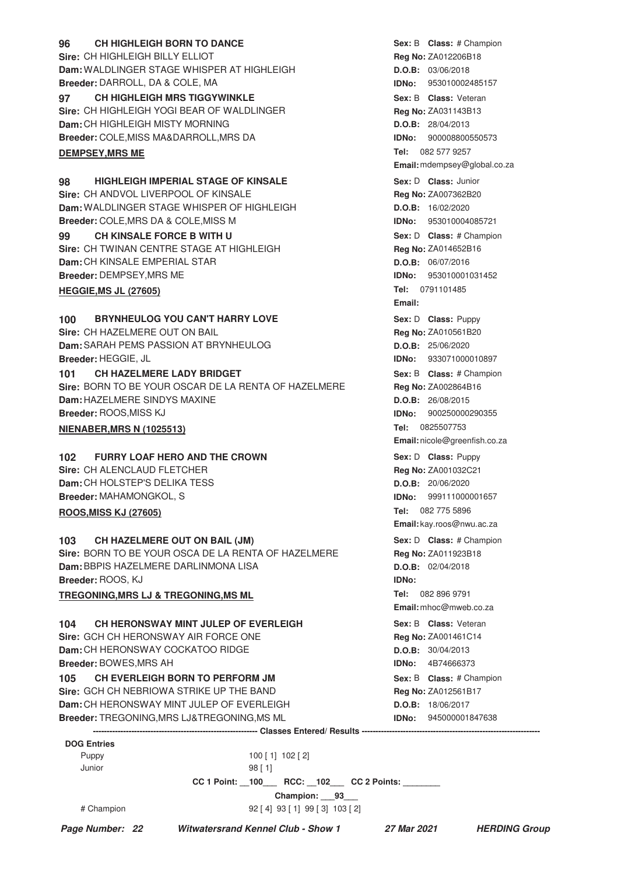| <b>CH HIGHLEIGH BORN TO DANCE</b><br>96              |                                                           |                     | Sex: B Class: # Champion      |  |
|------------------------------------------------------|-----------------------------------------------------------|---------------------|-------------------------------|--|
| Sire: CH HIGHLEIGH BILLY ELLIOT                      |                                                           |                     | Reg No: ZA012206B18           |  |
| Dam: WALDLINGER STAGE WHISPER AT HIGHLEIGH           |                                                           |                     | D.O.B: 03/06/2018             |  |
| Breeder: DARROLL, DA & COLE, MA                      |                                                           |                     | <b>IDNo:</b> 953010002485157  |  |
| <b>CH HIGHLEIGH MRS TIGGYWINKLE</b><br>97            |                                                           |                     | Sex: B Class: Veteran         |  |
| Sire: CH HIGHLEIGH YOGI BEAR OF WALDLINGER           |                                                           |                     | Reg No: ZA031143B13           |  |
| Dam: CH HIGHLEIGH MISTY MORNING                      |                                                           |                     | D.O.B: 28/04/2013             |  |
| Breeder: COLE, MISS MA&DARROLL, MRS DA               |                                                           |                     | <b>IDNo: 900008800550573</b>  |  |
| <b>DEMPSEY, MRS ME</b>                               |                                                           |                     | Tel: 082 577 9257             |  |
|                                                      |                                                           |                     | Email: mdempsey@global.co.za  |  |
| <b>HIGHLEIGH IMPERIAL STAGE OF KINSALE</b><br>98     |                                                           |                     | Sex: D Class: Junior          |  |
| Sire: CH ANDVOL LIVERPOOL OF KINSALE                 |                                                           |                     | Reg No: ZA007362B20           |  |
| Dam: WALDLINGER STAGE WHISPER OF HIGHLEIGH           |                                                           |                     | D.O.B: 16/02/2020             |  |
| Breeder: COLE, MRS DA & COLE, MISS M                 |                                                           |                     | <b>IDNo: 953010004085721</b>  |  |
| <b>CH KINSALE FORCE B WITH U</b><br>99               |                                                           |                     | Sex: D Class: # Champion      |  |
| Sire: CH TWINAN CENTRE STAGE AT HIGHLEIGH            |                                                           |                     | Reg No: ZA014652B16           |  |
| Dam: CH KINSALE EMPERIAL STAR                        |                                                           |                     | D.O.B: 06/07/2016             |  |
| Breeder: DEMPSEY, MRS ME                             |                                                           |                     | IDNo: 953010001031452         |  |
|                                                      |                                                           |                     |                               |  |
| <b>HEGGIE, MS JL (27605)</b>                         |                                                           |                     | <b>Tel:</b> 0791101485        |  |
|                                                      |                                                           | Email:              |                               |  |
| <b>BRYNHEULOG YOU CAN'T HARRY LOVE</b><br>100        |                                                           |                     | Sex: D Class: Puppy           |  |
| Sire: CH HAZELMERE OUT ON BAIL                       |                                                           |                     | Reg No: ZA010561B20           |  |
| Dam: SARAH PEMS PASSION AT BRYNHEULOG                |                                                           |                     | D.O.B: 25/06/2020             |  |
| Breeder: HEGGIE, JL                                  |                                                           |                     | <b>IDNo:</b> 933071000010897  |  |
| <b>CH HAZELMERE LADY BRIDGET</b><br>101              |                                                           |                     | Sex: B Class: # Champion      |  |
| Sire: BORN TO BE YOUR OSCAR DE LA RENTA OF HAZELMERE |                                                           |                     | <b>Reg No: ZA002864B16</b>    |  |
| Dam: HAZELMERE SINDYS MAXINE                         |                                                           |                     | D.O.B: 26/08/2015             |  |
| Breeder: ROOS, MISS KJ                               |                                                           | IDNo:               | 900250000290355               |  |
| <b>NIENABER, MRS N (1025513)</b>                     |                                                           |                     | Tel: 0825507753               |  |
|                                                      |                                                           |                     | Email: nicole@greenfish.co.za |  |
| <b>FURRY LOAF HERO AND THE CROWN</b><br>102          |                                                           |                     | Sex: D Class: Puppy           |  |
| Sire: CH ALENCLAUD FLETCHER                          |                                                           |                     | Reg No: ZA001032C21           |  |
| Dam: CH HOLSTEP'S DELIKA TESS                        |                                                           |                     | D.O.B: 20/06/2020             |  |
| <b>Breeder: MAHAMONGKOL, S</b>                       |                                                           |                     | <b>IDNo:</b> 999111000001657  |  |
| <b>ROOS, MISS KJ (27605)</b>                         |                                                           |                     | Tel: 082 775 5896             |  |
|                                                      |                                                           |                     | Email: kay.roos@nwu.ac.za     |  |
| CH HAZELMERE OUT ON BAIL (JM)<br>103                 |                                                           |                     | Sex: D Class: # Champion      |  |
| Sire: BORN TO BE YOUR OSCA DE LA RENTA OF HAZELMERE  |                                                           |                     | Reg No: ZA011923B18           |  |
| Dam: BBPIS HAZELMERE DARLINMONA LISA                 |                                                           |                     | D.O.B: 02/04/2018             |  |
| Breeder: ROOS, KJ                                    |                                                           | <b>IDNo:</b>        |                               |  |
|                                                      |                                                           |                     | Tel: 082 896 9791             |  |
| <b>TREGONING, MRS LJ &amp; TREGONING, MS ML</b>      |                                                           |                     | $Email: \frac{m}{m}$          |  |
|                                                      |                                                           |                     |                               |  |
| CH HERONSWAY MINT JULEP OF EVERLEIGH<br>104          |                                                           |                     | Sex: B Class: Veteran         |  |
| <b>Sire: GCH CH HERONSWAY AIR FORCE ONE</b>          |                                                           |                     | Reg No: ZA001461C14           |  |
| Dam: CH HERONSWAY COCKATOO RIDGE                     |                                                           |                     | D.O.B: 30/04/2013             |  |
| Breeder: BOWES, MRS AH                               |                                                           |                     | <b>IDNo:</b> 4B74666373       |  |
| CH EVERLEIGH BORN TO PERFORM JM<br>105               |                                                           |                     | Sex: B Class: # Champion      |  |
| Sire: GCH CH NEBRIOWA STRIKE UP THE BAND             |                                                           | Reg No: ZA012561B17 |                               |  |
| Dam: CH HERONSWAY MINT JULEP OF EVERLEIGH            |                                                           |                     | <b>D.O.B:</b> 18/06/2017      |  |
| Breeder: TREGONING, MRS LJ&TREGONING, MS ML          |                                                           |                     | <b>IDNo:</b> 945000001847638  |  |
|                                                      |                                                           |                     |                               |  |
| <b>DOG Entries</b><br>Puppy<br>$100$ [ 1] $102$ [ 2] |                                                           |                     |                               |  |
| Junior                                               | 98 [1]                                                    |                     |                               |  |
|                                                      | CC 1 Point: __100____ RCC: __102___ CC 2 Points: ________ |                     |                               |  |
|                                                      | Champion: 93                                              |                     |                               |  |
| # Champion                                           | 92 [4] 93 [1] 99 [3] 103 [2]                              |                     |                               |  |

**Page Number: 22 Witwatersrand Kennel Club - Show 1 27 Mar 2021 HERDING Group**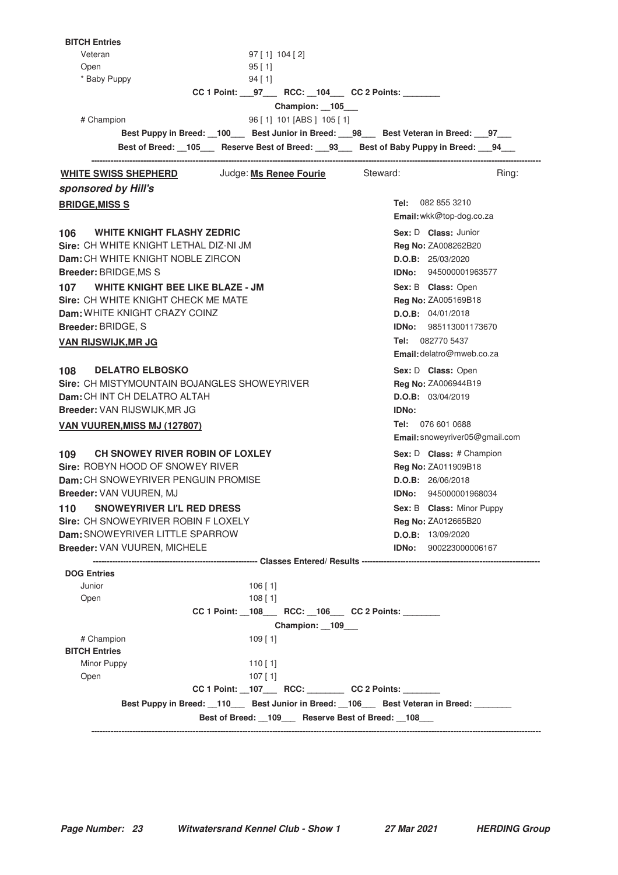| <b>BITCH Entries</b>                                                                                            |                                |  |
|-----------------------------------------------------------------------------------------------------------------|--------------------------------|--|
| Veteran<br>$97$ [ 1] 104 [ 2]                                                                                   |                                |  |
| Open<br>95 [1]                                                                                                  |                                |  |
| * Baby Puppy<br>94 [1]                                                                                          |                                |  |
| CC 1 Point: 97 RCC: 104 CC 2 Points:                                                                            |                                |  |
| Champion: 105                                                                                                   |                                |  |
| 96 [1] 101 [ABS ] 105 [1]<br># Champion                                                                         |                                |  |
| Best Puppy in Breed: __100___ Best Junior in Breed: __98___ Best Veteran in Breed: __97___                      |                                |  |
| Best of Breed: 105 Reserve Best of Breed: 93 Best of Baby Puppy in Breed: 94<br>------------------------------- |                                |  |
| <b>WHITE SWISS SHEPHERD</b> Judge: Ms Renee Fourie Steward:                                                     | Ring:                          |  |
| sponsored by Hill's                                                                                             |                                |  |
| <b>BRIDGE, MISS S</b>                                                                                           | Tel: 082 855 3210              |  |
|                                                                                                                 | Email: wkk@top-dog.co.za       |  |
| 106 WHITE KNIGHT FLASHY ZEDRIC                                                                                  | Sex: D Class: Junior           |  |
| Sire: CH WHITE KNIGHT LETHAL DIZ-NI JM                                                                          | Reg No: ZA008262B20            |  |
| Dam: CH WHITE KNIGHT NOBLE ZIRCON                                                                               | D.O.B: 25/03/2020              |  |
| <b>Breeder: BRIDGE, MS S</b>                                                                                    | <b>IDNo:</b> 945000001963577   |  |
| WHITE KNIGHT BEE LIKE BLAZE - JM<br>107                                                                         | Sex: B Class: Open             |  |
| Sire: CH WHITE KNIGHT CHECK ME MATE                                                                             | Reg No: ZA005169B18            |  |
| Dam: WHITE KNIGHT CRAZY COINZ                                                                                   | D.O.B: 04/01/2018              |  |
| <b>Breeder: BRIDGE, S</b>                                                                                       | IDNo: 985113001173670          |  |
|                                                                                                                 | Tel: 082770 5437               |  |
| VAN RIJSWIJK,MR JG                                                                                              | Email: delatro@mweb.co.za      |  |
|                                                                                                                 |                                |  |
| 108 DELATRO ELBOSKO                                                                                             | Sex: D Class: Open             |  |
| Sire: CH MISTYMOUNTAIN BOJANGLES SHOWEYRIVER                                                                    | Reg No: ZA006944B19            |  |
| <b>Dam:</b> CH INT CH DELATRO ALTAH                                                                             | D.O.B: 03/04/2019              |  |
| Breeder: VAN RIJSWIJK,MR JG                                                                                     | <b>IDNo:</b>                   |  |
| <b>VAN VUUREN, MISS MJ (127807)</b>                                                                             | <b>Tel: 076 601 0688</b>       |  |
|                                                                                                                 | Email: snoweyriver05@gmail.com |  |
| 109 —<br>CH SNOWEY RIVER ROBIN OF LOXLEY                                                                        | Sex: D Class: # Champion       |  |
| Sire: ROBYN HOOD OF SNOWEY RIVER                                                                                | Reg No: ZA011909B18            |  |
| Dam: CH SNOWEYRIVER PENGUIN PROMISE<br>D.O.B: 26/06/2018                                                        |                                |  |
| Breeder: VAN VUUREN, MJ                                                                                         | <b>IDNo:</b> 945000001968034   |  |
| SNOWEYRIVER LI'L RED DRESS<br>110                                                                               | Sex: B Class: Minor Puppy      |  |
| Sire: CH SNOWEYRIVER ROBIN F LOXELY                                                                             | <b>Reg No: ZA012665B20</b>     |  |
| Dam: SNOWEYRIVER LITTLE SPARROW                                                                                 | <b>D.O.B:</b> 13/09/2020       |  |
| Breeder: VAN VUUREN, MICHELE                                                                                    | <b>IDNo:</b> 900223000006167   |  |
|                                                                                                                 |                                |  |
| <b>DOG Entries</b>                                                                                              |                                |  |
| Junior<br>$106$ [1]<br>$108$ [1]<br>Open                                                                        |                                |  |
| CC 1 Point: _108___ RCC: _106___ CC 2 Points: _______                                                           |                                |  |
|                                                                                                                 |                                |  |
| Champion: 109___                                                                                                |                                |  |
| # Champion<br>$109$ [ 1]<br><b>BITCH Entries</b>                                                                |                                |  |
| Minor Puppy<br>110 [ 1]                                                                                         |                                |  |
| Open<br>$107$ [ 1]                                                                                              |                                |  |
| CC 1 Point: __107____ RCC: _________ CC 2 Points: ________                                                      |                                |  |
| Best Puppy in Breed: __110____ Best Junior in Breed: __106____ Best Veteran in Breed: _______                   |                                |  |
| Best of Breed: __109___ Reserve Best of Breed: __108___                                                         |                                |  |
|                                                                                                                 |                                |  |
|                                                                                                                 |                                |  |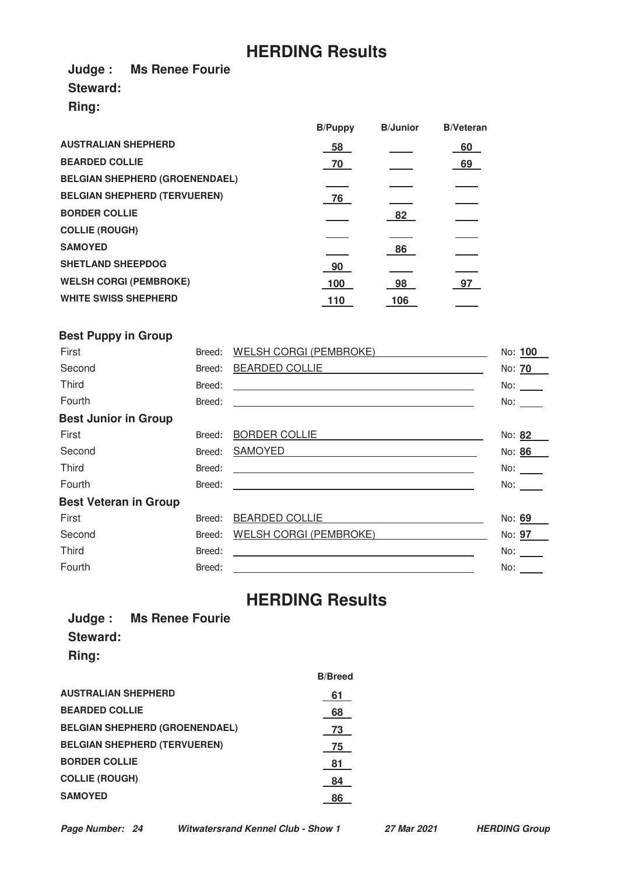# **HERDING Results**

**Judge : Ms Renee Fourie Steward:**

**Ring:**

|     |                | <b>B/Veteran</b> |
|-----|----------------|------------------|
| 58  |                | 60               |
| 70  |                | 69               |
|     |                |                  |
| 76  |                |                  |
|     | 82             |                  |
|     |                |                  |
|     | 86             |                  |
| 90  |                |                  |
| 100 | 98             | 97               |
| 110 | 106            |                  |
|     | <b>B/Puppy</b> | <b>B</b> /Junior |

### **Best Puppy in Group**

| First                        | Breed: | WELSH CORGI (PEMBROKE)                                                                                               | No: 100             |
|------------------------------|--------|----------------------------------------------------------------------------------------------------------------------|---------------------|
| Second                       | Breed: | BEARDED COLLIE <b>Example 2014</b>                                                                                   | No: 70              |
| Third                        | Breed: | <u> Alexandria de la contrada de la contrada de la contrada de la contrada de la contrada de la contrada de la c</u> | No: $\qquad \qquad$ |
| Fourth                       | Breed: | <u> Alexandria de la contrada de la contrada de la contrada de la contrada de la contrada de la contrada de la c</u> | No:                 |
| <b>Best Junior in Group</b>  |        |                                                                                                                      |                     |
| First                        | Breed: | <b>BORDER COLLIE</b>                                                                                                 | No: 82              |
| Second                       | Breed: | SAMOYED<br><u> 1989 - John Stein, Amerikaansk politiker (</u>                                                        | No: 86              |
| <b>Third</b>                 | Breed: | <u> Alexandria de la construcción de la construcción de la construcción de la construcción de la construcción de</u> | No: $\frac{1}{1}$   |
| Fourth                       | Breed: | <u> 1989 - Jan Sterling Sterling, amerikansk politiker (d. 1989)</u>                                                 | No:                 |
| <b>Best Veteran in Group</b> |        |                                                                                                                      |                     |
| First                        | Breed: | <b>BEARDED COLLIE</b>                                                                                                | No: 69              |
| Second                       | Breed: | WELSH CORGI (PEMBROKE)                                                                                               | No: 97              |
| <b>Third</b>                 | Breed: | <u> 1989 - John Stein, marking and de Britain and de Britain and de Britain and de Britain and de Britain and de</u> | No:                 |
| Fourth                       | Breed: | <u> 1980 - Jan Samuel Barbara, margaret e</u> n 1980 eta eta eskualdean eta eskualdean eta eskualdean eta eskualdean | No: $\qquad \qquad$ |
|                              |        |                                                                                                                      |                     |

# **HERDING Results**

|                 | Judge: Ms Renee Fourie |
|-----------------|------------------------|
| <b>Steward:</b> |                        |
| Ring:           |                        |

|                                       | <b>B/Breed</b> |
|---------------------------------------|----------------|
| <b>AUSTRALIAN SHEPHERD</b>            | 61             |
| <b>BEARDED COLLIE</b>                 | 68             |
| <b>BELGIAN SHEPHERD (GROENENDAEL)</b> | 73             |
| <b>BELGIAN SHEPHERD (TERVUEREN)</b>   | 75             |
| <b>BORDER COLLIE</b>                  | 81             |
| <b>COLLIE (ROUGH)</b>                 | 84             |
| <b>SAMOYED</b>                        | 86             |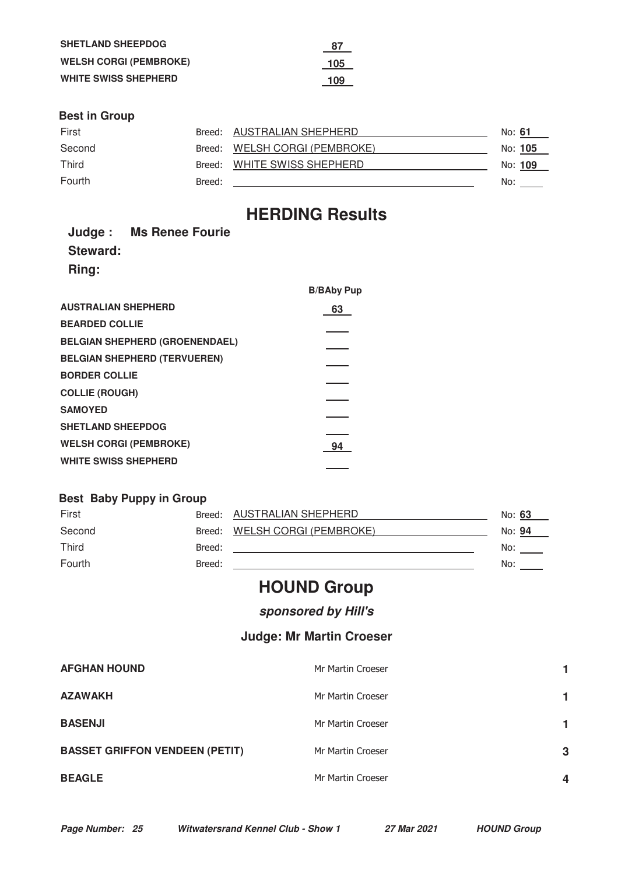| <b>SHETLAND SHEEPDOG</b>      | -87 |
|-------------------------------|-----|
| <b>WELSH CORGI (PEMBROKE)</b> | 105 |
| <b>WHITE SWISS SHEPHERD</b>   | 109 |

### **Best in Group**

| First        |        | Breed: AUSTRALIAN SHEPHERD    | No: <b>61</b> |  |
|--------------|--------|-------------------------------|---------------|--|
| Second       |        | Breed: WELSH CORGI (PEMBROKE) | No: 105       |  |
| <b>Third</b> |        | Breed: WHITE SWISS SHEPHERD   | No: 109       |  |
| Fourth       | Breed: |                               | No:           |  |

# **HERDING Results**

|          | Judge: Ms Renee Fourie |
|----------|------------------------|
| Steward: |                        |
| Ring:    |                        |
|          |                        |

|                                       | <b>B/BAby Pup</b> |
|---------------------------------------|-------------------|
| <b>AUSTRALIAN SHEPHERD</b>            | 63                |
| <b>BEARDED COLLIE</b>                 |                   |
| <b>BELGIAN SHEPHERD (GROENENDAEL)</b> |                   |
| <b>BELGIAN SHEPHERD (TERVUEREN)</b>   |                   |
| <b>BORDER COLLIE</b>                  |                   |
| <b>COLLIE (ROUGH)</b>                 |                   |
| <b>SAMOYED</b>                        |                   |
| <b>SHETLAND SHEEPDOG</b>              |                   |
| <b>WELSH CORGI (PEMBROKE)</b>         | 94                |
| <b>WHITE SWISS SHEPHERD</b>           |                   |
|                                       |                   |

### **Best Baby Puppy in Group**

| First  |        | Breed: AUSTRALIAN SHEPHERD | No: 63 |  |
|--------|--------|----------------------------|--------|--|
| Second | Breed: | WELSH CORGI (PEMBROKE)     | No: 94 |  |
| Third  | Breed: |                            | No:    |  |
| Fourth | Breed: |                            | No:    |  |

# **HOUND Group**

## **sponsored by Hill's**

### **Judge: Mr Martin Croeser**

| <b>AFGHAN HOUND</b>                   | Mr Martin Croeser |   |
|---------------------------------------|-------------------|---|
| <b>AZAWAKH</b>                        | Mr Martin Croeser |   |
| <b>BASENJI</b>                        | Mr Martin Croeser |   |
| <b>BASSET GRIFFON VENDEEN (PETIT)</b> | Mr Martin Croeser | 3 |
| <b>BEAGLE</b>                         | Mr Martin Croeser | 4 |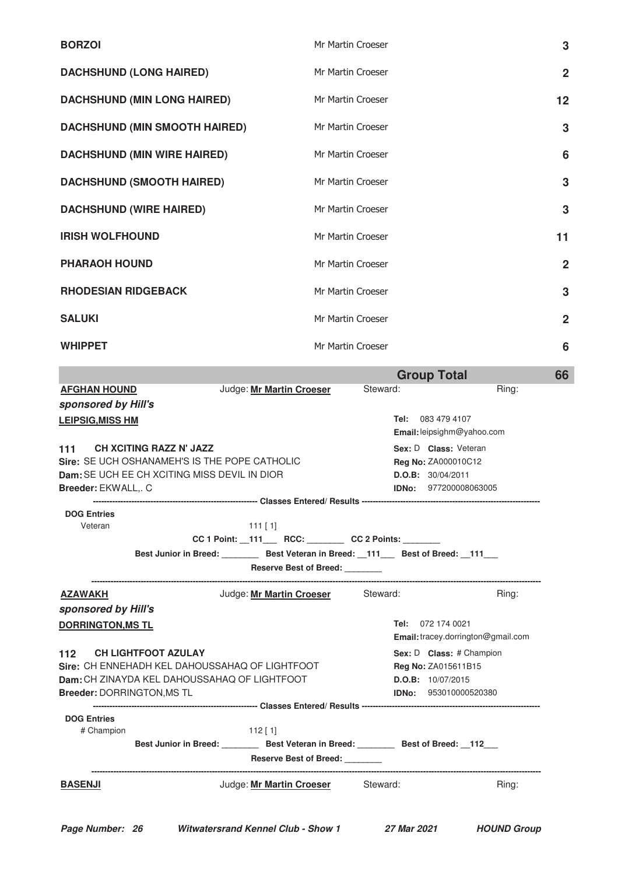| <b>BORZOI</b>                                                                                                                                                 | Mr Martin Croeser<br>3                                                                                                                                                              |
|---------------------------------------------------------------------------------------------------------------------------------------------------------------|-------------------------------------------------------------------------------------------------------------------------------------------------------------------------------------|
| <b>DACHSHUND (LONG HAIRED)</b>                                                                                                                                | Mr Martin Croeser<br>$\overline{2}$                                                                                                                                                 |
| <b>DACHSHUND (MIN LONG HAIRED)</b>                                                                                                                            | $12 \overline{ }$<br>Mr Martin Croeser                                                                                                                                              |
| <b>DACHSHUND (MIN SMOOTH HAIRED)</b>                                                                                                                          | Mr Martin Croeser<br>3                                                                                                                                                              |
| <b>DACHSHUND (MIN WIRE HAIRED)</b>                                                                                                                            | Mr Martin Croeser<br>6                                                                                                                                                              |
| <b>DACHSHUND (SMOOTH HAIRED)</b>                                                                                                                              | Mr Martin Croeser<br>3                                                                                                                                                              |
| <b>DACHSHUND (WIRE HAIRED)</b>                                                                                                                                | Mr Martin Croeser<br>3                                                                                                                                                              |
| <b>IRISH WOLFHOUND</b>                                                                                                                                        | Mr Martin Croeser<br>11                                                                                                                                                             |
| <b>PHARAOH HOUND</b>                                                                                                                                          | Mr Martin Croeser<br>$\overline{2}$                                                                                                                                                 |
| <b>RHODESIAN RIDGEBACK</b>                                                                                                                                    | Mr Martin Croeser<br>3                                                                                                                                                              |
| <b>SALUKI</b>                                                                                                                                                 | $\overline{2}$<br>Mr Martin Croeser                                                                                                                                                 |
| <b>WHIPPET</b>                                                                                                                                                | Mr Martin Croeser<br>6                                                                                                                                                              |
|                                                                                                                                                               | <b>Group Total</b><br>66                                                                                                                                                            |
| <b>AFGHAN HOUND</b><br>Judge: Mr Martin Croeser<br>sponsored by Hill's<br><b>LEIPSIG, MISS HM</b>                                                             | Steward:<br>Ring:<br>Tel: 083 479 4107                                                                                                                                              |
| <b>CH XCITING RAZZ N' JAZZ</b><br>111<br>Sire: SE UCH OSHANAMEH'S IS THE POPE CATHOLIC<br>Dam: SE UCH EE CH XCITING MISS DEVIL IN DIOR<br>Breeder: EKWALL,. C | Email: leipsighm@yahoo.com<br>Sex: D Class: Veteran<br>Reg No: ZA000010C12<br>D.O.B: 30/04/2011<br><b>IDNo:</b> 977200008063005                                                     |
| <b>DOG Entries</b><br>Veteran<br>$111$ [1]                                                                                                                    | CC 1 Point: _111___ RCC: _______ CC 2 Points: ______<br>Best Junior in Breed: __________ Best Veteran in Breed: __111____ Best of Breed: __111___<br>Reserve Best of Breed: _______ |
| Judge: Mr Martin Croeser<br><u>AZAWAKH</u>                                                                                                                    | Steward:<br>Ring:                                                                                                                                                                   |
| sponsored by Hill's                                                                                                                                           |                                                                                                                                                                                     |
| <b>DORRINGTON, MS TL</b>                                                                                                                                      | Tel: 072 174 0021<br>Email: tracey.dorrington@gmail.com                                                                                                                             |
| <b>CH LIGHTFOOT AZULAY</b><br>112.                                                                                                                            | Sex: D Class: # Champion                                                                                                                                                            |
| Sire: CH ENNEHADH KEL DAHOUSSAHAQ OF LIGHTFOOT                                                                                                                | Reg No: ZA015611B15                                                                                                                                                                 |
| Dam: CH ZINAYDA KEL DAHOUSSAHAQ OF LIGHTFOOT<br>Breeder: DORRINGTON, MS TL                                                                                    | <b>D.O.B:</b> 10/07/2015<br><b>IDNo: 953010000520380</b>                                                                                                                            |
| <b>DOG Entries</b>                                                                                                                                            |                                                                                                                                                                                     |
| # Champion<br>$112$ [1]                                                                                                                                       |                                                                                                                                                                                     |

| .              | <b>Best Junior in Breed:</b> | <b>Best Veteran in Breed:</b> | Best of Breed: 112 |       |
|----------------|------------------------------|-------------------------------|--------------------|-------|
|                |                              | <b>Reserve Best of Breed:</b> |                    |       |
| <b>BASENJI</b> |                              | Judge: Mr Martin Croeser      | Steward:           | Ring: |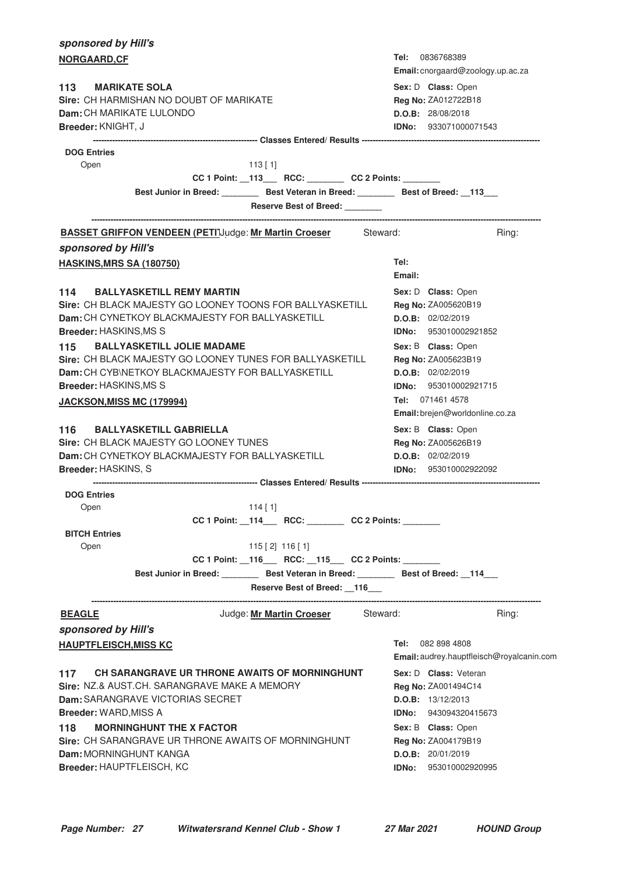| sponsored by Hill's                                         |                                                                                                |           |                                                      |          |                          |                                           |
|-------------------------------------------------------------|------------------------------------------------------------------------------------------------|-----------|------------------------------------------------------|----------|--------------------------|-------------------------------------------|
| NORGAARD, CF                                                |                                                                                                |           |                                                      |          | <b>Tel: 0836768389</b>   |                                           |
|                                                             |                                                                                                |           |                                                      |          |                          | Email: cnorgaard@zoology.up.ac.za         |
| <b>MARIKATE SOLA</b><br>113                                 |                                                                                                |           |                                                      |          | Sex: D Class: Open       |                                           |
| Sire: CH HARMISHAN NO DOUBT OF MARIKATE                     |                                                                                                |           |                                                      |          | Reg No: ZA012722B18      |                                           |
| <b>Dam:</b> CH MARIKATE LULONDO                             |                                                                                                |           |                                                      |          | D.O.B: 28/08/2018        |                                           |
| Breeder: KNIGHT, J                                          |                                                                                                |           |                                                      |          |                          | IDNo: 933071000071543                     |
| <b>DOG Entries</b>                                          |                                                                                                |           |                                                      |          |                          |                                           |
| Open                                                        |                                                                                                | $113$ [1] |                                                      |          |                          |                                           |
|                                                             |                                                                                                |           | CC 1 Point: _113___ RCC: _______ CC 2 Points: ______ |          |                          |                                           |
|                                                             | Best Junior in Breed: Best Veteran in Breed: Best of Breed: 113                                |           |                                                      |          |                          |                                           |
|                                                             |                                                                                                |           | <b>Reserve Best of Breed:</b>                        |          |                          |                                           |
| <b>BASSET GRIFFON VENDEEN (PETIJudge: Mr Martin Croeser</b> |                                                                                                |           |                                                      | Steward: |                          | Ring:                                     |
| sponsored by Hill's                                         |                                                                                                |           |                                                      |          |                          |                                           |
| <b>HASKINS, MRS SA (180750)</b>                             |                                                                                                |           |                                                      |          | Tel:<br>Email:           |                                           |
| 114 BALLYASKETILL REMY MARTIN                               |                                                                                                |           |                                                      |          | Sex: D Class: Open       |                                           |
| Sire: CH BLACK MAJESTY GO LOONEY TOONS FOR BALLYASKETILL    |                                                                                                |           |                                                      |          | Reg No: ZA005620B19      |                                           |
| Dam: CH CYNETKOY BLACKMAJESTY FOR BALLYASKETILL             |                                                                                                |           |                                                      |          | D.O.B: 02/02/2019        |                                           |
| <b>Breeder: HASKINS, MS S</b>                               |                                                                                                |           |                                                      |          |                          | IDNo: 953010002921852                     |
| 115                                                         | <b>BALLYASKETILL JOLIE MADAME</b>                                                              |           |                                                      |          | Sex: B Class: Open       |                                           |
| Sire: CH BLACK MAJESTY GO LOONEY TUNES FOR BALLYASKETILL    |                                                                                                |           |                                                      |          | Reg No: ZA005623B19      |                                           |
| Dam: CH CYBINETKOY BLACKMAJESTY FOR BALLYASKETILL           |                                                                                                |           |                                                      |          | D.O.B: 02/02/2019        |                                           |
| Breeder: HASKINS, MS S                                      |                                                                                                |           |                                                      |          |                          | IDNo: 953010002921715                     |
| JACKSON, MISS MC (179994)                                   |                                                                                                |           |                                                      |          | Tel: 071461 4578         |                                           |
|                                                             |                                                                                                |           |                                                      |          |                          | Email: brejen@worldonline.co.za           |
| <b>BALLYASKETILL GABRIELLA</b><br>116                       |                                                                                                |           |                                                      |          | Sex: B Class: Open       |                                           |
| Sire: CH BLACK MAJESTY GO LOONEY TUNES                      |                                                                                                |           |                                                      |          | Reg No: ZA005626B19      |                                           |
| Dam: CH CYNETKOY BLACKMAJESTY FOR BALLYASKETILL             |                                                                                                |           |                                                      |          | D.O.B: 02/02/2019        |                                           |
| Breeder: HASKINS, S                                         |                                                                                                |           |                                                      |          |                          | <b>IDNo:</b> 953010002922092              |
|                                                             | ---------------------------------- Classes Entered/ Results ---------------------------------- |           |                                                      |          |                          |                                           |
| <b>DOG Entries</b>                                          |                                                                                                | 114[1]    |                                                      |          |                          |                                           |
| Open                                                        |                                                                                                |           | CC 1 Point: 114 RCC: CC 2 Points:                    |          |                          |                                           |
| <b>BITCH Entries</b>                                        |                                                                                                |           |                                                      |          |                          |                                           |
| Open                                                        |                                                                                                |           | $115$ [2] $116$ [1]                                  |          |                          |                                           |
|                                                             |                                                                                                |           | CC 1 Point: _116___ RCC: _115___ CC 2 Points: ______ |          |                          |                                           |
|                                                             | Best Junior in Breed: _________ Best Veteran in Breed: ________ Best of Breed: __114___        |           |                                                      |          |                          |                                           |
|                                                             |                                                                                                |           | Reserve Best of Breed: 116                           |          |                          |                                           |
| <b>BEAGLE</b>                                               |                                                                                                |           | Judge: Mr Martin Croeser                             | Steward: |                          | Ring:                                     |
| sponsored by Hill's                                         |                                                                                                |           |                                                      |          |                          |                                           |
| <b>HAUPTFLEISCH, MISS KC</b>                                |                                                                                                |           |                                                      |          | <b>Tel: 082 898 4808</b> |                                           |
|                                                             |                                                                                                |           |                                                      |          |                          | Email: audrey.hauptfleisch@royalcanin.com |
| 117                                                         | CH SARANGRAVE UR THRONE AWAITS OF MORNINGHUNT                                                  |           |                                                      |          | Sex: D Class: Veteran    |                                           |
| Sire: NZ.& AUST.CH. SARANGRAVE MAKE A MEMORY                |                                                                                                |           |                                                      |          | Reg No: ZA001494C14      |                                           |
| <b>Dam: SARANGRAVE VICTORIAS SECRET</b>                     |                                                                                                |           |                                                      |          | D.O.B: 13/12/2013        |                                           |
| <b>Breeder: WARD, MISS A</b>                                |                                                                                                |           |                                                      |          |                          | <b>IDNo:</b> 943094320415673              |
| 118                                                         | <b>MORNINGHUNT THE X FACTOR</b>                                                                |           |                                                      |          | Sex: B Class: Open       |                                           |
| Sire: CH SARANGRAVE UR THRONE AWAITS OF MORNINGHUNT         |                                                                                                |           |                                                      |          | Reg No: ZA004179B19      |                                           |
| <b>Dam: MORNINGHUNT KANGA</b>                               |                                                                                                |           |                                                      |          | D.O.B: 20/01/2019        |                                           |
| Breeder: HAUPTFLEISCH, KC                                   |                                                                                                |           |                                                      |          | IDNo:                    | 953010002920995                           |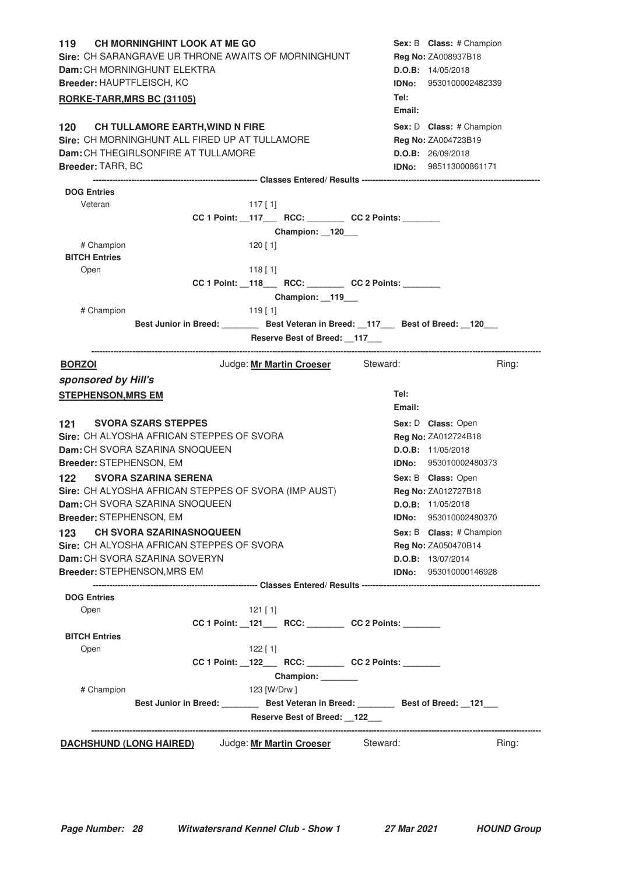| CH MORNINGHINT LOOK AT ME GO<br>119<br>Sire: CH SARANGRAVE UR THRONE AWAITS OF MORNINGHUNT<br>Dam: CH MORNINGHUNT ELEKTRA<br>Breeder: HAUPTFLEISCH, KC<br>RORKE-TARR, MRS BC (31105) |                                                                       | Sex: B Class: # Champion<br>Reg No: ZA008937B18<br>D.O.B: 14/05/2018<br>IDNo: 9530100002482339<br>Tel:         |
|--------------------------------------------------------------------------------------------------------------------------------------------------------------------------------------|-----------------------------------------------------------------------|----------------------------------------------------------------------------------------------------------------|
| 120 CH TULLAMORE EARTH, WIND N FIRE<br>Sire: CH MORNINGHUNT ALL FIRED UP AT TULLAMORE<br>Dam: CH THEGIRLSONFIRE AT TULLAMORE<br><b>Breeder: TARR, BC</b>                             |                                                                       | Email:<br>Sex: D Class: # Champion<br>Reg No: ZA004723B19<br>D.O.B: 26/09/2018<br><b>IDNo:</b> 985113000861171 |
| <b>DOG Entries</b>                                                                                                                                                                   |                                                                       |                                                                                                                |
| Veteran                                                                                                                                                                              | $117$ [ 1]                                                            |                                                                                                                |
|                                                                                                                                                                                      | CC 1 Point: _117___ RCC: _______ CC 2 Points: ______                  |                                                                                                                |
|                                                                                                                                                                                      | Champion: 120                                                         |                                                                                                                |
| # Champion<br><b>BITCH Entries</b>                                                                                                                                                   | 120 [ 1]                                                              |                                                                                                                |
| Open                                                                                                                                                                                 | $118$ [1]                                                             |                                                                                                                |
|                                                                                                                                                                                      | CC 1 Point: _118___ RCC: _______ CC 2 Points: ______<br>Champion: 119 |                                                                                                                |
| # Champion                                                                                                                                                                           | $119$ [1]                                                             |                                                                                                                |
|                                                                                                                                                                                      | Best Junior in Breed: Best Veteran in Breed: 17 Best of Breed: 120    |                                                                                                                |
|                                                                                                                                                                                      | Reserve Best of Breed: 117                                            |                                                                                                                |
| <b>BORZOI</b>                                                                                                                                                                        | Judge: Mr Martin Croeser Steward:                                     | Ring:                                                                                                          |
| sponsored by Hill's<br><b>STEPHENSON, MRS EM</b>                                                                                                                                     |                                                                       | Tel:<br>Email:                                                                                                 |
| <b>SVORA SZARS STEPPES</b><br>121<br>Sire: CH ALYOSHA AFRICAN STEPPES OF SVORA<br>Dam: CH SVORA SZARINA SNOQUEEN<br>Breeder: STEPHENSON, EM                                          |                                                                       | Sex: D Class: Open<br>Reg No: ZA012724B18<br><b>D.O.B:</b> 11/05/2018<br>IDNo: 953010002480373                 |
| <b>SVORA SZARINA SERENA</b><br>122<br>Sire: CH ALYOSHA AFRICAN STEPPES OF SVORA (IMP AUST)<br>Dam: CH SVORA SZARINA SNOQUEEN                                                         |                                                                       | Sex: B Class: Open<br>Reg No: ZA012727B18<br>D.O.B: 11/05/2018                                                 |
| Breeder: STEPHENSON, EM                                                                                                                                                              |                                                                       | 953010002480370<br>IDNo:                                                                                       |
| <b>CH SVORA SZARINASNOQUEEN</b><br>123<br><b>Sire: CH ALYOSHA AFRICAN STEPPES OF SVORA</b><br>Dam: CH SVORA SZARINA SOVERYN<br>Breeder: STEPHENSON, MRS EM                           |                                                                       | Sex: B Class: # Champion<br>Reg No: ZA050470B14<br>D.O.B: 13/07/2014<br><b>IDNo:</b> 953010000146928           |
|                                                                                                                                                                                      |                                                                       |                                                                                                                |
| <b>DOG Entries</b><br>Open                                                                                                                                                           | 121 [ 1]                                                              |                                                                                                                |
| <b>BITCH Entries</b>                                                                                                                                                                 | CC 1 Point: _121___ RCC: _______ CC 2 Points: ______                  |                                                                                                                |
| Open                                                                                                                                                                                 | $122$ [ 1]                                                            |                                                                                                                |
|                                                                                                                                                                                      | CC 1 Point: _122___ RCC: _______ CC 2 Points: ______                  |                                                                                                                |
|                                                                                                                                                                                      | Champion: ________                                                    |                                                                                                                |
| # Champion                                                                                                                                                                           | 123 [W/Drw]                                                           |                                                                                                                |
|                                                                                                                                                                                      | Best Junior in Breed: Best Veteran in Breed: Best of Breed: 121       |                                                                                                                |
|                                                                                                                                                                                      | Reserve Best of Breed: 122___                                         |                                                                                                                |
| <b>DACHSHUND (LONG HAIRED)</b> Judge: Mr Martin Croeser Steward:                                                                                                                     |                                                                       | Ring:                                                                                                          |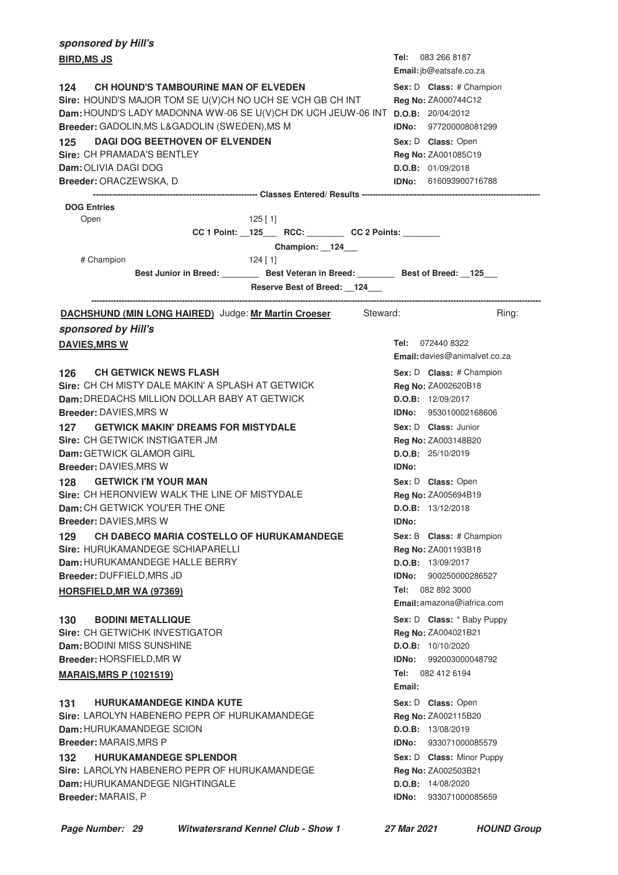| sponsored by Hill's                                                                                                                                                                                                                                                                                                                                                                       |                                                                                                                                                                                                 |  |  |
|-------------------------------------------------------------------------------------------------------------------------------------------------------------------------------------------------------------------------------------------------------------------------------------------------------------------------------------------------------------------------------------------|-------------------------------------------------------------------------------------------------------------------------------------------------------------------------------------------------|--|--|
| <b>BIRD, MS JS</b>                                                                                                                                                                                                                                                                                                                                                                        | Tel: 083 266 8187<br>Email: jb@eatsafe.co.za                                                                                                                                                    |  |  |
| <b>CH HOUND'S TAMBOURINE MAN OF ELVEDEN</b><br>124<br>Sire: HOUND'S MAJOR TOM SE U(V)CH NO UCH SE VCH GB CH INT<br>Dam: HOUND'S LADY MADONNA WW-06 SE U(V)CH DK UCH JEUW-06 INT D.O.B: 20/04/2012<br>Breeder: GADOLIN, MS L&GADOLIN (SWEDEN), MS M<br><b>DAGI DOG BEETHOVEN OF ELVENDEN</b><br>125<br>Sire: CH PRAMADA'S BENTLEY<br><b>Dam:</b> OLIVIA DAGI DOG<br>Breeder: ORACZEWSKA, D | Sex: D Class: # Champion<br>Reg No: ZA000744C12<br><b>IDNo: 977200008081299</b><br>Sex: D Class: Open<br>Reg No: ZA001085C19<br>D.O.B: 01/09/2018<br><b>IDNo:</b> 616093900716788               |  |  |
| <b>DOG Entries</b><br>Open<br>$125$ [ 1]                                                                                                                                                                                                                                                                                                                                                  |                                                                                                                                                                                                 |  |  |
| CC 1 Point: __125____ RCC: _________ CC 2 Points: _______<br>Champion: 124__<br># Champion<br>$124$ [ 1]<br>Best Junior in Breed: _________ Best Veteran in Breed: _______ Best of Breed: __125___<br>Reserve Best of Breed: 124                                                                                                                                                          |                                                                                                                                                                                                 |  |  |
| <b>DACHSHUND (MIN LONG HAIRED)</b> Judge: Mr Martin Croeser Steward:<br>sponsored by Hill's                                                                                                                                                                                                                                                                                               | Ring:                                                                                                                                                                                           |  |  |
| <b>DAVIES, MRS W</b>                                                                                                                                                                                                                                                                                                                                                                      | Tel: 072440 8322<br><b>Email:</b> davies@animalvet.co.za                                                                                                                                        |  |  |
| <b>CH GETWICK NEWS FLASH</b><br>126<br>Sire: CH CH MISTY DALE MAKIN' A SPLASH AT GETWICK<br>Dam: DREDACHS MILLION DOLLAR BABY AT GETWICK<br>Breeder: DAVIES, MRS W                                                                                                                                                                                                                        | Sex: D Class: # Champion<br>Reg No: ZA002620B18<br>D.O.B: 12/09/2017<br><b>IDNo: 953010002168606</b>                                                                                            |  |  |
| <b>GETWICK MAKIN' DREAMS FOR MISTYDALE</b><br>127<br>Sire: CH GETWICK INSTIGATER JM<br><b>Dam:</b> GETWICK GLAMOR GIRL                                                                                                                                                                                                                                                                    | Sex: D Class: Junior<br>Reg No: ZA003148B20<br>D.O.B: 25/10/2019                                                                                                                                |  |  |
| Breeder: DAVIES, MRS W<br><b>GETWICK I'M YOUR MAN</b><br>128 —<br>Sire: CH HERONVIEW WALK THE LINE OF MISTYDALE<br>Dam: CH GETWICK YOU'ER THE ONE<br><b>Breeder: DAVIES, MRS W</b>                                                                                                                                                                                                        | <b>IDNo:</b><br>Sex: D Class: Open<br><b>Reg No: ZA005694B19</b><br>D.O.B: 13/12/2018<br>IDNo:                                                                                                  |  |  |
| CH DABECO MARIA COSTELLO OF HURUKAMANDEGE<br>129<br>Sire: HURUKAMANDEGE SCHIAPARELLI<br>Dam: HURUKAMANDEGE HALLE BERRY<br>Breeder: DUFFIELD, MRS JD<br><b>HORSFIELD, MR WA (97369)</b>                                                                                                                                                                                                    | Sex: B Class: # Champion<br>Reg No: ZA001193B18<br>D.O.B: 13/09/2017<br>900250000286527<br>IDNo:<br>Tel:<br>082 892 3000<br><b>Email:</b> amazona@iafrica.com                                   |  |  |
| 130<br><b>BODINI METALLIQUE</b><br>Sire: CH GETWICHK INVESTIGATOR<br>Dam: BODINI MISS SUNSHINE<br>Breeder: HORSFIELD, MR W<br><b>MARAIS, MRS P (1021519)</b>                                                                                                                                                                                                                              | Sex: D Class: * Baby Puppy<br>Reg No: ZA004021B21<br>D.O.B: 10/10/2020<br>992003000048792<br>IDNo:<br>Tel: 082 412 6194<br>Email:                                                               |  |  |
| <b>HURUKAMANDEGE KINDA KUTE</b><br>131<br>Sire: LAROLYN HABENERO PEPR OF HURUKAMANDEGE<br>Dam: HURUKAMANDEGE SCION<br><b>Breeder: MARAIS, MRS P</b><br><b>HURUKAMANDEGE SPLENDOR</b><br>132<br>Sire: LAROLYN HABENERO PEPR OF HURUKAMANDEGE<br>Dam: HURUKAMANDEGE NIGHTINGALE<br>Breeder: MARAIS, P                                                                                       | Sex: D Class: Open<br>Reg No: ZA002115B20<br>D.O.B: 13/08/2019<br>IDNo:<br>933071000085579<br>Sex: D Class: Minor Puppy<br>Reg No: ZA002503B21<br>D.O.B: 14/08/2020<br>IDNo:<br>933071000085659 |  |  |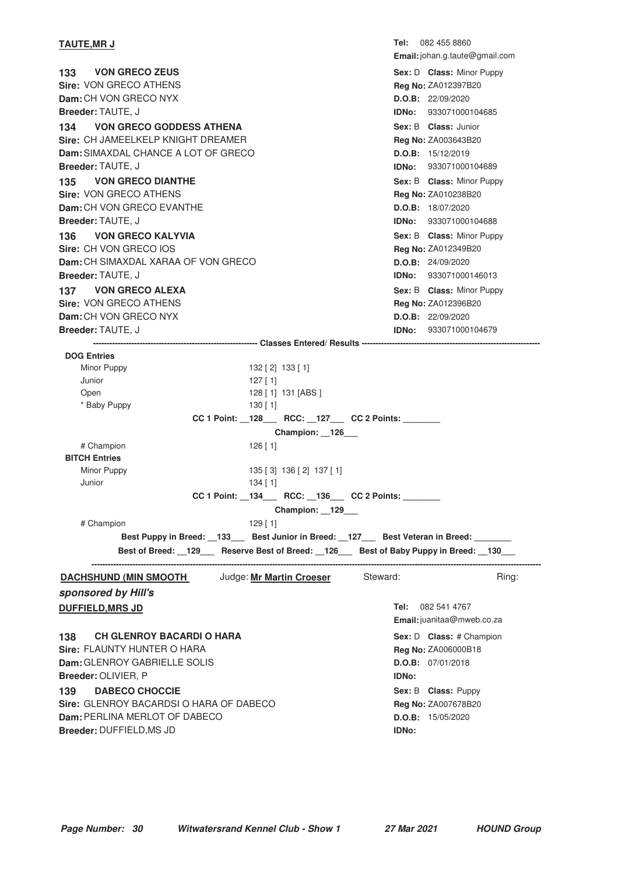| <b>TAUTE,MR J</b>                      | Tel:  | 082 455 8860<br><b>Email:</b> johan.g.taute@gmail.com |
|----------------------------------------|-------|-------------------------------------------------------|
| <b>VON GRECO ZEUS</b><br>133           |       | Sex: D Class: Minor Puppy                             |
| Sire: VON GRECO ATHENS                 |       | Reg No: ZA012397B20                                   |
| Dam: CH VON GRECO NYX                  |       | D.O.B: 22/09/2020                                     |
| <b>Breeder: TAUTE, J</b>               | IDNo: | 933071000104685                                       |
| <b>VON GRECO GODDESS ATHENA</b><br>134 |       | Sex: B Class: Junior                                  |
| Sire: CH JAMEELKELP KNIGHT DREAMER     |       | <b>Reg No: ZA003643B20</b>                            |
| Dam: SIMAXDAL CHANCE A LOT OF GRECO    |       | D.O.B: 15/12/2019                                     |
| <b>Breeder: TAUTE, J</b>               | IDNo: | 933071000104689                                       |
| <b>VON GRECO DIANTHE</b><br>135        |       | Sex: B Class: Minor Puppy                             |
| Sire: VON GRECO ATHENS                 |       | Reg No: ZA010238B20                                   |
| Dam: CH VON GRECO EVANTHE              |       | D.O.B: 18/07/2020                                     |
| <b>Breeder: TAUTE, J</b>               | IDNo: | 933071000104688                                       |
| <b>VON GRECO KALYVIA</b><br>136        |       | Sex: B Class: Minor Puppy                             |
| Sire: CH VON GRECO IOS                 |       | Reg No: ZA012349B20                                   |
| Dam: CH SIMAXDAL XARAA OF VON GRECO    |       | D.O.B: 24/09/2020                                     |
| Breeder: TAUTE, J                      | IDNo: | 933071000146013                                       |
| <b>VON GRECO ALEXA</b><br>137          |       | Sex: B Class: Minor Puppy                             |
| Sire: VON GRECO ATHENS                 |       | Reg No: ZA012396B20                                   |
| Dam: CH VON GRECO NYX                  |       | D.O.B: 22/09/2020                                     |
| Breeder: TAUTE, J                      | IDNo: | 933071000104679                                       |

**------------------------------------------------------------ Classes Entered/ Results ----------------------------------------------------------------- DOG Entries** Minor Puppy 132 [ 2] 133 [ 1] Junior 127 [ 1] Open 128 [ 1] 131 [ABS ] \* Baby Puppy 130 [ 1] **CC 1 Point: \_\_128\_\_\_ RCC: \_\_127\_\_\_ CC 2 Points: \_\_\_\_\_\_\_\_ Champion: \_\_126\_\_\_** # Champion 126 [ 1] **BITCH Entries** Minor Puppy 135 [ 3] 136 [ 2] 137 [ 1] Junior 134 [ 1] **CC 1 Point: \_\_134\_\_\_ RCC: \_\_136\_\_\_ CC 2 Points: \_\_\_\_\_\_\_\_ Champion: \_\_129\_\_\_** # Champion 129 [ 1] Best Puppy in Breed: \_\_133\_\_\_ Best Junior in Breed: \_\_127\_\_\_ Best Veteran in Breed: \_ **Best of Breed: \_\_129\_\_\_ Reserve Best of Breed: \_\_126\_\_\_ Best of Baby Puppy in Breed: \_\_130\_\_\_ -------------------------------------------------------------------------------------------------------------------------------------------------------------------- DACHSHUND (MIN SMOOTH Judge: Mr Martin Croeser Steward: Ring:** Ring:

### **sponsored by Hill's**

Tel: 082 541 4767 **Email:**juanitaa@mweb.co.za **DUFFIELD, MRS JD 138 CH GLENROY BACARDI O HARA 138 138 CH GLENROY BACARDI O HARA Sire:** FLAUNTY HUNTER O HARA **Dam:** GLENROY GABRIELLE SOLIS **Breeder:** OLIVIER, P Sex: D **Class:** # Champion **Reg No:** ZA006000B18 **D.O.B:** 07/01/2018 **IDNo: DABECO CHOCCIE Sire:** GLENROY BACARDSI O HARA OF DABECO **Dam:** PERLINA MERLOT OF DABECO **Breeder:** DUFFIELD,MS JD **Sex:** B **Class:** Puppy **CONCOUR Reg No:** ZA007678B20 **D.O.B:** 15/05/2020 **IDNo:**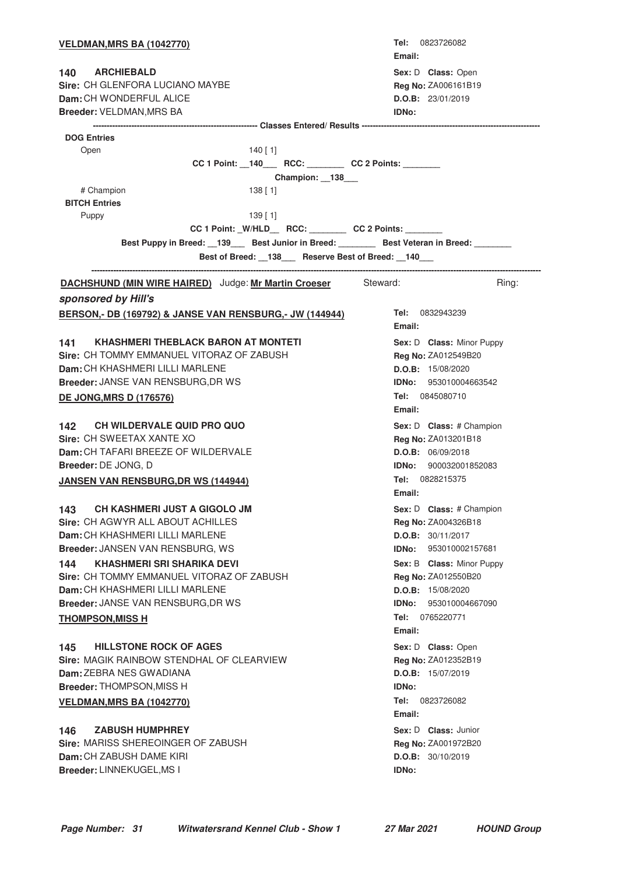| <b>VELDMAN, MRS BA (1042770)</b>                                          | <b>Tel:</b> 0823726082<br>Email: |
|---------------------------------------------------------------------------|----------------------------------|
| 140 ARCHIEBALD                                                            | Sex: D Class: Open               |
| Sire: CH GLENFORA LUCIANO MAYBE                                           | Reg No: ZA006161B19              |
| Dam: CH WONDERFUL ALICE                                                   | D.O.B: 23/01/2019                |
| Breeder: VELDMAN, MRS BA                                                  | <b>IDNo:</b>                     |
|                                                                           |                                  |
| <b>DOG Entries</b>                                                        |                                  |
| Open<br>140 [ 1]                                                          |                                  |
| CC 1 Point: _140___ RCC: _______ CC 2 Points: ______                      |                                  |
| Champion: 138                                                             |                                  |
| # Champion<br>$138$ [ 1]<br><b>BITCH Entries</b>                          |                                  |
| Puppy<br>139 [ 1]                                                         |                                  |
| CC 1 Point: _W/HLD__ RCC: ________ CC 2 Points: _______                   |                                  |
| Best Puppy in Breed: 139 Best Junior in Breed: Best Veteran in Breed: 139 |                                  |
| Best of Breed: 138 Reserve Best of Breed: 140                             |                                  |
|                                                                           |                                  |
| <b>DACHSHUND (MIN WIRE HAIRED)</b> Judge: Mr Martin Croeser Steward:      | Ring:                            |
| sponsored by Hill's                                                       |                                  |
| <b>BERSON,- DB (169792) &amp; JANSE VAN RENSBURG,- JW (144944)</b>        | Tel: 0832943239                  |
|                                                                           | Email:                           |
| <b>KHASHMERI THEBLACK BARON AT MONTETI</b><br>141 -                       | Sex: D Class: Minor Puppy        |
| Sire: CH TOMMY EMMANUEL VITORAZ OF ZABUSH                                 | Reg No: ZA012549B20              |
| Dam: CH KHASHMERI LILLI MARLENE                                           | D.O.B: 15/08/2020                |
| <b>Breeder: JANSE VAN RENSBURG, DR WS</b>                                 | <b>IDNo:</b> 953010004663542     |
| <b>DE JONG, MRS D (176576)</b>                                            | Tel: 0845080710                  |
|                                                                           | Email:                           |
| 142 CH WILDERVALE QUID PRO QUO                                            | Sex: D Class: # Champion         |
| Sire: CH SWEETAX XANTE XO                                                 | Reg No: ZA013201B18              |
| Dam: CH TAFARI BREEZE OF WILDERVALE                                       | D.O.B: 06/09/2018                |
| Breeder: DE JONG, D                                                       | <b>IDNo:</b> 900032001852083     |
| <b>JANSEN VAN RENSBURG, DR WS (144944)</b>                                | Tel: 0828215375                  |
|                                                                           | Email:                           |
| <b>CH KASHMERI JUST A GIGOLO JM</b><br>143                                | Sex: D Class: # Champion         |
| Sire: CH AGWYR ALL ABOUT ACHILLES                                         | Reg No: ZA004326B18              |
| Dam: CH KHASHMERI LILLI MARLENE                                           | D.O.B: 30/11/2017                |
| Breeder: JANSEN VAN RENSBURG, WS                                          | 953010002157681<br>IDNo:         |
| <b>KHASHMERI SRI SHARIKA DEVI</b><br>144                                  | Sex: B Class: Minor Puppy        |
| Sire: CH TOMMY EMMANUEL VITORAZ OF ZABUSH                                 | Reg No: ZA012550B20              |
| Dam: CH KHASHMERI LILLI MARLENE                                           | D.O.B: 15/08/2020                |
| Breeder: JANSE VAN RENSBURG, DR WS                                        | 953010004667090<br>IDNo:         |
| <b>THOMPSON, MISS H</b>                                                   | 0765220771<br>Tel:<br>Email:     |
|                                                                           |                                  |
| <b>HILLSTONE ROCK OF AGES</b><br>145                                      | Sex: D Class: Open               |
| Sire: MAGIK RAINBOW STENDHAL OF CLEARVIEW                                 | Reg No: ZA012352B19              |
| <b>Dam: ZEBRA NES GWADIANA</b>                                            | D.O.B: 15/07/2019                |
| <b>Breeder: THOMPSON, MISS H</b>                                          | <b>IDNo:</b>                     |
| <b>VELDMAN, MRS BA (1042770)</b>                                          | Tel: 0823726082<br>Email:        |
| <b>ZABUSH HUMPHREY</b><br>146                                             | Sex: D Class: Junior             |
| Sire: MARISS SHEREOINGER OF ZABUSH                                        | Reg No: ZA001972B20              |
| Dam: CH ZABUSH DAME KIRI                                                  | D.O.B: 30/10/2019                |
| Breeder: LINNEKUGEL, MS I                                                 | <b>IDNo:</b>                     |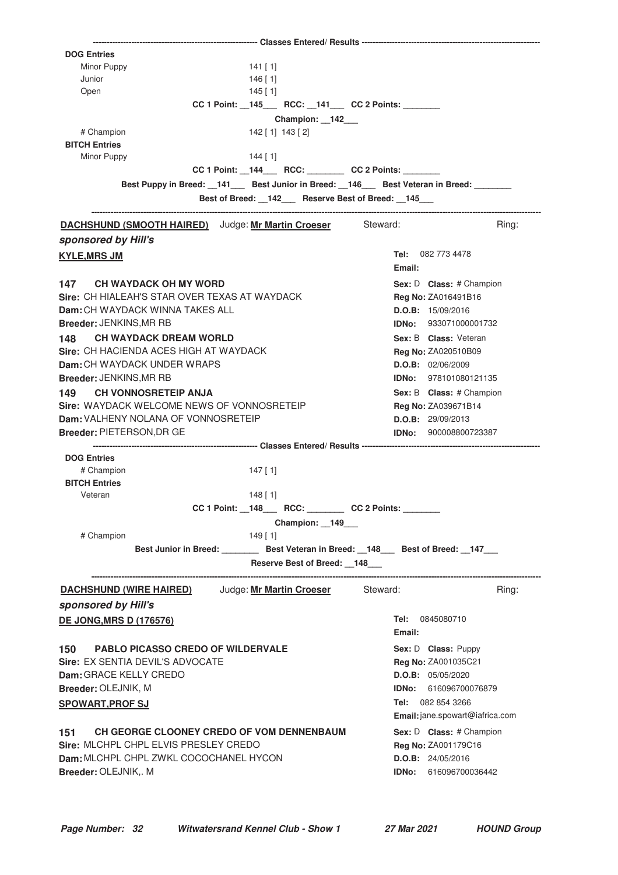| <b>DOG Entries</b>                                                                      |                                 |
|-----------------------------------------------------------------------------------------|---------------------------------|
| Minor Puppy<br>141 [ 1]                                                                 |                                 |
| Junior<br>146 [ 1]                                                                      |                                 |
| $145$ [ 1]<br>Open                                                                      |                                 |
| CC 1 Point: _145___ RCC: _141__ CC 2 Points: ______                                     |                                 |
| Champion: 142_                                                                          |                                 |
| # Champion<br>142 [ 1] 143 [ 2]                                                         |                                 |
| <b>BITCH Entries</b>                                                                    |                                 |
| Minor Puppy<br>$144$ [ 1]                                                               |                                 |
| CC 1 Point: _144___ RCC: _______ CC 2 Points: ______                                    |                                 |
|                                                                                         |                                 |
| Best Puppy in Breed: 141 Best Junior in Breed: 146 Best Veteran in Breed:               |                                 |
| Best of Breed: _142__ Reserve Best of Breed: _145__                                     |                                 |
| <b>DACHSHUND (SMOOTH HAIRED)</b> Judge: Mr Martin Croeser Steward:                      | Ring:                           |
|                                                                                         |                                 |
| sponsored by Hill's                                                                     |                                 |
| <b>KYLE, MRS JM</b>                                                                     | Tel: 082 773 4478               |
|                                                                                         | Email:                          |
| 147 CH WAYDACK OH MY WORD                                                               | Sex: D Class: # Champion        |
| Sire: CH HIALEAH'S STAR OVER TEXAS AT WAYDACK                                           | Reg No: ZA016491B16             |
| <b>Dam:</b> CH WAYDACK WINNA TAKES ALL                                                  | D.O.B: 15/09/2016               |
| Breeder: JENKINS, MR RB                                                                 | IDNo: 933071000001732           |
|                                                                                         |                                 |
| 148 CH WAYDACK DREAM WORLD                                                              | Sex: B Class: Veteran           |
| Sire: CH HACIENDA ACES HIGH AT WAYDACK                                                  | Reg No: ZA020510B09             |
| Dam: CH WAYDACK UNDER WRAPS                                                             | D.O.B: 02/06/2009               |
| Breeder: JENKINS, MR RB                                                                 | <b>IDNo:</b> 978101080121135    |
| 149 CH VONNOSRETEIP ANJA                                                                | Sex: B Class: # Champion        |
| Sire: WAYDACK WELCOME NEWS OF VONNOSRETEIP                                              | Reg No: ZA039671B14             |
| Dam: VALHENY NOLANA OF VONNOSRETEIP                                                     | D.O.B: 29/09/2013               |
|                                                                                         |                                 |
| Breeder: PIETERSON, DR GE                                                               | IDNo: 900008800723387           |
|                                                                                         |                                 |
| <b>DOG Entries</b>                                                                      |                                 |
| # Champion<br>147 [ 1]<br><b>BITCH Entries</b>                                          |                                 |
|                                                                                         |                                 |
| Veteran<br>$148$ [1]                                                                    |                                 |
| CC 1 Point: _148___ RCC: _______ CC 2 Points: ______                                    |                                 |
| Champion: 149                                                                           |                                 |
| # Champion<br>$149$ [1]                                                                 |                                 |
| Best Junior in Breed: _________ Best Veteran in Breed: __148___ Best of Breed: __147___ |                                 |
| Reserve Best of Breed: 148                                                              |                                 |
|                                                                                         |                                 |
| <b>DACHSHUND (WIRE HAIRED)</b> Judge: Mr Martin Croeser                                 | Steward:<br>Ring:               |
| sponsored by Hill's                                                                     |                                 |
| <b>DE JONG, MRS D (176576)</b>                                                          | Tel: 0845080710                 |
|                                                                                         | Email:                          |
|                                                                                         |                                 |
| <b>PABLO PICASSO CREDO OF WILDERVALE</b><br>150                                         | Sex: D Class: Puppy             |
| Sire: EX SENTIA DEVIL'S ADVOCATE                                                        | Reg No: ZA001035C21             |
| Dam: GRACE KELLY CREDO                                                                  | D.O.B: 05/05/2020               |
| Breeder: OLEJNIK, M                                                                     | <b>IDNo: 616096700076879</b>    |
| <b>SPOWART, PROF SJ</b>                                                                 | <b>Tel:</b> 082 854 3266        |
|                                                                                         | Email: jane.spowart@iafrica.com |
|                                                                                         |                                 |
| <b>CH GEORGE CLOONEY CREDO OF VOM DENNENBAUM</b><br>151                                 | Sex: D Class: # Champion        |
| Sire: MLCHPL CHPL ELVIS PRESLEY CREDO                                                   | Reg No: ZA001179C16             |
| Dam: MLCHPL CHPL ZWKL COCOCHANEL HYCON                                                  | D.O.B: 24/05/2016               |
| Breeder: OLEJNIK,. M                                                                    | IDNo: 616096700036442           |
|                                                                                         |                                 |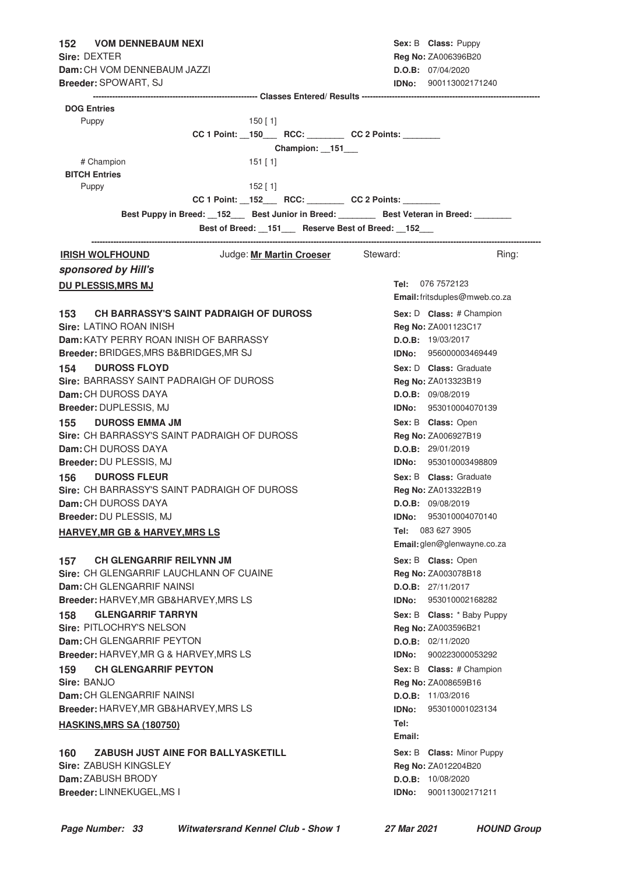| 152 VOM DENNEBAUM NEXI                                                                                                            | Sex: B Class: Puppy             |
|-----------------------------------------------------------------------------------------------------------------------------------|---------------------------------|
| Sire: DEXTER                                                                                                                      | Reg No: ZA006396B20             |
| <b>Dam:</b> CH VOM DENNEBAUM JAZZI                                                                                                | D.O.B: 07/04/2020               |
| Breeder: SPOWART, SJ                                                                                                              | <b>IDNo:</b> 900113002171240    |
|                                                                                                                                   |                                 |
| <b>DOG Entries</b>                                                                                                                |                                 |
| Puppy<br>150 [ 1]                                                                                                                 |                                 |
| CC 1 Point: __150____ RCC: _________ CC 2 Points: _______                                                                         |                                 |
| Champion: 151                                                                                                                     |                                 |
| # Champion<br>$151$ [1]                                                                                                           |                                 |
| <b>BITCH Entries</b>                                                                                                              |                                 |
| $152$ [ 1]<br>Puppy                                                                                                               |                                 |
| CC 1 Point: _152___ RCC: _______ CC 2 Points: ______                                                                              |                                 |
| Best Puppy in Breed: 152 Best Junior in Breed: Best Veteran in Breed: 1681<br>Best of Breed: _151__ Reserve Best of Breed: _152__ |                                 |
| Judge: Mr Martin Croeser Steward:<br><b>IRISH WOLFHOUND</b>                                                                       | Ring:                           |
|                                                                                                                                   |                                 |
| sponsored by Hill's                                                                                                               |                                 |
| <b>DU PLESSIS, MRS MJ</b>                                                                                                         | Tel: 076 7572123                |
|                                                                                                                                   | Email: fritsduples@mweb.co.za   |
| <b>CH BARRASSY'S SAINT PADRAIGH OF DUROSS</b><br>153 —                                                                            | Sex: D Class: # Champion        |
| Sire: LATINO ROAN INISH                                                                                                           | Reg No: ZA001123C17             |
| Dam: KATY PERRY ROAN INISH OF BARRASSY                                                                                            | <b>D.O.B:</b> 19/03/2017        |
| Breeder: BRIDGES, MRS B&BRIDGES, MR SJ                                                                                            | <b>IDNo:</b> 956000003469449    |
| <b>154 DUROSS FLOYD</b>                                                                                                           | Sex: D Class: Graduate          |
| Sire: BARRASSY SAINT PADRAIGH OF DUROSS                                                                                           | <b>Reg No: ZA013323B19</b>      |
| <b>Dam: CH DUROSS DAYA</b>                                                                                                        | D.O.B: 09/08/2019               |
| Breeder: DUPLESSIS, MJ                                                                                                            | <b>IDNo:</b> 953010004070139    |
| 155 DUROSS EMMA JM                                                                                                                | Sex: B Class: Open              |
| <b>Sire: CH BARRASSY'S SAINT PADRAIGH OF DUROSS</b>                                                                               | Reg No: ZA006927B19             |
| Dam: CH DUROSS DAYA                                                                                                               | D.O.B: 29/01/2019               |
| Breeder: DU PLESSIS, MJ                                                                                                           | IDNo: 953010003498809           |
| <b>DUROSS FLEUR</b><br>156 —                                                                                                      | Sex: B Class: Graduate          |
| Sire: CH BARRASSY'S SAINT PADRAIGH OF DUROSS                                                                                      | <b>Reg No: ZA013322B19</b>      |
| Dam: CH DUROSS DAYA                                                                                                               | D.O.B: 09/08/2019               |
| Breeder: DU PLESSIS, MJ                                                                                                           | 953010004070140<br>IDNo:        |
| <b>HARVEY, MR GB &amp; HARVEY, MRS LS</b>                                                                                         | Tel:<br>083 627 3905            |
|                                                                                                                                   | Email: glen@glenwayne.co.za     |
| <b>CH GLENGARRIF REILYNN JM</b><br>157                                                                                            | Sex: B Class: Open              |
| Sire: CH GLENGARRIF LAUCHLANN OF CUAINE                                                                                           | <b>Reg No: ZA003078B18</b>      |
| Dam: CH GLENGARRIF NAINSI                                                                                                         | D.O.B: 27/11/2017               |
| Breeder: HARVEY, MR GB&HARVEY, MRS LS                                                                                             | 953010002168282<br>IDNo:        |
| <b>GLENGARRIF TARRYN</b><br>158                                                                                                   | Sex: B Class: * Baby Puppy      |
| Sire: PITLOCHRY'S NELSON                                                                                                          | Reg No: ZA003596B21             |
| Dam: CH GLENGARRIF PEYTON                                                                                                         | D.O.B: 02/11/2020               |
| Breeder: HARVEY, MR G & HARVEY, MRS LS                                                                                            | IDNo:<br>900223000053292        |
| <b>CH GLENGARRIF PEYTON</b><br>159                                                                                                | Sex: B Class: # Champion        |
| Sire: BANJO                                                                                                                       | Reg No: ZA008659B16             |
| Dam: CH GLENGARRIF NAINSI                                                                                                         | D.O.B: 11/03/2016               |
| <b>Breeder: HARVEY, MR GB&amp;HARVEY, MRS LS</b>                                                                                  | IDNo:<br>953010001023134        |
| <b>HASKINS, MRS SA (180750)</b>                                                                                                   | Tel:                            |
|                                                                                                                                   | Email:                          |
| ZABUSH JUST AINE FOR BALLYASKETILL<br>160                                                                                         | Sex: B Class: Minor Puppy       |
| <b>Sire: ZABUSH KINGSLEY</b>                                                                                                      | Reg No: ZA012204B20             |
| Dam: ZABUSH BRODY                                                                                                                 | D.O.B: 10/08/2020               |
| Breeder: LINNEKUGEL, MS I                                                                                                         | 900113002171211<br><b>IDNo:</b> |
|                                                                                                                                   |                                 |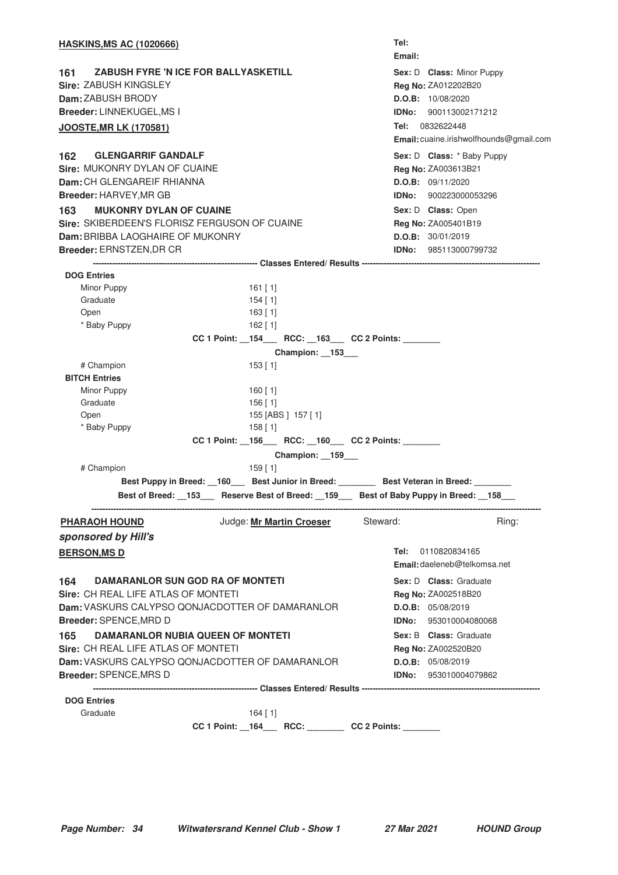| <b>HASKINS, MS AC (1020666)</b>                                                                                                                                                                                                                                                     |                                                                                              |                                                                                                                                |                |          | Tel:<br>Email: |                                                                                                                                                                                                          |                                         |
|-------------------------------------------------------------------------------------------------------------------------------------------------------------------------------------------------------------------------------------------------------------------------------------|----------------------------------------------------------------------------------------------|--------------------------------------------------------------------------------------------------------------------------------|----------------|----------|----------------|----------------------------------------------------------------------------------------------------------------------------------------------------------------------------------------------------------|-----------------------------------------|
| <b>ZABUSH FYRE 'N ICE FOR BALLYASKETILL</b><br>161<br><b>Sire: ZABUSH KINGSLEY</b><br>Dam: ZABUSH BRODY<br>Breeder: LINNEKUGEL, MS I<br><b>JOOSTE, MR LK (170581)</b>                                                                                                               |                                                                                              |                                                                                                                                |                |          |                | Sex: D Class: Minor Puppy<br>Reg No: ZA012202B20<br>D.O.B: 10/08/2020<br><b>IDNo:</b> 900113002171212<br>Tel: 0832622448                                                                                 | Email: cuaine.irishwolfhounds@gmail.com |
| <b>GLENGARRIF GANDALF</b><br>162<br>Sire: MUKONRY DYLAN OF CUAINE<br>Dam: CH GLENGAREIF RHIANNA<br>Breeder: HARVEY, MR GB<br><b>MUKONRY DYLAN OF CUAINE</b><br>163<br>Sire: SKIBERDEEN'S FLORISZ FERGUSON OF CUAINE<br>Dam: BRIBBA LAOGHAIRE OF MUKONRY<br>Breeder: ERNSTZEN, DR CR |                                                                                              |                                                                                                                                |                |          |                | Sex: D Class: * Baby Puppy<br>Reg No: ZA003613B21<br>D.O.B: 09/11/2020<br><b>IDNo: 900223000053296</b><br>Sex: D Class: Open<br>Reg No: ZA005401B19<br>D.O.B: 30/01/2019<br><b>IDNo: 985113000799732</b> |                                         |
|                                                                                                                                                                                                                                                                                     |                                                                                              |                                                                                                                                |                |          |                |                                                                                                                                                                                                          |                                         |
| <b>DOG Entries</b><br>Minor Puppy<br>Graduate<br>Open<br>* Baby Puppy                                                                                                                                                                                                               |                                                                                              | $161$ [ 1]<br>154 [1]<br>$163$ [ 1]<br>162 [ 1]                                                                                |                |          |                |                                                                                                                                                                                                          |                                         |
|                                                                                                                                                                                                                                                                                     |                                                                                              | CC 1 Point: _154___ RCC: _163___ CC 2 Points: ______                                                                           |                |          |                |                                                                                                                                                                                                          |                                         |
|                                                                                                                                                                                                                                                                                     |                                                                                              |                                                                                                                                | Champion: 153_ |          |                |                                                                                                                                                                                                          |                                         |
| # Champion<br><b>BITCH Entries</b><br>Minor Puppy<br>Graduate<br>Open<br>* Baby Puppy                                                                                                                                                                                               |                                                                                              | $153$ [ 1]<br>160 [ 1]<br>156 [ 1]<br>155 [ABS ] 157 [ 1]<br>$158$ [ 1]<br>CC 1 Point: _156___ RCC: _160__ CC 2 Points: ______ | Champion: 159  |          |                |                                                                                                                                                                                                          |                                         |
| # Champion                                                                                                                                                                                                                                                                          |                                                                                              | $159$ [1]                                                                                                                      |                |          |                |                                                                                                                                                                                                          |                                         |
| Best of Breed: 153                                                                                                                                                                                                                                                                  | Best Puppy in Breed: __160___ Best Junior in Breed: ________ Best Veteran in Breed: ________ | Reserve Best of Breed: _159__                                                                                                  |                |          |                | Best of Baby Puppy in Breed: 158                                                                                                                                                                         |                                         |
| <b>PHARAOH HOUND</b>                                                                                                                                                                                                                                                                |                                                                                              | Judge: Mr Martin Croeser                                                                                                       |                | Steward: |                |                                                                                                                                                                                                          | Ring:                                   |
| sponsored by Hill's                                                                                                                                                                                                                                                                 |                                                                                              |                                                                                                                                |                |          |                |                                                                                                                                                                                                          |                                         |
| <b>BERSON, MS D</b>                                                                                                                                                                                                                                                                 |                                                                                              |                                                                                                                                |                |          |                | Tel: 0110820834165<br>Email: daeleneb@telkomsa.net                                                                                                                                                       |                                         |
| DAMARANLOR SUN GOD RA OF MONTETI<br>164<br><b>Sire: CH REAL LIFE ATLAS OF MONTETI</b><br>Dam: VASKURS CALYPSO QONJACDOTTER OF DAMARANLOR<br>Breeder: SPENCE, MRD D                                                                                                                  |                                                                                              |                                                                                                                                |                |          |                | Sex: D Class: Graduate<br><b>Reg No: ZA002518B20</b><br>D.O.B: 05/08/2019<br><b>IDNo:</b> 953010004080068                                                                                                |                                         |
| DAMARANLOR NUBIA QUEEN OF MONTETI<br>165                                                                                                                                                                                                                                            |                                                                                              |                                                                                                                                |                |          |                | Sex: B Class: Graduate                                                                                                                                                                                   |                                         |
| Sire: CH REAL LIFE ATLAS OF MONTETI                                                                                                                                                                                                                                                 |                                                                                              |                                                                                                                                |                |          |                | <b>Reg No: ZA002520B20</b>                                                                                                                                                                               |                                         |
| Dam: VASKURS CALYPSO QONJACDOTTER OF DAMARANLOR                                                                                                                                                                                                                                     |                                                                                              |                                                                                                                                |                |          |                | D.O.B: 05/08/2019                                                                                                                                                                                        |                                         |
| Breeder: SPENCE, MRS D                                                                                                                                                                                                                                                              |                                                                                              |                                                                                                                                |                |          |                | <b>IDNo:</b> 953010004079862                                                                                                                                                                             |                                         |
|                                                                                                                                                                                                                                                                                     |                                                                                              |                                                                                                                                |                |          |                |                                                                                                                                                                                                          |                                         |
| <b>DOG Entries</b><br>Graduate                                                                                                                                                                                                                                                      |                                                                                              | $164$ [ 1]                                                                                                                     |                |          |                |                                                                                                                                                                                                          |                                         |
|                                                                                                                                                                                                                                                                                     |                                                                                              | CC 1 Point: _164___ RCC: _______ CC 2 Points: ______                                                                           |                |          |                |                                                                                                                                                                                                          |                                         |
|                                                                                                                                                                                                                                                                                     |                                                                                              |                                                                                                                                |                |          |                |                                                                                                                                                                                                          |                                         |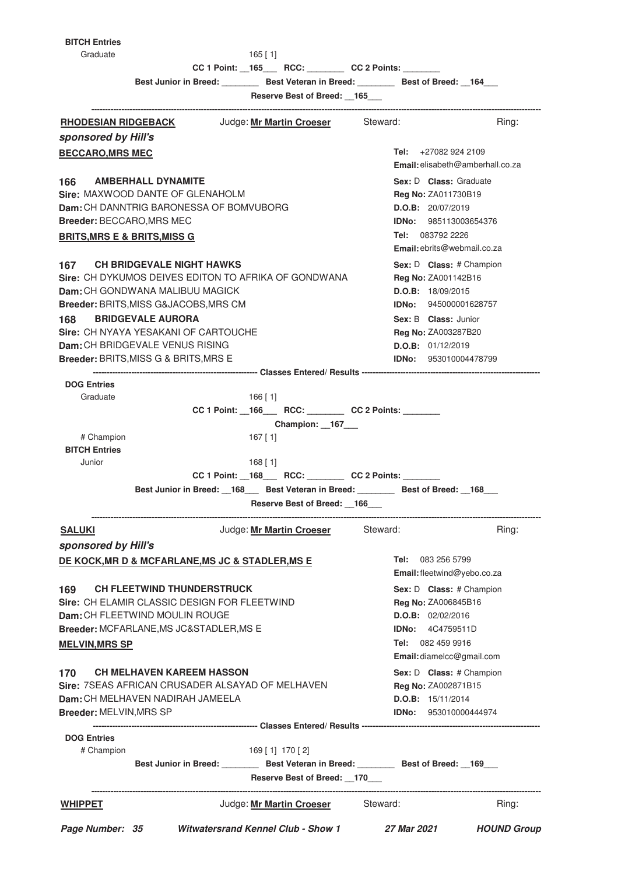**BITCH Entries**

Graduate 165 [ 1]

**CC 1 Point: \_\_165\_\_\_ RCC: \_\_\_\_\_\_\_\_ CC 2 Points: \_\_\_\_\_\_\_\_**

**Best Junior in Breed: \_\_\_\_\_\_\_\_ Best Veteran in Breed: \_\_\_\_\_\_\_\_ Best of Breed: \_\_164\_\_\_**

**Reserve Best of Breed: \_\_165\_\_\_**

| <b>RHODESIAN RIDGEBACK Judge: Mr Martin Croeser</b>                               |                                                                                     | Steward:                           | Ring: |
|-----------------------------------------------------------------------------------|-------------------------------------------------------------------------------------|------------------------------------|-------|
| sponsored by Hill's                                                               |                                                                                     |                                    |       |
| <b>BECCARO, MRS MEC</b>                                                           |                                                                                     | Tel: $+270829242109$               |       |
|                                                                                   |                                                                                     | Email: elisabeth@amberhall.co.za   |       |
| <b>AMBERHALL DYNAMITE</b><br>166                                                  |                                                                                     | Sex: D Class: Graduate             |       |
| Sire: MAXWOOD DANTE OF GLENAHOLM                                                  |                                                                                     | <b>Reg No: ZA011730B19</b>         |       |
| <b>Dam:</b> CH DANNTRIG BARONESSA OF BOMVUBORG                                    |                                                                                     | <b>D.O.B:</b> 20/07/2019           |       |
| Breeder: BECCARO, MRS MEC                                                         |                                                                                     | <b>IDNo:</b> 985113003654376       |       |
| <u>BRITS, MRS E &amp; BRITS, MISS G</u>                                           |                                                                                     | <b>Tel:</b> 083792 2226            |       |
|                                                                                   |                                                                                     | <b>Email:</b> ebrits@webmail.co.za |       |
| 167 CH BRIDGEVALE NIGHT HAWKS                                                     |                                                                                     | Sex: D Class: # Champion           |       |
|                                                                                   | Sire: CH DYKUMOS DEIVES EDITON TO AFRIKA OF GONDWANA                                | Reg No: ZA001142B16                |       |
| <b>Dam:</b> CH GONDWANA MALIBUU MAGICK                                            | D.O.B: 18/09/2015                                                                   |                                    |       |
| Breeder: BRITS, MISS G&JACOBS, MRS CM                                             |                                                                                     | <b>IDNo:</b> 945000001628757       |       |
| <b>BRIDGEVALE AURORA</b><br>168                                                   |                                                                                     | Sex: B Class: Junior               |       |
| Sire: CH NYAYA YESAKANI OF CARTOUCHE                                              |                                                                                     | <b>Reg No: ZA003287B20</b>         |       |
| Dam: CH BRIDGEVALE VENUS RISING                                                   |                                                                                     | D.O.B: 01/12/2019                  |       |
| Breeder: BRITS, MISS G & BRITS, MRS E                                             |                                                                                     | <b>IDNo:</b> 953010004478799       |       |
|                                                                                   |                                                                                     |                                    |       |
| <b>DOG Entries</b>                                                                |                                                                                     |                                    |       |
| Graduate                                                                          | $166$ [ 1]                                                                          |                                    |       |
|                                                                                   | CC 1 Point: _166___ RCC: _______ CC 2 Points: ______                                |                                    |       |
|                                                                                   | Champion: 167_                                                                      |                                    |       |
| # Champion                                                                        | 167 [ 1]                                                                            |                                    |       |
| <b>BITCH Entries</b>                                                              |                                                                                     |                                    |       |
| Junior                                                                            | $168$ [ 1]                                                                          |                                    |       |
|                                                                                   | CC 1 Point: _168___ RCC: _______ CC 2 Points: ______                                |                                    |       |
|                                                                                   | Best Junior in Breed: 168 Best Veteran in Breed: Best of Breed: 168                 |                                    |       |
|                                                                                   | Reserve Best of Breed: 166                                                          |                                    |       |
| <u>SALUKI</u>                                                                     | Judge: Mr Martin Croeser Steward:                                                   |                                    | Ring: |
| sponsored by Hill's                                                               |                                                                                     |                                    |       |
| <b>DE KOCK, MR D &amp; MCFARLANE, MS JC &amp; STADLER, MS E</b>                   |                                                                                     | <b>Tel:</b> 083 256 5799           |       |
|                                                                                   |                                                                                     | Email: fleetwind@yebo.co.za        |       |
| 169                                                                               |                                                                                     |                                    |       |
| <b>CH FLEETWIND THUNDERSTRUCK</b><br>Sire: CH ELAMIR CLASSIC DESIGN FOR FLEETWIND |                                                                                     | Sex: D Class: # Champion           |       |
| Dam: CH FLEETWIND MOULIN ROUGE                                                    |                                                                                     | Reg No: ZA006845B16                |       |
|                                                                                   |                                                                                     | D.O.B: 02/02/2016                  |       |
| Breeder: MCFARLANE, MS JC&STADLER, MS E                                           |                                                                                     | <b>IDNo:</b> 4C4759511D            |       |
| <b>MELVIN, MRS SP</b>                                                             |                                                                                     | Tel: 082 459 9916                  |       |
|                                                                                   |                                                                                     | Email: diamelcc@gmail.com          |       |
| <b>CH MELHAVEN KAREEM HASSON</b><br>170                                           |                                                                                     | Sex: D Class: # Champion           |       |
| Sire: 7SEAS AFRICAN CRUSADER ALSAYAD OF MELHAVEN                                  |                                                                                     | Reg No: ZA002871B15                |       |
| Dam: CH MELHAVEN NADIRAH JAMEELA                                                  |                                                                                     | D.O.B: 15/11/2014                  |       |
| Breeder: MELVIN, MRS SP                                                           |                                                                                     | <b>IDNo:</b> 953010000444974       |       |
|                                                                                   |                                                                                     |                                    |       |
| <b>DOG Entries</b>                                                                |                                                                                     |                                    |       |
|                                                                                   | 169 [1] 170 [2]                                                                     |                                    |       |
| # Champion                                                                        |                                                                                     |                                    |       |
|                                                                                   | Best Junior in Breed: ________ Best Veteran in Breed: _______ Best of Breed: _169__ |                                    |       |
|                                                                                   | Reserve Best of Breed: 170                                                          |                                    |       |
| <b>WHIPPET</b>                                                                    | Judge: Mr Martin Croeser                                                            | Steward:                           | Ring: |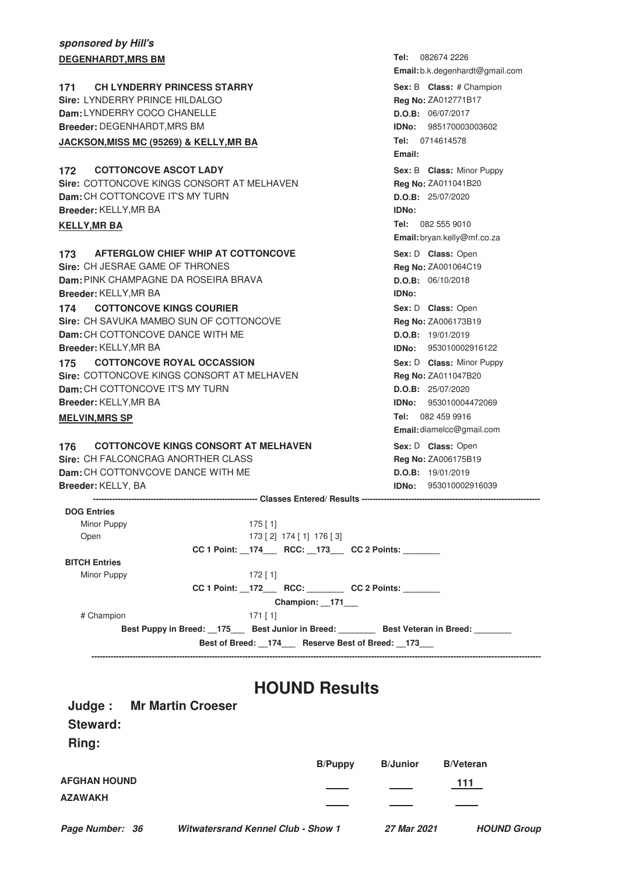### **sponsored by Hill's DEGENHARDT, MRS BM**

|                                                    | Email: b.k.degenhardt@gmail.com |  |  |  |
|----------------------------------------------------|---------------------------------|--|--|--|
| <b>CH LYNDERRY PRINCESS STARRY</b><br>171          | Sex: B Class: # Champion        |  |  |  |
| Sire: LYNDERRY PRINCE HILDALGO                     | Reg No: ZA012771B17             |  |  |  |
| Dam: LYNDERRY COCO CHANELLE                        | D.O.B: 06/07/2017               |  |  |  |
| <b>Breeder: DEGENHARDT, MRS BM</b>                 | <b>IDNo: 985170003003602</b>    |  |  |  |
| JACKSON, MISS MC (95269) & KELLY, MR BA            | Tel: 0714614578                 |  |  |  |
|                                                    | Email:                          |  |  |  |
| <b>COTTONCOVE ASCOT LADY</b><br>172                | Sex: B Class: Minor Puppy       |  |  |  |
| Sire: COTTONCOVE KINGS CONSORT AT MELHAVEN         | Reg No: ZA011041B20             |  |  |  |
| Dam: CH COTTONCOVE IT'S MY TURN                    | D.O.B: 25/07/2020               |  |  |  |
| Breeder: KELLY, MR BA                              | IDNo:                           |  |  |  |
| <b>KELLY, MR BA</b>                                | Tel: 082 555 9010               |  |  |  |
|                                                    | Email: bryan.kelly@mf.co.za     |  |  |  |
| AFTERGLOW CHIEF WHIP AT COTTONCOVE<br>173.         | Sex: D Class: Open              |  |  |  |
| Sire: CH JESRAE GAME OF THRONES                    | Reg No: ZA001064C19             |  |  |  |
| Dam: PINK CHAMPAGNE DA ROSEIRA BRAVA               | D.O.B: 06/10/2018               |  |  |  |
| Breeder: KELLY, MR BA                              | IDNo:                           |  |  |  |
| <b>COTTONCOVE KINGS COURIER</b><br>174             | Sex: D Class: Open              |  |  |  |
| Sire: CH SAVUKA MAMBO SUN OF COTTONCOVE            | Reg No: ZA006173B19             |  |  |  |
| Dam: CH COTTONCOVE DANCE WITH ME                   | D.O.B: 19/01/2019               |  |  |  |
| Breeder: KELLY, MR BA                              | IDNo: 953010002916122           |  |  |  |
| <b>COTTONCOVE ROYAL OCCASSION</b><br>175           | Sex: D Class: Minor Puppy       |  |  |  |
| Sire: COTTONCOVE KINGS CONSORT AT MELHAVEN         | Reg No: ZA011047B20             |  |  |  |
| Dam: CH COTTONCOVE IT'S MY TURN                    | D.O.B: 25/07/2020               |  |  |  |
| Breeder: KELLY, MR BA                              | <b>IDNo:</b> 953010004472069    |  |  |  |
| <b>MELVIN, MRS SP</b>                              | Tel: 082 459 9916               |  |  |  |
|                                                    | Email: diamelcc@gmail.com       |  |  |  |
| <b>COTTONCOVE KINGS CONSORT AT MELHAVEN</b><br>176 | Sex: D Class: Open              |  |  |  |
| Sire: CH FALCONCRAG ANORTHER CLASS                 | Reg No: ZA006175B19             |  |  |  |
| Dam: CH COTTONVCOVE DANCE WITH ME                  | D.O.B: 19/01/2019               |  |  |  |
| Breeder: KELLY, BA                                 | <b>IDNo:</b> 953010002916039    |  |  |  |
|                                                    |                                 |  |  |  |
| <b>DOG Entries</b>                                 |                                 |  |  |  |
| Minor Puppy<br>$175$ [ 1]                          |                                 |  |  |  |
| 173 [2] 174 [1] 176 [3]<br>Open                    |                                 |  |  |  |
| CC 1 Point: 174 RCC: 173 CC 2 Points:              |                                 |  |  |  |
| <b>BITCH Entries</b>                               |                                 |  |  |  |
| Minor Puppy<br>$172$ [1]                           |                                 |  |  |  |
| CC 1 Point: 172 RCC: CC 2 Points:                  |                                 |  |  |  |
| Champion: 171                                      |                                 |  |  |  |
| # Champion<br>$171$ [1]                            |                                 |  |  |  |
| Best Puppy in Breed: 175 Best Junior in Breed:     | <b>Best Veteran in Breed:</b>   |  |  |  |

Tel: 082674 2226

**Best of Breed: \_\_174\_\_\_ Reserve Best of Breed: \_\_173\_\_\_ --------------------------------------------------------------------------------------------------------------------------------------------------------------------**

**HOUND Results**

| Judge:              | <b>Mr Martin Croeser</b>                  |                |                 |                  |                    |
|---------------------|-------------------------------------------|----------------|-----------------|------------------|--------------------|
| <b>Steward:</b>     |                                           |                |                 |                  |                    |
| Ring:               |                                           |                |                 |                  |                    |
|                     |                                           | <b>B/Puppy</b> | <b>B/Junior</b> | <b>B/Veteran</b> |                    |
| <b>AFGHAN HOUND</b> |                                           |                |                 | 111              |                    |
| <b>AZAWAKH</b>      |                                           |                |                 |                  |                    |
| Page Number: 36     | <b>Witwatersrand Kennel Club - Show 1</b> |                | 27 Mar 2021     |                  | <b>HOUND Group</b> |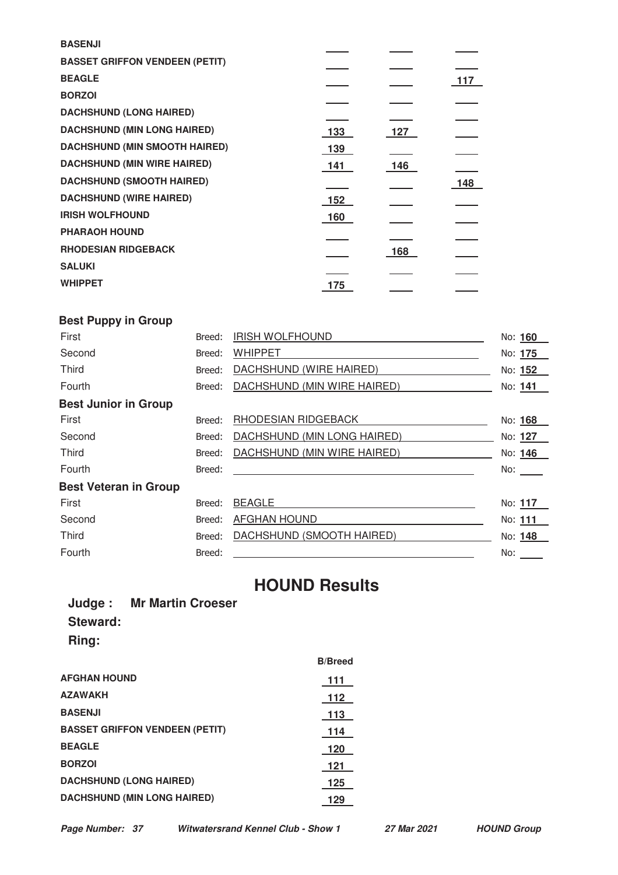| <b>BASENJI</b>                        |     |     |     |
|---------------------------------------|-----|-----|-----|
| <b>BASSET GRIFFON VENDEEN (PETIT)</b> |     |     |     |
| <b>BEAGLE</b>                         |     |     | 117 |
| <b>BORZOI</b>                         |     |     |     |
| <b>DACHSHUND (LONG HAIRED)</b>        |     |     |     |
| <b>DACHSHUND (MIN LONG HAIRED)</b>    | 133 | 127 |     |
| <b>DACHSHUND (MIN SMOOTH HAIRED)</b>  | 139 |     |     |
| <b>DACHSHUND (MIN WIRE HAIRED)</b>    | 141 | 146 |     |
| <b>DACHSHUND (SMOOTH HAIRED)</b>      |     |     | 148 |
| <b>DACHSHUND (WIRE HAIRED)</b>        | 152 |     |     |
| <b>IRISH WOLFHOUND</b>                | 160 |     |     |
| <b>PHARAOH HOUND</b>                  |     |     |     |
| <b>RHODESIAN RIDGEBACK</b>            |     | 168 |     |
| <b>SALUKI</b>                         |     |     |     |
| <b>WHIPPET</b>                        | 175 |     |     |
|                                       |     |     |     |

# **Best Puppy in Group**

| First                        | Breed: | <b>IRISH WOLFHOUND</b>      | No: 160 |
|------------------------------|--------|-----------------------------|---------|
| Second                       | Breed: | <b>WHIPPET</b>              | No: 175 |
| <b>Third</b>                 | Breed: | DACHSHUND (WIRE HAIRED)     | No: 152 |
| Fourth                       | Breed: | DACHSHUND (MIN WIRE HAIRED) | No: 141 |
| <b>Best Junior in Group</b>  |        |                             |         |
| First                        | Breed: | RHODESIAN RIDGEBACK         | No: 168 |
| Second                       | Breed: | DACHSHUND (MIN LONG HAIRED) | No: 127 |
| <b>Third</b>                 | Breed: | DACHSHUND (MIN WIRE HAIRED) | No: 146 |
| Fourth                       | Breed: |                             | No:     |
| <b>Best Veteran in Group</b> |        |                             |         |
| First                        | Breed: | <b>BEAGLE</b>               | No: 117 |
| Second                       | Breed: | <b>AFGHAN HOUND</b>         | No: 111 |
| <b>Third</b>                 | Breed: | DACHSHUND (SMOOTH HAIRED)   | No: 148 |
| Fourth                       | Breed: |                             | No:     |

# **HOUND Results**

|                 | <b>Judge: Mr Martin Croeser</b> |
|-----------------|---------------------------------|
| <b>Steward:</b> |                                 |
| Ring:           |                                 |

|                                       | <b>B/Breed</b> |
|---------------------------------------|----------------|
| <b>AFGHAN HOUND</b>                   | 111            |
| <b>AZAWAKH</b>                        | 112            |
| <b>BASENJI</b>                        | 113            |
| <b>BASSET GRIFFON VENDEEN (PETIT)</b> | 114            |
| <b>BEAGLE</b>                         | 120            |
| <b>BORZOI</b>                         | 121            |
| <b>DACHSHUND (LONG HAIRED)</b>        | 125            |
| <b>DACHSHUND (MIN LONG HAIRED)</b>    | 129            |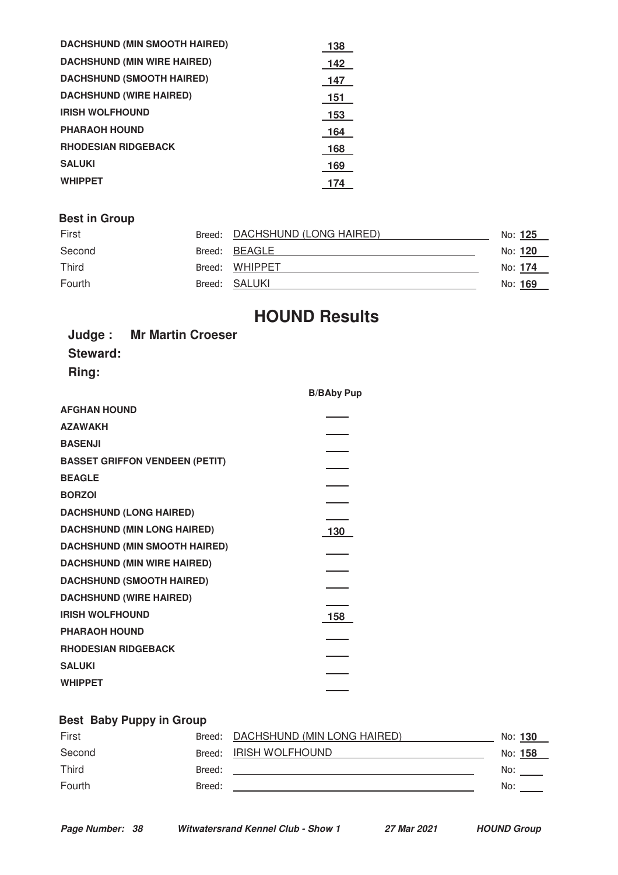| <b>DACHSHUND (MIN SMOOTH HAIRED)</b> | 138 |
|--------------------------------------|-----|
| <b>DACHSHUND (MIN WIRE HAIRED)</b>   | 142 |
| <b>DACHSHUND (SMOOTH HAIRED)</b>     | 147 |
| <b>DACHSHUND (WIRE HAIRED)</b>       | 151 |
| <b>IRISH WOLFHOUND</b>               | 153 |
| <b>PHARAOH HOUND</b>                 | 164 |
| <b>RHODESIAN RIDGEBACK</b>           | 168 |
| <b>SALUKI</b>                        | 169 |
| <b>WHIPPET</b>                       | 174 |
|                                      |     |

# **Best in Group**

| First        | Breed: DACHSHUND (LONG HAIRED) | No: <u>125</u> |  |
|--------------|--------------------------------|----------------|--|
| Second       | Breed: BEAGLE                  | No: <b>120</b> |  |
| <b>Third</b> | Breed: WHIPPET                 | No: <b>174</b> |  |
| Fourth       | Breed: SALUKI                  | No: <u>169</u> |  |

# **HOUND Results**

**B/BAby Pup**

 $\overline{\phantom{a}}$ 

| <b>Judge: Mr Martin Croeser</b>       |                |
|---------------------------------------|----------------|
| <b>Steward:</b>                       |                |
| Ring:                                 |                |
|                                       | B/B/           |
| <b>AFGHAN HOUND</b>                   | ٠              |
| <b>AZAWAKH</b>                        | $\blacksquare$ |
| <b>BASENJI</b>                        | ٠              |
| <b>BASSET GRIFFON VENDEEN (PETIT)</b> | ٠              |
| <b>BEAGLE</b>                         | ۰              |
| <b>BORZOI</b>                         | ٠              |
|                                       |                |

| <b>BASSET GRIFFON VENDEEN (PETIT)</b> |     |
|---------------------------------------|-----|
| <b>BEAGLE</b>                         |     |
| <b>BORZOI</b>                         |     |
| <b>DACHSHUND (LONG HAIRED)</b>        |     |
| <b>DACHSHUND (MIN LONG HAIRED)</b>    | 130 |
| DACHSHUND (MIN SMOOTH HAIRED)         |     |
| <b>DACHSHUND (MIN WIRE HAIRED)</b>    |     |
| <b>DACHSHUND (SMOOTH HAIRED)</b>      |     |
| <b>DACHSHUND (WIRE HAIRED)</b>        |     |
| <b>IRISH WOLFHOUND</b>                | 158 |
| <b>PHARAOH HOUND</b>                  |     |
| <b>RHODESIAN RIDGEBACK</b>            |     |
| <b>SALUKI</b>                         |     |
| WHIPPET                               |     |
|                                       |     |

## **Best Baby Puppy in Group**

| First  |        | Breed: DACHSHUND (MIN LONG HAIRED) |     | No: 130 |
|--------|--------|------------------------------------|-----|---------|
| Second |        | Breed: IRISH WOLFHOUND             |     | No: 158 |
| Third  | Breed: |                                    | No: |         |
| Fourth | Breed: |                                    | No: |         |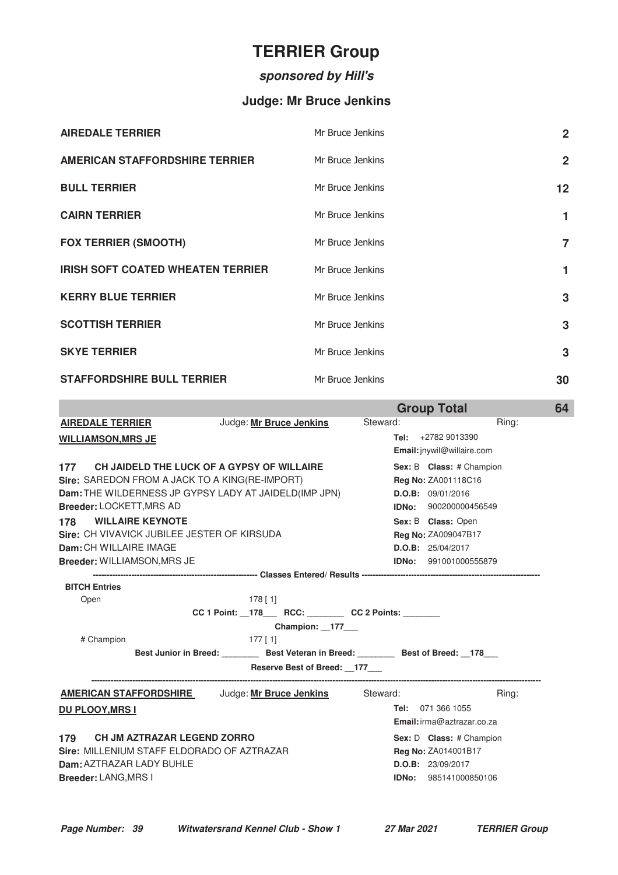# **TERRIER Group**

# **sponsored by Hill's**

# **Judge: Mr Bruce Jenkins**

| <b>AIREDALE TERRIER</b>                  | Mr Bruce Jenkins | $\overline{2}$ |
|------------------------------------------|------------------|----------------|
| <b>AMERICAN STAFFORDSHIRE TERRIER</b>    | Mr Bruce Jenkins | $\overline{2}$ |
| <b>BULL TERRIER</b>                      | Mr Bruce Jenkins | 12             |
| <b>CAIRN TERRIER</b>                     | Mr Bruce Jenkins | 1              |
| <b>FOX TERRIER (SMOOTH)</b>              | Mr Bruce Jenkins | $\overline{7}$ |
| <b>IRISH SOFT COATED WHEATEN TERRIER</b> | Mr Bruce Jenkins | 1              |
| <b>KERRY BLUE TERRIER</b>                | Mr Bruce Jenkins | 3              |
| <b>SCOTTISH TERRIER</b>                  | Mr Bruce Jenkins | 3              |
| <b>SKYE TERRIER</b>                      | Mr Bruce Jenkins | 3              |
| <b>STAFFORDSHIRE BULL TERRIER</b>        | Mr Bruce Jenkins | 30             |

|                                                                             | <b>Group Total</b>           | 64 |
|-----------------------------------------------------------------------------|------------------------------|----|
| Judge: Mr Bruce Jenkins<br><b>AIREDALE TERRIER</b>                          | Steward:<br>Ring:            |    |
| <b>WILLIAMSON, MRS JE</b>                                                   | Tel: $+27829013390$          |    |
|                                                                             | Email: jnywil@willaire.com   |    |
| 177 CH JAIDELD THE LUCK OF A GYPSY OF WILLAIRE                              | Sex: B Class: # Champion     |    |
| Sire: SAREDON FROM A JACK TO A KING(RE-IMPORT)                              | Reg No: ZA001118C16          |    |
| Dam: THE WILDERNESS JP GYPSY LADY AT JAIDELD(IMP JPN)                       | D.O.B: 09/01/2016            |    |
| <b>Breeder: LOCKETT, MRS AD</b>                                             | IDNo: 900200000456549        |    |
| <b>WILLAIRE KEYNOTE</b><br>178                                              | Sex: B Class: Open           |    |
| Sire: CH VIVAVICK JUBILEE JESTER OF KIRSUDA                                 | Reg No: ZA009047B17          |    |
| Dam: CH WILLAIRE IMAGE                                                      | D.O.B: 25/04/2017            |    |
| <b>Breeder: WILLIAMSON, MRS JE</b>                                          | <b>IDNo: 991001000555879</b> |    |
|                                                                             |                              |    |
| <b>BITCH Entries</b>                                                        |                              |    |
| $178$ [ 1]<br>Open                                                          |                              |    |
| CC 1 Point: _178___ RCC: _______ CC 2 Points: ______                        |                              |    |
| Champion: 177<br># Champion                                                 |                              |    |
| 177 [ 1]<br>Best Junior in Breed: Best Veteran in Breed: Best of Breed: 178 |                              |    |
| Reserve Best of Breed: 177                                                  |                              |    |
|                                                                             |                              |    |
| <b>AMERICAN STAFFORDSHIRE</b> Judge: Mr Bruce Jenkins Steward:              | Ring:                        |    |
| <b>DU PLOOY, MRS I</b>                                                      | Tel: 071 366 1055            |    |
|                                                                             | Email: irma@aztrazar.co.za   |    |
| 179 CH JM AZTRAZAR LEGEND ZORRO                                             | Sex: D Class: # Champion     |    |
| Sire: MILLENIUM STAFF ELDORADO OF AZTRAZAR                                  | Reg No: ZA014001B17          |    |
| Dam: AZTRAZAR LADY BUHLE                                                    | D.O.B: 23/09/2017            |    |
| <b>Breeder: LANG, MRS I</b>                                                 | <b>IDNo:</b> 985141000850106 |    |
|                                                                             |                              |    |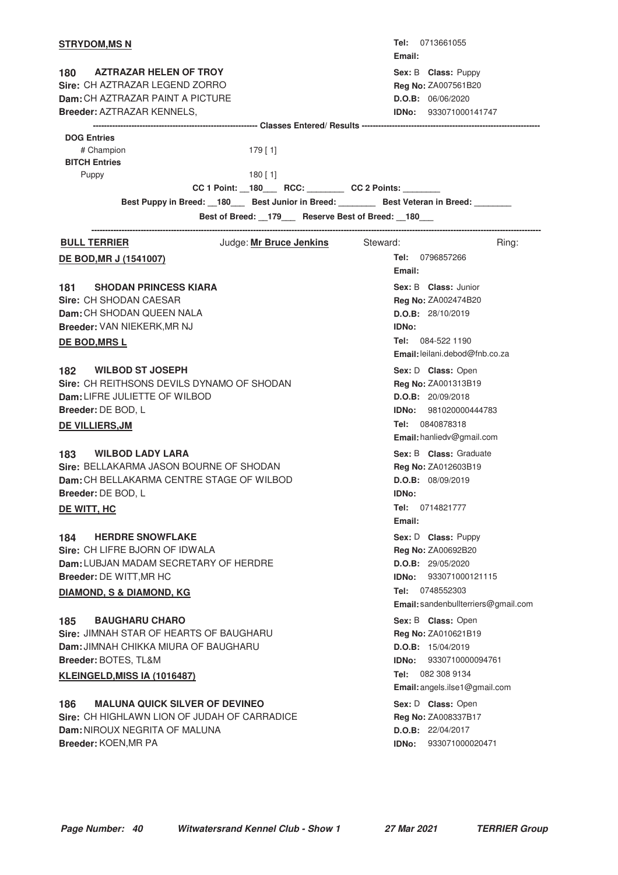| <b>STRYDOM, MS N</b>                                                                                                                                                           |                                                      | Email:                 | <b>Tel:</b> 0713661055                                                                                                                              |
|--------------------------------------------------------------------------------------------------------------------------------------------------------------------------------|------------------------------------------------------|------------------------|-----------------------------------------------------------------------------------------------------------------------------------------------------|
| 180<br>AZTRAZAR HELEN OF TROY<br>Sire: CH AZTRAZAR LEGEND ZORRO<br>Dam: CH AZTRAZAR PAINT A PICTURE<br><b>Breeder: AZTRAZAR KENNELS,</b>                                       |                                                      |                        | Sex: B Class: Puppy<br>Reg No: ZA007561B20<br>D.O.B: 06/06/2020<br><b>IDNo:</b> 933071000141747                                                     |
|                                                                                                                                                                                |                                                      |                        |                                                                                                                                                     |
| <b>DOG Entries</b><br># Champion<br><b>BITCH Entries</b>                                                                                                                       | $179$ [1]                                            |                        |                                                                                                                                                     |
| Puppy                                                                                                                                                                          | $180$ [1]                                            |                        |                                                                                                                                                     |
|                                                                                                                                                                                | CC 1 Point: _180___ RCC: _______ CC 2 Points: ______ |                        |                                                                                                                                                     |
| Best Puppy in Breed: 180 Best Junior in Breed: Best Veteran in Breed: ______                                                                                                   |                                                      |                        |                                                                                                                                                     |
|                                                                                                                                                                                | Best of Breed: _179__ Reserve Best of Breed: _180__  |                        |                                                                                                                                                     |
| <b>BULL TERRIER</b>                                                                                                                                                            | Judge: Mr Bruce Jenkins Steward:                     |                        | Ring:                                                                                                                                               |
| <b>DE BOD, MR J (1541007)</b>                                                                                                                                                  |                                                      | Email:                 | <b>Tel:</b> 0796857266                                                                                                                              |
| <b>SHODAN PRINCESS KIARA</b><br>181<br>Sire: CH SHODAN CAESAR<br>Dam: CH SHODAN QUEEN NALA                                                                                     |                                                      |                        | Sex: B Class: Junior<br>Reg No: ZA002474B20<br>D.O.B: 28/10/2019                                                                                    |
| Breeder: VAN NIEKERK, MR NJ<br><b>DE BOD, MRS L</b>                                                                                                                            |                                                      | <b>IDNo:</b>           | Tel: $084-5221190$<br><b>Email:</b> leilani.debod@fnb.co.za                                                                                         |
| <b>WILBOD ST JOSEPH</b><br>182<br>Sire: CH REITHSONS DEVILS DYNAMO OF SHODAN<br>Dam: LIFRE JULIETTE OF WILBOD<br>Breeder: DE BOD, L<br>DE VILLIERS, JM                         |                                                      |                        | Sex: D Class: Open<br>Reg No: ZA001313B19<br>D.O.B: 20/09/2018<br><b>IDNo:</b> 981020000444783<br>Tel: 0840878318<br>Email: hanliedv@gmail.com      |
| <b>WILBOD LADY LARA</b><br>183<br>Sire: BELLAKARMA JASON BOURNE OF SHODAN<br>Dam: CH BELLAKARMA CENTRE STAGE OF WILBOD<br>Breeder: DE BOD, L<br>DE WITT, HC                    |                                                      | <b>IDNo:</b><br>Email: | Sex: B Class: Graduate<br>Reg No: ZA012603B19<br>D.O.B: 08/09/2019<br>Tel: 0714821777                                                               |
| <b>HERDRE SNOWFLAKE</b><br>184<br>Sire: CH LIFRE BJORN OF IDWALA<br>Dam: LUBJAN MADAM SECRETARY OF HERDRE<br>Breeder: DE WITT, MR HC<br><b>DIAMOND, S &amp; DIAMOND, KG</b>    |                                                      | Tel:                   | Sex: D Class: Puppy<br>Reg No: ZA00692B20<br>D.O.B: 29/05/2020<br><b>IDNo:</b> 933071000121115<br>0748552303<br>Email: sandenbullterriers@gmail.com |
| <b>BAUGHARU CHARO</b><br>185<br>Sire: JIMNAH STAR OF HEARTS OF BAUGHARU<br><b>Dam: JIMNAH CHIKKA MIURA OF BAUGHARU</b><br>Breeder: BOTES, TL&M<br>KLEINGELD, MISS IA (1016487) |                                                      | IDNo:                  | Sex: B Class: Open<br>Reg No: ZA010621B19<br>D.O.B: 15/04/2019<br>9330710000094761<br>Tel: 082 308 9134<br>Email: angels.ilse1@gmail.com            |
| <b>MALUNA QUICK SILVER OF DEVINEO</b><br>186<br>Sire: CH HIGHLAWN LION OF JUDAH OF CARRADICE<br>Dam: NIROUX NEGRITA OF MALUNA<br>Breeder: KOEN, MR PA                          |                                                      |                        | Sex: D Class: Open<br>Reg No: ZA008337B17<br><b>D.O.B:</b> 22/04/2017<br>IDNo: 933071000020471                                                      |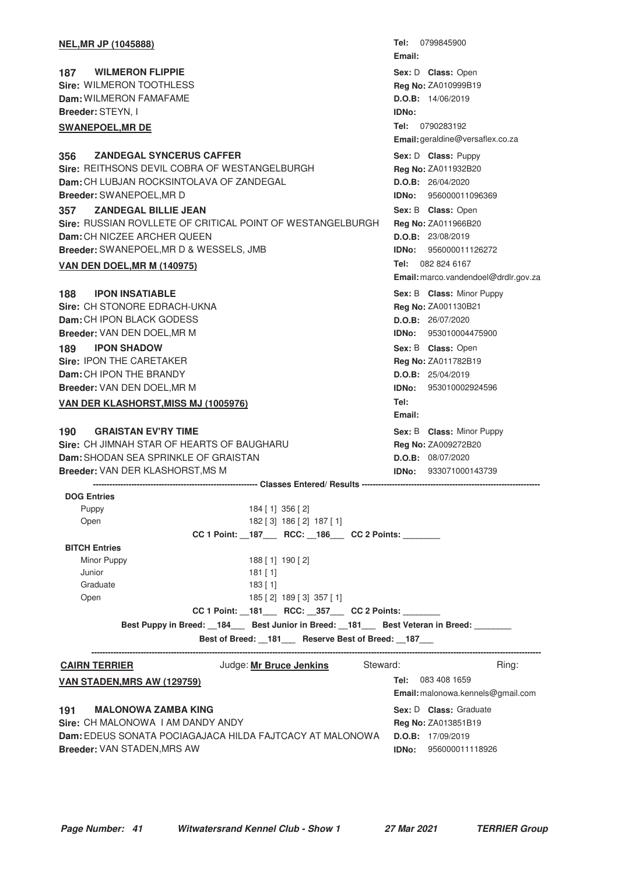| <b>NEL, MR JP (1045888)</b>                                               | Tel: 0799845900<br>Email:            |  |  |
|---------------------------------------------------------------------------|--------------------------------------|--|--|
| <b>WILMERON FLIPPIE</b><br>187                                            | Sex: D Class: Open                   |  |  |
| Sire: WILMERON TOOTHLESS                                                  | Reg No: ZA010999B19                  |  |  |
| Dam: WILMERON FAMAFAME                                                    | D.O.B: 14/06/2019                    |  |  |
| Breeder: STEYN, I                                                         | IDNo:                                |  |  |
| <b>SWANEPOEL, MR DE</b>                                                   | Tel: 0790283192                      |  |  |
|                                                                           | Email: geraldine@versaflex.co.za     |  |  |
| <b>ZANDEGAL SYNCERUS CAFFER</b>                                           | Sex: D Class: Puppy                  |  |  |
| 356<br>Sire: REITHSONS DEVIL COBRA OF WESTANGELBURGH                      | Reg No: ZA011932B20                  |  |  |
| Dam: CH LUBJAN ROCKSINTOLAVA OF ZANDEGAL                                  | D.O.B: 26/04/2020                    |  |  |
| Breeder: SWANEPOEL, MR D                                                  | IDNo: 956000011096369                |  |  |
| <b>ZANDEGAL BILLIE JEAN</b>                                               |                                      |  |  |
| 357<br>Sire: RUSSIAN ROVLLETE OF CRITICAL POINT OF WESTANGELBURGH         | Sex: B Class: Open                   |  |  |
| Dam: CH NICZEE ARCHER QUEEN                                               | Reg No: ZA011966B20                  |  |  |
|                                                                           | D.O.B: 23/08/2019                    |  |  |
| Breeder: SWANEPOEL, MR D & WESSELS, JMB                                   | IDNo: 956000011126272                |  |  |
| <b>VAN DEN DOEL, MR M (140975)</b>                                        | Tel: 082 824 6167                    |  |  |
|                                                                           | Email: marco.vandendoel@drdlr.gov.za |  |  |
| <b>IPON INSATIABLE</b><br>188                                             | Sex: B Class: Minor Puppy            |  |  |
| Sire: CH STONORE EDRACH-UKNA                                              | Reg No: ZA001130B21                  |  |  |
| Dam: CH IPON BLACK GODESS                                                 | <b>D.O.B:</b> 26/07/2020             |  |  |
| Breeder: VAN DEN DOEL, MR M                                               | IDNo: 953010004475900                |  |  |
| <b>IPON SHADOW</b><br>189                                                 | Sex: B Class: Open                   |  |  |
| Sire: IPON THE CARETAKER                                                  | Reg No: ZA011782B19                  |  |  |
| Dam: CH IPON THE BRANDY                                                   | D.O.B: 25/04/2019                    |  |  |
| Breeder: VAN DEN DOEL, MR M                                               | <b>IDNo:</b> 953010002924596         |  |  |
| <b>VAN DER KLASHORST, MISS MJ (1005976)</b>                               | Tel:                                 |  |  |
|                                                                           | Email:                               |  |  |
| <b>GRAISTAN EV'RY TIME</b><br>190                                         | Sex: B Class: Minor Puppy            |  |  |
| Sire: CH JIMNAH STAR OF HEARTS OF BAUGHARU                                | Reg No: ZA009272B20                  |  |  |
| Dam: SHODAN SEA SPRINKLE OF GRAISTAN                                      | D.O.B: 08/07/2020                    |  |  |
| <b>Breeder: VAN DER KLASHORST, MS M</b>                                   | IDNo:<br>933071000143739             |  |  |
| <b>DOG Entries</b>                                                        |                                      |  |  |
| 184 [1] 356 [2]<br>Puppy                                                  |                                      |  |  |
| Open<br>182 [3] 186 [2] 187 [1]                                           |                                      |  |  |
| CC 1 Point: _187___ RCC: _186___ CC 2 Points: ______                      |                                      |  |  |
| <b>BITCH Entries</b>                                                      |                                      |  |  |
| Minor Puppy<br>188 [1] 190 [2]                                            |                                      |  |  |
| Junior<br>181 [1]                                                         |                                      |  |  |
| Graduate<br>183 [1]                                                       |                                      |  |  |
| Open<br>185 [2] 189 [3] 357 [1]                                           |                                      |  |  |
| CC 1 Point: _181___ RCC: _357___ CC 2 Points: ______                      |                                      |  |  |
| Best Puppy in Breed: 184 Best Junior in Breed: 181 Best Veteran in Breed: |                                      |  |  |
| Best of Breed: _181__ Reserve Best of Breed: _187__                       |                                      |  |  |
| <b>CAIRN TERRIER</b><br>Judge: Mr Bruce Jenkins Steward:                  | Ring:                                |  |  |
| <u>VAN STADEN,MRS AW (129759)</u>                                         | Tel: 083 408 1659                    |  |  |
|                                                                           | Email: malonowa.kennels@gmail.com    |  |  |
| <b>MALONOWA ZAMBA KING</b><br>191                                         | Sex: D Class: Graduate               |  |  |
| Sire: CH MALONOWA I AM DANDY ANDY                                         | Reg No: ZA013851B19                  |  |  |
| Dam: EDEUS SONATA POCIAGAJACA HILDA FAJTCACY AT MALONOWA                  | D.O.B: 17/09/2019                    |  |  |
| Breeder: VAN STADEN, MRS AW                                               | <b>IDNo:</b> 956000011118926         |  |  |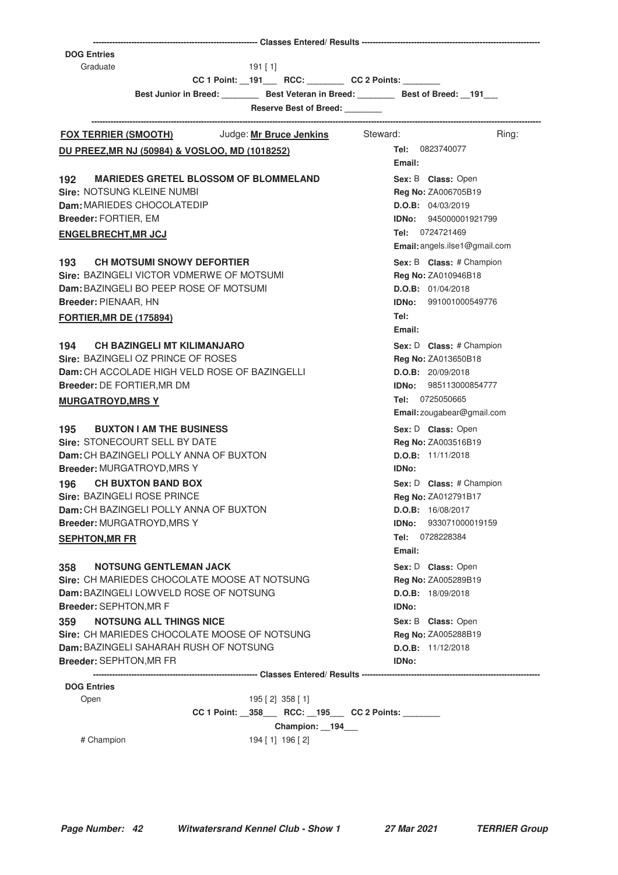| <b>DOG Entries</b>                                                                    |                               |
|---------------------------------------------------------------------------------------|-------------------------------|
| Graduate<br>$191$ [1]<br>CC 1 Point: __191____ RCC: ________ CC 2 Points: _______     |                               |
| Best Junior in Breed: Best Veteran in Breed: Best of Breed: 191                       |                               |
| <b>Reserve Best of Breed:</b>                                                         |                               |
|                                                                                       |                               |
| FOX TERRIER (SMOOTH) Judge: Mr Bruce Jenkins Steward:                                 | Ring:                         |
| DU PREEZ, MR NJ (50984) & VOSLOO, MD (1018252)                                        | <b>Tel:</b> 0823740077        |
|                                                                                       | Email:                        |
| <b>MARIEDES GRETEL BLOSSOM OF BLOMMELAND</b><br>192                                   | Sex: B Class: Open            |
| <b>Sire: NOTSUNG KLEINE NUMBI</b>                                                     | Reg No: ZA006705B19           |
| Dam: MARIEDES CHOCOLATEDIP                                                            | D.O.B: 04/03/2019             |
| Breeder: FORTIER, EM                                                                  | <b>IDNo:</b> 945000001921799  |
| <b>ENGELBRECHT, MR JCJ</b>                                                            | Tel: 0724721469               |
|                                                                                       | Email: angels.ilse1@gmail.com |
| <b>CH MOTSUMI SNOWY DEFORTIER</b><br>193                                              | Sex: B Class: # Champion      |
| Sire: BAZINGELI VICTOR VDMERWE OF MOTSUMI                                             | Reg No: ZA010946B18           |
| Dam: BAZINGELI BO PEEP ROSE OF MOTSUMI                                                | D.O.B: 01/04/2018             |
| Breeder: PIENAAR, HN                                                                  | <b>IDNo: 991001000549776</b>  |
| <b>FORTIER, MR DE (175894)</b>                                                        | Tel:                          |
|                                                                                       | Email:                        |
| 194 CH BAZINGELI MT KILIMANJARO                                                       | Sex: D Class: # Champion      |
| Sire: BAZINGELI OZ PRINCE OF ROSES                                                    | Reg No: ZA013650B18           |
| <b>Dam:</b> CH ACCOLADE HIGH VELD ROSE OF BAZINGELLI                                  | D.O.B: 20/09/2018             |
| Breeder: DE FORTIER, MR DM                                                            | <b>IDNo: 985113000854777</b>  |
| <b>MURGATROYD, MRS Y</b>                                                              | Tel: 0725050665               |
|                                                                                       | Email: zougabear@gmail.com    |
| <b>BUXTON I AM THE BUSINESS</b><br>195                                                | Sex: D Class: Open            |
| Sire: STONECOURT SELL BY DATE                                                         | Reg No: ZA003516B19           |
| Dam: CH BAZINGELI POLLY ANNA OF BUXTON                                                | <b>D.O.B:</b> 11/11/2018      |
| <b>Breeder: MURGATROYD, MRS Y</b>                                                     | <b>IDNo:</b>                  |
| <b>CH BUXTON BAND BOX</b><br>196                                                      | Sex: D Class: # Champion      |
| Sire: BAZINGELI ROSE PRINCE                                                           | <b>Reg No: ZA012791B17</b>    |
| Dam: CH BAZINGELI POLLY ANNA OF BUXTON                                                | D.O.B: 16/08/2017             |
| Breeder: MURGATROYD, MRS Y                                                            | IDNo:<br>933071000019159      |
| <b>SEPHTON, MR FR</b>                                                                 | Tel:<br>0728228384            |
|                                                                                       | Email:                        |
| <b>NOTSUNG GENTLEMAN JACK</b><br>358                                                  | Sex: D Class: Open            |
| Sire: CH MARIEDES CHOCOLATE MOOSE AT NOTSUNG                                          | Reg No: ZA005289B19           |
| Dam: BAZINGELI LOWVELD ROSE OF NOTSUNG                                                | D.O.B: 18/09/2018             |
| Breeder: SEPHTON, MR F                                                                | <b>IDNo:</b>                  |
| <b>NOTSUNG ALL THINGS NICE</b><br>359                                                 | Sex: B Class: Open            |
| Sire: CH MARIEDES CHOCOLATE MOOSE OF NOTSUNG                                          | Reg No: ZA005288B19           |
| Dam: BAZINGELI SAHARAH RUSH OF NOTSUNG                                                | D.O.B: 11/12/2018             |
| <b>Breeder: SEPHTON, MR FR</b>                                                        | <b>IDNo:</b>                  |
|                                                                                       |                               |
| <b>DOG Entries</b>                                                                    |                               |
| Open<br>$195$ [ 2] $358$ [ 1]<br>CC 1 Point: _358___ RCC: _195___ CC 2 Points: ______ |                               |
| Champion: 194                                                                         |                               |
| # Champion<br>194 [1] 196 [2]                                                         |                               |
|                                                                                       |                               |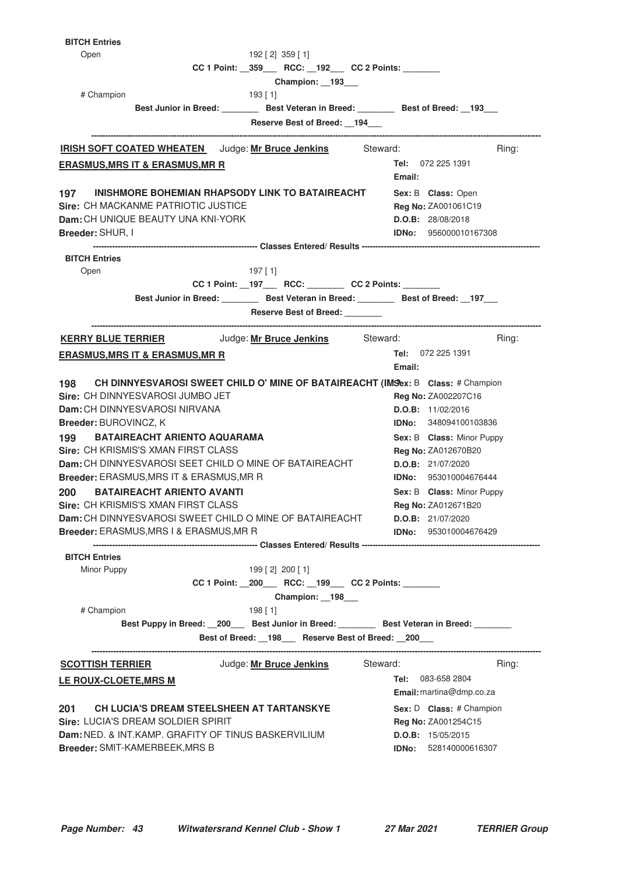| <b>BITCH Entries</b>                                                                      |                                                   |
|-------------------------------------------------------------------------------------------|---------------------------------------------------|
| Open<br>$192$ [ 2] $359$ [ 1]                                                             |                                                   |
| CC 1 Point: _359___ RCC: _192__ CC 2 Points: ______                                       |                                                   |
| Champion: 193<br># Champion<br>193 [ 1]                                                   |                                                   |
| Best Junior in Breed: __________ Best Veteran in Breed: _________ Best of Breed: __193___ |                                                   |
| Reserve Best of Breed: 194                                                                |                                                   |
|                                                                                           | Ring:                                             |
| <b>IRISH SOFT COATED WHEATEN</b> Judge: Mr Bruce Jenkins Steward:                         | Tel: 072 225 1391                                 |
| <b>ERASMUS, MRS IT &amp; ERASMUS, MR R</b>                                                | Email:                                            |
| 197 INISHMORE BOHEMIAN RHAPSODY LINK TO BATAIREACHT                                       | Sex: B Class: Open                                |
| Sire: CH MACKANME PATRIOTIC JUSTICE                                                       | Reg No: ZA001061C19                               |
| Dam: CH UNIQUE BEAUTY UNA KNI-YORK<br>Breeder: SHUR, I                                    | D.O.B: 28/08/2018<br><b>IDNo: 956000010167308</b> |
|                                                                                           |                                                   |
| <b>BITCH Entries</b>                                                                      |                                                   |
| Open<br>197 [ 1]                                                                          |                                                   |
| CC 1 Point: __197____ RCC: ________ CC 2 Points: _______                                  |                                                   |
| Best Junior in Breed: Best Veteran in Breed: Best of Breed: 197                           |                                                   |
| Reserve Best of Breed: _______                                                            |                                                   |
| <b>KERRY BLUE TERRIER</b> Judge: Mr Bruce Jenkins Steward:                                | Ring:                                             |
| <b>ERASMUS, MRS IT &amp; ERASMUS, MR R</b>                                                | <b>Tel:</b> 072 225 1391<br>Email:                |
| CH DINNYESVAROSI SWEET CHILD O' MINE OF BATAIREACHT (IMSex: B Class: # Champion<br>198    |                                                   |
| Sire: CH DINNYESVAROSI JUMBO JET                                                          | Reg No: ZA002207C16                               |
| Dam: CH DINNYESVAROSI NIRVANA                                                             | D.O.B: 11/02/2016                                 |
| <b>Breeder: BUROVINCZ, K</b>                                                              | <b>IDNo:</b> 348094100103836                      |
| <b>BATAIREACHT ARIENTO AQUARAMA</b><br>199                                                | Sex: B Class: Minor Puppy                         |
| <b>Sire: CH KRISMIS'S XMAN FIRST CLASS</b>                                                | <b>Reg No: ZA012670B20</b>                        |
| Dam: CH DINNYESVAROSI SEET CHILD O MINE OF BATAIREACHT                                    | D.O.B: 21/07/2020                                 |
| Breeder: ERASMUS, MRS IT & ERASMUS, MR R                                                  | <b>IDNo:</b> 953010004676444                      |
| 200<br><b>BATAIREACHT ARIENTO AVANTI</b><br>Sire: CH KRISMIS'S XMAN FIRST CLASS           | Sex: B Class: Minor Puppy                         |
| Dam: CH DINNYESVAROSI SWEET CHILD O MINE OF BATAIREACHT                                   | Reg No: ZA012671B20<br>D.O.B: 21/07/2020          |
| <b>Breeder: ERASMUS, MRS I &amp; ERASMUS, MR R</b>                                        | IDNo: 953010004676429                             |
|                                                                                           |                                                   |
| <b>BITCH Entries</b><br>Minor Puppy<br>199 [2] 200 [1]                                    |                                                   |
| CC 1 Point: _200___ RCC: _199___ CC 2 Points: ______                                      |                                                   |
| Champion: 198___                                                                          |                                                   |
| # Champion<br>198 [1]                                                                     |                                                   |
| Best Puppy in Breed: 200 Best Junior in Breed: Best Veteran in Breed: ______              |                                                   |
| Best of Breed: _198__ Reserve Best of Breed: _200__                                       |                                                   |
| <b>SCOTTISH TERRIER</b><br>Judge: Mr Bruce Jenkins                                        | Steward:<br>Ring:                                 |
| LE ROUX-CLOETE, MRS M                                                                     | <b>Tel:</b> 083-658 2804                          |
|                                                                                           | Email: martina@dmp.co.za                          |
| CH LUCIA'S DREAM STEELSHEEN AT TARTANSKYE<br>201                                          | Sex: D Class: # Champion                          |
| Sire: LUCIA'S DREAM SOLDIER SPIRIT                                                        | Reg No: ZA001254C15                               |
| Dam: NED. & INT.KAMP. GRAFITY OF TINUS BASKERVILIUM                                       | <b>D.O.B:</b> 15/05/2015                          |
| Breeder: SMIT-KAMERBEEK, MRS B                                                            | <b>IDNo:</b> 528140000616307                      |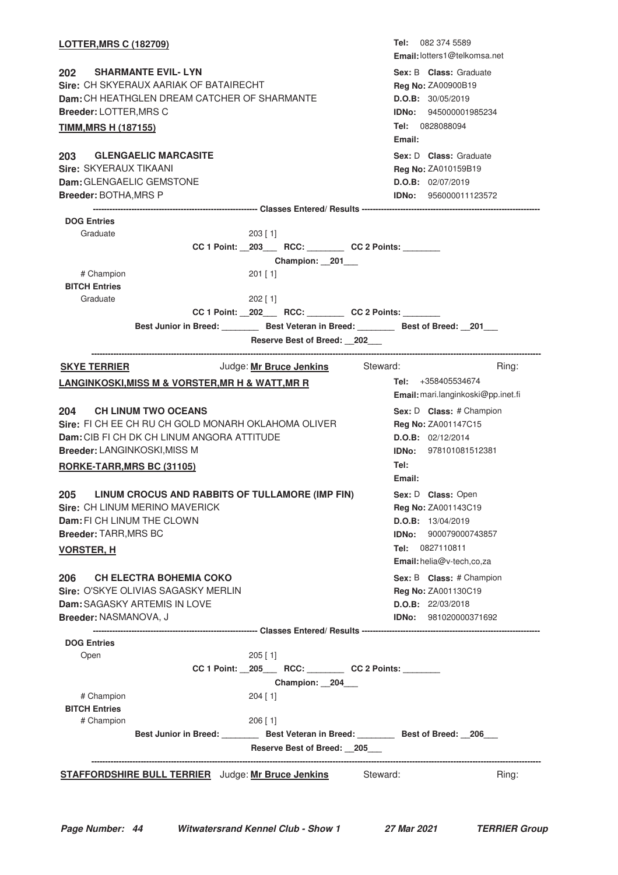| <b>LOTTER, MRS C (182709)</b>                                       |  |            |                                                      |          |                | <b>Tel:</b> 082 374 5589<br><b>Email:</b> lotters1@telkomsa.net                           |       |
|---------------------------------------------------------------------|--|------------|------------------------------------------------------|----------|----------------|-------------------------------------------------------------------------------------------|-------|
| 202<br><b>SHARMANTE EVIL-LYN</b>                                    |  |            |                                                      |          |                | Sex: B Class: Graduate                                                                    |       |
| Sire: CH SKYERAUX AARIAK OF BATAIRECHT                              |  |            |                                                      |          |                | <b>Reg No: ZA00900B19</b>                                                                 |       |
| Dam: CH HEATHGLEN DREAM CATCHER OF SHARMANTE                        |  |            |                                                      |          |                | D.O.B: 30/05/2019                                                                         |       |
| Breeder: LOTTER, MRS C                                              |  |            |                                                      |          |                | <b>IDNo:</b> 945000001985234                                                              |       |
| <b>TIMM, MRS H (187155)</b>                                         |  |            |                                                      |          | Email:         | Tel: 0828088094                                                                           |       |
| <b>GLENGAELIC MARCASITE</b><br>203<br>Sire: SKYERAUX TIKAANI        |  |            |                                                      |          |                | Sex: D Class: Graduate<br>Reg No: ZA010159B19                                             |       |
| <b>Dam:</b> GLENGAELIC GEMSTONE                                     |  |            |                                                      |          |                | D.O.B: 02/07/2019                                                                         |       |
| Breeder: BOTHA, MRS P                                               |  |            |                                                      |          |                | <b>IDNo:</b> 956000011123572                                                              |       |
|                                                                     |  |            |                                                      |          |                |                                                                                           |       |
| <b>DOG Entries</b>                                                  |  |            |                                                      |          |                |                                                                                           |       |
| Graduate                                                            |  | $203$ [ 1] |                                                      |          |                |                                                                                           |       |
|                                                                     |  |            | CC 1 Point: _203___ RCC: _______ CC 2 Points: ______ |          |                |                                                                                           |       |
|                                                                     |  |            | Champion: 201                                        |          |                |                                                                                           |       |
| # Champion                                                          |  | 201 [1]    |                                                      |          |                |                                                                                           |       |
| <b>BITCH Entries</b><br>Graduate                                    |  | $202$ [1]  |                                                      |          |                |                                                                                           |       |
|                                                                     |  |            | CC 1 Point: _202___ RCC: _______ CC 2 Points: ______ |          |                |                                                                                           |       |
|                                                                     |  |            |                                                      |          |                | Best Junior in Breed: __________ Best Veteran in Breed: _________ Best of Breed: __201___ |       |
|                                                                     |  |            | Reserve Best of Breed: 202                           |          |                |                                                                                           |       |
| <b>SKYE TERRIER</b>                                                 |  |            | Judge: Mr Bruce Jenkins                              | Steward: |                |                                                                                           | Ring: |
| <u>LANGINKOSKI,MISS M &amp; VORSTER,MR H &amp; WATT,MR R</u>        |  |            |                                                      |          |                | Tel: $+358405534674$                                                                      |       |
|                                                                     |  |            |                                                      |          |                | Email: mari.langinkoski@pp.inet.fi                                                        |       |
| 204<br><b>CH LINUM TWO OCEANS</b>                                   |  |            |                                                      |          |                | Sex: D Class: # Champion                                                                  |       |
| Sire: FI CH EE CH RU CH GOLD MONARH OKLAHOMA OLIVER                 |  |            |                                                      |          |                | Reg No: ZA001147C15                                                                       |       |
| Dam: CIB FI CH DK CH LINUM ANGORA ATTITUDE                          |  |            |                                                      |          |                | D.O.B: 02/12/2014                                                                         |       |
| Breeder: LANGINKOSKI, MISS M                                        |  |            |                                                      |          |                | <b>IDNo:</b> 978101081512381                                                              |       |
| RORKE-TARR, MRS BC (31105)                                          |  |            |                                                      |          | Tel:<br>Email: |                                                                                           |       |
| LINUM CROCUS AND RABBITS OF TULLAMORE (IMP FIN)<br>205              |  |            |                                                      |          |                | Sex: D Class: Open                                                                        |       |
| Sire: CH LINUM MERINO MAVERICK                                      |  |            |                                                      |          |                | Reg No: ZA001143C19                                                                       |       |
| Dam: FI CH LINUM THE CLOWN                                          |  |            |                                                      |          |                | D.O.B: 13/04/2019                                                                         |       |
| Breeder: TARR, MRS BC                                               |  |            |                                                      |          | IDNo:          | 900079000743857                                                                           |       |
| <u>VORSTER, H</u>                                                   |  |            |                                                      |          |                | Tel: 0827110811<br>Email: helia@v-tech,co,za                                              |       |
|                                                                     |  |            |                                                      |          |                |                                                                                           |       |
| 206<br><b>CH ELECTRA BOHEMIA COKO</b>                               |  |            |                                                      |          |                | Sex: B Class: # Champion                                                                  |       |
| Sire: O'SKYE OLIVIAS SAGASKY MERLIN<br>Dam: SAGASKY ARTEMIS IN LOVE |  |            |                                                      |          |                | Reg No: ZA001130C19<br>D.O.B: 22/03/2018                                                  |       |
| Breeder: NASMANOVA, J                                               |  |            |                                                      |          |                | <b>IDNo:</b> 981020000371692                                                              |       |
|                                                                     |  |            |                                                      |          |                |                                                                                           |       |
| <b>DOG Entries</b>                                                  |  |            |                                                      |          |                |                                                                                           |       |
| Open                                                                |  | $205$ [1]  |                                                      |          |                |                                                                                           |       |
|                                                                     |  |            | CC 1 Point: _205___ RCC: _______ CC 2 Points: _____  |          |                |                                                                                           |       |
|                                                                     |  |            | Champion: _204_                                      |          |                |                                                                                           |       |
| # Champion                                                          |  | $204$ [ 1] |                                                      |          |                |                                                                                           |       |
| <b>BITCH Entries</b>                                                |  |            |                                                      |          |                |                                                                                           |       |
| # Champion                                                          |  | $206$ [ 1] |                                                      |          |                |                                                                                           |       |
|                                                                     |  |            | Reserve Best of Breed: 205                           |          |                | Best Junior in Breed: Best Veteran in Breed: Best of Breed: 206                           |       |
|                                                                     |  |            |                                                      |          |                |                                                                                           |       |
| <b>STAFFORDSHIRE BULL TERRIER</b> Judge: Mr Bruce Jenkins           |  |            |                                                      | Steward: |                |                                                                                           | Ring: |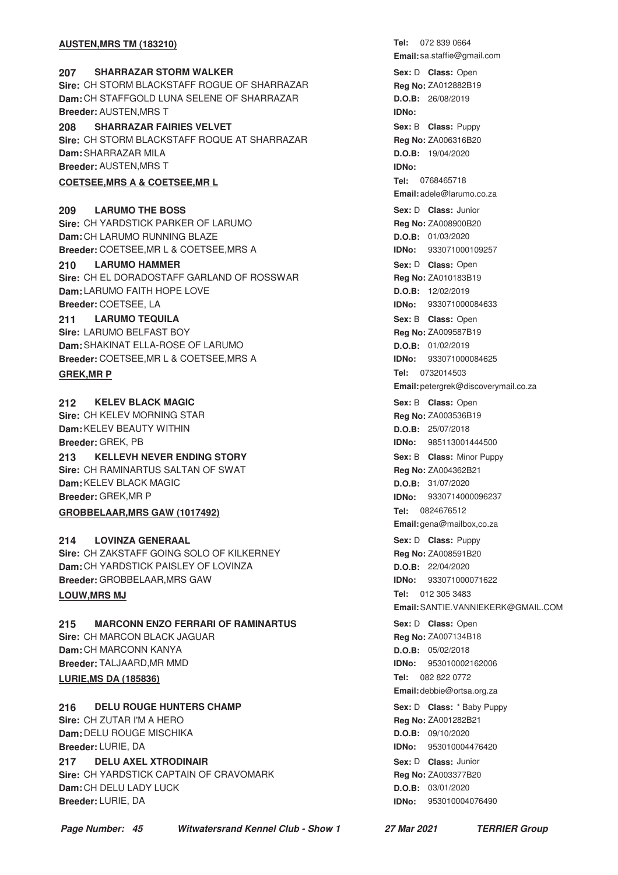#### **AUSTEN.MRS TM (183210)**

### **207 • SHARRAZAR STORM WALKER CONSERVING SEXEL SEX: D Class: Open Sire:** CH STORM BLACKSTAFF ROGUE OF SHARRAZAR **Dam:** CH STAFFGOLD LUNA SELENE OF SHARRAZAR **Breeder:** AUSTEN,MRS T

**SHARRAZAR FAIRIES VELVET 208** Puppy **Sire:** CH STORM BLACKSTAFF ROQUE AT SHARRAZAR **Dam:** SHARRAZAR MILA **Breeder:** AUSTEN,MRS T

## **COETSEE, MRS A & COETSEE, MRL**

**LARUMO THE BOSS Sire:** CH YARDSTICK PARKER OF LARUMO **Dam:** CH LARUMO RUNNING BLAZE **Breeder:** COETSEE,MR L & COETSEE,MRS A **209** LARUMO THE BOSS **Class:** Junior

**210 LARUMO HAMMER CONSERVING SEXEL SEXEL SOME SEX: D Class: Open Sire:** CH EL DORADOSTAFF GARLAND OF ROSSWAR **Dam:** LARUMO FAITH HOPE LOVE **Breeder:** COETSEE, LA

#### **LARUMO TEQUILA 211 LARUMO TEQUILA CONSIDERITY CONSIDER SEX: B Class: Open**

**Sire:** LARUMO BELFAST BOY **Dam:** SHAKINAT ELLA-ROSE OF LARUMO **Breeder:** COETSEE,MR L & COETSEE,MRS A

**212 • KELEV BLACK MAGIC CONSERVING SEXELY SEX: B Class: Open Sire:** CH KELEV MORNING STAR **Dam:** KELEV BEAUTY WITHIN **Breeder:** GREK, PB

**Sire:** CH RAMINARTUS SALTAN OF SWAT **Dam:** KELEV BLACK MAGIC **Breeder:** GREK,MR P

### **GROBBELAAR, MRS GAW (1017492)**

**214 • LOVINZA GENERAAL 214 • COVING A GENERAAL 214 • Sex: D Class:** Puppy **Sire:** CH ZAKSTAFF GOING SOLO OF KILKERNEY **Dam:** CH YARDSTICK PAISLEY OF LOVINZA **Breeder:** GROBBELAAR,MRS GAW

### **LOUW, MRS MJ**

**215 MARCONN ENZO FERRARI OF RAMINARTUS Cass: Disk Class: Open Sire:** CH MARCON BLACK JAGUAR **Dam:** CH MARCONN KANYA **Breeder:** TALJAARD,MR MMD **LURIE, MS DA (185836)** 

**Sire:** CH ZUTAR I'M A HERO **Dam:** DELU ROUGE MISCHIKA **Breeder:** LURIE, DA

**217 DELU AXEL XTRODINAIR 1988 1997 <b>1998 217 218 218 328 328 328 328 21 21 328 329 329 329 329 329 329 329 329 329 329 329 329 329 329 329 329 329 329 329 Sire:** CH YARDSTICK CAPTAIN OF CRAVOMARK **Dam:** CH DELU LADY LUCK **Breeder:** LURIE, DA

Tel: 072 839 0664 **Email:** sa.staffie@gmail.com Sex: D **Class:** Open **Reg No:** ZA012882B19 **D.O.B:** 26/08/2019 **IDNo: Sex:** B **Class: Reg No:** ZA006316B20 **D.O.B:** 19/04/2020 **IDNo: Tel: Email:** adele@larumo.co.za **Reg No:** ZA008900B20 **D.O.B:** 01/03/2020 **IDNo:** 933071000109257 **Sex:** D **Class: Reg No:** ZA010183B19 **D.O.B:** 12/02/2019 **IDNo:** 933071000084633 **Reg No:** ZA009587B19 **D.O.B:** 01/02/2019 **IDNo:** 933071000084625 **Tel: GREK,MR P** 0732014503 **Email:** petergrek@discoverymail.co.za Sex: B **Class:** Open **Reg No:** ZA003536B19 **D.O.B:** 25/07/2018 **IDNo:** 985113001444500 **213** KELLEVH NEVER ENDING STORY **And State Contract Contract Contract Contract Contract Contract Contract Contract Contract Contract Contract Contract Contract Contract Contract Contract Contract Contract Contract Contrac** Sex: B **Class:** Minor Puppy **Reg No:** ZA004362B21 **D.O.B:** 31/07/2020 **IDNo:** 9330714000096237 **Tel: Email:** gena@mailbox,co.za Sex: D **Class:** Puppy **Reg No:** ZA008591B20 **D.O.B:** 22/04/2020 **IDNo:** 933071000071622 Tel: 012 305 3483 **Email:**SANTIE.VANNIEKERK@GMAIL.COM Sex: D **Class:** Open **Reg No:** ZA007134B18 **D.O.B:** 05/02/2018 **IDNo:** 953010002162006 Tel: 082 822 0772 **Email:** debbie@ortsa.org.za **216 DELU ROUGE HUNTERS CHAMP 12 CHAMP** Sex: D Class: \* Baby Puppy Sex: D **Class:** \* Baby Puppy **Reg No:** ZA001282B21 **D.O.B:** 09/10/2020 **IDNo:** 953010004476420 **Sex:** D **Class:**

**Reg No:** ZA003377B20 **D.O.B:** 03/01/2020 **IDNo:** 953010004076490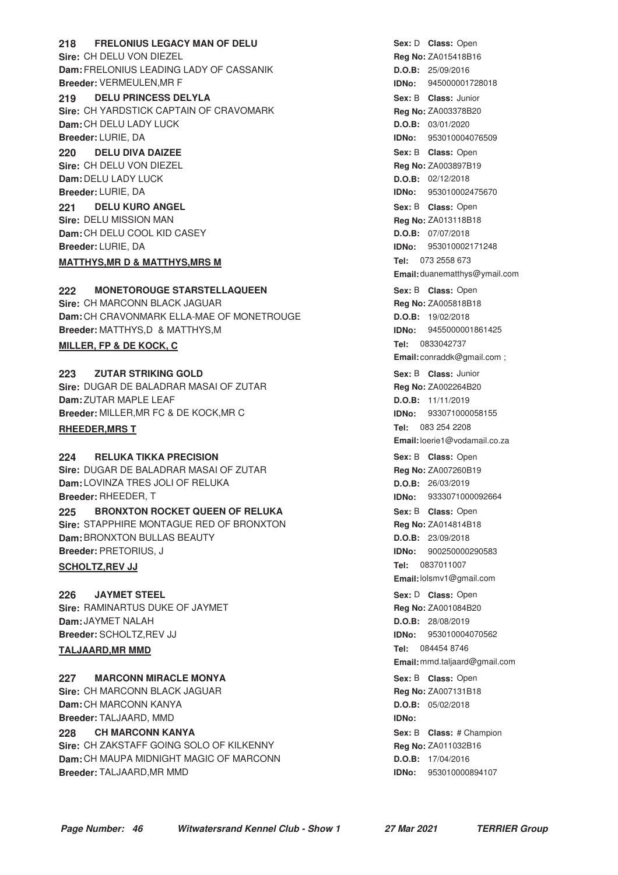**218 FRELONIUS LEGACY MAN OF DELU CONSEX CONSTRUSS** Sex: D Class: Open **Sire:** CH DELU VON DIEZEL **Dam:** FRELONIUS LEADING LADY OF CASSANIK **Breeder:** VERMEULEN,MR F

**219 DELU PRINCESS DELYLA 1988 1988 219 219 219 219 219 219 21 Sire:** CH YARDSTICK CAPTAIN OF CRAVOMARK **Dam:** CH DELU LADY LUCK **Breeder:** LURIE, DA

**DELU DIVA DAIZEE Sire:** CH DELU VON DIEZEL **Dam:** DELU LADY LUCK **Breeder:** LURIE, DA **220 DELU DIVA DAIZEE CONSUMPTER SEX: B Class: Open** 

**DELU KURO ANGEL Sire:** DELU MISSION MAN **Dam:** CH DELU COOL KID CASEY **Breeder:** LURIE, DA **221 DELU KURO ANGEL CONSEX CONSEXED SEX: B Class: Open** 

#### **MATTHYS, MR D & MATTHYS, MRS M**

**222 MONETOROUGE STARSTELLAQUEEN 120 CONSERVING Sex: B Class:** Open **Sire:** CH MARCONN BLACK JAGUAR **Dam:** CH CRAVONMARK ELLA-MAE OF MONETROUGE **Breeder:** MATTHYS,D & MATTHYS,M **MILLER, FP & DE KOCK, C** 

**223 ZUTAR STRIKING GOLD 12.1 COLD 12.1 Class: Junior 223 Class: Junior Sire:** DUGAR DE BALADRAR MASAI OF ZUTAR **Dam:** ZUTAR MAPLE LEAF **Breeder:** MILLER,MR FC & DE KOCK,MR C

#### **RHEEDER, MRS T**

**224 RELUKA TIKKA PRECISION CONSERVING SEXELY SEX: B Class:** Open **Sire:** DUGAR DE BALADRAR MASAI OF ZUTAR **Dam:** LOVINZA TRES JOLI OF RELUKA **Breeder:** RHEEDER, T

**225 BRONXTON ROCKET QUEEN OF RELUKA Example 225 Sex: B Class:** Open **Sire:** STAPPHIRE MONTAGUE RED OF BRONXTON **Dam:** BRONXTON BULLAS BEAUTY **Breeder:** PRETORIUS, J

#### **SCHOLTZ, REV JJ**

**JAYMET STEEL Sire:** RAMINARTUS DUKE OF JAYMET **Dam:** JAYMET NALAH **Breeder:** SCHOLTZ,REV JJ **226 JAYMET STEEL CONSERVITY CONSERVITY SEX:** D Class: Open

### **TALJAARD, MR MMD**

**227 MARCONN MIRACLE MONYA 1988 CONSTRANDED Sex: B Class: Open Sire:** CH MARCONN BLACK JAGUAR **Dam:** CH MARCONN KANYA **Breeder:** TALJAARD, MMD

**CH MARCONN KANYA Sire:** CH ZAKSTAFF GOING SOLO OF KILKENNY **Dam:** CH MAUPA MIDNIGHT MAGIC OF MARCONN **Breeder:** TALJAARD,MR MMD **228 CH MARCONN KANYA Example 228 Class:** # Champion

Sex: D **Class:** Open **Reg No:** ZA015418B16 **D.O.B:** 25/09/2016 **IDNo:** 945000001728018 Sex: B **Class:** Junior **Reg No:** ZA003378B20 **D.O.B:** 03/01/2020 **IDNo:** 953010004076509 **Reg No:** ZA003897B19 **D.O.B:** 02/12/2018 **IDNo:** 953010002475670 **Reg No:** ZA013118B18 **D.O.B:** 07/07/2018 **IDNo:** 953010002171248 Tel: 073 2558 673 **Email:** duanematthys@ymail.com Sex: B **Class:** Open **Reg No:** ZA005818B18 **D.O.B:** 19/02/2018 **IDNo:** 9455000001861425 **Tel: Email:** conraddk@gmail.com ; **Sex:** B **Class: Reg No:** ZA002264B20 **D.O.B:** 11/11/2019 **IDNo:** 933071000058155 Tel: 083 254 2208 **Email:**loerie1@vodamail.co.za **Sex:** B **Class: Reg No:** ZA007260B19 **D.O.B:** 26/03/2019 **IDNo:** 9333071000092664 Sex: B **Class:** Open **Reg No:** ZA014814B18 **D.O.B:** 23/09/2018 **IDNo:** 900250000290583 Tel: 0837011007 **Email:**lolsmv1@gmail.com **Reg No:** ZA001084B20 **D.O.B:** 28/08/2019 **IDNo:** 953010004070562 Tel: 084454 8746 **Email:** mmd.taljaard@gmail.com Sex: B **Class:** Open **Reg No:** ZA007131B18 **D.O.B:** 05/02/2018 **IDNo: Reg No:** ZA011032B16 **D.O.B:** 17/04/2016 **IDNo:** 953010000894107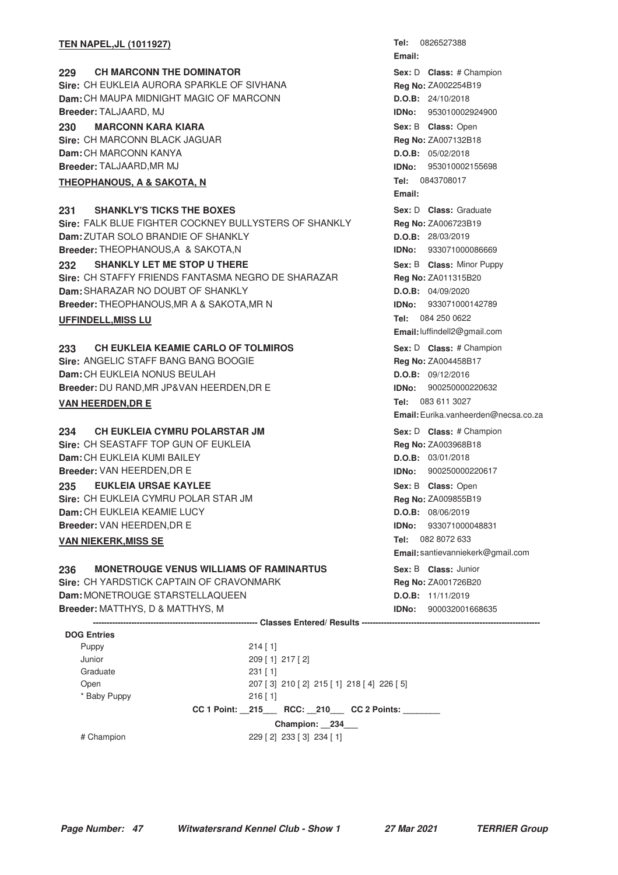#### **TEN NAPEL, JL (1011927)**

## **229 • CH MARCONN THE DOMINATOR CHAMPION CLASS:**  $\mu$  Changion **Sire:** CH EUKLEIA AURORA SPARKLE OF SIVHANA

**Dam:** CH MAUPA MIDNIGHT MAGIC OF MARCONN **Breeder:** TALJAARD, MJ

**230 MARCONN KARA KIARA CONSERVING CONSERVING Sex: B Class:** Open **Sire:** CH MARCONN BLACK JAGUAR **Dam:** CH MARCONN KANYA **Breeder:** TALJAARD,MR MJ

## **THEOPHANOUS, A & SAKOTA, N**

# **231 SHANKLY'S TICKS THE BOXES CONSTANDIAL SEXEL SEX:** D Class: Graduate

**Sire:** FALK BLUE FIGHTER COCKNEY BULLYSTERS OF SHANKLY **Dam:** ZUTAR SOLO BRANDIE OF SHANKLY **Breeder:** THEOPHANOUS,A & SAKOTA,N

**232 SHANKLY LET ME STOP U THERE All and Seximum Sex: B Class: Minor Puppy Sire:** CH STAFFY FRIENDS FANTASMA NEGRO DE SHARAZAR **Dam:** SHARAZAR NO DOUBT OF SHANKLY **Breeder:** THEOPHANOUS,MR A & SAKOTA,MR N

#### **UFFINDELL, MISS LU**

# **233 • CH EUKLEIA KEAMIE CARLO OF TOLMIROS 1988 233** • Sex: D Class: # Champion

**Sire:** ANGELIC STAFF BANG BANG BOOGIE **Dam:** CH EUKLEIA NONUS BEULAH **Breeder:** DU RAND,MR JP&VAN HEERDEN,DR E **VAN HEERDEN, DR E** 

**Sire:** CH SEASTAFF TOP GUN OF EUKLEIA **Dam:** CH EUKLEIA KUMI BAILEY **Breeder:** VAN HEERDEN,DR E **235 • EUKLEIA URSAE KAYLEE And Solution Company of the Sex: B Class: Open Sire:** CH EUKLEIA CYMRU POLAR STAR JM **Dam:** CH EUKLEIA KEAMIE LUCY **Breeder:** VAN HEERDEN,DR E

#### **VAN NIEKERK, MISS SE**

## **236 MONETROUGE VENUS WILLIAMS OF RAMINARTUS** Sex: B Class: Junior

**Sire:** CH YARDSTICK CAPTAIN OF CRAVONMARK **Dam:** MONETROUGE STARSTELLAQUEEN **Breeder:** MATTHYS, D & MATTHYS, M

**Tel: Email:** Sex: D **Class:** # Champion **Reg No:** ZA002254B19 **D.O.B:** 24/10/2018 **IDNo:** 953010002924900 **Sex:** B **Class: Reg No:** ZA007132B18 **D.O.B:** 05/02/2018 **IDNo:** 953010002155698 **Tel: Email: Sex:** D **Class: Reg No:** ZA006723B19 **D.O.B:** 28/03/2019 **IDNo:** 933071000086669 Sex: B **Class:** Minor Puppy **Reg No:** ZA011315B20 **D.O.B:** 04/09/2020 **IDNo:** 933071000142789 Tel: 084 250 0622 **Email:**luffindell2@gmail.com

**Sex:** D **Class:** # Champion **Reg No:** ZA004458B17 **D.O.B:** 09/12/2016 **IDNo:** 900250000220632 Tel: 083 611 3027 **Email:**Eurika.vanheerden@necsa.co.za

**234 CH EUKLEIA CYMRU POLARSTAR JM 120 CLASS AND SEX:** D Class: # Champion Sex: D **Class:** # Champion **Reg No:** ZA003968B18 **D.O.B:** 03/01/2018 **IDNo:** 900250000220617 **Sex:** B **Class: Reg No:** ZA009855B19 **D.O.B:** 08/06/2019 **IDNo:** 933071000048831 Tel: 082 8072 633 **Email:** santievanniekerk@gmail.com

> **Sex:** B **Class: Reg No:** ZA001726B20 **D.O.B:** 11/11/2019 **IDNo:** 900032001668635

**DOG Entries** Puppy 214 [ 1] Junior 209 [ 1] 217 [ 2] Graduate 231 [ 1] Open 207 [ 3] 210 [ 2] 215 [ 1] 218 [ 4] 226 [ 5] \* Baby Puppy 216 [ 1] **CC 1 Point: \_\_215\_\_\_ RCC: \_\_210\_\_\_ CC 2 Points: \_\_\_\_\_\_\_\_ Champion: \_\_234\_\_\_** # Champion 229 [ 2] 233 [ 3] 234 [ 1]

**------------------------------------------------------------ Classes Entered/ Results -----------------------------------------------------------------**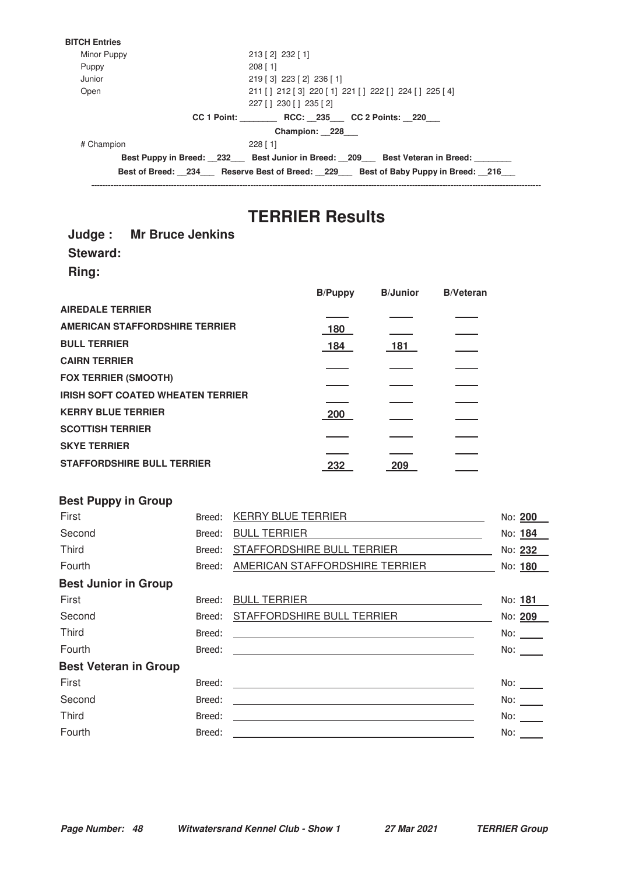

# **TERRIER Results**

#### **Judge : Mr Bruce Jenkins**

**Steward:**

**Ring:**

|                                          | <b>B/Puppy</b> | <b>B/Junior</b> | <b>B/Veteran</b> |
|------------------------------------------|----------------|-----------------|------------------|
| <b>AIREDALE TERRIER</b>                  |                |                 |                  |
| <b>AMERICAN STAFFORDSHIRE TERRIER</b>    | 180            |                 |                  |
| <b>BULL TERRIER</b>                      | 184            | 181             |                  |
| <b>CAIRN TERRIER</b>                     |                |                 |                  |
| <b>FOX TERRIER (SMOOTH)</b>              |                |                 |                  |
| <b>IRISH SOFT COATED WHEATEN TERRIER</b> |                |                 |                  |
|                                          |                |                 |                  |
| <b>KERRY BLUE TERRIER</b>                | 200            |                 |                  |
| <b>SCOTTISH TERRIER</b>                  |                |                 |                  |
| <b>SKYE TERRIER</b>                      |                |                 |                  |
|                                          |                |                 |                  |
| <b>STAFFORDSHIRE BULL TERRIER</b>        | 232            | 209             |                  |

## **Best Puppy in Group**

| First                        | Breed: | KERRY BLUE TERRIER                                                                                                                                                                                                                   | No: 200             |
|------------------------------|--------|--------------------------------------------------------------------------------------------------------------------------------------------------------------------------------------------------------------------------------------|---------------------|
| Second                       | Breed: | <b>BULL TERRIER</b>                                                                                                                                                                                                                  | No: 184             |
| Third                        | Breed: | STAFFORDSHIRE BULL TERRIER                                                                                                                                                                                                           | No: 232             |
| Fourth                       | Breed: | AMERICAN STAFFORDSHIRE TERRIER                                                                                                                                                                                                       | No: 180             |
| <b>Best Junior in Group</b>  |        |                                                                                                                                                                                                                                      |                     |
| First                        | Breed: | BULL TERRIER <b>Andrew Contract Contract Contract Contract Contract Contract Contract Contract Contract Contract Contract Contract Contract Contract Contract Contract Contract Contract Contract Contract Contract Contract Con</b> | No: 181             |
| Second                       | Breed: | STAFFORDSHIRE BULL TERRIER                                                                                                                                                                                                           | No: 209             |
| <b>Third</b>                 | Breed: | <u> 1989 - Andrea Stadt Britain, amerikansk politiker (d. 1989)</u>                                                                                                                                                                  | No:                 |
| Fourth                       |        |                                                                                                                                                                                                                                      | No:                 |
| <b>Best Veteran in Group</b> |        |                                                                                                                                                                                                                                      |                     |
| First                        | Breed: |                                                                                                                                                                                                                                      | No: $\qquad \qquad$ |
| Second                       | Breed: | <u> 1989 - Johann John Stone, markin film yn y brening yn y brening yn y brening yn y brening y brening yn y bre</u>                                                                                                                 | No: $\_\_$          |
| <b>Third</b>                 | Breed: | <u> 1989 - Johann John Stein, markin film yn y brening yn y brening yn y brening yn y brening yn y brening yn y b</u>                                                                                                                | No: $\_\_$          |
| Fourth                       | Breed: |                                                                                                                                                                                                                                      | No:                 |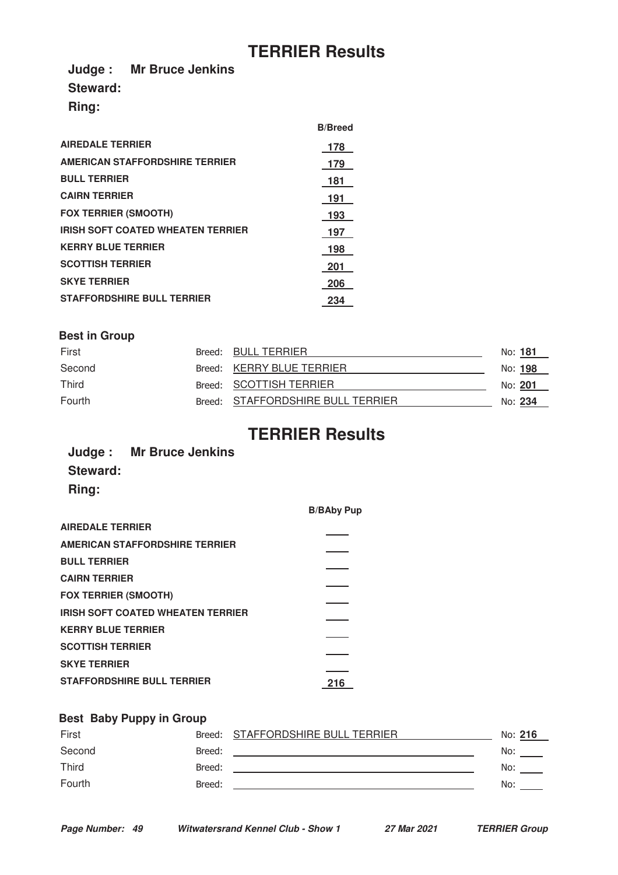# **TERRIER Results**

**Judge : Mr Bruce Jenkins Steward:**

**Ring:**

|                                          | <b>B/Breed</b> |
|------------------------------------------|----------------|
| <b>AIREDALE TERRIER</b>                  | 178            |
| <b>AMERICAN STAFFORDSHIRE TERRIER</b>    | 179            |
| <b>BULL TERRIER</b>                      | 181            |
| <b>CAIRN TERRIER</b>                     | 191            |
| <b>FOX TERRIER (SMOOTH)</b>              | 193            |
| <b>IRISH SOFT COATED WHEATEN TERRIER</b> | 197            |
| <b>KERRY BLUE TERRIER</b>                | 198            |
| <b>SCOTTISH TERRIER</b>                  | <b>201</b>     |
| <b>SKYE TERRIER</b>                      | 206            |
| <b>STAFFORDSHIRE BULL TERRIER</b>        | 234            |

## **Best in Group**

| First        | Breed: BULL TERRIER               | No: <b>181</b> |  |
|--------------|-----------------------------------|----------------|--|
| Second       | Breed: KERRY BLUE TERRIER         | No: 198        |  |
| <b>Third</b> | Breed: SCOTTISH TERRIER           | No: 201        |  |
| Fourth       | Breed: STAFFORDSHIRE BULL TERRIER | No: 234        |  |

# **TERRIER Results**

|              | Judge: Mr Bruce Jenkins |
|--------------|-------------------------|
| Steward:     |                         |
| <b>Ring:</b> |                         |

|                                          | <b>B/BAby Pup</b> |
|------------------------------------------|-------------------|
| <b>AIREDALE TERRIER</b>                  |                   |
| <b>AMERICAN STAFFORDSHIRE TERRIER</b>    |                   |
| <b>BULL TERRIER</b>                      |                   |
| <b>CAIRN TERRIER</b>                     |                   |
| <b>FOX TERRIER (SMOOTH)</b>              |                   |
| <b>IRISH SOFT COATED WHEATEN TERRIER</b> |                   |
| <b>KERRY BLUE TERRIER</b>                |                   |
| <b>SCOTTISH TERRIER</b>                  |                   |
| <b>SKYE TERRIER</b>                      |                   |
| <b>STAFFORDSHIRE BULL TERRIER</b>        | 216               |

## **Best Baby Puppy in Group**

| First  |        | Breed: STAFFORDSHIRE BULL TERRIER | No: 216 |
|--------|--------|-----------------------------------|---------|
| Second | Breed: |                                   | No:     |
| Third  | Breed: |                                   | No:     |
| Fourth | Breed: |                                   | No:     |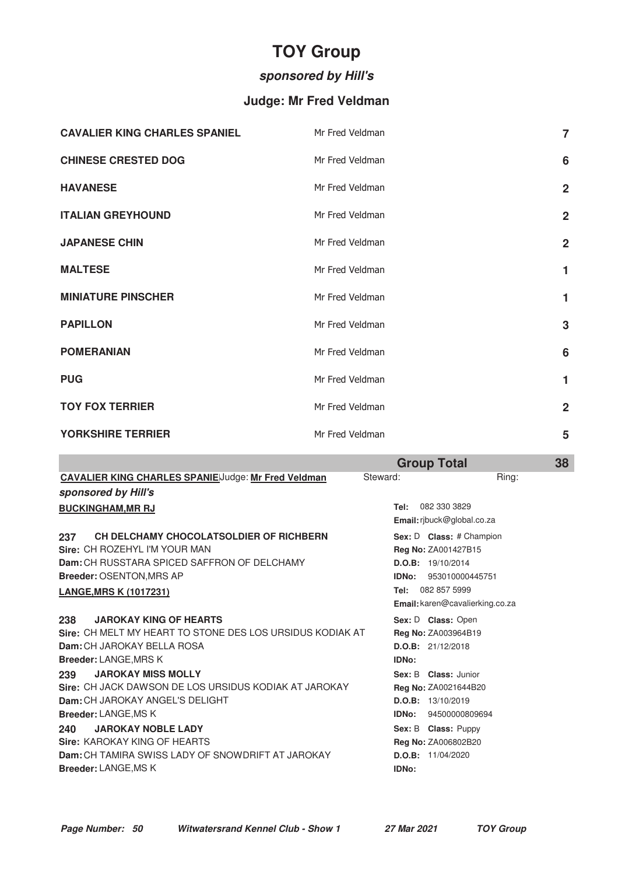# **TOY Group**

# **sponsored by Hill's**

# **Judge: Mr Fred Veldman**

| <b>CAVALIER KING CHARLES SPANIEL</b> | Mr Fred Veldman | $\overline{7}$ |
|--------------------------------------|-----------------|----------------|
| <b>CHINESE CRESTED DOG</b>           | Mr Fred Veldman | 6              |
| <b>HAVANESE</b>                      | Mr Fred Veldman | $\overline{2}$ |
| <b>ITALIAN GREYHOUND</b>             | Mr Fred Veldman | $\overline{2}$ |
| <b>JAPANESE CHIN</b>                 | Mr Fred Veldman | $\overline{2}$ |
| <b>MALTESE</b>                       | Mr Fred Veldman | 1              |
| <b>MINIATURE PINSCHER</b>            | Mr Fred Veldman | 1              |
| <b>PAPILLON</b>                      | Mr Fred Veldman | 3              |
| <b>POMERANIAN</b>                    | Mr Fred Veldman | 6              |
| <b>PUG</b>                           | Mr Fred Veldman | 1              |
| <b>TOY FOX TERRIER</b>               | Mr Fred Veldman | $\overline{2}$ |
| <b>YORKSHIRE TERRIER</b>             | Mr Fred Veldman | 5              |

| <b>Group Total</b> | 38 |
|--------------------|----|
|                    |    |

| <b>CAVALIER KING CHARLES SPANIEIJudge: Mr Fred Veldman</b>   | Steward: | Ring:                           |
|--------------------------------------------------------------|----------|---------------------------------|
| sponsored by Hill's                                          |          |                                 |
| <b>BUCKINGHAM, MR RJ</b>                                     | Tel:     | 082 330 3829                    |
|                                                              |          | Email: ribuck@global.co.za      |
| CH DELCHAMY CHOCOLATSOLDIER OF RICHBERN<br>237               |          | Sex: D Class: # Champion        |
| Sire: CH ROZEHYL I'M YOUR MAN                                |          | Reg No: ZA001427B15             |
| Dam: CH RUSSTARA SPICED SAFFRON OF DELCHAMY                  |          | D.O.B: 19/10/2014               |
| <b>Breeder: OSENTON, MRS AP</b>                              | IDNo:    | 953010000445751                 |
| <b>LANGE, MRS K (1017231)</b>                                | Tel:     | 082 857 5999                    |
|                                                              |          | Email: karen@cavalierking.co.za |
| <b>JAROKAY KING OF HEARTS</b><br>238                         |          | Sex: D Class: Open              |
| Sire: CH MELT MY HEART TO STONE DES LOS URSIDUS KODIAK AT    |          | Reg No: ZA003964B19             |
| Dam: CH JAROKAY BELLA ROSA                                   |          | D.O.B: 21/12/2018               |
| <b>Breeder: LANGE, MRS K</b>                                 | IDNo:    |                                 |
| <b>JAROKAY MISS MOLLY</b><br>239                             |          | Sex: B Class: Junior            |
| <b>Sire: CH JACK DAWSON DE LOS URSIDUS KODIAK AT JAROKAY</b> |          | Reg No: ZA0021644B20            |
| Dam: CH JAROKAY ANGEL'S DELIGHT                              |          | D.O.B: 13/10/2019               |
| <b>Breeder: LANGE, MS K</b>                                  | IDNo:    | 94500000809694                  |
| <b>JAROKAY NOBLE LADY</b><br>240                             |          | Sex: B Class: Puppy             |
| <b>Sire: KAROKAY KING OF HEARTS</b>                          |          | <b>Reg No: ZA006802B20</b>      |
| Dam: CH TAMIRA SWISS LADY OF SNOWDRIFT AT JAROKAY            |          | D.O.B: 11/04/2020               |
| <b>Breeder: LANGE, MS K</b>                                  | IDNo:    |                                 |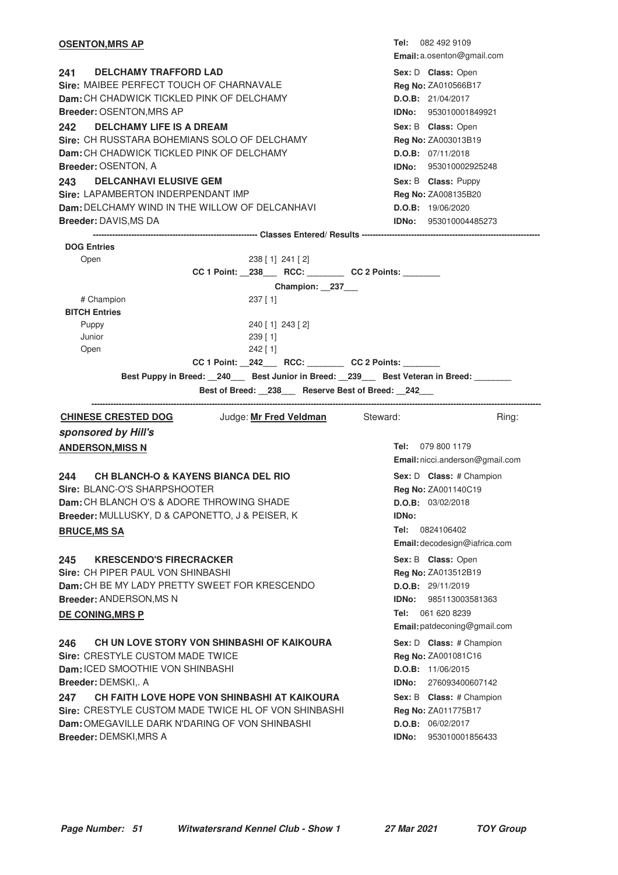| <b>OSENTON, MRS AP</b>                                                                                        | <b>Tel:</b> 082 492 9109                        |
|---------------------------------------------------------------------------------------------------------------|-------------------------------------------------|
|                                                                                                               | Email: a.osenton@gmail.com                      |
| 241 —<br><b>DELCHAMY TRAFFORD LAD</b>                                                                         | Sex: D Class: Open                              |
| Sire: MAIBEE PERFECT TOUCH OF CHARNAVALE                                                                      | Reg No: ZA010566B17                             |
| Dam: CH CHADWICK TICKLED PINK OF DELCHAMY                                                                     | D.O.B: 21/04/2017                               |
| <b>Breeder: OSENTON, MRS AP</b>                                                                               | <b>IDNo:</b> 953010001849921                    |
| <b>DELCHAMY LIFE IS A DREAM</b><br>242<br>Sire: CH RUSSTARA BOHEMIANS SOLO OF DELCHAMY                        | Sex: B Class: Open                              |
| Dam: CH CHADWICK TICKLED PINK OF DELCHAMY                                                                     | Reg No: ZA003013B19<br>D.O.B: 07/11/2018        |
| Breeder: OSENTON, A                                                                                           | IDNo: 953010002925248                           |
| <b>DELCANHAVI ELUSIVE GEM</b><br>243                                                                          | Sex: B Class: Puppy                             |
| Sire: LAPAMBERTON INDERPENDANT IMP                                                                            | Reg No: ZA008135B20                             |
| <b>Dam: DELCHAMY WIND IN THE WILLOW OF DELCANHAVI</b>                                                         | D.O.B: 19/06/2020                               |
| <b>Breeder: DAVIS, MS DA</b>                                                                                  | <b>IDNo:</b> 953010004485273                    |
|                                                                                                               |                                                 |
| <b>DOG Entries</b>                                                                                            |                                                 |
| $238$ [ 1] 241 [ 2]<br>Open                                                                                   |                                                 |
| CC 1 Point: _238___ RCC: _______ CC 2 Points: ______                                                          |                                                 |
| Champion: 237<br># Champion<br>237 [ 1]                                                                       |                                                 |
| <b>BITCH Entries</b>                                                                                          |                                                 |
| 240 [1] 243 [2]<br>Puppy                                                                                      |                                                 |
| Junior<br>239 [1]                                                                                             |                                                 |
| Open<br>$242$ [1]                                                                                             |                                                 |
| CC 1 Point: _242___ RCC: _______ CC 2 Points: _____                                                           |                                                 |
| Best Puppy in Breed: __240___ Best Junior in Breed: __239___ Best Veteran in Breed: _______                   |                                                 |
|                                                                                                               |                                                 |
| Best of Breed: _238__ Reserve Best of Breed: _242__                                                           |                                                 |
| Judge: Mr Fred Veldman Steward:<br><b>CHINESE CRESTED DOG</b>                                                 | Ring:                                           |
|                                                                                                               |                                                 |
| sponsored by Hill's                                                                                           | Tel: 079 800 1179                               |
| <b>ANDERSON, MISS N</b>                                                                                       | Email: nicci.anderson@gmail.com                 |
| <b>CH BLANCH-O &amp; KAYENS BIANCA DEL RIO</b><br>244                                                         |                                                 |
| Sire: BLANC-O'S SHARPSHOOTER                                                                                  | Sex: D Class: # Champion<br>Reg No: ZA001140C19 |
| Dam: CH BLANCH O'S & ADORE THROWING SHADE                                                                     | D.O.B: 03/02/2018                               |
| Breeder: MULLUSKY, D & CAPONETTO, J & PEISER, K                                                               | IDNo:                                           |
| <b>BRUCE, MS SA</b>                                                                                           | Tel: 0824106402                                 |
|                                                                                                               | Email: decodesign@iafrica.com                   |
| <b>KRESCENDO'S FIRECRACKER</b><br>245                                                                         | Sex: B Class: Open                              |
| Sire: CH PIPER PAUL VON SHINBASHI                                                                             | Reg No: ZA013512B19                             |
| Dam: CH BE MY LADY PRETTY SWEET FOR KRESCENDO                                                                 | D.O.B: 29/11/2019                               |
| Breeder: ANDERSON, MS N                                                                                       | IDNo:<br>985113003581363                        |
| <b>DE CONING, MRS P</b>                                                                                       | Tel: 061 620 8239                               |
|                                                                                                               | Email: patdeconing@gmail.com                    |
| CH UN LOVE STORY VON SHINBASHI OF KAIKOURA<br>246                                                             | Sex: D Class: # Champion                        |
| <b>Sire: CRESTYLE CUSTOM MADE TWICE</b>                                                                       | Reg No: ZA001081C16                             |
| Dam: ICED SMOOTHIE VON SHINBASHI                                                                              | D.O.B: 11/06/2015                               |
| Breeder: DEMSKI,. A                                                                                           | IDNo:<br>276093400607142                        |
| CH FAITH LOVE HOPE VON SHINBASHI AT KAIKOURA<br>247                                                           | Sex: B Class: # Champion                        |
| Sire: CRESTYLE CUSTOM MADE TWICE HL OF VON SHINBASHI<br><b>Dam:</b> OMEGAVILLE DARK N'DARING OF VON SHINBASHI | <b>Reg No: ZA011775B17</b>                      |
| Breeder: DEMSKI, MRS A                                                                                        | D.O.B: 06/02/2017<br>953010001856433<br>IDNo:   |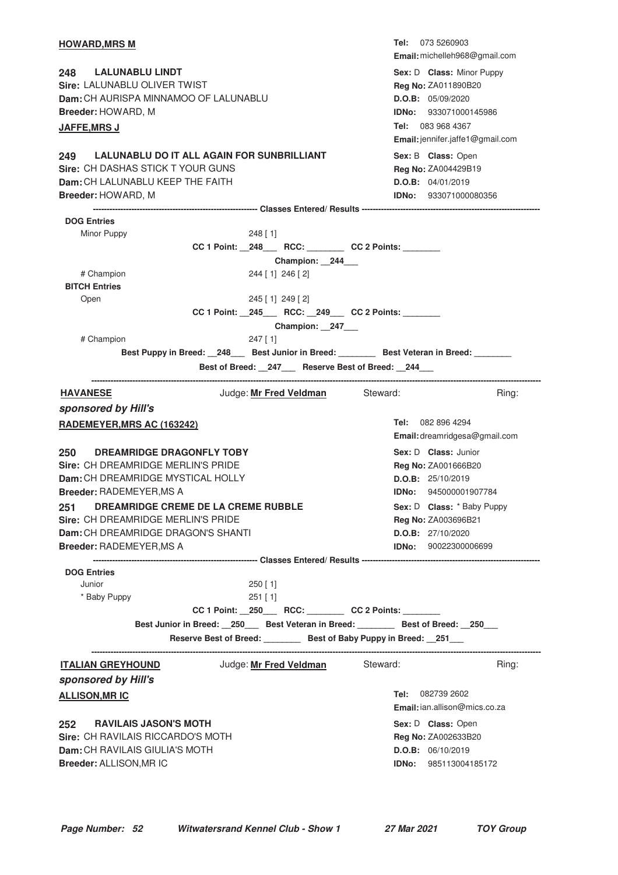| <b>HOWARD,MRS M</b>                                                                      | Tel: 073 5260903<br>Email: michelleh968@gmail.com |
|------------------------------------------------------------------------------------------|---------------------------------------------------|
| 248<br><b>LALUNABLU LINDT</b>                                                            | Sex: D Class: Minor Puppy                         |
| Sire: LALUNABLU OLIVER TWIST                                                             | Reg No: ZA011890B20                               |
| Dam: CH AURISPA MINNAMOO OF LALUNABLU                                                    | D.O.B: 05/09/2020                                 |
| Breeder: HOWARD, M                                                                       | <b>IDNo: 933071000145986</b>                      |
| <b>JAFFE,MRS J</b>                                                                       | Tel: 083 968 4367                                 |
|                                                                                          | Email: jennifer.jaffe1@gmail.com                  |
| LALUNABLU DO IT ALL AGAIN FOR SUNBRILLIANT<br>249                                        | Sex: B Class: Open                                |
| Sire: CH DASHAS STICK T YOUR GUNS                                                        | Reg No: ZA004429B19                               |
| Dam: CH LALUNABLU KEEP THE FAITH                                                         | D.O.B: 04/01/2019                                 |
| Breeder: HOWARD, M                                                                       | <b>IDNo: 933071000080356</b>                      |
|                                                                                          |                                                   |
| <b>DOG Entries</b>                                                                       |                                                   |
| Minor Puppy<br>$248$ [ 1]                                                                |                                                   |
| CC 1 Point: _248___ RCC: _______ CC 2 Points: ______                                     |                                                   |
| Champion: 244                                                                            |                                                   |
| # Champion<br>244 [1] 246 [2]                                                            |                                                   |
| <b>BITCH Entries</b>                                                                     |                                                   |
| 245 [1] 249 [2]<br>Open                                                                  |                                                   |
| CC 1 Point: 245 RCC: 249 CC 2 Points:                                                    |                                                   |
| Champion: 247                                                                            |                                                   |
| # Champion<br>$247$ [ 1]                                                                 |                                                   |
| Best Puppy in Breed: 248 __ Best Junior in Breed: ________ Best Veteran in Breed: ______ |                                                   |
| Best of Breed: _247__ Reserve Best of Breed: _244__                                      |                                                   |
| Judge: Mr Fred Veldman Steward:<br><u>HAVANESE</u>                                       | Ring:                                             |
| sponsored by Hill's                                                                      |                                                   |
| RADEMEYER, MRS AC (163242)                                                               | 082 896 4294<br>Tel:                              |
|                                                                                          | Email: dreamridgesa@gmail.com                     |
| 250<br><b>DREAMRIDGE DRAGONFLY TOBY</b>                                                  | Sex: D Class: Junior                              |
| Sire: CH DREAMRIDGE MERLIN'S PRIDE                                                       | Reg No: ZA001666B20                               |
| Dam: CH DREAMRIDGE MYSTICAL HOLLY                                                        | D.O.B: 25/10/2019                                 |
| <b>Breeder: RADEMEYER, MS A</b>                                                          | <b>IDNo:</b> 945000001907784                      |
| 251<br>DREAMRIDGE CREME DE LA CREME RUBBLE                                               | Sex: D Class: * Baby Puppy                        |
| Sire: CH DREAMRIDGE MERLIN'S PRIDE                                                       | <b>Reg No: ZA003696B21</b>                        |
| Dam: CH DREAMRIDGE DRAGON'S SHANTI                                                       | <b>D.O.B:</b> 27/10/2020                          |
| <b>Breeder: RADEMEYER, MS A</b>                                                          | <b>IDNo:</b> 90022300006699                       |
|                                                                                          |                                                   |
| <b>DOG Entries</b>                                                                       |                                                   |
| Junior<br>$250$ [ 1]                                                                     |                                                   |
| * Baby Puppy<br>$251$ [ 1]                                                               |                                                   |
| CC 1 Point: _250___ RCC: _______ CC 2 Points: ______                                     |                                                   |
| Best Junior in Breed: _250__ Best Veteran in Breed: _______ Best of Breed: _250__        |                                                   |
| Reserve Best of Breed: ________ Best of Baby Puppy in Breed: __251___                    |                                                   |
| Judge: Mr Fred Veldman Steward:<br><u>ITALIAN GREYHOUND</u>                              | Ring:                                             |
| sponsored by Hill's                                                                      |                                                   |
| <u>ALLISON, MRIC</u>                                                                     | <b>Tel:</b> 082739 2602                           |
|                                                                                          | Email: ian.allison@mics.co.za                     |
| 252 RAVILAIS JASON'S MOTH                                                                |                                                   |
|                                                                                          | Sex: D Class: Open                                |
| <b>Sire: CH RAVILAIS RICCARDO'S MOTH</b>                                                 | Reg No: ZA002633B20                               |
| <b>Dam:</b> CH RAVILAIS GIULIA'S MOTH                                                    | D.O.B: 06/10/2019                                 |
| Breeder: ALLISON, MR IC                                                                  | <b>IDNo:</b> 985113004185172                      |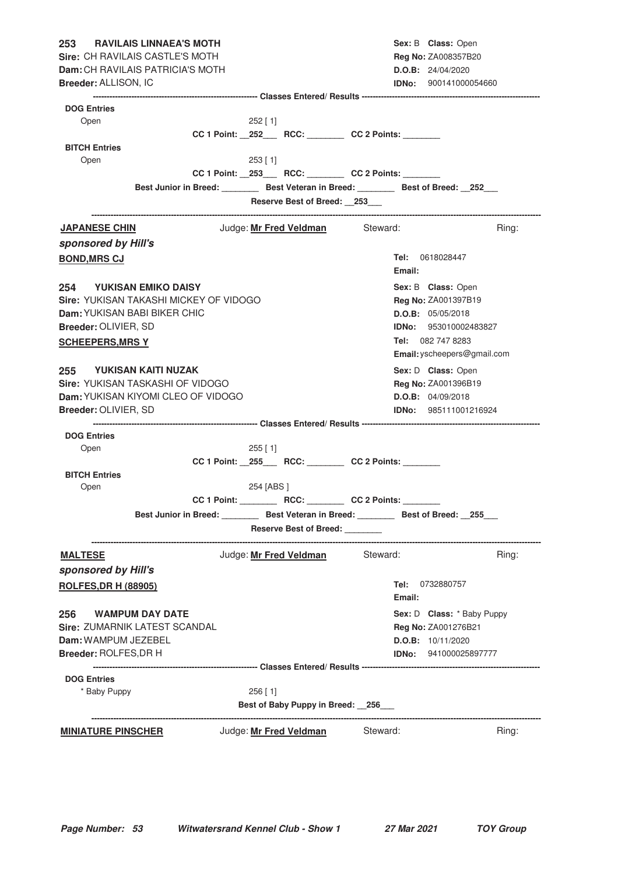| <b>RAVILAIS LINNAEA'S MOTH</b><br>253                                                     |             |            |                                                      |                     |        | Sex: B Class: Open           |       |
|-------------------------------------------------------------------------------------------|-------------|------------|------------------------------------------------------|---------------------|--------|------------------------------|-------|
| Sire: CH RAVILAIS CASTLE'S MOTH                                                           |             |            |                                                      |                     |        | <b>Reg No: ZA008357B20</b>   |       |
| <b>Dam:</b> CH RAVILAIS PATRICIA'S MOTH                                                   |             |            |                                                      |                     |        | D.O.B: 24/04/2020            |       |
| <b>Breeder: ALLISON, IC</b>                                                               |             |            |                                                      |                     |        | <b>IDNo:</b> 900141000054660 |       |
|                                                                                           |             |            |                                                      |                     |        |                              |       |
| <b>DOG Entries</b><br>Open                                                                |             | 252 [1]    |                                                      |                     |        |                              |       |
|                                                                                           |             |            | CC 1 Point: _252___ RCC: _______ CC 2 Points: ______ |                     |        |                              |       |
| <b>BITCH Entries</b>                                                                      |             |            |                                                      |                     |        |                              |       |
| Open                                                                                      |             | 253 [1]    |                                                      |                     |        |                              |       |
|                                                                                           |             |            | CC 1 Point: _253___ RCC: _______ CC 2 Points: ______ |                     |        |                              |       |
| Best Junior in Breed: __________ Best Veteran in Breed: _________ Best of Breed: __252___ |             |            |                                                      |                     |        |                              |       |
|                                                                                           |             |            | Reserve Best of Breed: 253                           |                     |        |                              |       |
|                                                                                           |             |            |                                                      |                     |        |                              |       |
| <b>JAPANESE CHIN</b>                                                                      |             |            | Judge: <b>Mr Fred Veldman</b> Steward:               |                     |        |                              | Ring: |
| sponsored by Hill's                                                                       |             |            |                                                      |                     |        |                              |       |
| <b>BOND, MRS CJ</b>                                                                       |             |            |                                                      |                     |        | <b>Tel:</b> 0618028447       |       |
|                                                                                           |             |            |                                                      |                     | Email: |                              |       |
| 254 YUKISAN EMIKO DAISY                                                                   |             |            |                                                      |                     |        | Sex: B Class: Open           |       |
| <b>Sire: YUKISAN TAKASHI MICKEY OF VIDOGO</b>                                             |             |            |                                                      |                     |        | Reg No: ZA001397B19          |       |
| <b>Dam: YUKISAN BABI BIKER CHIC</b>                                                       |             |            |                                                      |                     |        | D.O.B: 05/05/2018            |       |
| Breeder: OLIVIER, SD                                                                      |             |            |                                                      |                     |        | IDNo: 953010002483827        |       |
| <b>SCHEEPERS, MRS Y</b>                                                                   |             |            |                                                      |                     |        | Tel: 082 747 8283            |       |
|                                                                                           |             |            |                                                      |                     |        | Email: yscheepers@gmail.com  |       |
| 255 YUKISAN KAITI NUZAK                                                                   |             |            |                                                      |                     |        | Sex: D Class: Open           |       |
| Sire: YUKISAN TASKASHI OF VIDOGO                                                          |             |            |                                                      |                     |        | Reg No: ZA001396B19          |       |
| Dam: YUKISAN KIYOMI CLEO OF VIDOGO                                                        |             |            |                                                      |                     |        | D.O.B: 04/09/2018            |       |
| Breeder: OLIVIER, SD                                                                      |             |            |                                                      |                     |        | <b>IDNo:</b> 985111001216924 |       |
|                                                                                           |             |            |                                                      |                     |        |                              |       |
| <b>DOG Entries</b>                                                                        |             |            |                                                      |                     |        |                              |       |
| Open                                                                                      |             | $255$ [ 1] |                                                      |                     |        |                              |       |
|                                                                                           |             |            | CC 1 Point: _255___ RCC: _______ CC 2 Points: ______ |                     |        |                              |       |
| <b>BITCH Entries</b>                                                                      |             |            |                                                      |                     |        |                              |       |
| Open                                                                                      |             | 254 [ABS ] |                                                      |                     |        |                              |       |
|                                                                                           | CC 1 Point: |            | RCC:                                                 | <b>CC 2 Points:</b> |        |                              |       |
| Best Junior in Breed: _________ Best Veteran in Breed: ________ Best of Breed: __255___   |             |            |                                                      |                     |        |                              |       |
|                                                                                           |             |            | Reserve Best of Breed: _______                       |                     |        |                              |       |
| <u>MALTESE</u>                                                                            |             |            | Judge: Mr Fred Veldman                               | Steward:            |        |                              | Ring: |
| sponsored by Hill's                                                                       |             |            |                                                      |                     |        |                              |       |
| <b>ROLFES, DR H (88905)</b>                                                               |             |            |                                                      |                     | Tel:   | 0732880757                   |       |
|                                                                                           |             |            |                                                      |                     | Email: |                              |       |
| 256 WAMPUM DAY DATE                                                                       |             |            |                                                      |                     |        | Sex: D Class: * Baby Puppy   |       |
| Sire: ZUMARNIK LATEST SCANDAL                                                             |             |            |                                                      |                     |        | <b>Reg No: ZA001276B21</b>   |       |
| Dam: WAMPUM JEZEBEL                                                                       |             |            |                                                      |                     |        | D.O.B: 10/11/2020            |       |
| Breeder: ROLFES, DR H                                                                     |             |            |                                                      |                     |        | <b>IDNo:</b> 941000025897777 |       |
|                                                                                           |             |            |                                                      |                     |        |                              |       |
| <b>DOG Entries</b>                                                                        |             |            |                                                      |                     |        |                              |       |
| * Baby Puppy                                                                              |             | $256$ [ 1] |                                                      |                     |        |                              |       |
|                                                                                           |             |            | Best of Baby Puppy in Breed: 256                     |                     |        |                              |       |
| <b>MINIATURE PINSCHER</b>                                                                 |             |            | Judge: Mr Fred Veldman                               | Steward:            |        |                              | Ring: |
|                                                                                           |             |            |                                                      |                     |        |                              |       |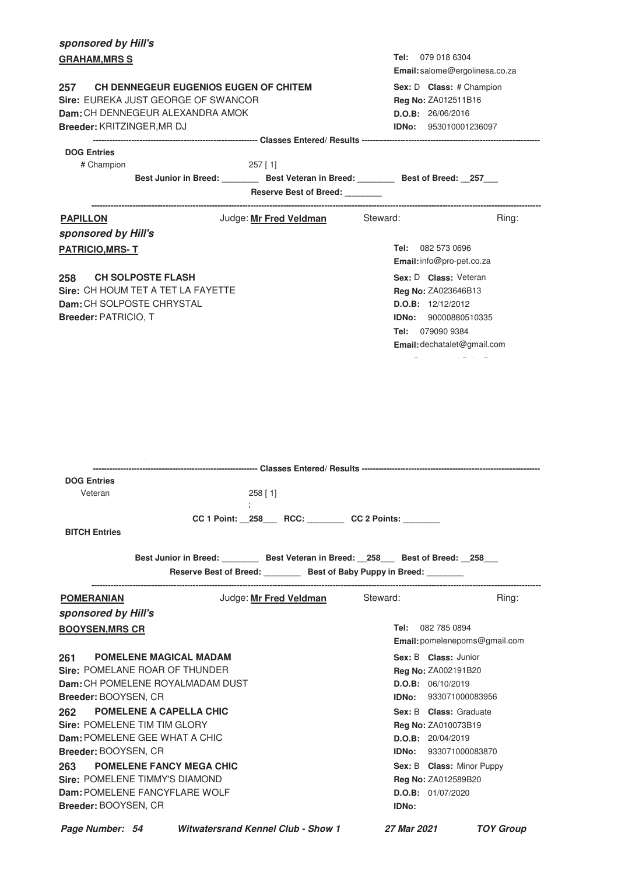| sponsored by Hill's                                                                                                                   |                                                                                                                                                                 |                        |                                                      |          |                      |                                                                                                                                        |                               |
|---------------------------------------------------------------------------------------------------------------------------------------|-----------------------------------------------------------------------------------------------------------------------------------------------------------------|------------------------|------------------------------------------------------|----------|----------------------|----------------------------------------------------------------------------------------------------------------------------------------|-------------------------------|
| <b>GRAHAM, MRS S</b>                                                                                                                  |                                                                                                                                                                 |                        |                                                      |          | Tel:                 | 079 018 6304                                                                                                                           |                               |
| 257<br>Sire: EUREKA JUST GEORGE OF SWANCOR<br><b>Dam:</b> CH DENNEGEUR ALEXANDRA AMOK<br>Breeder: KRITZINGER, MR DJ                   | <b>CH DENNEGEUR EUGENIOS EUGEN OF CHITEM</b>                                                                                                                    |                        |                                                      |          |                      | Email: salome@ergolinesa.co.za<br>Sex: D Class: # Champion<br>Reg No: ZA012511B16<br>D.O.B: 26/06/2016<br><b>IDNo:</b> 953010001236097 |                               |
| <b>DOG Entries</b>                                                                                                                    |                                                                                                                                                                 |                        |                                                      |          |                      |                                                                                                                                        |                               |
| # Champion                                                                                                                            | Best Junior in Breed: __________ Best Veteran in Breed: _________ Best of Breed: __257___                                                                       | $257$ [1]              | Reserve Best of Breed: _______                       |          |                      |                                                                                                                                        |                               |
| <b>PAPILLON</b>                                                                                                                       |                                                                                                                                                                 | Judge: Mr Fred Veldman |                                                      | Steward: |                      |                                                                                                                                        | Ring:                         |
| sponsored by Hill's<br><b>PATRICIO, MRS-T</b>                                                                                         |                                                                                                                                                                 |                        |                                                      |          | Tel:                 | 082 573 0696<br>Email: info@pro-pet.co.za                                                                                              |                               |
| <b>CH SOLPOSTE FLASH</b><br>258<br>Sire: CH HOUM TET A TET LA FAYETTE<br>Dam: CH SOLPOSTE CHRYSTAL<br>Breeder: PATRICIO, T            |                                                                                                                                                                 |                        |                                                      |          | <b>IDNo:</b><br>Tel: | Sex: D Class: Veteran<br>Reg No: ZA023646B13<br>D.O.B: 12/12/2012<br>90000880510335<br>079090 9384<br>Email: dechatalet@gmail.com      |                               |
| <b>DOG Entries</b><br>Veteran                                                                                                         |                                                                                                                                                                 |                        |                                                      |          |                      |                                                                                                                                        |                               |
|                                                                                                                                       |                                                                                                                                                                 | 258 [ 1]               |                                                      |          |                      |                                                                                                                                        |                               |
| <b>BITCH Entries</b>                                                                                                                  |                                                                                                                                                                 |                        | CC 1 Point: _258___ RCC: _______ CC 2 Points: ______ |          |                      |                                                                                                                                        |                               |
|                                                                                                                                       | Best Junior in Breed: _______ Best Veteran in Breed: __258___ Best of Breed: __258___<br>Reserve Best of Breed: _________ Best of Baby Puppy in Breed: ________ |                        |                                                      |          |                      |                                                                                                                                        |                               |
| <b>POMERANIAN</b>                                                                                                                     |                                                                                                                                                                 | Judge: Mr Fred Veldman | ---------------------------                          | Steward: |                      |                                                                                                                                        | Ring:                         |
| sponsored by Hill's                                                                                                                   |                                                                                                                                                                 |                        |                                                      |          |                      |                                                                                                                                        |                               |
| <b>BOOYSEN, MRS CR</b>                                                                                                                |                                                                                                                                                                 |                        |                                                      |          | Tel:                 | 082 785 0894                                                                                                                           | Email: pomelenepoms@gmail.com |
| <b>POMELENE MAGICAL MADAM</b><br>261<br>Sire: POMELANE ROAR OF THUNDER                                                                |                                                                                                                                                                 |                        |                                                      |          |                      | Sex: B Class: Junior<br><b>Reg No: ZA002191B20</b>                                                                                     |                               |
| Dam: CH POMELENE ROYALMADAM DUST<br><b>Breeder: BOOYSEN, CR</b>                                                                       |                                                                                                                                                                 |                        |                                                      |          |                      | <b>D.O.B:</b> 06/10/2019<br><b>IDNo:</b> 933071000083956                                                                               |                               |
| <b>POMELENE A CAPELLA CHIC</b><br>262<br>Sire: POMELENE TIM TIM GLORY<br>Dam: POMELENE GEE WHAT A CHIC<br><b>Breeder: BOOYSEN, CR</b> |                                                                                                                                                                 |                        |                                                      |          |                      | Sex: B Class: Graduate<br>Reg No: ZA010073B19<br>D.O.B: 20/04/2019<br><b>IDNo:</b> 933071000083870                                     |                               |
| 263<br>Sire: POMELENE TIMMY'S DIAMOND<br>Dam: POMELENE FANCYFLARE WOLF<br>Breeder: BOOYSEN, CR                                        | <b>POMELENE FANCY MEGA CHIC</b>                                                                                                                                 |                        |                                                      |          | <b>IDNo:</b>         | Sex: B Class: Minor Puppy<br>Reg No: ZA012589B20<br>D.O.B: 01/07/2020                                                                  |                               |
| Page Number: 54                                                                                                                       | <b>Witwatersrand Kennel Club - Show 1</b>                                                                                                                       |                        |                                                      |          | 27 Mar 2021          |                                                                                                                                        | <b>TOY Group</b>              |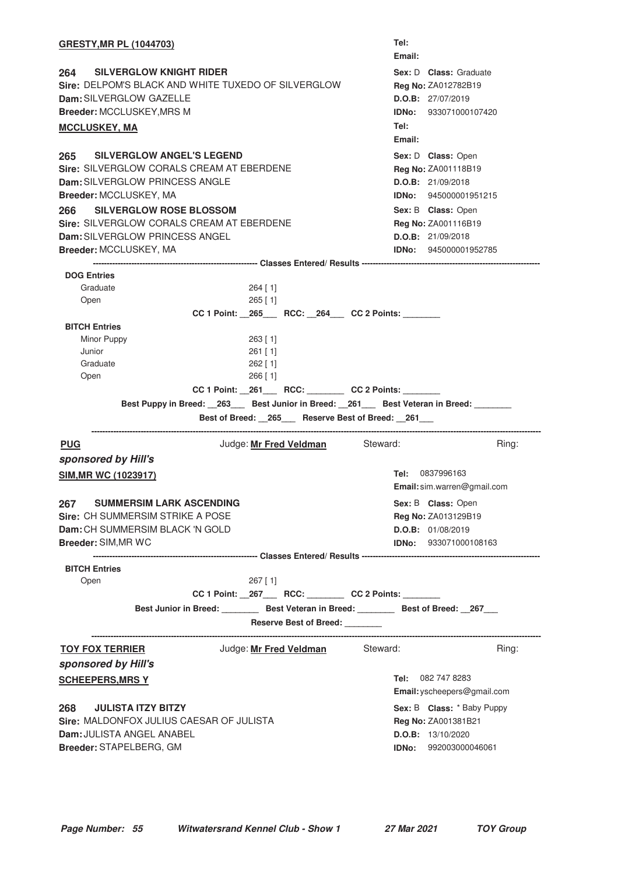| <b>GRESTY, MR PL (1044703)</b>                                                                                                                        |                                                                                      | Tel:<br>Email:                                                 |                                                        |
|-------------------------------------------------------------------------------------------------------------------------------------------------------|--------------------------------------------------------------------------------------|----------------------------------------------------------------|--------------------------------------------------------|
| 264<br><b>SILVERGLOW KNIGHT RIDER</b><br>Dam: SILVERGLOW GAZELLE<br>Breeder: MCCLUSKEY, MRS M<br><b>MCCLUSKEY, MA</b>                                 | Sire: DELPOM'S BLACK AND WHITE TUXEDO OF SILVERGLOW                                  | Reg No: ZA012782B19<br>D.O.B: 27/07/2019<br>Tel:<br>Email:     | Sex: D Class: Graduate<br><b>IDNo:</b> 933071000107420 |
| <b>SILVERGLOW ANGEL'S LEGEND</b><br>265<br>Sire: SILVERGLOW CORALS CREAM AT EBERDENE<br>Dam: SILVERGLOW PRINCESS ANGLE<br>Breeder: MCCLUSKEY, MA      |                                                                                      | Sex: D Class: Open<br>Reg No: ZA001118B19<br>D.O.B: 21/09/2018 | <b>IDNo:</b> 945000001951215                           |
| 266<br><b>SILVERGLOW ROSE BLOSSOM</b><br>Sire: SILVERGLOW CORALS CREAM AT EBERDENE<br><b>Dam: SILVERGLOW PRINCESS ANGEL</b><br>Breeder: MCCLUSKEY, MA |                                                                                      | Sex: B Class: Open<br>Reg No: ZA001116B19<br>D.O.B: 21/09/2018 | <b>IDNo:</b> 945000001952785                           |
|                                                                                                                                                       |                                                                                      |                                                                |                                                        |
| <b>DOG Entries</b><br>Graduate<br>Open                                                                                                                | $264$ [ 1]<br>$265$ [ 1]<br>CC 1 Point: 265 RCC: 264 CC 2 Points:                    |                                                                |                                                        |
| <b>BITCH Entries</b>                                                                                                                                  |                                                                                      |                                                                |                                                        |
|                                                                                                                                                       |                                                                                      |                                                                |                                                        |
| Minor Puppy                                                                                                                                           | 263 [1]                                                                              |                                                                |                                                        |
| Junior                                                                                                                                                | $261$ [ 1]                                                                           |                                                                |                                                        |
| Graduate                                                                                                                                              | $262$ [ 1]                                                                           |                                                                |                                                        |
| Open                                                                                                                                                  | $266$ [ 1]                                                                           |                                                                |                                                        |
|                                                                                                                                                       | CC 1 Point: _261___ RCC: _______ CC 2 Points: ______                                 |                                                                |                                                        |
|                                                                                                                                                       | Best Puppy in Breed: _263___ Best Junior in Breed: _261___ Best Veteran in Breed:    |                                                                |                                                        |
|                                                                                                                                                       |                                                                                      |                                                                |                                                        |
|                                                                                                                                                       | Best of Breed: _265__ Reserve Best of Breed: _261__                                  |                                                                |                                                        |
| <b>PUG</b>                                                                                                                                            | Judge: Mr Fred Veldman Steward:                                                      |                                                                | Ring:                                                  |
| sponsored by Hill's                                                                                                                                   |                                                                                      |                                                                |                                                        |
| <b>SIM, MR WC (1023917)</b>                                                                                                                           |                                                                                      | Tel: 0837996163                                                | Email: sim.warren@gmail.com                            |
|                                                                                                                                                       |                                                                                      |                                                                |                                                        |
| <b>SUMMERSIM LARK ASCENDING</b><br>267                                                                                                                |                                                                                      | Sex: B Class: Open                                             |                                                        |
| <b>Sire: CH SUMMERSIM STRIKE A POSE</b>                                                                                                               |                                                                                      | Reg No: ZA013129B19                                            |                                                        |
| Dam: CH SUMMERSIM BLACK 'N GOLD                                                                                                                       |                                                                                      | D.O.B: 01/08/2019                                              |                                                        |
| <b>Breeder: SIM, MR WC</b>                                                                                                                            |                                                                                      |                                                                | IDNo: 933071000108163                                  |
|                                                                                                                                                       |                                                                                      |                                                                |                                                        |
| <b>BITCH Entries</b>                                                                                                                                  |                                                                                      |                                                                |                                                        |
| Open                                                                                                                                                  | $267$ [ 1]                                                                           |                                                                |                                                        |
|                                                                                                                                                       | CC 1 Point: _267___ RCC: _______ CC 2 Points: ______                                 |                                                                |                                                        |
|                                                                                                                                                       | Best Junior in Breed: ________ Best Veteran in Breed: _______ Best of Breed: _267___ |                                                                |                                                        |
|                                                                                                                                                       | Reserve Best of Breed: _______                                                       |                                                                |                                                        |
| <u>TOY FOX TERRIER</u>                                                                                                                                | Judge: <u>Mr Fred Veldman</u>                                                        | Steward:                                                       | Ring:                                                  |
|                                                                                                                                                       |                                                                                      |                                                                |                                                        |
|                                                                                                                                                       |                                                                                      | <b>Tel:</b> 082 747 8283                                       | Email: yscheepers@gmail.com                            |
|                                                                                                                                                       |                                                                                      |                                                                |                                                        |
| <b>JULISTA ITZY BITZY</b>                                                                                                                             |                                                                                      |                                                                | Sex: B Class: * Baby Puppy                             |
| sponsored by Hill's<br><b>SCHEEPERS, MRS Y</b><br>268<br>Sire: MALDONFOX JULIUS CAESAR OF JULISTA                                                     |                                                                                      | Reg No: ZA001381B21                                            |                                                        |
| Dam: JULISTA ANGEL ANABEL<br>Breeder: STAPELBERG, GM                                                                                                  |                                                                                      | D.O.B: 13/10/2020                                              | <b>IDNo:</b> 992003000046061                           |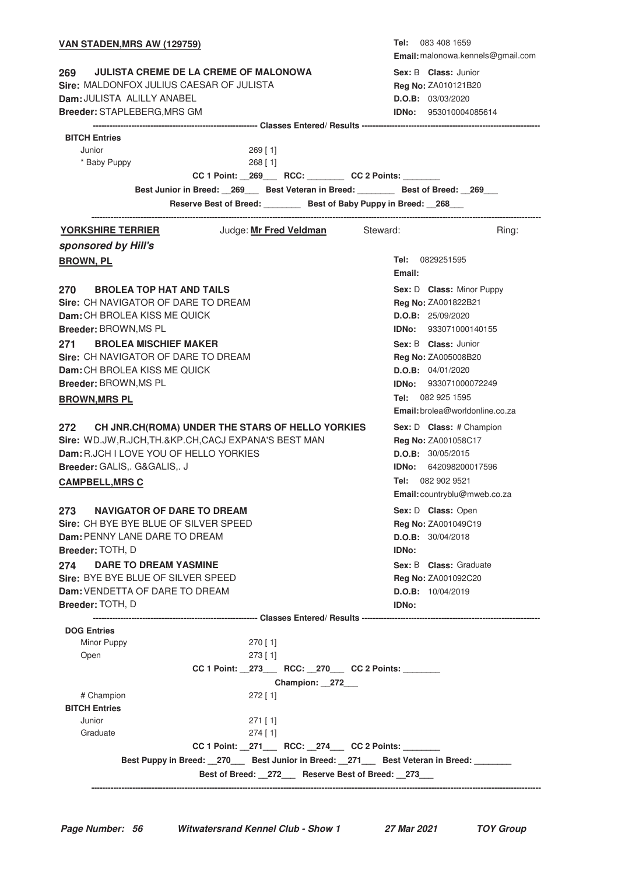| <b>VAN STADEN, MRS AW (129759)</b>                                                |                                                                                          |               |              | Tel: 083 408 1659                 |
|-----------------------------------------------------------------------------------|------------------------------------------------------------------------------------------|---------------|--------------|-----------------------------------|
|                                                                                   |                                                                                          |               |              | Email: malonowa.kennels@gmail.com |
| 269                                                                               | <b>JULISTA CREME DE LA CREME OF MALONOWA</b>                                             |               |              | Sex: B Class: Junior              |
| Sire: MALDONFOX JULIUS CAESAR OF JULISTA                                          |                                                                                          |               |              | Reg No: ZA010121B20               |
| Dam: JULISTA ALILLY ANABEL                                                        |                                                                                          |               |              | D.O.B: 03/03/2020                 |
| Breeder: STAPLEBERG, MRS GM                                                       |                                                                                          |               |              | <b>IDNo: 953010004085614</b>      |
|                                                                                   |                                                                                          |               |              |                                   |
| <b>BITCH Entries</b>                                                              |                                                                                          |               |              |                                   |
| Junior                                                                            | $269$ [ 1]                                                                               |               |              |                                   |
| * Baby Puppy                                                                      | 268 [1]                                                                                  |               |              |                                   |
|                                                                                   | CC 1 Point: _269___ RCC: _______ CC 2 Points: ______                                     |               |              |                                   |
|                                                                                   | Best Junior in Breed: __269___ Best Veteran in Breed: ________ Best of Breed: __269___   |               |              |                                   |
|                                                                                   | Reserve Best of Breed: ________ Best of Baby Puppy in Breed: _268___                     |               |              |                                   |
| <u>YORKSHIRE TERRIER</u>                                                          | Judge: <u>Mr Fred Veldman</u>                                                            |               | Steward:     | Ring:                             |
| sponsored by Hill's                                                               |                                                                                          |               |              |                                   |
| <b>BROWN, PL</b>                                                                  |                                                                                          |               |              | Tel: 0829251595                   |
|                                                                                   |                                                                                          |               | Email:       |                                   |
| <b>BROLEA TOP HAT AND TAILS</b><br>270 —                                          |                                                                                          |               |              | Sex: D Class: Minor Puppy         |
| Sire: CH NAVIGATOR OF DARE TO DREAM                                               |                                                                                          |               |              | Reg No: ZA001822B21               |
| Dam: CH BROLEA KISS ME QUICK                                                      |                                                                                          |               |              | D.O.B: 25/09/2020                 |
| Breeder: BROWN, MS PL                                                             |                                                                                          |               |              | IDNo: 933071000140155             |
| <b>BROLEA MISCHIEF MAKER</b><br>271                                               |                                                                                          |               |              | Sex: B Class: Junior              |
| Sire: CH NAVIGATOR OF DARE TO DREAM                                               |                                                                                          |               |              | Reg No: ZA005008B20               |
| Dam: CH BROLEA KISS ME QUICK                                                      |                                                                                          |               |              | D.O.B: 04/01/2020                 |
| Breeder: BROWN, MS PL                                                             |                                                                                          |               |              | IDNo: 933071000072249             |
| <b>BROWN, MRS PL</b>                                                              |                                                                                          |               |              | Tel: 082 925 1595                 |
|                                                                                   |                                                                                          |               |              | Email: brolea@worldonline.co.za   |
| 272 CH JNR.CH(ROMA) UNDER THE STARS OF HELLO YORKIES                              |                                                                                          |               |              | Sex: D Class: # Champion          |
| Sire: WD.JW, R.JCH, TH.&KP.CH, CACJ EXPANA'S BEST MAN                             |                                                                                          |               |              | Reg No: ZA001058C17               |
| Dam: R.JCH I LOVE YOU OF HELLO YORKIES                                            |                                                                                          |               |              | D.O.B: 30/05/2015                 |
| Breeder: GALIS,. G&GALIS,. J                                                      |                                                                                          |               |              | <b>IDNo:</b> 642098200017596      |
| <b>CAMPBELL, MRS C</b>                                                            |                                                                                          |               |              | Tel: 082 902 9521                 |
|                                                                                   |                                                                                          |               |              | Email: countryblu@mweb.co.za      |
|                                                                                   |                                                                                          |               |              |                                   |
| <b>NAVIGATOR OF DARE TO DREAM</b><br>273<br>Sire: CH BYE BYE BLUE OF SILVER SPEED |                                                                                          |               |              | Sex: D Class: Open                |
| <b>Dam: PENNY LANE DARE TO DREAM</b>                                              |                                                                                          |               |              | Reg No: ZA001049C19               |
| Breeder: TOTH, D                                                                  |                                                                                          |               |              | D.O.B: 30/04/2018                 |
|                                                                                   |                                                                                          |               | <b>IDNo:</b> |                                   |
| <b>DARE TO DREAM YASMINE</b><br>274<br>Sire: BYE BYE BLUE OF SILVER SPEED         |                                                                                          |               |              | Sex: B Class: Graduate            |
| <b>Dam: VENDETTA OF DARE TO DREAM</b>                                             |                                                                                          |               |              | Reg No: ZA001092C20               |
| Breeder: TOTH, D                                                                  |                                                                                          |               | IDNo:        | D.O.B: 10/04/2019                 |
|                                                                                   |                                                                                          |               |              |                                   |
| <b>DOG Entries</b>                                                                |                                                                                          |               |              |                                   |
| Minor Puppy                                                                       | $270$ [ 1]                                                                               |               |              |                                   |
| Open                                                                              | $273$ [1]                                                                                |               |              |                                   |
|                                                                                   | CC 1 Point: _273___ RCC: _270___ CC 2 Points: ______                                     |               |              |                                   |
|                                                                                   |                                                                                          | Champion: 272 |              |                                   |
| # Champion                                                                        | $272$ [1]                                                                                |               |              |                                   |
| <b>BITCH Entries</b>                                                              |                                                                                          |               |              |                                   |
| Junior                                                                            | $271$ [1]                                                                                |               |              |                                   |
| Graduate                                                                          | $274$ [ 1]                                                                               |               |              |                                   |
|                                                                                   | CC 1 Point: _271___ RCC: _274__ CC 2 Points: ______                                      |               |              |                                   |
|                                                                                   | Best Puppy in Breed: _270___ Best Junior in Breed: _271___ Best Veteran in Breed: ______ |               |              |                                   |
|                                                                                   | Best of Breed: 272 Reserve Best of Breed: 273                                            |               |              |                                   |
|                                                                                   |                                                                                          |               |              |                                   |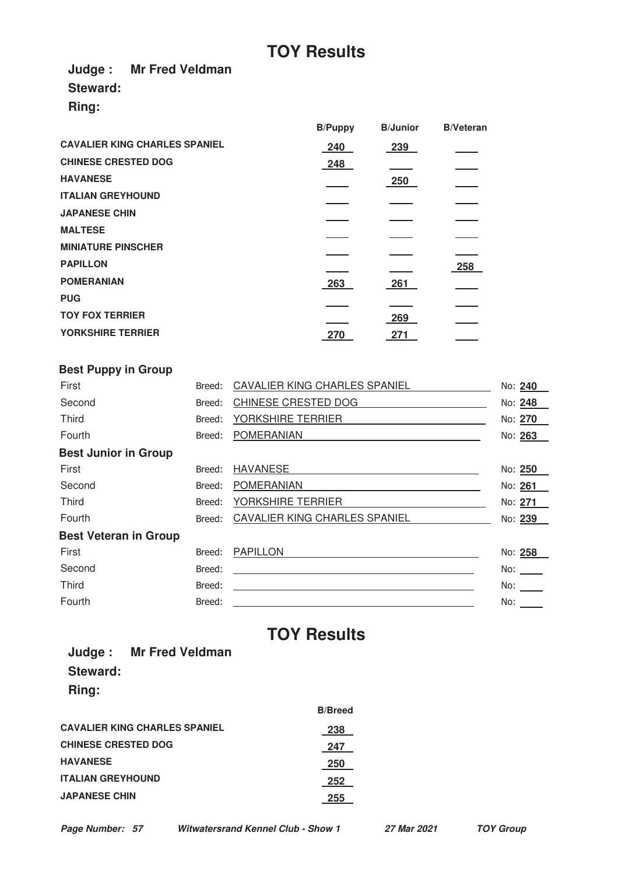**Judge : Mr Fred Veldman**

**Steward:**

**Ring:**

|                                      | <b>B/Puppy</b> | <b>B</b> /Junior | <b>B/Veteran</b> |
|--------------------------------------|----------------|------------------|------------------|
| <b>CAVALIER KING CHARLES SPANIEL</b> | 240            | 239              |                  |
| <b>CHINESE CRESTED DOG</b>           | 248            |                  |                  |
| <b>HAVANESE</b>                      |                | 250              |                  |
| <b>ITALIAN GREYHOUND</b>             |                |                  |                  |
| <b>JAPANESE CHIN</b>                 |                |                  |                  |
| <b>MALTESE</b>                       |                |                  |                  |
| <b>MINIATURE PINSCHER</b>            |                |                  |                  |
| <b>PAPILLON</b>                      |                |                  | 258              |
| <b>POMERANIAN</b>                    | 263            | 261              |                  |
| <b>PUG</b>                           |                |                  |                  |
| <b>TOY FOX TERRIER</b>               |                | 269              |                  |
| YORKSHIRE TERRIER                    | 270            | 271              |                  |

| <b>Best Puppy in Group</b>   |        |                               |                                                                                                                 |
|------------------------------|--------|-------------------------------|-----------------------------------------------------------------------------------------------------------------|
| First                        | Breed: | CAVALIER KING CHARLES SPANIEL | No: 240                                                                                                         |
| Second                       | Breed: | CHINESE CRESTED DOG           | No: 248                                                                                                         |
| Third                        | Breed: | YORKSHIRE TERRIER             | No: 270                                                                                                         |
| Fourth                       | Breed: | <b>POMERANIAN</b>             | No: 263                                                                                                         |
| <b>Best Junior in Group</b>  |        |                               |                                                                                                                 |
| First                        | Breed: | <b>HAVANESE</b>               | No: 250                                                                                                         |
| Second                       | Breed: | <b>POMERANIAN</b>             | No: 261                                                                                                         |
| Third                        | Breed: | YORKSHIRE TERRIER             | No: 271                                                                                                         |
| Fourth                       | Breed: | CAVALIER KING CHARLES SPANIEL | No: 239                                                                                                         |
| <b>Best Veteran in Group</b> |        |                               |                                                                                                                 |
| First                        | Breed: | <b>PAPILLON</b>               | No: 258                                                                                                         |
| Second                       | Breed: |                               | No: logical controls and the set of the set of the set of the set of the set of the set of the set of the set o |
| Third                        | Breed: |                               | No:                                                                                                             |
| Fourth                       | Breed: |                               | No:                                                                                                             |

# **TOY Results**

**Judge : Mr Fred Veldman Steward: Ring:**

|                                      | <b>B/Breed</b> |
|--------------------------------------|----------------|
| <b>CAVALIER KING CHARLES SPANIEL</b> | 238            |
| <b>CHINESE CRESTED DOG</b>           | 247            |
| <b>HAVANESE</b>                      | 250            |
| <b>ITALIAN GREYHOUND</b>             | 252            |
| <b>JAPANESE CHIN</b>                 | 255            |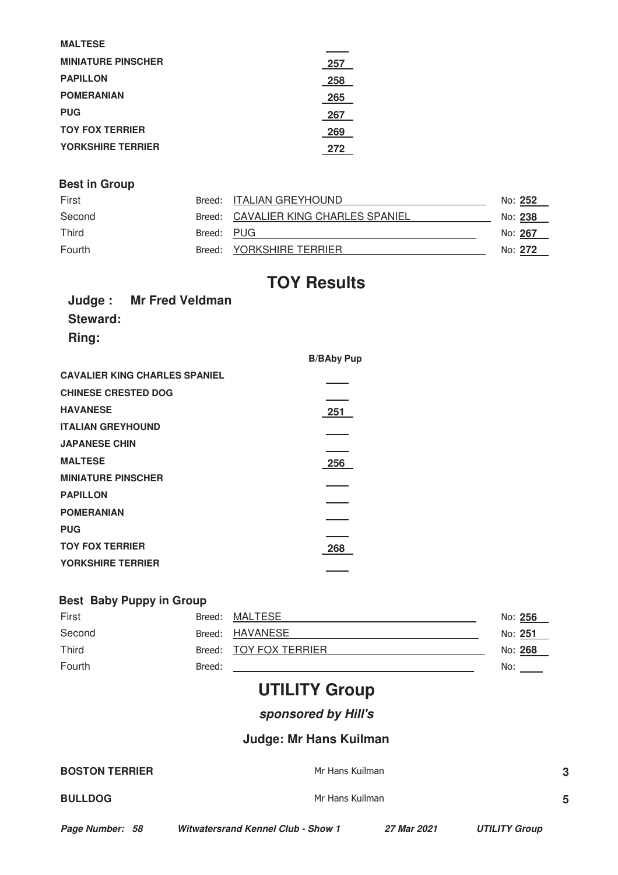| <b>MALTESE</b>            |     |
|---------------------------|-----|
| <b>MINIATURE PINSCHER</b> | 257 |
| <b>PAPILLON</b>           | 258 |
| <b>POMERANIAN</b>         | 265 |
| <b>PUG</b>                | 267 |
| <b>TOY FOX TERRIER</b>    | 269 |
| <b>YORKSHIRE TERRIER</b>  | 272 |

## **Best in Group**

| First  |            | Breed: ITALIAN GREYHOUND             | No: 252 |
|--------|------------|--------------------------------------|---------|
| Second |            | Breed: CAVALIER KING CHARLES SPANIEL | No: 238 |
| Third  | Breed: PUG |                                      | No: 267 |
| Fourth |            | Breed: YORKSHIRE TERRIER             | No: 272 |

# **TOY Results**

**B/BAby Pup**

|          | <b>Judge:</b> Mr Fred Veldman |
|----------|-------------------------------|
| Steward: |                               |
| Ring:    |                               |

| <b>CAVALIER KING CHARLES SPANIEL</b> |     |
|--------------------------------------|-----|
| <b>CHINESE CRESTED DOG</b>           |     |
| <b>HAVANESE</b>                      | 251 |
| <b>ITALIAN GREYHOUND</b>             |     |
| <b>JAPANESE CHIN</b>                 |     |
| <b>MALTESE</b>                       | 256 |
| <b>MINIATURE PINSCHER</b>            |     |
| <b>PAPILLON</b>                      |     |
| <b>POMERANIAN</b>                    |     |
| <b>PUG</b>                           |     |
| <b>TOY FOX TERRIER</b>               | 268 |
| <b>YORKSHIRE TERRIER</b>             |     |
|                                      |     |

# **Best Baby Puppy in Group**

| First  |        | Breed: MALTESE         |     | No: 256 |
|--------|--------|------------------------|-----|---------|
| Second |        | Breed: HAVANESE        |     | No: 251 |
| Third  |        | Breed: TOY FOX TERRIER |     | No: 268 |
| Fourth | Breed: |                        | No: |         |

# **UTILITY Group**

**sponsored by Hill's**

# **Judge: Mr Hans Kuilman**

| <b>BOSTON TERRIER</b> | Mr Hans Kuilman | 3 |
|-----------------------|-----------------|---|
| <b>BULLDOG</b>        | Mr Hans Kuilman | 5 |
|                       |                 |   |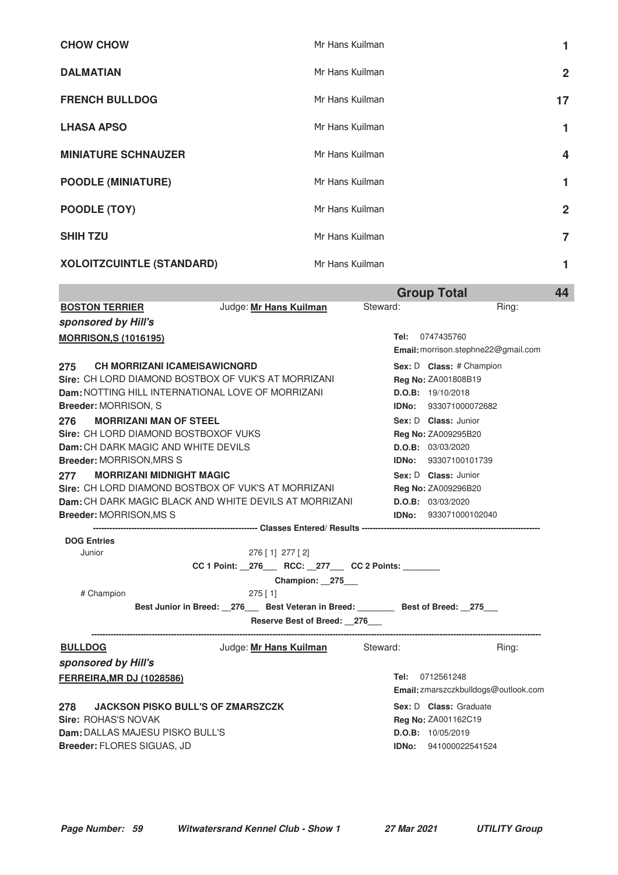| <b>CHOW CHOW</b>                 | Mr Hans Kuilman | 1              |
|----------------------------------|-----------------|----------------|
| <b>DALMATIAN</b>                 | Mr Hans Kuilman | $\mathbf{2}$   |
| <b>FRENCH BULLDOG</b>            | Mr Hans Kuilman | 17             |
| <b>LHASA APSO</b>                | Mr Hans Kuilman | 1              |
| <b>MINIATURE SCHNAUZER</b>       | Mr Hans Kuilman | 4              |
| <b>POODLE (MINIATURE)</b>        | Mr Hans Kuilman | 1              |
| POODLE (TOY)                     | Mr Hans Kuilman | $\mathbf{2}$   |
| <b>SHIH TZU</b>                  | Mr Hans Kuilman | $\overline{7}$ |
| <b>XOLOITZCUINTLE (STANDARD)</b> | Mr Hans Kuilman | 1              |

|                                  |                                                                                                               |                                                      |          | <b>Group Total</b>                                | 44    |
|----------------------------------|---------------------------------------------------------------------------------------------------------------|------------------------------------------------------|----------|---------------------------------------------------|-------|
| <b>BOSTON TERRIER</b>            |                                                                                                               | Judge: Mr Hans Kuilman                               | Steward: |                                                   | Ring: |
| sponsored by Hill's              |                                                                                                               |                                                      |          |                                                   |       |
| <b>MORRISON, S (1016195)</b>     |                                                                                                               |                                                      |          | Tel: 0747435760                                   |       |
|                                  |                                                                                                               |                                                      |          | Email: morrison.stephne22@gmail.com               |       |
| 275                              | <b>CH MORRIZANI ICAMEISAWICNORD</b>                                                                           |                                                      |          | Sex: D Class: # Champion                          |       |
|                                  | Sire: CH LORD DIAMOND BOSTBOX OF VUK'S AT MORRIZANI                                                           |                                                      |          | Reg No: ZA001808B19                               |       |
|                                  | Dam: NOTTING HILL INTERNATIONAL LOVE OF MORRIZANI                                                             |                                                      |          | D.O.B: 19/10/2018                                 |       |
| Breeder: MORRISON, S             |                                                                                                               |                                                      |          | <b>IDNo:</b> 933071000072682                      |       |
| 276                              | <b>MORRIZANI MAN OF STEEL</b>                                                                                 |                                                      |          | Sex: D Class: Junior                              |       |
|                                  | <b>Sire: CH LORD DIAMOND BOSTBOXOF VUKS</b>                                                                   |                                                      |          | Reg No: ZA009295B20                               |       |
|                                  | Dam: CH DARK MAGIC AND WHITE DEVILS                                                                           |                                                      |          | D.O.B: 03/03/2020                                 |       |
| <b>Breeder: MORRISON, MRS S</b>  |                                                                                                               |                                                      |          | <b>IDNo:</b> 93307100101739                       |       |
| 277                              | <b>MORRIZANI MIDNIGHT MAGIC</b>                                                                               |                                                      |          | Sex: D Class: Junior                              |       |
|                                  | Sire: CH LORD DIAMOND BOSTBOX OF VUK'S AT MORRIZANI<br>Dam: CH DARK MAGIC BLACK AND WHITE DEVILS AT MORRIZANI |                                                      |          | <b>Reg No: ZA009296B20</b>                        |       |
| <b>Breeder: MORRISON, MS S</b>   |                                                                                                               |                                                      |          | D.O.B: 03/03/2020<br><b>IDNo:</b> 933071000102040 |       |
|                                  |                                                                                                               |                                                      |          |                                                   |       |
| <b>DOG Entries</b>               |                                                                                                               |                                                      |          |                                                   |       |
| Junior                           |                                                                                                               | $276$ [ 1] $277$ [ 2]                                |          |                                                   |       |
|                                  |                                                                                                               | CC 1 Point: _276___ RCC: _277___ CC 2 Points: ______ |          |                                                   |       |
|                                  |                                                                                                               | Champion: 275                                        |          |                                                   |       |
| # Champion                       |                                                                                                               | $275$ [ 1]                                           |          |                                                   |       |
|                                  | Best Junior in Breed: _276___ Best Veteran in Breed: _______ Best of Breed: _275__                            |                                                      |          |                                                   |       |
|                                  |                                                                                                               | Reserve Best of Breed: 276                           |          |                                                   |       |
| <b>BULLDOG</b>                   |                                                                                                               | Judge: Mr Hans Kuilman                               | Steward: |                                                   | Ring: |
| sponsored by Hill's              |                                                                                                               |                                                      |          |                                                   |       |
| <b>FERREIRA, MR DJ (1028586)</b> |                                                                                                               |                                                      |          | Tel: 0712561248                                   |       |
|                                  |                                                                                                               |                                                      |          | Email: zmarszczkbulldogs@outlook.com              |       |
| 278                              | <b>JACKSON PISKO BULL'S OF ZMARSZCZK</b>                                                                      |                                                      |          | Sex: D Class: Graduate                            |       |
| Sire: ROHAS'S NOVAK              |                                                                                                               |                                                      |          | Reg No: ZA001162C19                               |       |
|                                  | Dam: DALLAS MAJESU PISKO BULL'S                                                                               |                                                      |          | D.O.B: 10/05/2019                                 |       |
| Breeder: FLORES SIGUAS, JD       |                                                                                                               |                                                      |          | IDNo: 941000022541524                             |       |
|                                  |                                                                                                               |                                                      |          |                                                   |       |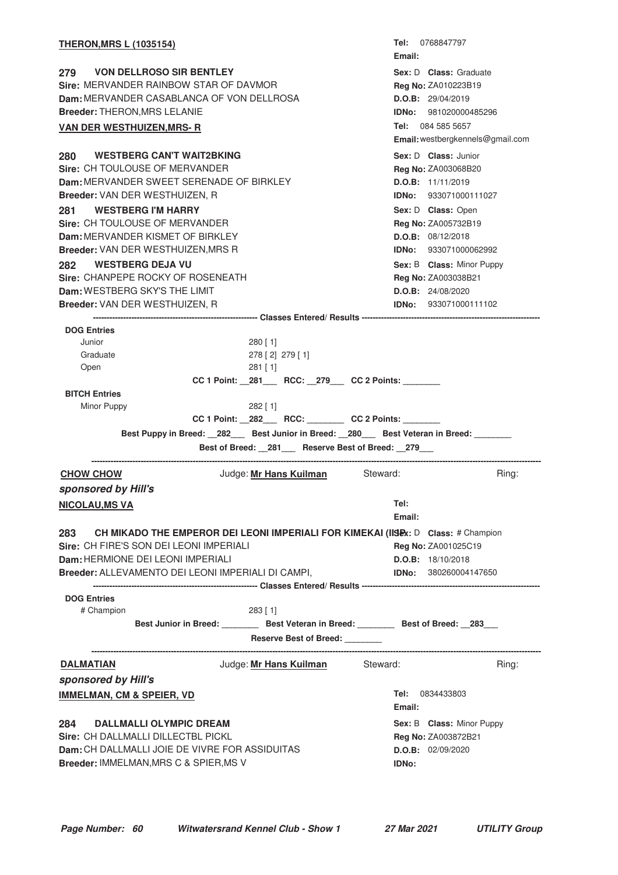| <b>THERON, MRS L (1035154)</b>                                                                                                                                                                                                                                                                                                                                                                                                       |                                                                                                                                                                                                                           | <b>Tel:</b> 0768847797<br>Email:                                                                                                                                                                                                                                                                     |       |
|--------------------------------------------------------------------------------------------------------------------------------------------------------------------------------------------------------------------------------------------------------------------------------------------------------------------------------------------------------------------------------------------------------------------------------------|---------------------------------------------------------------------------------------------------------------------------------------------------------------------------------------------------------------------------|------------------------------------------------------------------------------------------------------------------------------------------------------------------------------------------------------------------------------------------------------------------------------------------------------|-------|
| 279 VON DELLROSO SIR BENTLEY<br>Sire: MERVANDER RAINBOW STAR OF DAVMOR<br><b>Dam: MERVANDER CASABLANCA OF VON DELLROSA</b><br><b>Breeder: THERON, MRS LELANIE</b><br><b>VAN DER WESTHUIZEN, MRS- R</b>                                                                                                                                                                                                                               | Sex: D Class: Graduate<br>Reg No: ZA010223B19<br>D.O.B: 29/04/2019<br><b>IDNo: 981020000485296</b><br>Tel: 084 585 5657                                                                                                   |                                                                                                                                                                                                                                                                                                      |       |
|                                                                                                                                                                                                                                                                                                                                                                                                                                      | Email: westbergkennels@gmail.com                                                                                                                                                                                          |                                                                                                                                                                                                                                                                                                      |       |
| 280 WESTBERG CAN'T WAIT2BKING<br><b>Sire: CH TOULOUSE OF MERVANDER</b><br>Dam: MERVANDER SWEET SERENADE OF BIRKLEY<br>Breeder: VAN DER WESTHUIZEN, R<br><b>WESTBERG I'M HARRY</b><br>281<br>Sire: CH TOULOUSE OF MERVANDER<br>Dam: MERVANDER KISMET OF BIRKLEY<br>Breeder: VAN DER WESTHUIZEN, MRS R<br>282 WESTBERG DEJA VU<br>Sire: CHANPEPE ROCKY OF ROSENEATH<br>Dam: WESTBERG SKY'S THE LIMIT<br>Breeder: VAN DER WESTHUIZEN, R |                                                                                                                                                                                                                           | Sex: D Class: Junior<br><b>Reg No: ZA003068B20</b><br>D.O.B: 11/11/2019<br>IDNo: 933071000111027<br>Sex: D Class: Open<br>Reg No: ZA005732B19<br>D.O.B: 08/12/2018<br><b>IDNo: 933071000062992</b><br>Sex: B Class: Minor Puppy<br>Reg No: ZA003038B21<br>D.O.B: 24/08/2020<br>IDNo: 933071000111102 |       |
|                                                                                                                                                                                                                                                                                                                                                                                                                                      |                                                                                                                                                                                                                           |                                                                                                                                                                                                                                                                                                      |       |
| <b>DOG Entries</b><br>Junior<br>Graduate<br>Open<br><b>BITCH Entries</b><br>Minor Puppy<br>Best Puppy in Breed: 282 Best Junior in Breed: 280 Best Veteran in Breed: ______                                                                                                                                                                                                                                                          | $280$ [ 1]<br>278 [2] 279 [1]<br>$281$ [ 1]<br>CC 1 Point: _281___ RCC: _279___ CC 2 Points: ______<br>$282$ [1]<br>CC 1 Point: _282___ RCC: _______ CC 2 Points: ______<br>Best of Breed: 281 Reserve Best of Breed: 279 |                                                                                                                                                                                                                                                                                                      |       |
| <b>CHOW CHOW</b>                                                                                                                                                                                                                                                                                                                                                                                                                     | Judge: Mr Hans Kuilman Steward:                                                                                                                                                                                           |                                                                                                                                                                                                                                                                                                      | Ring: |
| sponsored by Hill's                                                                                                                                                                                                                                                                                                                                                                                                                  |                                                                                                                                                                                                                           |                                                                                                                                                                                                                                                                                                      |       |
| <b>NICOLAU, MS VA</b>                                                                                                                                                                                                                                                                                                                                                                                                                |                                                                                                                                                                                                                           | Tel:<br>Email:                                                                                                                                                                                                                                                                                       |       |
| 283 CH MIKADO THE EMPEROR DEI LEONI IMPERIALI FOR KIMEKAI (IISIDX: D Class: # Champion<br>Sire: CH FIRE'S SON DEI LEONI IMPERIALI<br>Dam: HERMIONE DEI LEONI IMPERIALI<br>Breeder: ALLEVAMENTO DEI LEONI IMPERIALI DI CAMPI,                                                                                                                                                                                                         |                                                                                                                                                                                                                           | Reg No: ZA001025C19<br>D.O.B: 18/10/2018<br><b>IDNo:</b> 380260004147650                                                                                                                                                                                                                             |       |
| <b>DOG Entries</b>                                                                                                                                                                                                                                                                                                                                                                                                                   |                                                                                                                                                                                                                           |                                                                                                                                                                                                                                                                                                      |       |
| # Champion                                                                                                                                                                                                                                                                                                                                                                                                                           | $283$ [ 1]<br>Best Junior in Breed: __________ Best Veteran in Breed: _________ Best of Breed: __283___<br>Reserve Best of Breed: _______                                                                                 |                                                                                                                                                                                                                                                                                                      |       |
| <b>DALMATIAN</b>                                                                                                                                                                                                                                                                                                                                                                                                                     | Judge: Mr Hans Kuilman Steward:                                                                                                                                                                                           |                                                                                                                                                                                                                                                                                                      | Ring: |
| sponsored by Hill's                                                                                                                                                                                                                                                                                                                                                                                                                  |                                                                                                                                                                                                                           |                                                                                                                                                                                                                                                                                                      |       |
| <b>IMMELMAN, CM &amp; SPEIER, VD</b>                                                                                                                                                                                                                                                                                                                                                                                                 |                                                                                                                                                                                                                           | Tel: 0834433803<br>Email:                                                                                                                                                                                                                                                                            |       |
| 284 DALLMALLI OLYMPIC DREAM<br>Sire: CH DALLMALLI DILLECTBL PICKL<br>Dam: CH DALLMALLI JOIE DE VIVRE FOR ASSIDUITAS<br>Breeder: IMMELMAN, MRS C & SPIER, MS V                                                                                                                                                                                                                                                                        |                                                                                                                                                                                                                           | Sex: B Class: Minor Puppy<br>Reg No: ZA003872B21<br>D.O.B: 02/09/2020<br><b>IDNo:</b>                                                                                                                                                                                                                |       |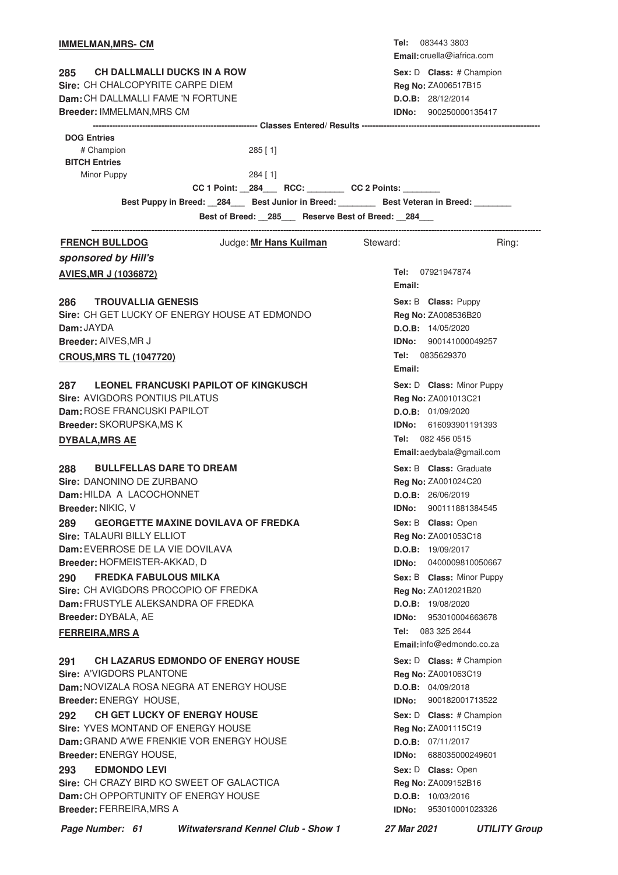| <b>IMMELMAN, MRS- CM</b>                                                                   |        | <b>Tel:</b> 083443 3803<br><b>Email:</b> cruella@iafrica.com |
|--------------------------------------------------------------------------------------------|--------|--------------------------------------------------------------|
| <b>CH DALLMALLI DUCKS IN A ROW</b><br>285                                                  |        | Sex: D Class: # Champion                                     |
| Sire: CH CHALCOPYRITE CARPE DIEM                                                           |        | Reg No: ZA006517B15                                          |
| Dam: CH DALLMALLI FAME 'N FORTUNE                                                          |        | D.O.B: 28/12/2014                                            |
| Breeder: IMMELMAN, MRS CM                                                                  |        | <b>IDNo:</b> 900250000135417                                 |
|                                                                                            |        |                                                              |
| <b>DOG Entries</b>                                                                         |        |                                                              |
| # Champion<br>$285$ [ 1]                                                                   |        |                                                              |
| <b>BITCH Entries</b>                                                                       |        |                                                              |
| Minor Puppy<br>$284$ [ 1]<br>CC 1 Point: _284___ RCC: _______ CC 2 Points: ______          |        |                                                              |
| Best Puppy in Breed: __284___ Best Junior in Breed: _______ Best Veteran in Breed: _______ |        |                                                              |
| Best of Breed: _285__ Reserve Best of Breed: _284__                                        |        |                                                              |
|                                                                                            |        |                                                              |
| Judge: Mr Hans Kuilman Steward:<br><b>FRENCH BULLDOG</b>                                   |        | Ring:                                                        |
| sponsored by Hill's                                                                        |        |                                                              |
| <b>AVIES, MR J (1036872)</b>                                                               | Email: | Tel: 07921947874                                             |
| <b>TROUVALLIA GENESIS</b><br>286                                                           |        | Sex: B Class: Puppy                                          |
| Sire: CH GET LUCKY OF ENERGY HOUSE AT EDMONDO                                              |        | Reg No: ZA008536B20                                          |
| Dam: JAYDA                                                                                 |        | D.O.B: 14/05/2020                                            |
| Breeder: AIVES, MR J                                                                       |        | <b>IDNo:</b> 900141000049257                                 |
| <b>CROUS, MRS TL (1047720)</b>                                                             |        | Tel: 0835629370                                              |
|                                                                                            | Email: |                                                              |
| <b>LEONEL FRANCUSKI PAPILOT OF KINGKUSCH</b><br>287                                        |        | Sex: D Class: Minor Puppy                                    |
| Sire: AVIGDORS PONTIUS PILATUS                                                             |        | Reg No: ZA001013C21                                          |
| Dam: ROSE FRANCUSKI PAPILOT                                                                |        | D.O.B: 01/09/2020                                            |
| Breeder: SKORUPSKA, MS K                                                                   |        | <b>IDNo:</b> 616093901191393                                 |
| <b>DYBALA, MRS AE</b>                                                                      |        | Tel: 082 456 0515                                            |
|                                                                                            |        | Email: aedybala@gmail.com                                    |
| <b>BULLFELLAS DARE TO DREAM</b><br>288                                                     |        | Sex: B Class: Graduate                                       |
| Sire: DANONINO DE ZURBANO                                                                  |        | Reg No: ZA001024C20                                          |
| Dam: HILDA A LACOCHONNET                                                                   |        | D.O.B: 26/06/2019                                            |
| Breeder: NIKIC, V                                                                          | IDNo:  | 900111881384545                                              |
| <b>GEORGETTE MAXINE DOVILAVA OF FREDKA</b><br>289                                          |        | Sex: B Class: Open                                           |
| Sire: TALAURI BILLY ELLIOT                                                                 |        | Reg No: ZA001053C18                                          |
| Dam: EVERROSE DE LA VIE DOVILAVA                                                           |        | D.O.B: 19/09/2017                                            |
| Breeder: HOFMEISTER-AKKAD, D                                                               | IDNo:  | 0400009810050667                                             |
| <b>FREDKA FABULOUS MILKA</b><br>290                                                        |        | Sex: B Class: Minor Puppy                                    |
| Sire: CH AVIGDORS PROCOPIO OF FREDKA                                                       |        | Reg No: ZA012021B20                                          |
| Dam: FRUSTYLE ALEKSANDRA OF FREDKA                                                         |        | D.O.B: 19/08/2020                                            |
| Breeder: DYBALA, AE                                                                        | IDNo:  | 953010004663678                                              |
| <b>FERREIRA, MRS A</b>                                                                     |        | Tel: 083 325 2644<br>Email: info@edmondo.co.za               |
|                                                                                            |        |                                                              |
| <b>CH LAZARUS EDMONDO OF ENERGY HOUSE</b><br>291                                           |        | Sex: D Class: # Champion                                     |
| Sire: A'VIGDORS PLANTONE<br>Dam: NOVIZALA ROSA NEGRA AT ENERGY HOUSE                       |        | Reg No: ZA001063C19<br>D.O.B: 04/09/2018                     |
| Breeder: ENERGY HOUSE,                                                                     |        | <b>IDNo:</b> 900182001713522                                 |
| <b>CH GET LUCKY OF ENERGY HOUSE</b><br>292                                                 |        | Sex: D Class: # Champion                                     |
| Sire: YVES MONTAND OF ENERGY HOUSE                                                         |        | Reg No: ZA001115C19                                          |
| Dam: GRAND A'WE FRENKIE VOR ENERGY HOUSE                                                   |        | D.O.B: 07/11/2017                                            |
| Breeder: ENERGY HOUSE,                                                                     | IDNo:  | 688035000249601                                              |
| <b>EDMONDO LEVI</b><br>293                                                                 |        | Sex: D Class: Open                                           |
| Sire: CH CRAZY BIRD KO SWEET OF GALACTICA                                                  |        | Reg No: ZA009152B16                                          |
| Dam: CH OPPORTUNITY OF ENERGY HOUSE                                                        |        | D.O.B: 10/03/2016                                            |
| <b>Breeder: FERREIRA, MRS A</b>                                                            | IDNo:  | 953010001023326                                              |
|                                                                                            |        |                                                              |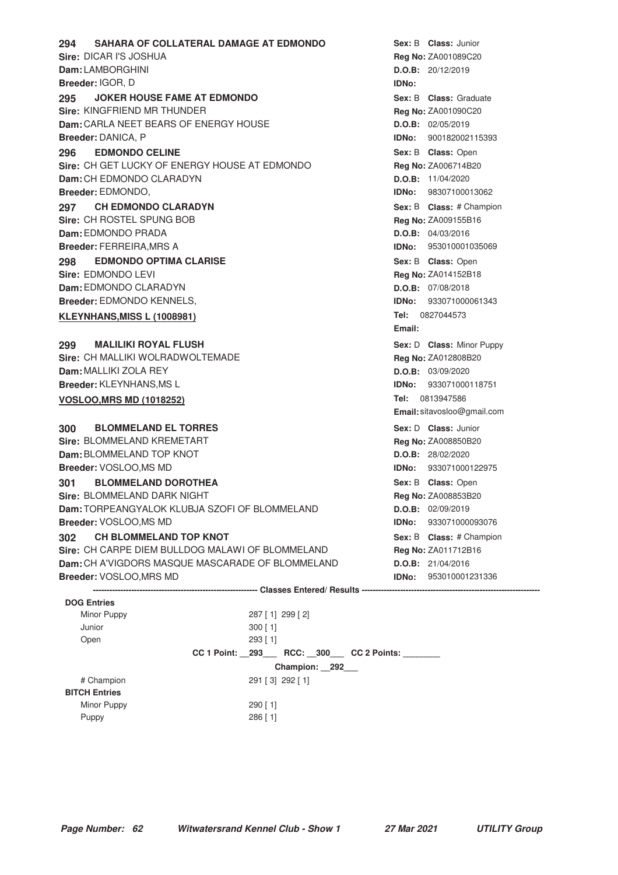| SAHARA OF COLLATERAL DAMAGE AT EDMONDO<br>294        |                                                     |              | Sex: B Class: Junior         |
|------------------------------------------------------|-----------------------------------------------------|--------------|------------------------------|
| Sire: DICAR I'S JOSHUA                               |                                                     |              | Reg No: ZA001089C20          |
| Dam: LAMBORGHINI                                     |                                                     |              | D.O.B: 20/12/2019            |
| <b>Breeder: IGOR, D</b>                              |                                                     | <b>IDNo:</b> |                              |
| <b>JOKER HOUSE FAME AT EDMONDO</b><br>295            |                                                     |              | Sex: B Class: Graduate       |
| Sire: KINGFRIEND MR THUNDER                          |                                                     |              | <b>Reg No: ZA001090C20</b>   |
| <b>Dam:</b> CARLA NEET BEARS OF ENERGY HOUSE         |                                                     |              | D.O.B: 02/05/2019            |
| Breeder: DANICA, P                                   |                                                     |              | <b>IDNo: 900182002115393</b> |
| <b>EDMONDO CELINE</b><br>296                         |                                                     |              | Sex: B Class: Open           |
| Sire: CH GET LUCKY OF ENERGY HOUSE AT EDMONDO        |                                                     |              | Reg No: ZA006714B20          |
| Dam: CH EDMONDO CLARADYN                             |                                                     |              | D.O.B: 11/04/2020            |
| Breeder: EDMONDO,                                    |                                                     | IDNo:        | 98307100013062               |
| <b>CH EDMONDO CLARADYN</b><br>297                    |                                                     |              | Sex: B Class: # Champion     |
| Sire: CH ROSTEL SPUNG BOB                            |                                                     |              | Reg No: ZA009155B16          |
| Dam: EDMONDO PRADA                                   |                                                     |              | D.O.B: 04/03/2016            |
| <b>Breeder: FERREIRA, MRS A</b>                      |                                                     |              | <b>IDNo: 953010001035069</b> |
| <b>EDMONDO OPTIMA CLARISE</b><br>298                 |                                                     |              | Sex: B Class: Open           |
| Sire: EDMONDO LEVI                                   |                                                     |              | Reg No: ZA014152B18          |
| Dam: EDMONDO CLARADYN                                |                                                     |              | D.O.B: 07/08/2018            |
| Breeder: EDMONDO KENNELS,                            |                                                     |              | <b>IDNo:</b> 933071000061343 |
| <b>KLEYNHANS, MISS L (1008981)</b>                   |                                                     |              | Tel: 0827044573              |
|                                                      |                                                     | Email:       |                              |
| <b>MALILIKI ROYAL FLUSH</b><br>299                   |                                                     |              | Sex: D Class: Minor Puppy    |
| Sire: CH MALLIKI WOLRADWOLTEMADE                     |                                                     |              | Reg No: ZA012808B20          |
| Dam: MALLIKI ZOLA REY                                |                                                     |              | D.O.B: 03/09/2020            |
| Breeder: KLEYNHANS, MS L                             |                                                     | <b>IDNo:</b> | 933071000118751              |
| <b>VOSLOO, MRS MD (1018252)</b>                      |                                                     | Tel:         | 0813947586                   |
|                                                      |                                                     |              | Email: sitavosloo@gmail.com  |
| <b>BLOMMELAND EL TORRES</b><br>300                   |                                                     |              | Sex: D Class: Junior         |
| Sire: BLOMMELAND KREMETART                           |                                                     |              | Reg No: ZA008850B20          |
| Dam: BLOMMELAND TOP KNOT                             |                                                     |              | D.O.B: 28/02/2020            |
| Breeder: VOSLOO,MS MD                                |                                                     |              | <b>IDNo: 933071000122975</b> |
| <b>BLOMMELAND DOROTHEA</b><br>301                    |                                                     |              | Sex: B Class: Open           |
| Sire: BLOMMELAND DARK NIGHT                          |                                                     |              | Reg No: ZA008853B20          |
| <b>Dam:</b> TORPEANGYALOK KLUBJA SZOFI OF BLOMMELAND |                                                     |              | D.O.B: 02/09/2019            |
| Breeder: VOSLOO, MS MD                               |                                                     | IDNo:        | 933071000093076              |
| <b>CH BLOMMELAND TOP KNOT</b><br>302                 |                                                     |              | Sex: B Class: # Champion     |
| Sire: CH CARPE DIEM BULLDOG MALAWI OF BLOMMELAND     |                                                     |              | Reg No: ZA011712B16          |
| Dam: CH A'VIGDORS MASQUE MASCARADE OF BLOMMELAND     |                                                     |              | D.O.B: 21/04/2016            |
| Breeder: VOSLOO, MRS MD                              |                                                     |              | <b>IDNo:</b> 953010001231336 |
|                                                      |                                                     |              |                              |
| <b>DOG Entries</b>                                   |                                                     |              |                              |
| Minor Puppy                                          | 287 [1] 299 [2]                                     |              |                              |
| Junior                                               | $300$ [ 1]                                          |              |                              |
| Open                                                 | $293$ [ 1]                                          |              |                              |
|                                                      | CC 1 Point: _293___ RCC: _300__ CC 2 Points: ______ |              |                              |
|                                                      | Champion: 292                                       |              |                              |
| # Champion                                           | 291 [3] 292 [1]                                     |              |                              |
| <b>BITCH Entries</b>                                 |                                                     |              |                              |
| Minor Puppy                                          | $290$ [ 1]                                          |              |                              |

Puppy 286 [ 1]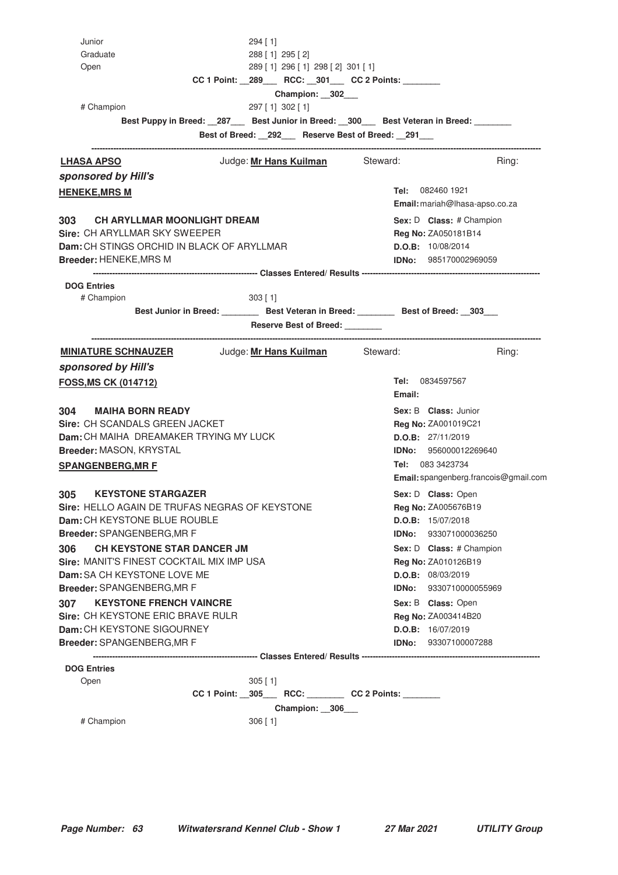| Junior                                                                                   | $294$ [ 1]                                                      |            |                                       |
|------------------------------------------------------------------------------------------|-----------------------------------------------------------------|------------|---------------------------------------|
| Graduate                                                                                 | 288 [1] 295 [2]                                                 |            |                                       |
| Open                                                                                     | 289 [1] 296 [1] 298 [2] 301 [1]                                 |            |                                       |
|                                                                                          | CC 1 Point: _289___ RCC: _301___ CC 2 Points: ______            |            |                                       |
| # Champion                                                                               | Champion: 302<br>297 [1] 302 [1]                                |            |                                       |
| Best Puppy in Breed: _287___ Best Junior in Breed: _300___ Best Veteran in Breed: ______ |                                                                 |            |                                       |
|                                                                                          | Best of Breed: _292__ Reserve Best of Breed: _291__             |            |                                       |
|                                                                                          |                                                                 |            |                                       |
| <b>LHASA APSO</b>                                                                        | Judge: Mr Hans Kuilman Steward:                                 |            | Ring:                                 |
| sponsored by Hill's                                                                      |                                                                 |            |                                       |
| <b>HENEKE, MRS M</b>                                                                     |                                                                 |            | Tel: 082460 1921                      |
|                                                                                          |                                                                 |            | Email: mariah@lhasa-apso.co.za        |
| 303<br><b>CH ARYLLMAR MOONLIGHT DREAM</b>                                                |                                                                 |            | Sex: D Class: # Champion              |
| Sire: CH ARYLLMAR SKY SWEEPER                                                            |                                                                 |            | Reg No: ZA050181B14                   |
| Dam: CH STINGS ORCHID IN BLACK OF ARYLLMAR                                               |                                                                 |            | D.O.B: 10/08/2014                     |
| Breeder: HENEKE, MRS M                                                                   |                                                                 |            | IDNo: 985170002969059                 |
|                                                                                          |                                                                 |            |                                       |
| <b>DOG Entries</b><br># Champion                                                         | $303$ [ 1]                                                      |            |                                       |
|                                                                                          | Best Junior in Breed: Best Veteran in Breed: Best of Breed: 303 |            |                                       |
|                                                                                          | <b>Reserve Best of Breed:</b>                                   |            |                                       |
|                                                                                          |                                                                 |            |                                       |
| <b>MINIATURE SCHNAUZER</b> Judge: Mr Hans Kuilman Steward:                               |                                                                 |            | Ring:                                 |
| sponsored by Hill's                                                                      |                                                                 |            |                                       |
| <b>FOSS, MS CK (014712)</b>                                                              |                                                                 |            | Tel: 0834597567                       |
|                                                                                          |                                                                 | Email:     |                                       |
| <b>MAIHA BORN READY</b><br>304                                                           |                                                                 |            | Sex: B Class: Junior                  |
| Sire: CH SCANDALS GREEN JACKET                                                           |                                                                 |            | <b>Reg No: ZA001019C21</b>            |
| Dam: CH MAIHA DREAMAKER TRYING MY LUCK                                                   |                                                                 |            | D.O.B: 27/11/2019                     |
| <b>Breeder: MASON, KRYSTAL</b>                                                           |                                                                 |            | <b>IDNo:</b> 956000012269640          |
| <b>SPANGENBERG, MR F</b>                                                                 |                                                                 |            | <b>Tel:</b> 083 3423734               |
|                                                                                          |                                                                 |            | Email: spangenberg.francois@gmail.com |
| <b>KEYSTONE STARGAZER</b><br>305                                                         |                                                                 |            | Sex: D Class: Open                    |
| Sire: HELLO AGAIN DE TRUFAS NEGRAS OF KEYSTONE                                           |                                                                 |            | <b>Reg No: ZA005676B19</b>            |
| Dam: CH KEYSTONE BLUE ROUBLE                                                             |                                                                 |            | D.O.B: 15/07/2018                     |
| Breeder: SPANGENBERG, MR F                                                               |                                                                 |            | IDNo: 933071000036250                 |
| CH KEYSTONE STAR DANCER JM<br>306                                                        |                                                                 |            | Sex: D Class: # Champion              |
| Sire: MANIT'S FINEST COCKTAIL MIX IMP USA                                                |                                                                 |            | Reg No: ZA010126B19                   |
| Dam: SA CH KEYSTONE LOVE ME                                                              |                                                                 |            | D.O.B: 08/03/2019                     |
| Breeder: SPANGENBERG, MR F                                                               |                                                                 |            | IDNo: 9330710000055969                |
| <b>KEYSTONE FRENCH VAINCRE</b><br>307                                                    |                                                                 |            | Sex: B Class: Open                    |
| Sire: CH KEYSTONE ERIC BRAVE RULR                                                        |                                                                 |            | Reg No: ZA003414B20                   |
| Dam: CH KEYSTONE SIGOURNEY                                                               |                                                                 |            | D.O.B: 16/07/2019                     |
| Breeder: SPANGENBERG, MR F                                                               |                                                                 |            | <b>IDNo:</b> 93307100007288           |
| <b>DOG Entries</b>                                                                       |                                                                 |            |                                       |
| Open                                                                                     | $305$ [1]                                                       |            |                                       |
| $\sim$ 1 Deights $\sim$                                                                  | 20E<br>DOO.                                                     | $0 \cap D$ |                                       |

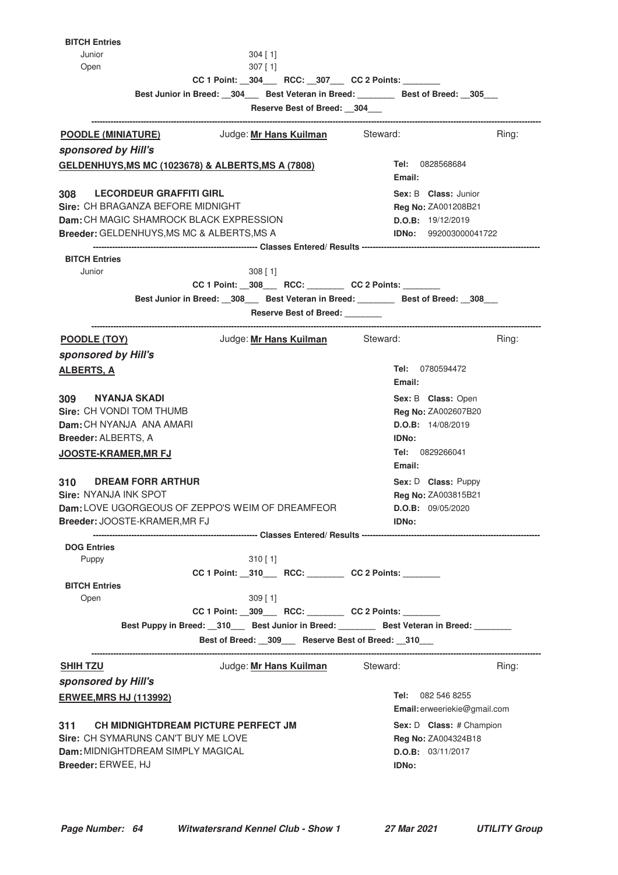| <b>BITCH Entries</b>            |                                                                                             |                                                          |                                                          |       |
|---------------------------------|---------------------------------------------------------------------------------------------|----------------------------------------------------------|----------------------------------------------------------|-------|
| Junior                          |                                                                                             | $304$ [1]                                                |                                                          |       |
| Open                            |                                                                                             | $307$ [ 1]                                               |                                                          |       |
|                                 |                                                                                             | CC 1 Point: __304____ RCC: __307___ CC 2 Points: _______ |                                                          |       |
|                                 | Best Junior in Breed: 304 Best Veteran in Breed: Best of Breed: 305                         |                                                          |                                                          |       |
|                                 |                                                                                             | Reserve Best of Breed: 304                               |                                                          |       |
| POODLE (MINIATURE)              |                                                                                             | Judge: Mr Hans Kuilman Steward:                          |                                                          | Ring: |
| sponsored by Hill's             |                                                                                             |                                                          |                                                          |       |
|                                 | <b>GELDENHUYS, MS MC (1023678) &amp; ALBERTS, MS A (7808)</b>                               |                                                          | Tel: 0828568684                                          |       |
|                                 |                                                                                             |                                                          | Email:                                                   |       |
|                                 | 308 LECORDEUR GRAFFITI GIRL                                                                 |                                                          | Sex: B Class: Junior                                     |       |
|                                 | Sire: CH BRAGANZA BEFORE MIDNIGHT                                                           |                                                          | <b>Reg No: ZA001208B21</b>                               |       |
|                                 | <b>Dam:</b> CH MAGIC SHAMROCK BLACK EXPRESSION                                              |                                                          | D.O.B: 19/12/2019                                        |       |
|                                 | Breeder: GELDENHUYS, MS MC & ALBERTS, MS A                                                  |                                                          | IDNo: 992003000041722                                    |       |
|                                 |                                                                                             |                                                          |                                                          |       |
| <b>BITCH Entries</b><br>Junior  |                                                                                             | $308$ [1]                                                |                                                          |       |
|                                 |                                                                                             | CC 1 Point: _308___ RCC: _______ CC 2 Points: ______     |                                                          |       |
|                                 | Best Junior in Breed: __308___ Best Veteran in Breed: _______ Best of Breed: __308___       |                                                          |                                                          |       |
|                                 |                                                                                             | Reserve Best of Breed:                                   |                                                          |       |
|                                 |                                                                                             |                                                          |                                                          |       |
| POODLE (TOY)                    |                                                                                             | Judge: Mr Hans Kuilman Steward:                          |                                                          | Ring: |
| sponsored by Hill's             |                                                                                             |                                                          |                                                          |       |
| <b>ALBERTS, A</b>               |                                                                                             |                                                          | Tel: 0780594472<br>Email:                                |       |
| NYANJA SKADI<br>309             |                                                                                             |                                                          | Sex: B Class: Open                                       |       |
| <b>Sire: CH VONDI TOM THUMB</b> |                                                                                             |                                                          | Reg No: ZA002607B20                                      |       |
| Dam: CH NYANJA ANA AMARI        |                                                                                             |                                                          | D.O.B: 14/08/2019                                        |       |
| <b>Breeder: ALBERTS, A</b>      |                                                                                             |                                                          | IDNo:                                                    |       |
| <b>JOOSTE-KRAMER,MR FJ</b>      |                                                                                             |                                                          | <b>Tel: 0829266041</b><br>Email:                         |       |
| 310                             | <b>DREAM FORR ARTHUR</b>                                                                    |                                                          | Sex: D Class: Puppy                                      |       |
| Sire: NYANJA INK SPOT           |                                                                                             |                                                          | Reg No: ZA003815B21                                      |       |
|                                 | Dam: LOVE UGORGEOUS OF ZEPPO'S WEIM OF DREAMFEOR                                            |                                                          | D.O.B: 09/05/2020                                        |       |
|                                 | Breeder: JOOSTE-KRAMER, MR FJ                                                               |                                                          | <b>IDNo:</b>                                             |       |
|                                 |                                                                                             |                                                          |                                                          |       |
| <b>DOG Entries</b>              |                                                                                             |                                                          |                                                          |       |
| Puppy                           |                                                                                             | $310$ [ 1]                                               |                                                          |       |
|                                 |                                                                                             | CC 1 Point: _310___ RCC: _______ CC 2 Points: ______     |                                                          |       |
| <b>BITCH Entries</b>            |                                                                                             |                                                          |                                                          |       |
| Open                            |                                                                                             | 309 [1]                                                  |                                                          |       |
|                                 |                                                                                             | CC 1 Point: _309___ RCC: _______ CC 2 Points: ______     |                                                          |       |
|                                 | Best Puppy in Breed: __310___ Best Junior in Breed: ________ Best Veteran in Breed: _______ | Best of Breed: _309__ Reserve Best of Breed: _310__      |                                                          |       |
|                                 |                                                                                             |                                                          |                                                          |       |
| <b>SHIH TZU</b>                 |                                                                                             | Judge: Mr Hans Kuilman Steward:                          |                                                          | Ring: |
| sponsored by Hill's             |                                                                                             |                                                          |                                                          |       |
| <b>ERWEE, MRS HJ (113992)</b>   |                                                                                             |                                                          | <b>Tel:</b> 082 546 8255<br>Email: erweeriekie@gmail.com |       |
| 311                             | CH MIDNIGHTDREAM PICTURE PERFECT JM                                                         |                                                          | Sex: D Class: # Champion                                 |       |
|                                 | Sire: CH SYMARUNS CAN'T BUY ME LOVE                                                         |                                                          | Reg No: ZA004324B18                                      |       |
|                                 | Dam: MIDNIGHTDREAM SIMPLY MAGICAL                                                           |                                                          | D.O.B: 03/11/2017                                        |       |
| Breeder: ERWEE, HJ              |                                                                                             |                                                          | <b>IDNo:</b>                                             |       |
|                                 |                                                                                             |                                                          |                                                          |       |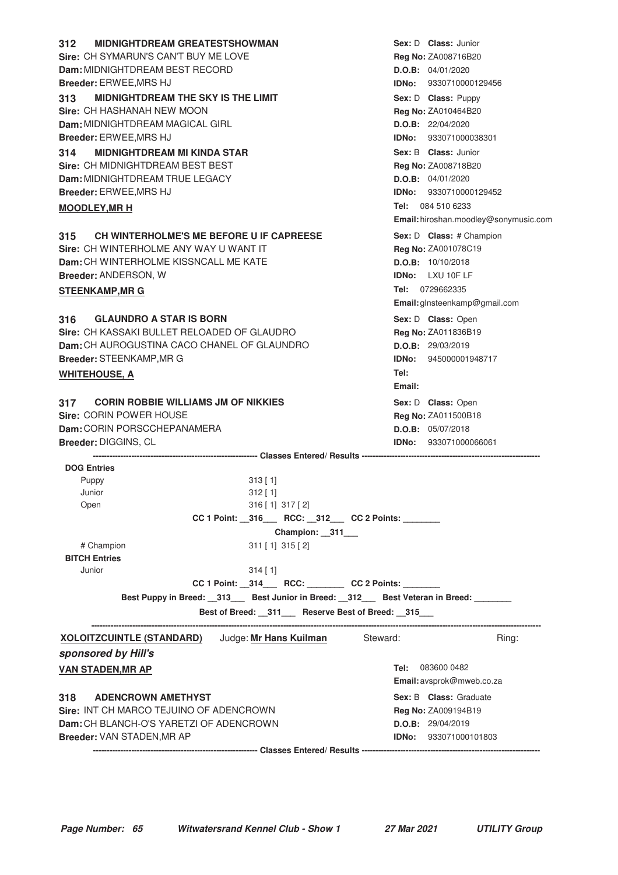| <b>MIDNIGHTDREAM GREATESTSHOWMAN</b><br>312                                            | Sex: D Class: Junior                  |
|----------------------------------------------------------------------------------------|---------------------------------------|
| Sire: CH SYMARUN'S CAN'T BUY ME LOVE                                                   | <b>Reg No: ZA008716B20</b>            |
| Dam: MIDNIGHTDREAM BEST RECORD                                                         | D.O.B: 04/01/2020                     |
| Breeder: ERWEE, MRS HJ                                                                 | IDNo: 9330710000129456                |
| <b>MIDNIGHTDREAM THE SKY IS THE LIMIT</b><br>313                                       | Sex: D Class: Puppy                   |
| Sire: CH HASHANAH NEW MOON                                                             | Reg No: ZA010464B20                   |
| <b>Dam: MIDNIGHTDREAM MAGICAL GIRL</b>                                                 | D.O.B: 22/04/2020                     |
| Breeder: ERWEE, MRS HJ                                                                 | IDNo: 933071000038301                 |
| <b>MIDNIGHTDREAM MI KINDA STAR</b><br>314                                              | Sex: B Class: Junior                  |
| Sire: CH MIDNIGHTDREAM BEST BEST                                                       | Reg No: ZA008718B20                   |
| Dam: MIDNIGHTDREAM TRUE LEGACY                                                         | D.O.B: 04/01/2020                     |
| <b>Breeder: ERWEE, MRS HJ</b>                                                          | IDNo: 9330710000129452                |
| <b>MOODLEY, MR H</b>                                                                   | Tel: 084 510 6233                     |
|                                                                                        | Email: hiroshan.moodley@sonymusic.com |
| CH WINTERHOLME'S ME BEFORE U IF CAPREESE<br>315                                        | Sex: D Class: # Champion              |
| Sire: CH WINTERHOLME ANY WAY U WANT IT                                                 | Reg No: ZA001078C19                   |
| Dam: CH WINTERHOLME KISSNCALL ME KATE                                                  | D.O.B: 10/10/2018                     |
| Breeder: ANDERSON, W                                                                   | <b>IDNo:</b> LXU 10F LF               |
| <b>STEENKAMP, MR G</b>                                                                 | Tel: 0729662335                       |
|                                                                                        | Email: glnsteenkamp@gmail.com         |
| 316<br><b>GLAUNDRO A STAR IS BORN</b>                                                  | Sex: D Class: Open                    |
| Sire: CH KASSAKI BULLET RELOADED OF GLAUDRO                                            | Reg No: ZA011836B19                   |
| Dam: CH AUROGUSTINA CACO CHANEL OF GLAUNDRO                                            | D.O.B: 29/03/2019                     |
| Breeder: STEENKAMP, MR G                                                               | <b>IDNo:</b> 945000001948717          |
| <u>WHITEHOUSE, A</u>                                                                   | Tel:                                  |
|                                                                                        | Email:                                |
| <b>CORIN ROBBIE WILLIAMS JM OF NIKKIES</b><br>317                                      | Sex: D Class: Open                    |
| Sire: CORIN POWER HOUSE                                                                | <b>Reg No: ZA011500B18</b>            |
| Dam: CORIN PORSCCHEPANAMERA                                                            | D.O.B: 05/07/2018                     |
| Breeder: DIGGINS, CL                                                                   | <b>IDNo:</b> 933071000066061          |
|                                                                                        |                                       |
| <b>DOG Entries</b>                                                                     |                                       |
| Puppy<br>$313$ [1]                                                                     |                                       |
| Junior<br>$312$ [1]                                                                    |                                       |
| Open<br>316 [1] 317 [2]                                                                |                                       |
| CC 1 Point: _316___ RCC: _312__ CC 2 Points: ______                                    |                                       |
| Champion: __311___                                                                     |                                       |
| # Champion<br>$311$ [1] $315$ [2]                                                      |                                       |
| <b>BITCH Entries</b>                                                                   |                                       |
| Junior<br>$314$ [1]                                                                    |                                       |
| CC 1 Point: _314___ RCC: _______ CC 2 Points: ______                                   |                                       |
| Best Puppy in Breed: _313__ Best Junior in Breed: _312__ Best Veteran in Breed: ______ |                                       |
| Best of Breed: __311___ Reserve Best of Breed: __315___                                |                                       |
| Steward:                                                                               |                                       |
| <b>XOLOITZCUINTLE (STANDARD)</b> Judge: Mr Hans Kuilman                                | Ring:                                 |
| sponsored by Hill's                                                                    |                                       |
| <b>VAN STADEN, MR AP</b>                                                               | 083600 0482<br>Tel:                   |
|                                                                                        | Email: avsprok@mweb.co.za             |
| 318<br><b>ADENCROWN AMETHYST</b>                                                       | <b>Sex: B Class: Graduate</b>         |
| Sire: INT CH MARCO TEJUINO OF ADENCROWN                                                | <b>Reg No: ZA009194B19</b>            |
| Dam: CH BLANCH-O'S YARETZI OF ADENCROWN                                                | D.O.B: 29/04/2019                     |
| Breeder: VAN STADEN, MR AP                                                             | <b>IDNo:</b> 933071000101803          |
|                                                                                        |                                       |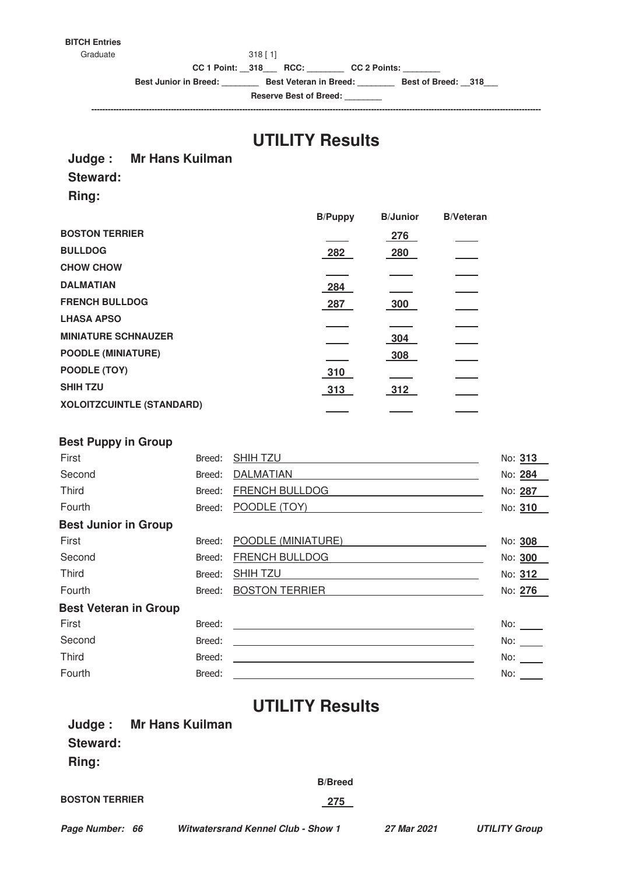# **BITCH Entries**

 $318 [ 1]$ 

**CC 1 Point: \_\_318\_\_\_ RCC: \_\_\_\_\_\_\_\_ CC 2 Points: \_\_\_\_\_\_\_\_**

**Best Junior in Breed: \_\_\_\_\_\_\_\_ Best Veteran in Breed: \_\_\_\_\_\_\_\_ Best of Breed: \_\_318\_\_\_**

**Reserve Best of Breed: \_\_\_\_\_\_\_\_ --------------------------------------------------------------------------------------------------------------------------------------------------------------------**

# **UTILITY Results**

## **Judge : Mr Hans Kuilman**

## **Steward:**

**Ring:**

|                                  | <b>B/Puppy</b> | <b>B/Junior</b> | <b>B/Veteran</b> |
|----------------------------------|----------------|-----------------|------------------|
| <b>BOSTON TERRIER</b>            |                | 276             |                  |
| <b>BULLDOG</b>                   | 282            | 280             |                  |
| <b>CHOW CHOW</b>                 |                |                 |                  |
| <b>DALMATIAN</b>                 | 284            |                 |                  |
| <b>FRENCH BULLDOG</b>            | 287            | 300             |                  |
| <b>LHASA APSO</b>                |                |                 |                  |
| <b>MINIATURE SCHNAUZER</b>       |                | 304             |                  |
| <b>POODLE (MINIATURE)</b>        |                | 308             |                  |
| POODLE (TOY)                     | 310            |                 |                  |
| <b>SHIH TZU</b>                  | 313            | 312             |                  |
| <b>XOLOITZCUINTLE (STANDARD)</b> |                |                 |                  |
|                                  |                |                 |                  |

## **Best Puppy in Group**

| First                        | Breed: | <b>SHIHTZU</b>        | No: 313           |
|------------------------------|--------|-----------------------|-------------------|
| Second                       | Breed: | <b>DALMATIAN</b>      | No: 284           |
| <b>Third</b>                 | Breed: | <b>FRENCH BULLDOG</b> | No: 287           |
| Fourth                       | Breed: | POODLE (TOY)          | No: 310           |
| <b>Best Junior in Group</b>  |        |                       |                   |
| First                        | Breed: | POODLE (MINIATURE)    | No: 308           |
| Second                       | Breed: | <b>FRENCH BULLDOG</b> | No: 300           |
| <b>Third</b>                 | Breed: | <b>SHIH TZU</b>       | No: 312           |
| Fourth                       | Breed: | <b>BOSTON TERRIER</b> | No: 276           |
| <b>Best Veteran in Group</b> |        |                       |                   |
| First                        | Breed: |                       | No:               |
| Second                       | Breed: |                       | No: $\frac{1}{1}$ |
| <b>Third</b>                 | Breed: |                       | No:               |
| Fourth                       | Breed: |                       | No:               |

# **UTILITY Results**

|                       | Judge: Mr Hans Kuilman |                |  |
|-----------------------|------------------------|----------------|--|
| <b>Steward:</b>       |                        |                |  |
| Ring:                 |                        |                |  |
|                       |                        | <b>B/Breed</b> |  |
| <b>BOSTON TERRIER</b> |                        | <u>275</u>     |  |
|                       |                        |                |  |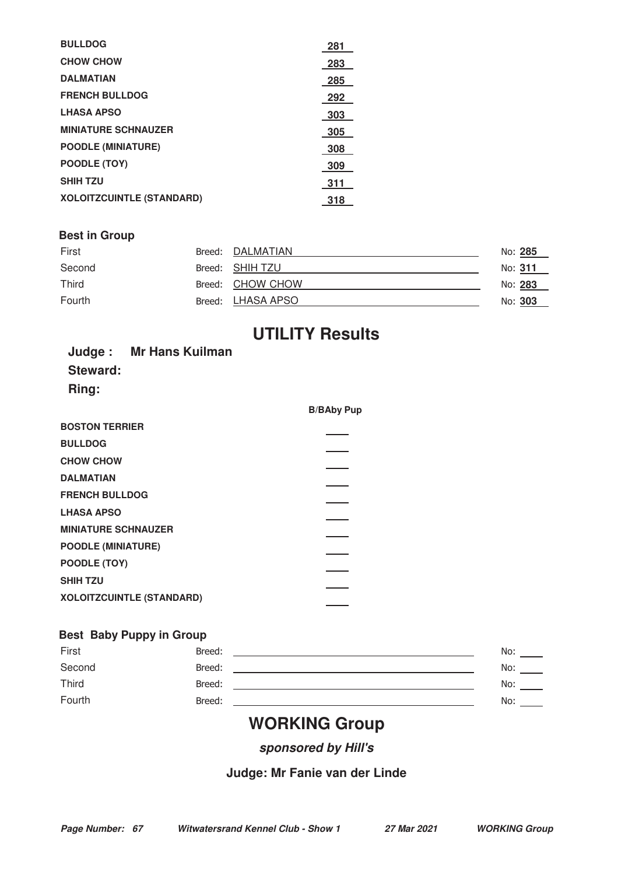| <b>BULLDOG</b>                   | -281  |
|----------------------------------|-------|
| <b>CHOW CHOW</b>                 | -283  |
| <b>DALMATIAN</b>                 | 285   |
| <b>FRENCH BULLDOG</b>            | 292   |
| <b>LHASA APSO</b>                | - 303 |
| <b>MINIATURE SCHNAUZER</b>       | 305   |
| <b>POODLE (MINIATURE)</b>        | 308   |
| POODLE (TOY)                     | 309   |
| <b>SHIH TZU</b>                  | -311  |
| <b>XOLOITZCUINTLE (STANDARD)</b> | 318   |

## **Best in Group**

| First        | Breed: DALMATIAN  | No: 285 |
|--------------|-------------------|---------|
| Second       | Breed: SHIH TZU   | No: 311 |
| <b>Third</b> | Breed: CHOW CHOW  | No: 283 |
| Fourth       | Breed: LHASA APSO | No: 303 |

# **UTILITY Results**

|          | Judge: Mr Hans Kuilman |
|----------|------------------------|
| Steward: |                        |
| Ring:    |                        |

|                                  | <b>B/BAby Pup</b> |
|----------------------------------|-------------------|
| <b>BOSTON TERRIER</b>            |                   |
| <b>BULLDOG</b>                   |                   |
| <b>CHOW CHOW</b>                 |                   |
| <b>DALMATIAN</b>                 |                   |
| <b>FRENCH BULLDOG</b>            |                   |
| <b>LHASA APSO</b>                |                   |
| <b>MINIATURE SCHNAUZER</b>       |                   |
| <b>POODLE (MINIATURE)</b>        |                   |
| POODLE (TOY)                     |                   |
| <b>SHIH TZU</b>                  |                   |
| <b>XOLOITZCUINTLE (STANDARD)</b> |                   |
|                                  |                   |

## **Best Baby Puppy in Group**

| First  | Breed: | No: |  |
|--------|--------|-----|--|
| Second | Breed: | No: |  |
| Third  | Breed: | No: |  |
| Fourth | Breed: | No: |  |
|        |        |     |  |

# **WORKING Group**

**sponsored by Hill's**

# **Judge: Mr Fanie van der Linde**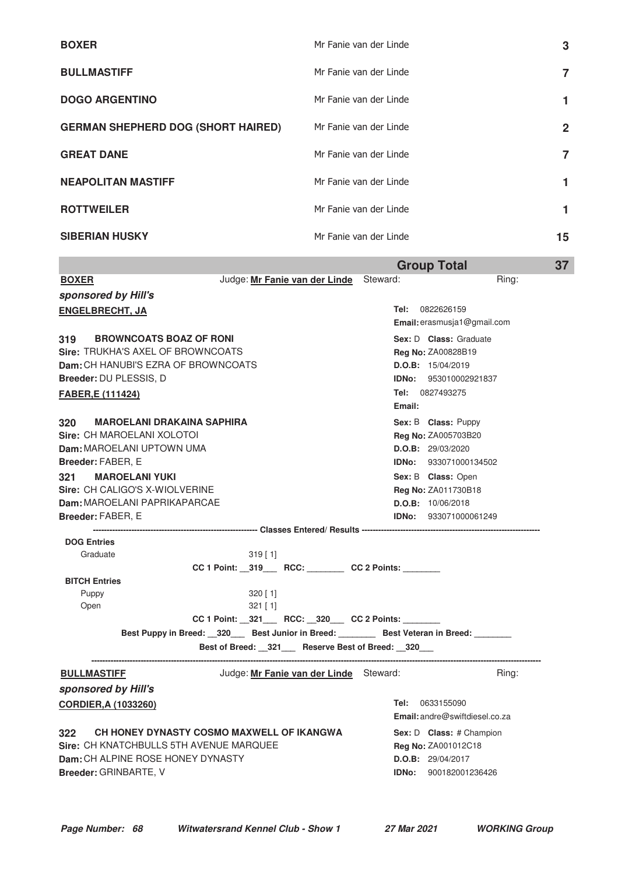| <b>BOXER</b>                              | Mr Fanie van der Linde | 3            |
|-------------------------------------------|------------------------|--------------|
| <b>BULLMASTIFF</b>                        | Mr Fanie van der Linde | 7            |
| <b>DOGO ARGENTINO</b>                     | Mr Fanie van der Linde |              |
| <b>GERMAN SHEPHERD DOG (SHORT HAIRED)</b> | Mr Fanie van der Linde | $\mathbf{2}$ |
| <b>GREAT DANE</b>                         | Mr Fanie van der Linde | 7            |
| <b>NEAPOLITAN MASTIFF</b>                 | Mr Fanie van der Linde |              |
| <b>ROTTWEILER</b>                         | Mr Fanie van der Linde |              |
| <b>SIBERIAN HUSKY</b>                     | Mr Fanie van der Linde | 15           |

|                                            |                                                                       |        | <b>Group Total</b>                                | 37 |
|--------------------------------------------|-----------------------------------------------------------------------|--------|---------------------------------------------------|----|
| <b>BOXER</b>                               | Judge: Mr Fanie van der Linde Steward:                                |        | Ring:                                             |    |
| sponsored by Hill's                        |                                                                       |        |                                                   |    |
| <b>ENGELBRECHT, JA</b>                     |                                                                       |        | Tel: 0822626159                                   |    |
|                                            |                                                                       |        | <b>Email:</b> erasmusja1@gmail.com                |    |
| 319<br><b>BROWNCOATS BOAZ OF RONI</b>      |                                                                       |        | Sex: D Class: Graduate                            |    |
| <b>Sire: TRUKHA'S AXEL OF BROWNCOATS</b>   |                                                                       |        | Reg No: ZA00828B19                                |    |
| <b>Dam:</b> CH HANUBI'S EZRA OF BROWNCOATS |                                                                       |        | D.O.B: 15/04/2019                                 |    |
| <b>Breeder: DU PLESSIS, D</b>              |                                                                       |        | <b>IDNo:</b> 953010002921837                      |    |
| FABER, E (111424)                          |                                                                       | Email: | <b>Tel:</b> 0827493275                            |    |
| 320<br><b>MAROELANI DRAKAINA SAPHIRA</b>   |                                                                       |        | Sex: B Class: Puppy                               |    |
| <b>Sire: CH MAROELANI XOLOTOI</b>          |                                                                       |        | <b>Reg No: ZA005703B20</b>                        |    |
| <b>Dam:</b> MAROELANI UPTOWN UMA           |                                                                       |        | D.O.B: 29/03/2020                                 |    |
| Breeder: FABER, E                          |                                                                       |        | <b>IDNo: 933071000134502</b>                      |    |
| <b>MAROELANI YUKI</b><br>321               |                                                                       |        | Sex: B Class: Open                                |    |
| <b>Sire: CH CALIGO'S X-WIOLVERINE</b>      |                                                                       |        | <b>Reg No: ZA011730B18</b>                        |    |
| <b>Dam: MAROELANI PAPRIKAPARCAE</b>        |                                                                       |        | D.O.B: 10/06/2018                                 |    |
| <b>Breeder: FABER, E</b>                   |                                                                       |        | <b>IDNo:</b> 933071000061249                      |    |
|                                            |                                                                       |        |                                                   |    |
| <b>DOG Entries</b><br>Graduate             | $319$ [ 1]                                                            |        |                                                   |    |
|                                            | CC 1 Point: _319___ RCC: _______ CC 2 Points: ______                  |        |                                                   |    |
| <b>BITCH Entries</b>                       |                                                                       |        |                                                   |    |
| Puppy                                      | 320 [1]                                                               |        |                                                   |    |
| Open                                       | $321$ [ 1]                                                            |        |                                                   |    |
|                                            | CC 1 Point: _321___ RCC: _320__ CC 2 Points: ______                   |        |                                                   |    |
|                                            | Best Puppy in Breed: 320 Best Junior in Breed: Best Veteran in Breed: |        |                                                   |    |
|                                            | Best of Breed: 321 Reserve Best of Breed: 320                         |        |                                                   |    |
| <u>BULLMASTIFF</u>                         | Judge: Mr Fanie van der Linde Steward:                                |        | Ring:                                             |    |
| sponsored by Hill's                        |                                                                       |        |                                                   |    |
| <b>CORDIER, A (1033260)</b>                |                                                                       |        | Tel: 0633155090<br>Email: andre@swiftdiesel.co.za |    |
| 322                                        | CH HONEY DYNASTY COSMO MAXWELL OF IKANGWA                             |        | Sex: D Class: # Champion                          |    |
| Sire: CH KNATCHBULLS 5TH AVENUE MARQUEE    |                                                                       |        | <b>Reg No: ZA001012C18</b>                        |    |
| Dam: CH ALPINE ROSE HONEY DYNASTY          |                                                                       |        | D.O.B: 29/04/2017                                 |    |
| <b>Breeder: GRINBARTE, V</b>               |                                                                       |        | <b>IDNo:</b> 900182001236426                      |    |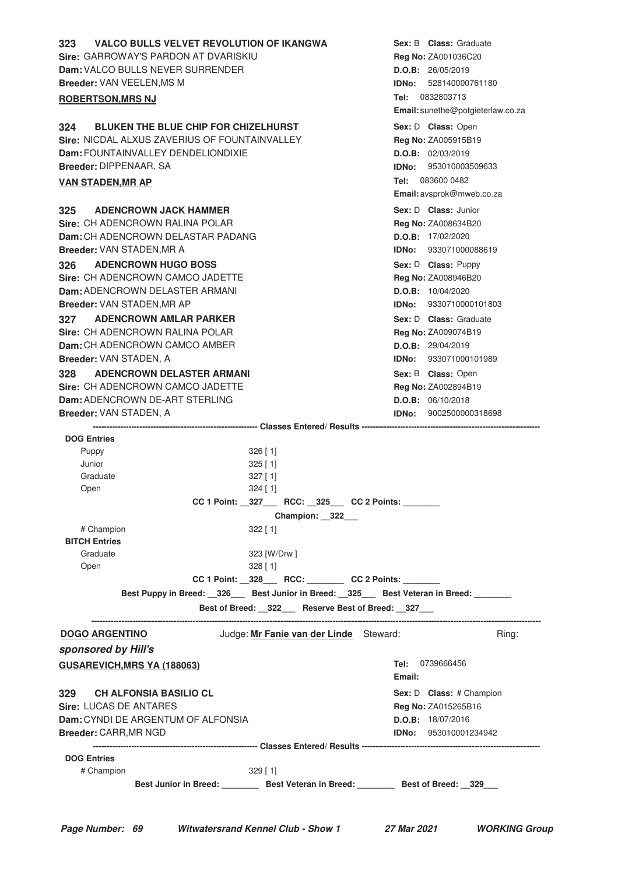| <b>VALCO BULLS VELVET REVOLUTION OF IKANGWA</b><br>323<br><b>Sire: GARROWAY'S PARDON AT DVARISKIU</b><br>Dam: VALCO BULLS NEVER SURRENDER<br>Breeder: VAN VEELEN, MS M<br><b>ROBERTSON, MRS NJ</b>                                                                                              | <b>Sex: B Class:</b> Graduate<br>Reg No: ZA001036C20<br>D.O.B: 26/05/2019<br><b>IDNo:</b> 528140000761180<br>Tel: 0832803713<br>Email: sunethe@potgieterlaw.co.za                              |
|-------------------------------------------------------------------------------------------------------------------------------------------------------------------------------------------------------------------------------------------------------------------------------------------------|------------------------------------------------------------------------------------------------------------------------------------------------------------------------------------------------|
| <b>BLUKEN THE BLUE CHIP FOR CHIZELHURST</b><br>324<br>Sire: NICDAL ALXUS ZAVERIUS OF FOUNTAINVALLEY<br>Dam: FOUNTAINVALLEY DENDELIONDIXIE<br>Breeder: DIPPENAAR, SA<br><b>VAN STADEN, MR AP</b>                                                                                                 | Sex: D Class: Open<br>Reg No: ZA005915B19<br>D.O.B: 02/03/2019<br><b>IDNo: 953010003509633</b><br>Tel: 083600 0482<br>Email: avsprok@mweb.co.za                                                |
| <b>ADENCROWN JACK HAMMER</b><br>325<br>Sire: CH ADENCROWN RALINA POLAR<br>Dam: CH ADENCROWN DELASTAR PADANG<br><b>Breeder: VAN STADEN, MR A</b><br><b>ADENCROWN HUGO BOSS</b><br>326<br><b>Sire: CH ADENCROWN CAMCO JADETTE</b><br>Dam: ADENCROWN DELASTER ARMANI<br>Breeder: VAN STADEN, MR AP | Sex: D Class: Junior<br>Reg No: ZA008634B20<br>D.O.B: 17/02/2020<br>IDNo: 933071000088619<br>Sex: D Class: Puppy<br>Reg No: ZA008946B20<br>D.O.B: 10/04/2020<br>9330710000101803<br>IDNo:      |
| <b>ADENCROWN AMLAR PARKER</b><br>327<br>Sire: CH ADENCROWN RALINA POLAR<br>Dam: CH ADENCROWN CAMCO AMBER<br>Breeder: VAN STADEN, A<br><b>ADENCROWN DELASTER ARMANI</b><br>328<br>Sire: CH ADENCROWN CAMCO JADETTE<br>Dam: ADENCROWN DE-ART STERLING<br>Breeder: VAN STADEN, A                   | Sex: D Class: Graduate<br>Reg No: ZA009074B19<br>D.O.B: 29/04/2019<br>IDNo: 933071000101989<br>Sex: B Class: Open<br>Reg No: ZA002894B19<br>D.O.B: 06/10/2018<br><b>IDNo: 9002500000318698</b> |
|                                                                                                                                                                                                                                                                                                 |                                                                                                                                                                                                |
| <b>DOG Entries</b><br>Puppy<br>$326$ [1]<br>Junior<br>$325$ [1]<br>Graduate<br>$327$ [1]<br>Open<br>324 [1]                                                                                                                                                                                     |                                                                                                                                                                                                |
| CC 1 Point: __327____ RCC: __325___ CC 2 Points: _______                                                                                                                                                                                                                                        |                                                                                                                                                                                                |
| Champion: 322<br># Champion<br>$322$ [1]<br><b>BITCH Entries</b>                                                                                                                                                                                                                                |                                                                                                                                                                                                |
| Graduate<br>323 [W/Drw]<br>Open<br>$328$ [ 1]<br>CC 1 Point: _328___ RCC: _______ CC 2 Points: ______                                                                                                                                                                                           |                                                                                                                                                                                                |
| Best Puppy in Breed: 326 Best Junior in Breed: 325 Best Veteran in Breed:                                                                                                                                                                                                                       |                                                                                                                                                                                                |
| Best of Breed: __322___ Reserve Best of Breed: __327___                                                                                                                                                                                                                                         |                                                                                                                                                                                                |
| Judge: Mr Fanie van der Linde Steward:<br><b>DOGO ARGENTINO</b><br>sponsored by Hill's                                                                                                                                                                                                          | Ring:                                                                                                                                                                                          |
| <b>GUSAREVICH, MRS YA (188063)</b>                                                                                                                                                                                                                                                              | <b>Tel:</b> 0739666456<br>Email:                                                                                                                                                               |
| <b>CH ALFONSIA BASILIO CL</b><br>329<br><b>Sire: LUCAS DE ANTARES</b><br>Dam: CYNDI DE ARGENTUM OF ALFONSIA<br>Breeder: CARR, MR NGD                                                                                                                                                            | Sex: D Class: # Champion<br>Reg No: ZA015265B16<br>D.O.B: 18/07/2016<br><b>IDNo:</b> 953010001234942                                                                                           |
| <b>DOG Entries</b>                                                                                                                                                                                                                                                                              |                                                                                                                                                                                                |
| # Champion<br>$329$ [ 1]                                                                                                                                                                                                                                                                        |                                                                                                                                                                                                |
| Best Junior in Breed: __________ Best Veteran in Breed: _________ Best of Breed: __329___                                                                                                                                                                                                       |                                                                                                                                                                                                |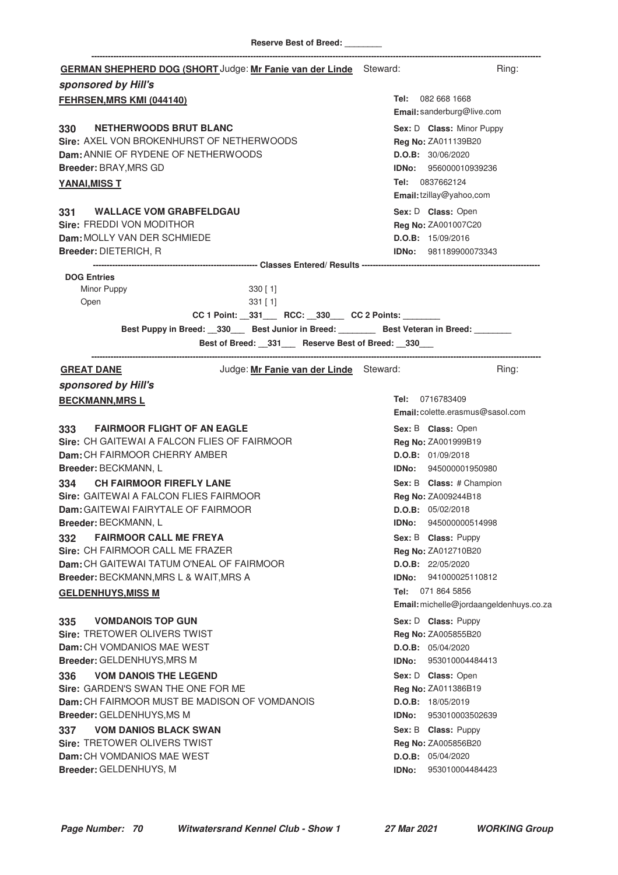| GERMAN SHEPHERD DOG (SHORT Judge: Mr Fanie van der Linde Steward:<br>sponsored by Hill's                                                                                                                                                                                          | Ring:                                                                                                                                                                                       |
|-----------------------------------------------------------------------------------------------------------------------------------------------------------------------------------------------------------------------------------------------------------------------------------|---------------------------------------------------------------------------------------------------------------------------------------------------------------------------------------------|
| <b>FEHRSEN, MRS KMI (044140)</b>                                                                                                                                                                                                                                                  | Tel: 082 668 1668<br>Email: sanderburg@live.com                                                                                                                                             |
| <b>NETHERWOODS BRUT BLANC</b><br>330<br>Sire: AXEL VON BROKENHURST OF NETHERWOODS<br>Dam: ANNIE OF RYDENE OF NETHERWOODS<br>Breeder: BRAY, MRS GD<br><b>YANAI, MISS T</b>                                                                                                         | Sex: D Class: Minor Puppy<br>Reg No: ZA011139B20<br>D.O.B: 30/06/2020<br><b>IDNo:</b> 956000010939236<br>Tel: 0837662124<br>Email: tzillay@yahoo,com                                        |
| <b>WALLACE VOM GRABFELDGAU</b><br>331 —<br>Sire: FREDDI VON MODITHOR<br>Dam: MOLLY VAN DER SCHMIEDE<br><b>Breeder: DIETERICH, R</b>                                                                                                                                               | Sex: D Class: Open<br>Reg No: ZA001007C20<br>D.O.B: 15/09/2016<br><b>IDNo:</b> 981189900073343                                                                                              |
| <b>DOG Entries</b><br>Minor Puppy<br>$330$ [ 1]<br>$331$ [1]<br>Open<br>CC 1 Point: _331___ RCC: _330__ CC 2 Points: ______<br>Best Puppy in Breed: __330___ Best Junior in Breed: ________ Best Veteran in Breed: _______<br>Best of Breed: _331__ Reserve Best of Breed: _330__ |                                                                                                                                                                                             |
| Judge: Mr Fanie van der Linde Steward:<br><b>GREAT DANE</b>                                                                                                                                                                                                                       | Ring:                                                                                                                                                                                       |
| sponsored by Hill's<br><b>BECKMANN, MRSL</b>                                                                                                                                                                                                                                      | Tel: 0716783409<br>Email: colette.erasmus@sasol.com                                                                                                                                         |
| 333 FAIRMOOR FLIGHT OF AN EAGLE<br>Sire: CH GAITEWAI A FALCON FLIES OF FAIRMOOR<br>Dam: CH FAIRMOOR CHERRY AMBER<br>Breeder: BECKMANN, L<br>334 CH FAIRMOOR FIREFLY LANE<br>Sire: GAITEWAI A FALCON FLIES FAIRMOOR<br><b>Dam:</b> GAITEWAI FAIRYTALE OF FAIRMOOR                  | Sex: B Class: Open<br>Reg No: ZA001999B19<br>D.O.B: 01/09/2018<br><b>IDNo:</b> 945000001950980<br>Sex: B Class: # Champion<br>Reg No: ZA009244B18<br>D.O.B: 05/02/2018                      |
| Breeder: BECKMANN, L<br><b>FAIRMOOR CALL ME FREYA</b><br>332<br>Sire: CH FAIRMOOR CALL ME FRAZER<br>Dam: CH GAITEWAI TATUM O'NEAL OF FAIRMOOR<br>Breeder: BECKMANN, MRS L & WAIT, MRS A<br><b>GELDENHUYS, MISS M</b>                                                              | 945000000514998<br>IDNo:<br>Sex: B Class: Puppy<br>Reg No: ZA012710B20<br>D.O.B: 22/05/2020<br><b>IDNo:</b> 941000025110812<br>Tel: 071 864 5856<br>Email: michelle@jordaangeldenhuys.co.za |
| <b>VOMDANOIS TOP GUN</b><br>335<br>Sire: TRETOWER OLIVERS TWIST<br>Dam: CH VOMDANIOS MAE WEST<br>Breeder: GELDENHUYS, MRS M<br><b>VOM DANOIS THE LEGEND</b><br>336<br>Sire: GARDEN'S SWAN THE ONE FOR ME                                                                          | Sex: D Class: Puppy<br>Reg No: ZA005855B20<br>D.O.B: 05/04/2020<br>IDNo:<br>953010004484413<br>Sex: D Class: Open<br>Reg No: ZA011386B19                                                    |
| <b>Dam:</b> CH FAIRMOOR MUST BE MADISON OF VOMDANOIS<br>Breeder: GELDENHUYS, MS M<br><b>VOM DANIOS BLACK SWAN</b><br>337<br><b>Sire: TRETOWER OLIVERS TWIST</b><br><b>Dam:</b> CH VOMDANIOS MAE WEST<br>Breeder: GELDENHUYS, M                                                    | D.O.B: 18/05/2019<br>IDNo:<br>953010003502639<br>Sex: B Class: Puppy<br>Reg No: ZA005856B20<br>D.O.B: 05/04/2020<br>953010004484423<br>IDNo:                                                |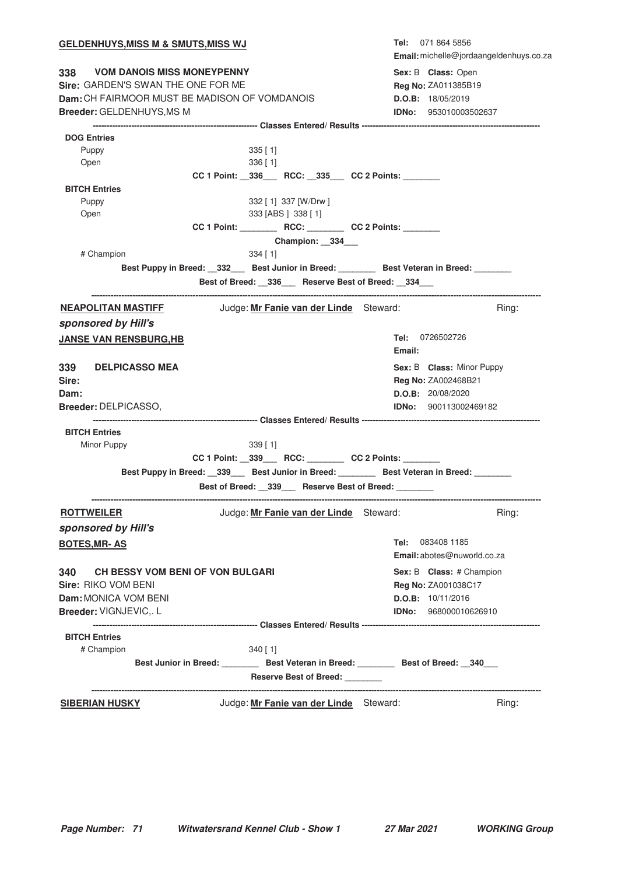| <u>GELDENHUYS,MISS M &amp; SMUTS,MISS WJ</u>                                                                                                       |                                                                                          | Tel: 071 864 5856<br>Email: michelle@jordaangeldenhuys.co.za                                   |  |
|----------------------------------------------------------------------------------------------------------------------------------------------------|------------------------------------------------------------------------------------------|------------------------------------------------------------------------------------------------|--|
| 338 VOM DANOIS MISS MONEYPENNY<br>Sire: GARDEN'S SWAN THE ONE FOR ME<br>Dam: CH FAIRMOOR MUST BE MADISON OF VOMDANOIS<br>Breeder: GELDENHUYS, MS M |                                                                                          | Sex: B Class: Open<br>Reg No: ZA011385B19<br>D.O.B: 18/05/2019<br><b>IDNo: 953010003502637</b> |  |
|                                                                                                                                                    |                                                                                          |                                                                                                |  |
| <b>DOG Entries</b>                                                                                                                                 |                                                                                          |                                                                                                |  |
| Puppy<br>Open                                                                                                                                      | $335$ [1]<br>336 [ 1]                                                                    |                                                                                                |  |
| <b>BITCH Entries</b>                                                                                                                               | CC 1 Point: _336___ RCC: _335__ CC 2 Points: ______                                      |                                                                                                |  |
| Puppy<br>Open                                                                                                                                      | 332 [ 1] 337 [W/Drw ]<br>333 [ABS ] 338 [ 1]                                             |                                                                                                |  |
|                                                                                                                                                    |                                                                                          |                                                                                                |  |
|                                                                                                                                                    | Champion: 334                                                                            |                                                                                                |  |
| # Champion                                                                                                                                         | $334$ [ 1]                                                                               |                                                                                                |  |
|                                                                                                                                                    |                                                                                          | Best Puppy in Breed: __332___ Best Junior in Breed: ________ Best Veteran in Breed: _______    |  |
|                                                                                                                                                    | Best of Breed: __336___ Reserve Best of Breed: __334___                                  |                                                                                                |  |
| <b>NEAPOLITAN MASTIFF</b>                                                                                                                          | Judge: Mr Fanie van der Linde Steward:                                                   | Ring:                                                                                          |  |
| sponsored by Hill's                                                                                                                                |                                                                                          |                                                                                                |  |
| <b>JANSE VAN RENSBURG, HB</b>                                                                                                                      |                                                                                          | <b>Tel:</b> 0726502726<br>Email:                                                               |  |
| 339<br><b>DELPICASSO MEA</b>                                                                                                                       |                                                                                          | Sex: B Class: Minor Puppy                                                                      |  |
| Sire:                                                                                                                                              |                                                                                          | Reg No: ZA002468B21                                                                            |  |
| Dam:                                                                                                                                               |                                                                                          | D.O.B: 20/08/2020                                                                              |  |
| Breeder: DELPICASSO,                                                                                                                               |                                                                                          | <b>IDNo:</b> 900113002469182                                                                   |  |
|                                                                                                                                                    |                                                                                          |                                                                                                |  |
| <b>BITCH Entries</b>                                                                                                                               |                                                                                          |                                                                                                |  |
| Minor Puppy                                                                                                                                        | $339$ [ 1]                                                                               |                                                                                                |  |
|                                                                                                                                                    | CC 1 Point: _339___ RCC: _______ CC 2 Points: ______                                     |                                                                                                |  |
|                                                                                                                                                    |                                                                                          | Best Puppy in Breed: __339___ Best Junior in Breed: _______ Best Veteran in Breed: _______     |  |
|                                                                                                                                                    | Best of Breed: _339__ Reserve Best of Breed: _______                                     |                                                                                                |  |
| <b>ROTTWEILER</b><br>sponsored by Hill's                                                                                                           | Judge: Mr Fanie van der Linde Steward:                                                   | Ring:                                                                                          |  |
|                                                                                                                                                    |                                                                                          | Tel: 083408 1185                                                                               |  |
| <b>BOTES, MR-AS</b>                                                                                                                                |                                                                                          | Email: abotes@nuworld.co.za                                                                    |  |
| <b>CH BESSY VOM BENI OF VON BULGARI</b><br>340                                                                                                     |                                                                                          | Sex: B Class: # Champion                                                                       |  |
| Sire: RIKO VOM BENI                                                                                                                                |                                                                                          | Reg No: ZA001038C17                                                                            |  |
| Dam: MONICA VOM BENI                                                                                                                               |                                                                                          | D.O.B: 10/11/2016                                                                              |  |
| Breeder: VIGNJEVIC,. L                                                                                                                             |                                                                                          | <b>IDNo:</b> 968000010626910                                                                   |  |
|                                                                                                                                                    |                                                                                          |                                                                                                |  |
| <b>BITCH Entries</b>                                                                                                                               |                                                                                          |                                                                                                |  |
| # Champion                                                                                                                                         | $340$ [ 1]                                                                               |                                                                                                |  |
|                                                                                                                                                    | Best Junior in Breed: __________ Best Veteran in Breed: ________ Best of Breed: __340___ |                                                                                                |  |
|                                                                                                                                                    | Reserve Best of Breed: _______                                                           |                                                                                                |  |
| <b>SIBERIAN HUSKY</b>                                                                                                                              | Judge: Mr Fanie van der Linde Steward:                                                   | Ring:                                                                                          |  |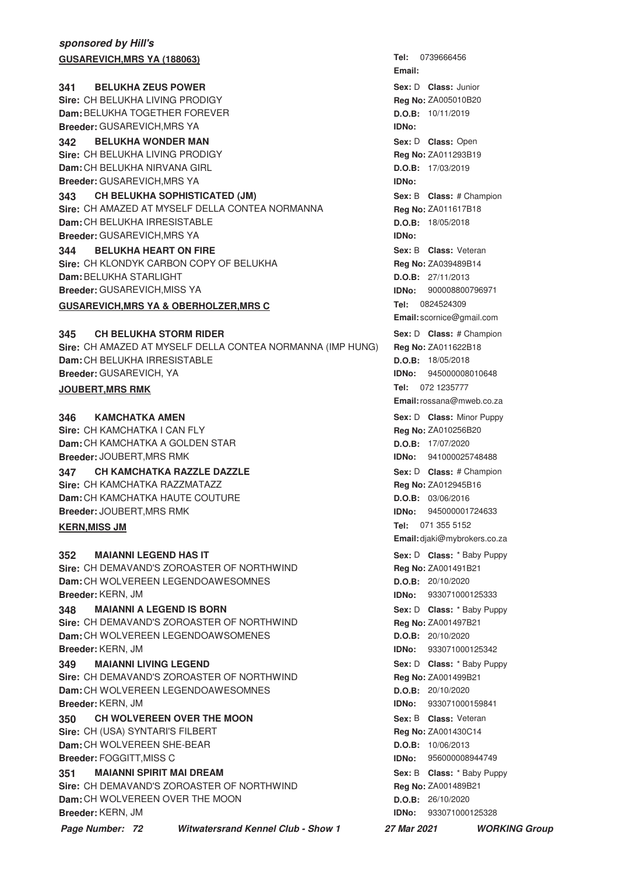## **sponsored by Hill's GUSAREVICH, MRS YA (188063)**

**341 BELUKHA ZEUS POWER 1988 1988 1989 <b>Sex:** D **Class:** Junior **Sire:** CH BELUKHA LIVING PRODIGY **Dam:** BELUKHA TOGETHER FOREVER **Breeder:** GUSAREVICH,MRS YA

**342 BELUKHA WONDER MAN CONSERVING SEXEL SEXEL SOME SEX:** D Class: Open **Sire:** CH BELUKHA LIVING PRODIGY **Dam:** CH BELUKHA NIRVANA GIRL **Breeder:** GUSAREVICH,MRS YA

**343 CH BELUKHA SOPHISTICATED (JM) 120 CHEAD SEX: B Class: # Champion** 

**Sire:** CH AMAZED AT MYSELF DELLA CONTEA NORMANNA **Dam:** CH BELUKHA IRRESISTABLE **Breeder:** GUSAREVICH,MRS YA

**344 BELUKHA HEART ON FIRE CONVERTED SEX: B Class: Veteran Sire:** CH KLONDYK CARBON COPY OF BELUKHA **Dam:** BELUKHA STARLIGHT **Breeder:** GUSAREVICH,MISS YA

### **GUSAREVICH, MRS YA & OBERHOLZER, MRS C**

#### **CH BELUKHA STORM RIDER Sex:** D **CH BELUKHA STORM RIDER And Sex:** D **Class:** # Champion

**Sire:** CH AMAZED AT MYSELF DELLA CONTEA NORMANNA (IMP HUNG) **Dam:** CH BELUKHA IRRESISTABLE **Breeder:** GUSAREVICH, YA

### **JOUBERT, MRS RMK**

#### **KAMCHATKA AMEN Sex:** D **Class:** Minor Puppy **Contrary Contrary Contrary Contrary Contrary Sex: D <b>Class:** Minor Puppy

**Sire:** CH KAMCHATKA I CAN FLY **Dam:** CH KAMCHATKA A GOLDEN STAR **Breeder:** JOUBERT,MRS RMK

**347 • CH KAMCHATKA RAZZLE DAZZLE And Sext D** Sex: D Class: # Champion

**Sire:** CH KAMCHATKA RAZZMATAZZ **Dam:** CH KAMCHATKA HAUTE COUTURE

**Breeder:** JOUBERT,MRS RMK

## **KERN, MISS JM**

**MAIANNI LEGEND HAS IT Sire:** CH DEMAVAND'S ZOROASTER OF NORTHWIND **Dam:** CH WOLVEREEN LEGENDOAWESOMNES **Breeder:** KERN, JM **SEX:** D **Class:** \* Baby Puppy **Class:** \* Baby Puppy

## **348 MAIANNI A LEGEND IS BORN 1988 1989 CONVERTERING SEX: D** Class: \* Baby Puppy

**Sire:** CH DEMAVAND'S ZOROASTER OF NORTHWIND **Dam:** CH WOLVEREEN LEGENDOAWSOMENES **Breeder:** KERN, JM

## **349 MAIANNI LIVING LEGEND 12 CONTRACT 10 AND SEX: D Class:** \* Baby Puppy

**Sire:** CH DEMAVAND'S ZOROASTER OF NORTHWIND **Dam:** CH WOLVEREEN LEGENDOAWESOMNES **Breeder:** KERN, JM

**350 CH WOLVEREEN OVER THE MOON Sex: B Class: Veteran Sire:** CH (USA) SYNTARI'S FILBERT **Dam:** CH WOLVEREEN SHE-BEAR **Breeder:** FOGGITT,MISS C

## **351 MAIANNI SPIRIT MAI DREAM 1988 1988 1989 12 MAIANNI Sex**: B Class: \* Baby Puppy

**Sire:** CH DEMAVAND'S ZOROASTER OF NORTHWIND **Dam:** CH WOLVEREEN OVER THE MOON **Breeder:** KERN, JM

**Page Number: 72 Witwatersrand Kennel Club - Show 1 27 Mar 2021 WORKING Group**

**Tel: Email: Sex:** D **Class: Reg No:** ZA005010B20 **D.O.B:** 10/11/2019 **IDNo:** Sex: D **Class:** Open **Reg No:** ZA011293B19 **D.O.B:** 17/03/2019 **IDNo: Sex:** B **Class: Reg No:** ZA011617B18 **D.O.B:** 18/05/2018 **IDNo: Sex:** B **Class: Reg No:** ZA039489B14 **D.O.B:** 27/11/2013 **IDNo:** 900008800796971 Tel: 0824524309 **Email:** scornice@gmail.com **Reg No:** ZA011622B18 **D.O.B:** 18/05/2018 **IDNo:** 945000008010648 Tel: 072 1235777 **Email:**rossana@mweb.co.za **Reg No:** ZA010256B20 **D.O.B:** 17/07/2020 **IDNo:** 941000025748488 Sex: D **Class:** # Champion **Reg No:** ZA012945B16 **D.O.B:** 03/06/2016 **IDNo:** 945000001724633 Tel: 071 355 5152 **Email:** djaki@mybrokers.co.za **Reg No:** ZA001491B21 **D.O.B:** 20/10/2020 **IDNo:** 933071000125333 Sex: D **Class:** \* Baby Puppy **Reg No:** ZA001497B21 **D.O.B:** 20/10/2020 **IDNo:** 933071000125342 Sex: D **Class:** \* Baby Puppy **Reg No:** ZA001499B21 **D.O.B:** 20/10/2020 **IDNo:** 933071000159841 **Sex:** B **Class: Reg No:** ZA001430C14 **D.O.B:** 10/06/2013 **IDNo:** 956000008944749 Sex: B **Class:** \* Baby Puppy **Reg No:** ZA001489B21 **D.O.B:** 26/10/2020 **IDNo:** 933071000125328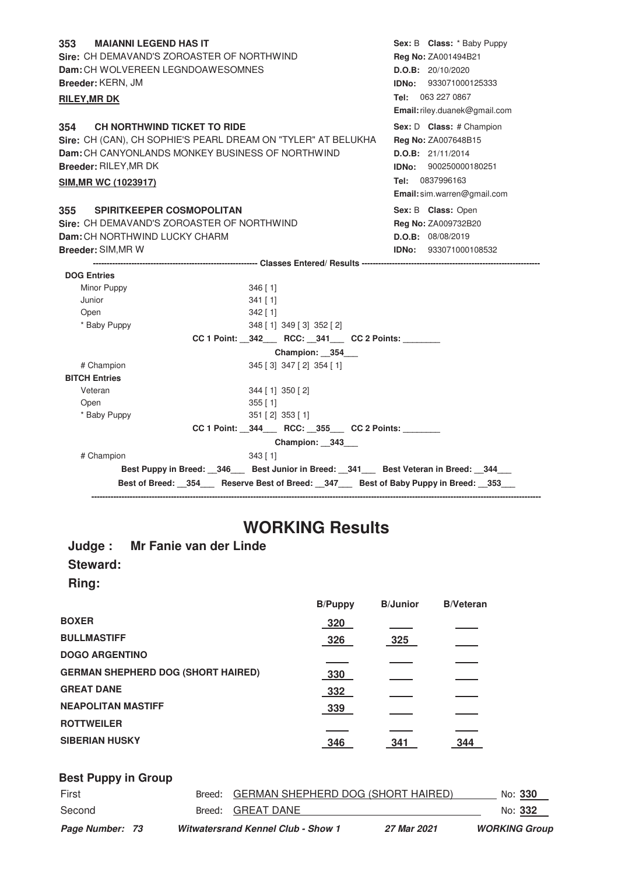| 353<br><b>MAIANNI LEGEND HAS IT</b>                           |                                                                                           | Sex: B Class: * Baby Puppy    |
|---------------------------------------------------------------|-------------------------------------------------------------------------------------------|-------------------------------|
| Sire: CH DEMAVAND'S ZOROASTER OF NORTHWIND                    | Reg No: ZA001494B21                                                                       |                               |
| Dam: CH WOLVEREEN LEGNDOAWESOMNES                             |                                                                                           | D.O.B: 20/10/2020             |
| Breeder: KERN, JM                                             |                                                                                           | IDNo: 933071000125333         |
| <b>RILEY, MR DK</b>                                           |                                                                                           | Tel: 063 227 0867             |
|                                                               |                                                                                           | Email: riley.duanek@gmail.com |
| CH NORTHWIND TICKET TO RIDE<br>354                            |                                                                                           | Sex: D Class: # Champion      |
| Sire: CH (CAN), CH SOPHIE'S PEARL DREAM ON "TYLER" AT BELUKHA |                                                                                           | Reg No: ZA007648B15           |
| Dam: CH CANYONLANDS MONKEY BUSINESS OF NORTHWIND              |                                                                                           | D.O.B: 21/11/2014             |
| Breeder: RILEY, MR DK                                         |                                                                                           | IDNo: 900250000180251         |
| <b>SIM, MR WC (1023917)</b>                                   |                                                                                           | Tel: 0837996163               |
|                                                               |                                                                                           | Email: sim.warren@gmail.com   |
| <b>SPIRITKEEPER COSMOPOLITAN</b><br>355                       |                                                                                           | Sex: B Class: Open            |
| <b>Sire: CH DEMAVAND'S ZOROASTER OF NORTHWIND</b>             |                                                                                           | Reg No: ZA009732B20           |
| Dam: CH NORTHWIND LUCKY CHARM                                 |                                                                                           | D.O.B: 08/08/2019             |
| Breeder: SIM, MR W                                            |                                                                                           | IDNo: 933071000108532         |
|                                                               |                                                                                           |                               |
| <b>DOG Entries</b>                                            |                                                                                           |                               |
| Minor Puppy                                                   | $346$ [1]                                                                                 |                               |
| Junior                                                        | $341$ [1]                                                                                 |                               |
| Open                                                          | $342$ [ 1]                                                                                |                               |
| * Baby Puppy                                                  | 348 [1] 349 [3] 352 [2]                                                                   |                               |
|                                                               | CC 1 Point: _342__ RCC: _341__ CC 2 Points: _____                                         |                               |
|                                                               | Champion: 354                                                                             |                               |
| # Champion                                                    | 345 [3] 347 [2] 354 [1]                                                                   |                               |
| <b>BITCH Entries</b>                                          |                                                                                           |                               |
| Veteran                                                       | 344 [1] 350 [2]                                                                           |                               |
| Open                                                          | $355$ [ 1]                                                                                |                               |
| * Baby Puppy                                                  | $351$ [ 2] $353$ [ 1]                                                                     |                               |
|                                                               | CC 1 Point: _344___ RCC: _355___ CC 2 Points: _______                                     |                               |
|                                                               | Champion: __343___                                                                        |                               |
| # Champion                                                    | $343$ [ 1]                                                                                |                               |
|                                                               | Best Puppy in Breed: _346 __ Best Junior in Breed: _341 __ Best Veteran in Breed: _344 __ |                               |
|                                                               | Best of Breed: 354 Reserve Best of Breed: 347 Best of Baby Puppy in Breed: 353            |                               |
|                                                               |                                                                                           |                               |

# **WORKING Results**

## **Judge : Mr Fanie van der Linde Steward:**

**Ring:**

|                                           | <b>B/Puppy</b> | <b>B/Junior</b> | <b>B/Veteran</b> |
|-------------------------------------------|----------------|-----------------|------------------|
| <b>BOXER</b>                              | 320            |                 |                  |
| <b>BULLMASTIFF</b>                        | 326            | 325             |                  |
| <b>DOGO ARGENTINO</b>                     |                |                 |                  |
| <b>GERMAN SHEPHERD DOG (SHORT HAIRED)</b> | 330            |                 |                  |
| <b>GREAT DANE</b>                         | 332            |                 |                  |
| <b>NEAPOLITAN MASTIFF</b>                 | 339            |                 |                  |
| <b>ROTTWEILER</b>                         |                |                 |                  |
| <b>SIBERIAN HUSKY</b>                     | 346            | 341             | 344              |

| <b>Best Puppy in Group</b> |                                           |             |                      |
|----------------------------|-------------------------------------------|-------------|----------------------|
| First                      | Breed: GERMAN SHEPHERD DOG (SHORT HAIRED) |             | No: 330              |
| Second                     | Breed: GREAT DANE                         |             | No: 332              |
| Page Number: 73            | <b>Witwatersrand Kennel Club - Show 1</b> | 27 Mar 2021 | <b>WORKING Group</b> |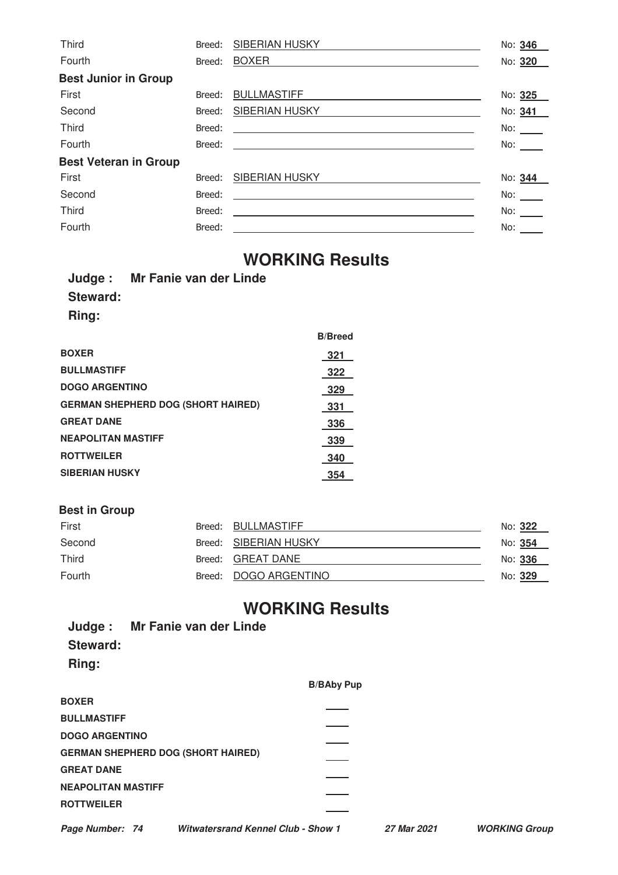| Third                        | Breed: | <b>SIBERIAN HUSKY</b>                                                                                                 | No: 346    |
|------------------------------|--------|-----------------------------------------------------------------------------------------------------------------------|------------|
| Fourth                       | Breed: | <b>BOXER</b>                                                                                                          | No: 320    |
| <b>Best Junior in Group</b>  |        |                                                                                                                       |            |
| First                        | Breed: | <b>BULLMASTIFF</b>                                                                                                    | No: 325    |
| Second                       | Breed: | SIBERIAN HUSKY                                                                                                        | No: 341    |
| <b>Third</b>                 | Breed: | <u> 1989 - Johann Harry Harry Harry Harry Harry Harry Harry Harry Harry Harry Harry Harry Harry Harry Harry Harry</u> | No: $\_\_$ |
| Fourth                       | Breed: | <u> 1980 - Andrea Andrew Maria (h. 1980).</u>                                                                         | No:        |
| <b>Best Veteran in Group</b> |        |                                                                                                                       |            |
| First                        | Breed: | SIBERIAN HUSKY                                                                                                        | No: 344    |
| Second                       | Breed: |                                                                                                                       | No: $\_\_$ |
| Third                        | Breed: | <u> 1989 - Johann Stein, fransk politik (d. 1989)</u>                                                                 |            |
| Fourth                       | Breed: |                                                                                                                       | No:        |

# **WORKING Results**

**B/Breed**

|              | Judge: Mr Fanie van der Linde |
|--------------|-------------------------------|
| Steward:     |                               |
| <b>Ring:</b> |                               |
|              |                               |

| <b>BOXER</b>                              | 321 |
|-------------------------------------------|-----|
| <b>BULLMASTIFF</b>                        | 322 |
| <b>DOGO ARGENTINO</b>                     | 329 |
| <b>GERMAN SHEPHERD DOG (SHORT HAIRED)</b> | 331 |
| <b>GREAT DANE</b>                         | 336 |
| <b>NEAPOLITAN MASTIFF</b>                 | 339 |
| <b>ROTTWEILER</b>                         | 340 |
| <b>SIBERIAN HUSKY</b>                     | 354 |
|                                           |     |

#### **Best in Group**

| First        | Breed: BULLMASTIFF    | No: 322        |
|--------------|-----------------------|----------------|
| Second       | Breed: SIBERIAN HUSKY | No: <b>354</b> |
| <b>Third</b> | Breed: GREAT DANE     | No: 336        |
| Fourth       | Breed: DOGO ARGENTINO | No: 329        |

## **WORKING Results**

|                           | Judge: Mr Fanie van der Linde             |                   |             |                      |
|---------------------------|-------------------------------------------|-------------------|-------------|----------------------|
| <b>Steward:</b>           |                                           |                   |             |                      |
| Ring:                     |                                           |                   |             |                      |
|                           |                                           | <b>B/BAby Pup</b> |             |                      |
| <b>BOXER</b>              |                                           |                   |             |                      |
| <b>BULLMASTIFF</b>        |                                           |                   |             |                      |
| <b>DOGO ARGENTINO</b>     |                                           |                   |             |                      |
|                           | <b>GERMAN SHEPHERD DOG (SHORT HAIRED)</b> |                   |             |                      |
| <b>GREAT DANE</b>         |                                           |                   |             |                      |
| <b>NEAPOLITAN MASTIFF</b> |                                           |                   |             |                      |
| <b>ROTTWEILER</b>         |                                           |                   |             |                      |
| Page Number: 74           | <b>Witwatersrand Kennel Club - Show 1</b> |                   | 27 Mar 2021 | <b>WORKING Group</b> |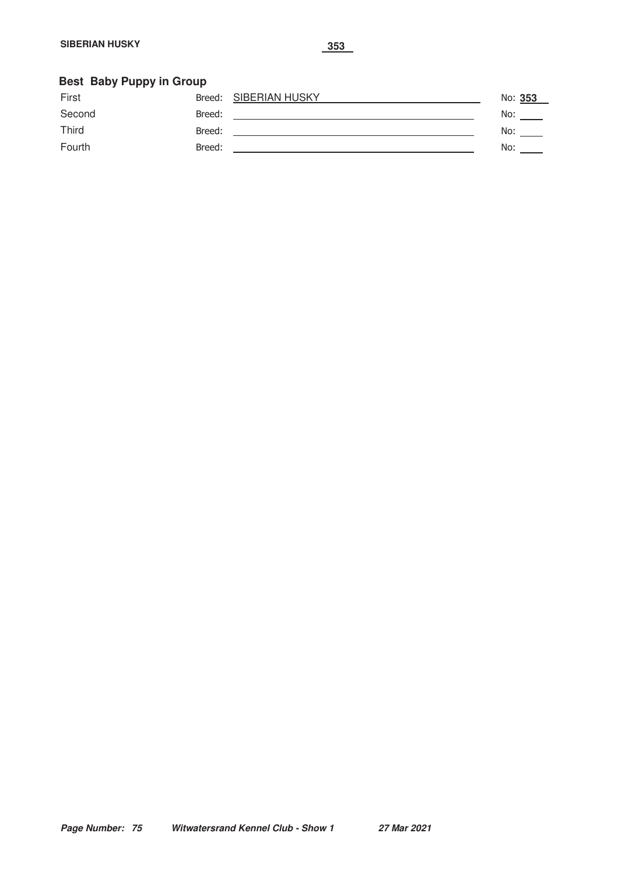#### **Best Baby Puppy in Group**

| First        |        | Breed: SIBERIAN HUSKY | No: 353 |
|--------------|--------|-----------------------|---------|
| Second       | Breed: |                       | No:     |
| <b>Third</b> | Breed: |                       | No:     |
| Fourth       | Breed: |                       | No:     |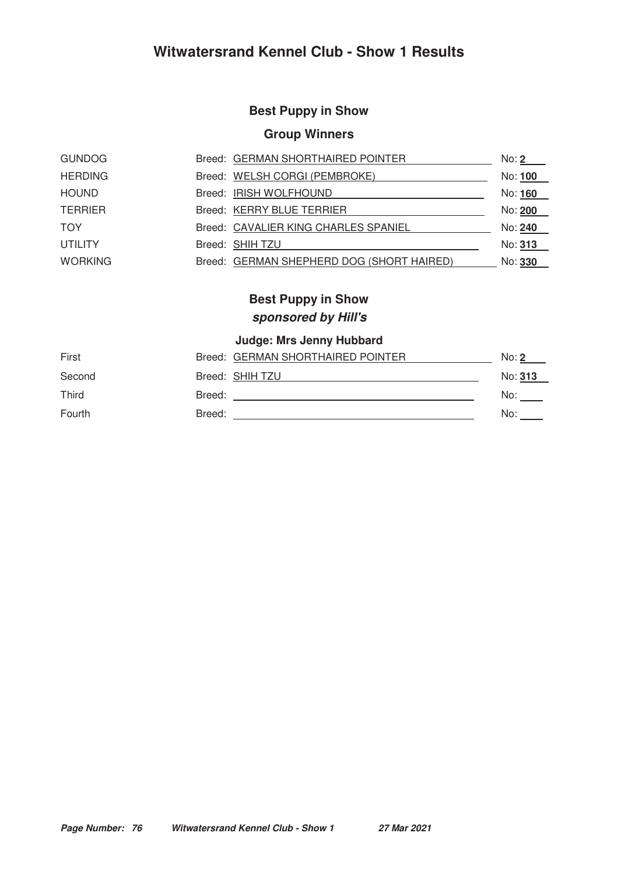#### **Best Puppy in Show**

#### **Group Winners**

| <b>GUNDOG</b>  | Breed: GERMAN SHORTHAIRED POINTER         | No: <b>2</b>   |
|----------------|-------------------------------------------|----------------|
| <b>HERDING</b> | Breed: WELSH CORGI (PEMBROKE)             | No: <b>100</b> |
| <b>HOUND</b>   | Breed: IRISH WOLFHOUND                    | No: 160        |
| <b>TERRIER</b> | Breed: KERRY BLUE TERRIER                 | No: 200        |
| <b>TOY</b>     | Breed: CAVALIER KING CHARLES SPANIEL      | No: 240        |
| <b>UTILITY</b> | Breed: SHIH TZU                           | No: 313        |
| <b>WORKING</b> | Breed: GERMAN SHEPHERD DOG (SHORT HAIRED) | No: 330        |

## **Best Puppy in Show sponsored by Hill's**

| First  |        | Breed: GERMAN SHORTHAIRED POINTER | No: 2   |
|--------|--------|-----------------------------------|---------|
| Second |        | Breed: SHIH TZU                   | No: 313 |
| Third  | Breed: |                                   | No:     |
| Fourth | Breed: |                                   | No:     |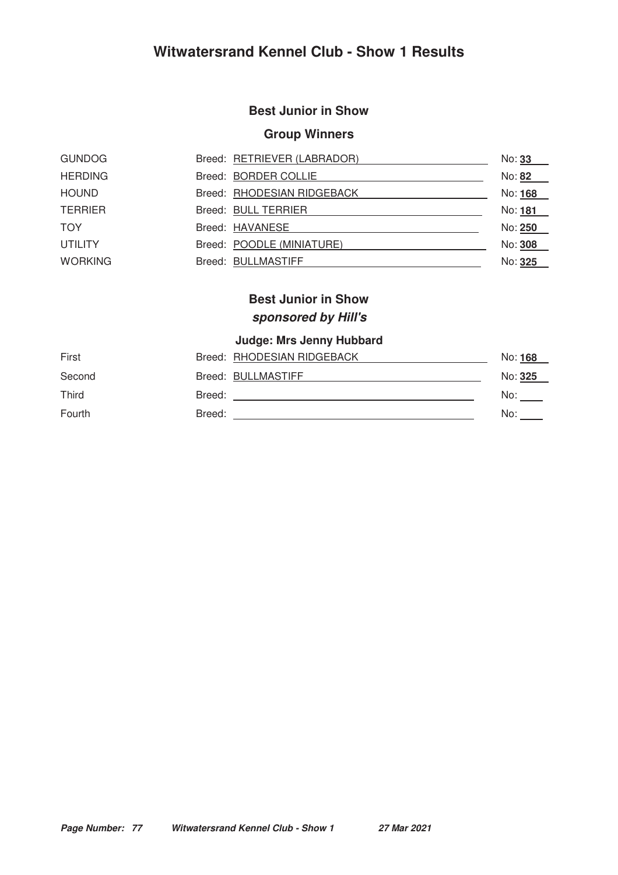#### **Best Junior in Show**

#### **Group Winners**

| <b>GUNDOG</b>  | Breed: RETRIEVER (LABRADOR) | No: 33  |
|----------------|-----------------------------|---------|
| <b>HERDING</b> | Breed: BORDER COLLIE        | No: 82  |
| <b>HOUND</b>   | Breed: RHODESIAN RIDGEBACK  | No: 168 |
| <b>TERRIER</b> | Breed: BULL TERRIER         | No: 181 |
| <b>TOY</b>     | Breed: HAVANESE             | No: 250 |
| <b>UTILITY</b> | Breed: POODLE (MINIATURE)   | No: 308 |
| <b>WORKING</b> | Breed: BULLMASTIFF          | No: 325 |

### **Best Junior in Show sponsored by Hill's**

| First  |        | Breed: RHODESIAN RIDGEBACK | No: 168 |
|--------|--------|----------------------------|---------|
| Second |        | Breed: BULLMASTIFF         | No: 325 |
| Third  | Breed: |                            | No:     |
| Fourth | Breed: |                            | No:     |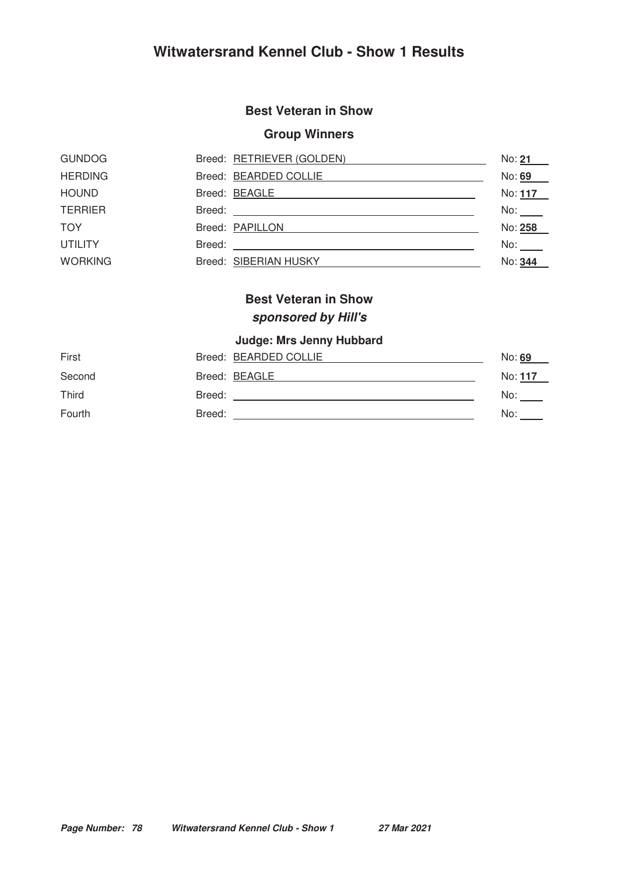#### **Best Veteran in Show**

#### **Group Winners**

| <b>GUNDOG</b>  | Breed: RETRIEVER (GOLDEN) | No: 21         |
|----------------|---------------------------|----------------|
| <b>HERDING</b> | Breed: BEARDED COLLIE     | No: 69         |
| <b>HOUND</b>   | Breed: BEAGLE             | No: <u>117</u> |
| <b>TERRIER</b> | Breed:                    | No:            |
| <b>TOY</b>     | Breed: PAPILLON           | No: 258        |
| <b>UTILITY</b> | Breed:                    | No:            |
| <b>WORKING</b> | Breed: SIBERIAN HUSKY     | No: 344        |

## **Best Veteran in Show sponsored by Hill's**

| First  | Breed: BEARDED COLLIE | No: 69  |
|--------|-----------------------|---------|
| Second | Breed: BEAGLE         | No: 117 |
| Third  | Breed:                | No:     |
| Fourth | Breed:                | No:     |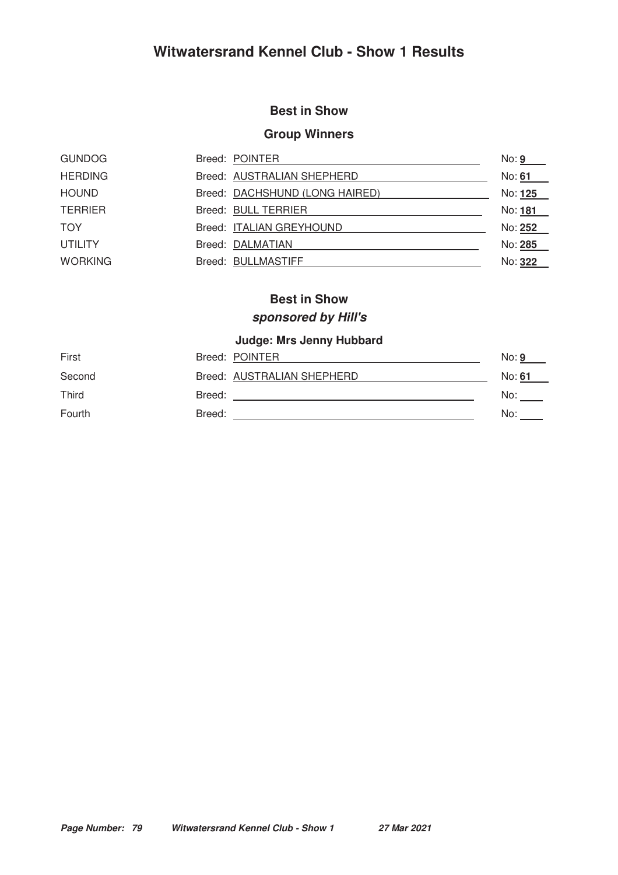#### **Best in Show**

#### **Group Winners**

| <b>GUNDOG</b>  | Breed: POINTER |                                | No: <b>9</b>   |
|----------------|----------------|--------------------------------|----------------|
| <b>HERDING</b> |                | Breed: AUSTRALIAN SHEPHERD     | No: 61         |
| <b>HOUND</b>   |                | Breed: DACHSHUND (LONG HAIRED) | No: 125        |
| <b>TERRIER</b> |                | Breed: BULL TERRIER            | No: 181        |
| <b>TOY</b>     |                | Breed: ITALIAN GREYHOUND       | No: <u>252</u> |
| <b>UTILITY</b> |                | Breed: DALMATIAN               | No: 285        |
| <b>WORKING</b> |                | Breed: BULLMASTIFF             | No: 322        |

#### **Best in Show**

### **sponsored by Hill's**

| First  | Breed: POINTER             | No: 9  |
|--------|----------------------------|--------|
| Second | Breed: AUSTRALIAN SHEPHERD | No: 61 |
| Third  | Breed:                     | No:    |
| Fourth | Breed:                     | No:    |